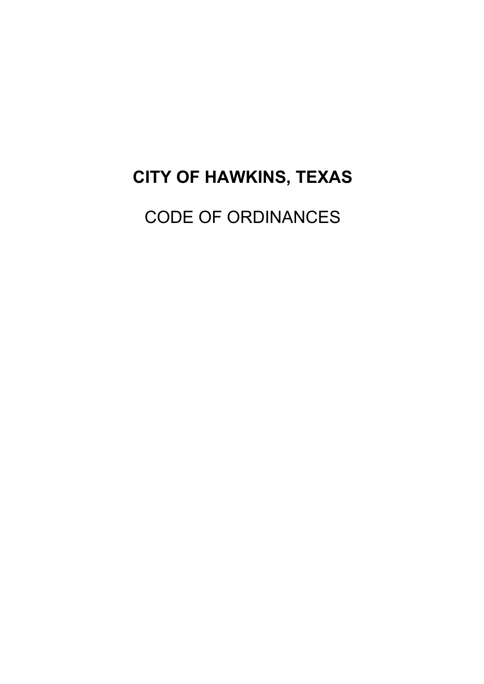# **CITY OF HAWKINS, TEXAS**

CODE OF ORDINANCES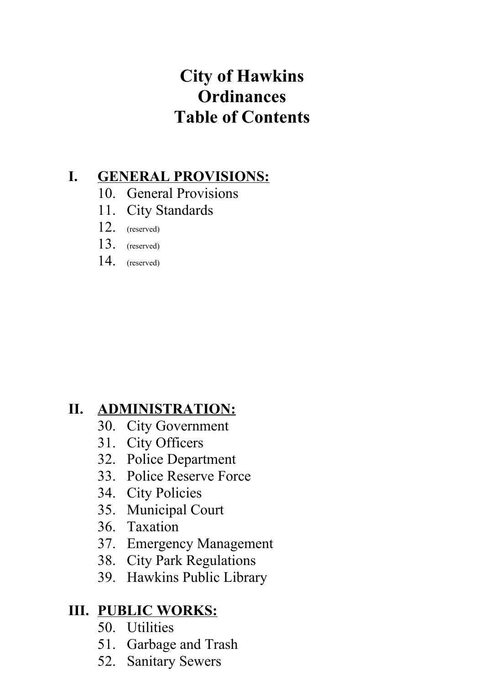# **City of Hawkins Ordinances Table of Contents**

## **I. GENERAL PROVISIONS:**

- 10. General Provisions
- 11. City Standards
- 12. (reserved)
- 13. (reserved)
- 14. (reserved)

## **II. ADMINISTRATION:**

- 30. City Government
- 31. City Officers
- 32. Police Department
- 33. Police Reserve Force
- 34. City Policies
- 35. Municipal Court
- 36. Taxation
- 37. Emergency Management
- 38. City Park Regulations
- 39. Hawkins Public Library

## **III. PUBLIC WORKS:**

- 50. Utilities
- 51. Garbage and Trash
- 52. Sanitary Sewers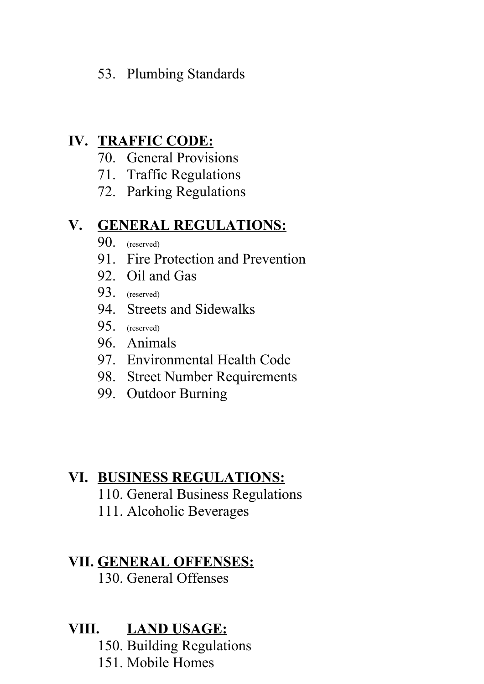53. Plumbing Standards

## **IV. TRAFFIC CODE:**

- 70. General Provisions
- 71. Traffic Regulations
- 72. Parking Regulations

### **V. GENERAL REGULATIONS:**

- 90. (reserved)
- 91. Fire Protection and Prevention
- 92. Oil and Gas
- 93. (reserved)
- 94. Streets and Sidewalks
- 95. (reserved)
- 96. Animals
- 97. Environmental Health Code
- 98. Street Number Requirements
- 99. Outdoor Burning

### **VI. BUSINESS REGULATIONS:**

- 110. General Business Regulations
- 111. Alcoholic Beverages

### **VII. GENERAL OFFENSES:**

130. General Offenses

## **VIII. LAND USAGE:**

150. Building Regulations 151. Mobile Homes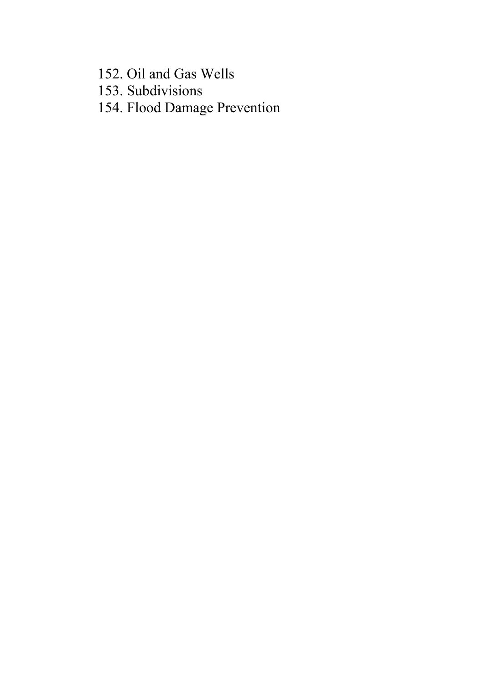152. Oil and Gas Wells

153. Subdivisions

154. Flood Damage Prevention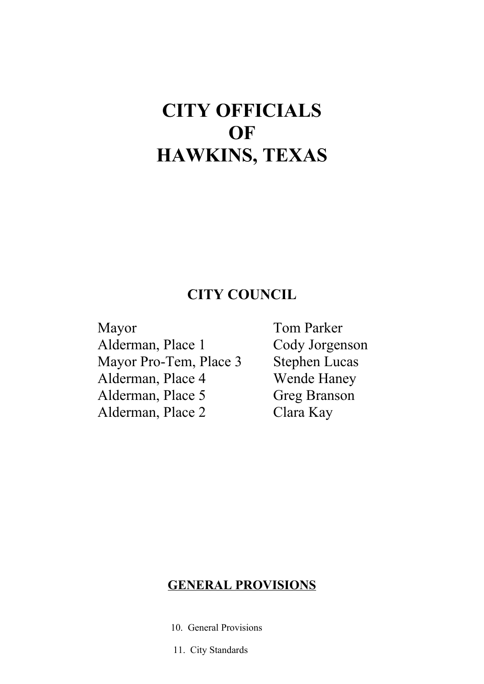# **CITY OFFICIALS OF HAWKINS, TEXAS**

### **CITY COUNCIL**

Mayor Tom Parker Alderman, Place 1 Cody Jorgenson Mayor Pro-Tem, Place 3 Stephen Lucas Alderman, Place 4 Wende Haney Alderman, Place 5 Greg Branson Alderman, Place 2 Clara Kay

### **GENERAL PROVISIONS**

- 10. General Provisions
- 11. City Standards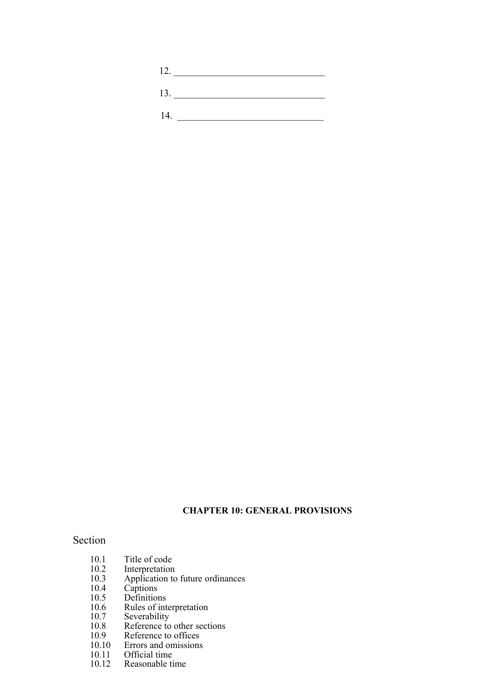| 12. |  |
|-----|--|
| 13. |  |
| 14. |  |

#### **CHAPTER 10: GENERAL PROVISIONS**

#### Section

- 
- 10.1 Title of code<br>10.2 Interpretation 10.2 Interpretation<br>10.3 Application to
- 10.3 Application to future ordinances
- 10.4 Captions
- 10.5 Definitions
- 10.6 Rules of interpretation
- 10.7 Severability
- 10.8 Reference to other sections
- 10.9 Reference to offices<br>10.10 Errors and omissions
- 10.10 Errors and omissions<br>10.11 Official time
- 10.11 Official time<br>10.12 Reasonable ti
- Reasonable time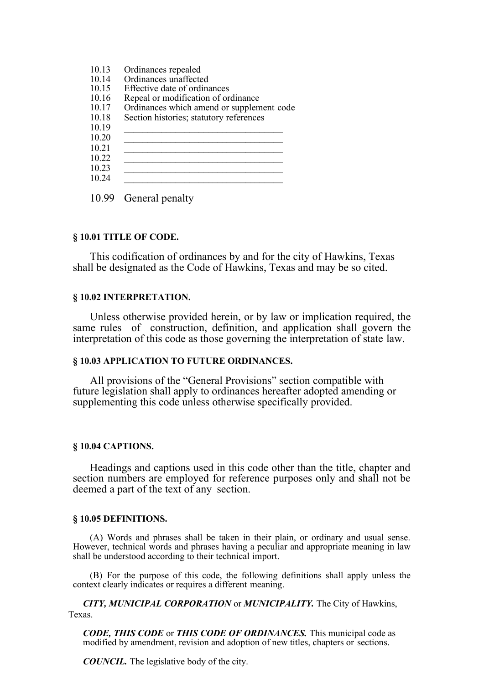| 10.13 | Ordinances repealed                       |
|-------|-------------------------------------------|
| 10.14 | Ordinances unaffected                     |
| 10.15 | Effective date of ordinances              |
| 10.16 | Repeal or modification of ordinance       |
| 10.17 | Ordinances which amend or supplement code |
| 10.18 | Section histories; statutory references   |
| 10.19 |                                           |
| 10.20 |                                           |
| 10.21 |                                           |
| 10.22 |                                           |
| 10.23 |                                           |
| 10.24 |                                           |
|       |                                           |

10.99 General penalty

#### **§ 10.01 TITLE OF CODE.**

This codification of ordinances by and for the city of Hawkins, Texas shall be designated as the Code of Hawkins, Texas and may be so cited.

#### **§ 10.02 INTERPRETATION.**

Unless otherwise provided herein, or by law or implication required, the same rules of construction, definition, and application shall govern the interpretation of this code as those governing the interpretation of state law.

#### **§ 10.03 APPLICATION TO FUTURE ORDINANCES.**

All provisions of the "General Provisions" section compatible with future legislation shall apply to ordinances hereafter adopted amending or supplementing this code unless otherwise specifically provided.

#### **§ 10.04 CAPTIONS.**

Headings and captions used in this code other than the title, chapter and section numbers are employed for reference purposes only and shall not be deemed a part of the text of any section.

#### **§ 10.05 DEFINITIONS.**

(A) Words and phrases shall be taken in their plain, or ordinary and usual sense. However, technical words and phrases having a peculiar and appropriate meaning in law shall be understood according to their technical import.

(B) For the purpose of this code, the following definitions shall apply unless the context clearly indicates or requires a different meaning.

*CITY, MUNICIPAL CORPORATION* or *MUNICIPALITY.* The City of Hawkins, Texas.

*CODE, THIS CODE* or *THIS CODE OF ORDINANCES.* This municipal code as modified by amendment, revision and adoption of new titles, chapters or sections.

*COUNCIL.* The legislative body of the city.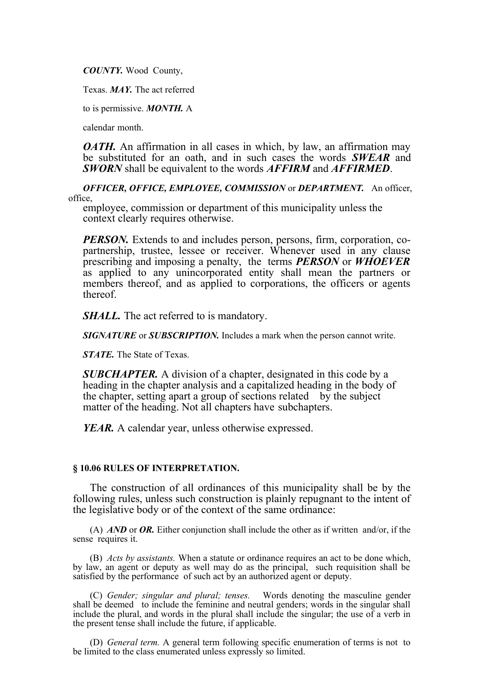*COUNTY.* Wood County,

Texas. *MAY.* The act referred

to is permissive. *MONTH.* A

calendar month.

*OATH.* An affirmation in all cases in which, by law, an affirmation may be substituted for an oath, and in such cases the words *SWEAR* and *SWORN* shall be equivalent to the words *AFFIRM* and *AFFIRMED*.

*OFFICER, OFFICE, EMPLOYEE, COMMISSION* or *DEPARTMENT.* An officer, office,

employee, commission or department of this municipality unless the context clearly requires otherwise.

*PERSON*. Extends to and includes person, persons, firm, corporation, copartnership, trustee, lessee or receiver. Whenever used in any clause prescribing and imposing a penalty, the terms *PERSON* or *WHOEVER* as applied to any unincorporated entity shall mean the partners or members thereof, and as applied to corporations, the officers or agents thereof.

*SHALL*. The act referred to is mandatory.

*SIGNATURE* or *SUBSCRIPTION.* Includes a mark when the person cannot write.

*STATE.* The State of Texas.

*SUBCHAPTER.* A division of a chapter, designated in this code by a heading in the chapter analysis and a capitalized heading in the body of the chapter, setting apart a group of sections related by the subject matter of the heading. Not all chapters have subchapters.

*YEAR.* A calendar year, unless otherwise expressed.

#### **§ 10.06 RULES OF INTERPRETATION.**

The construction of all ordinances of this municipality shall be by the following rules, unless such construction is plainly repugnant to the intent of the legislative body or of the context of the same ordinance:

(A) *AND* or *OR.* Either conjunction shall include the other as if written and/or, if the sense requires it.

(B) *Acts by assistants.* When a statute or ordinance requires an act to be done which, by law, an agent or deputy as well may do as the principal, such requisition shall be satisfied by the performance of such act by an authorized agent or deputy.

(C) *Gender; singular and plural; tenses.* Words denoting the masculine gender shall be deemed to include the feminine and neutral genders; words in the singular shall include the plural, and words in the plural shall include the singular; the use of a verb in the present tense shall include the future, if applicable.

(D) *General term.* A general term following specific enumeration of terms is not to be limited to the class enumerated unless expressly so limited.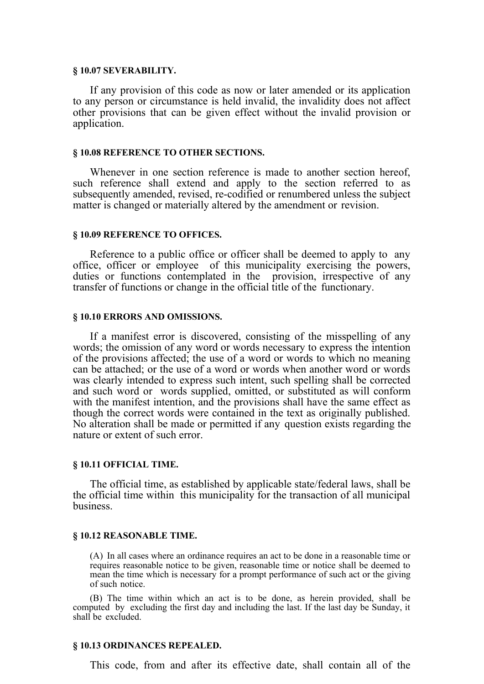#### **§ 10.07 SEVERABILITY.**

If any provision of this code as now or later amended or its application to any person or circumstance is held invalid, the invalidity does not affect other provisions that can be given effect without the invalid provision or application.

#### **§ 10.08 REFERENCE TO OTHER SECTIONS.**

Whenever in one section reference is made to another section hereof, such reference shall extend and apply to the section referred to as subsequently amended, revised, re-codified or renumbered unless the subject matter is changed or materially altered by the amendment or revision.

#### **§ 10.09 REFERENCE TO OFFICES.**

Reference to a public office or officer shall be deemed to apply to any office, officer or employee of this municipality exercising the powers, duties or functions contemplated in the provision, irrespective of any transfer of functions or change in the official title of the functionary.

#### **§ 10.10 ERRORS AND OMISSIONS.**

If a manifest error is discovered, consisting of the misspelling of any words; the omission of any word or words necessary to express the intention of the provisions affected; the use of a word or words to which no meaning can be attached; or the use of a word or words when another word or words was clearly intended to express such intent, such spelling shall be corrected and such word or words supplied, omitted, or substituted as will conform with the manifest intention, and the provisions shall have the same effect as though the correct words were contained in the text as originally published. No alteration shall be made or permitted if any question exists regarding the nature or extent of such error.

#### **§ 10.11 OFFICIAL TIME.**

The official time, as established by applicable state/federal laws, shall be the official time within this municipality for the transaction of all municipal business.

#### **§ 10.12 REASONABLE TIME.**

(A) In all cases where an ordinance requires an act to be done in a reasonable time or requires reasonable notice to be given, reasonable time or notice shall be deemed to mean the time which is necessary for a prompt performance of such act or the giving of such notice.

(B) The time within which an act is to be done, as herein provided, shall be computed by excluding the first day and including the last. If the last day be Sunday, it shall be excluded.

#### **§ 10.13 ORDINANCES REPEALED.**

This code, from and after its effective date, shall contain all of the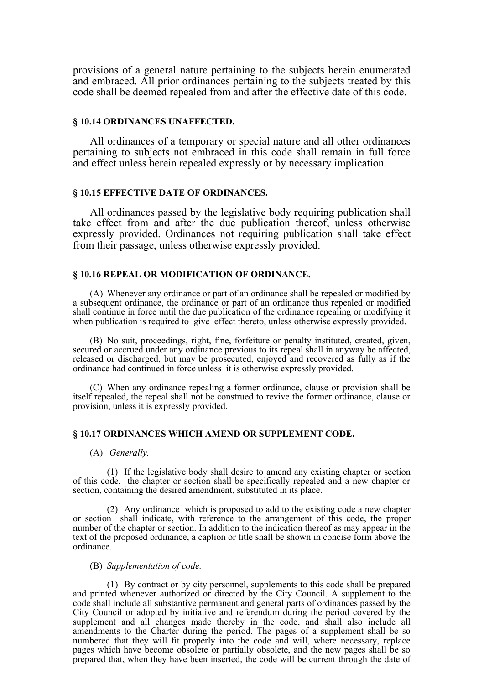provisions of a general nature pertaining to the subjects herein enumerated and embraced. All prior ordinances pertaining to the subjects treated by this code shall be deemed repealed from and after the effective date of this code.

#### **§ 10.14 ORDINANCES UNAFFECTED.**

All ordinances of a temporary or special nature and all other ordinances pertaining to subjects not embraced in this code shall remain in full force and effect unless herein repealed expressly or by necessary implication.

#### **§ 10.15 EFFECTIVE DATE OF ORDINANCES.**

All ordinances passed by the legislative body requiring publication shall take effect from and after the due publication thereof, unless otherwise expressly provided. Ordinances not requiring publication shall take effect from their passage, unless otherwise expressly provided.

#### **§ 10.16 REPEAL OR MODIFICATION OF ORDINANCE.**

(A) Whenever any ordinance or part of an ordinance shall be repealed or modified by a subsequent ordinance, the ordinance or part of an ordinance thus repealed or modified shall continue in force until the due publication of the ordinance repealing or modifying it when publication is required to give effect thereto, unless otherwise expressly provided.

(B) No suit, proceedings, right, fine, forfeiture or penalty instituted, created, given, secured or accrued under any ordinance previous to its repeal shall in anyway be affected, released or discharged, but may be prosecuted, enjoyed and recovered as fully as if the ordinance had continued in force unless it is otherwise expressly provided.

(C) When any ordinance repealing a former ordinance, clause or provision shall be itself repealed, the repeal shall not be construed to revive the former ordinance, clause or provision, unless it is expressly provided.

#### **§ 10.17 ORDINANCES WHICH AMEND OR SUPPLEMENT CODE.**

#### (A) *Generally.*

(1) If the legislative body shall desire to amend any existing chapter or section of this code, the chapter or section shall be specifically repealed and a new chapter or section, containing the desired amendment, substituted in its place.

(2) Any ordinance which is proposed to add to the existing code a new chapter or section shall indicate, with reference to the arrangement of this code, the proper number of the chapter or section. In addition to the indication thereof as may appear in the text of the proposed ordinance, a caption or title shall be shown in concise form above the ordinance.

#### (B) *Supplementation of code.*

(1) By contract or by city personnel, supplements to this code shall be prepared and printed whenever authorized or directed by the City Council. A supplement to the code shall include all substantive permanent and general parts of ordinances passed by the City Council or adopted by initiative and referendum during the period covered by the supplement and all changes made thereby in the code, and shall also include all amendments to the Charter during the period. The pages of a supplement shall be so numbered that they will fit properly into the code and will, where necessary, replace pages which have become obsolete or partially obsolete, and the new pages shall be so prepared that, when they have been inserted, the code will be current through the date of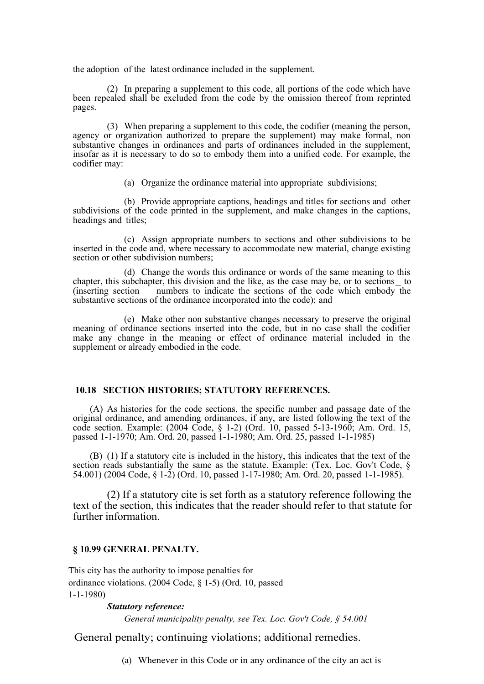the adoption of the latest ordinance included in the supplement.

(2) In preparing a supplement to this code, all portions of the code which have been repealed shall be excluded from the code by the omission thereof from reprinted pages.

(3) When preparing a supplement to this code, the codifier (meaning the person, agency or organization authorized to prepare the supplement) may make formal, non substantive changes in ordinances and parts of ordinances included in the supplement, insofar as it is necessary to do so to embody them into a unified code. For example, the codifier may:

(a) Organize the ordinance material into appropriate subdivisions;

(b) Provide appropriate captions, headings and titles for sections and other subdivisions of the code printed in the supplement, and make changes in the captions, headings and titles;

(c) Assign appropriate numbers to sections and other subdivisions to be inserted in the code and, where necessary to accommodate new material, change existing section or other subdivision numbers;

(d) Change the words this ordinance or words of the same meaning to this chapter, this subchapter, this division and the like, as the case may be, or to sections to (inserting section mumbers to indicate the sections of the code which embody the substantive sections of the ordinance incorporated into the code); and

(e) Make other non substantive changes necessary to preserve the original meaning of ordinance sections inserted into the code, but in no case shall the codifier make any change in the meaning or effect of ordinance material included in the supplement or already embodied in the code.

#### **10.18 SECTION HISTORIES; STATUTORY REFERENCES.**

(A) As histories for the code sections, the specific number and passage date of the original ordinance, and amending ordinances, if any, are listed following the text of the code section. Example: (2004 Code, § 1-2) (Ord. 10, passed 5-13-1960; Am. Ord. 15, passed 1-1-1970; Am. Ord. 20, passed 1-1-1980; Am. Ord. 25, passed 1-1-1985)

(B) (1) If a statutory cite is included in the history, this indicates that the text of the section reads substantially the same as the statute. Example: (Tex. Loc. Gov't Code, § 54.001) (2004 Code, § 1-2) (Ord. 10, passed 1-17-1980; Am. Ord. 20, passed 1-1-1985).

(2) If a statutory cite is set forth as a statutory reference following the text of the section, this indicates that the reader should refer to that statute for further information.

#### **§ 10.99 GENERAL PENALTY.**

This city has the authority to impose penalties for ordinance violations. (2004 Code, § 1-5) (Ord. 10, passed 1-1-1980)

> *Statutory reference: General municipality penalty, see Tex. Loc. Gov't Code, § 54.001*

#### General penalty; continuing violations; additional remedies.

(a) Whenever in this Code or in any ordinance of the city an act is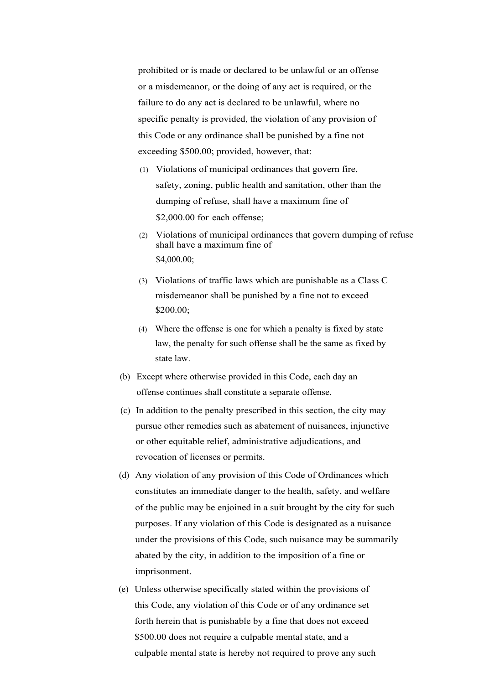prohibited or is made or declared to be unlawful or an offense or a misdemeanor, or the doing of any act is required, or the failure to do any act is declared to be unlawful, where no specific penalty is provided, the violation of any provision of this Code or any ordinance shall be punished by a fine not exceeding \$500.00; provided, however, that:

- (1) Violations of municipal ordinances that govern fire, safety, zoning, public health and sanitation, other than the dumping of refuse, shall have a maximum fine of \$2,000.00 for each offense;
- (2) Violations of municipal ordinances that govern dumping of refuse shall have a maximum fine of \$4,000.00;
- (3) Violations of traffic laws which are punishable as a Class C misdemeanor shall be punished by a fine not to exceed \$200.00;
- (4) Where the offense is one for which a penalty is fixed by state law, the penalty for such offense shall be the same as fixed by state law.
- (b) Except where otherwise provided in this Code, each day an offense continues shall constitute a separate offense.
- (c) In addition to the penalty prescribed in this section, the city may pursue other remedies such as abatement of nuisances, injunctive or other equitable relief, administrative adjudications, and revocation of licenses or permits.
- (d) Any violation of any provision of this Code of Ordinances which constitutes an immediate danger to the health, safety, and welfare of the public may be enjoined in a suit brought by the city for such purposes. If any violation of this Code is designated as a nuisance under the provisions of this Code, such nuisance may be summarily abated by the city, in addition to the imposition of a fine or imprisonment.
- (e) Unless otherwise specifically stated within the provisions of this Code, any violation of this Code or of any ordinance set forth herein that is punishable by a fine that does not exceed \$500.00 does not require a culpable mental state, and a culpable mental state is hereby not required to prove any such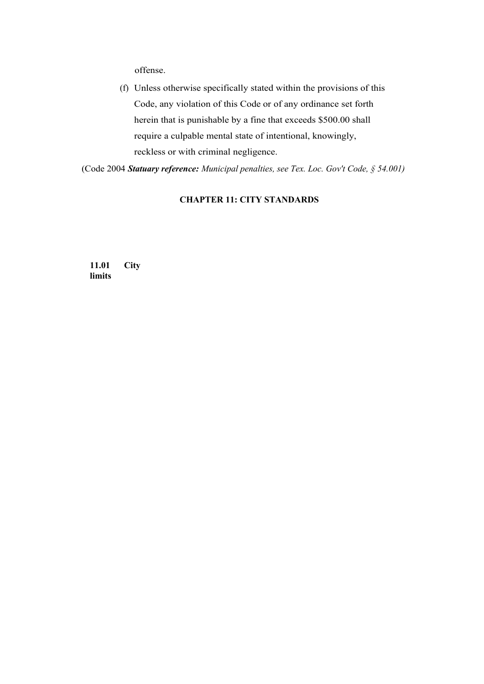offense.

(f) Unless otherwise specifically stated within the provisions of this Code, any violation of this Code or of any ordinance set forth herein that is punishable by a fine that exceeds \$500.00 shall require a culpable mental state of intentional, knowingly, reckless or with criminal negligence.

(Code 2004 *Statuary reference: Municipal penalties, see Tex. Loc. Gov't Code, § 54.001)*

#### **CHAPTER 11: CITY STANDARDS**

**11.01 City limits**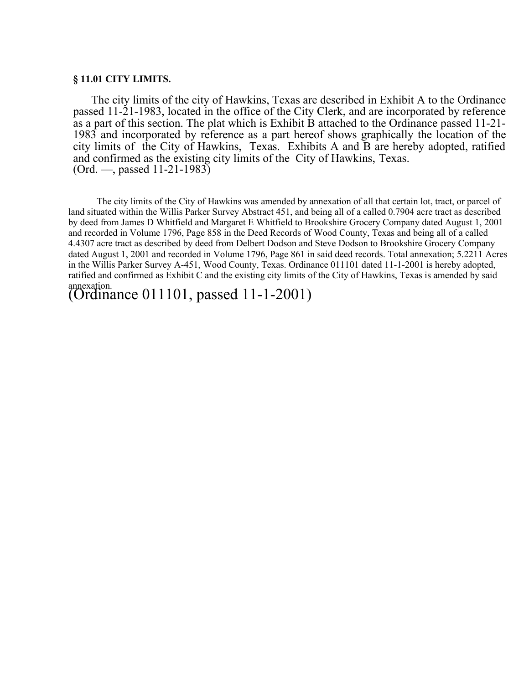#### **§ 11.01 CITY LIMITS.**

The city limits of the city of Hawkins, Texas are described in Exhibit A to the Ordinance passed 11-21-1983, located in the office of the City Clerk, and are incorporated by reference as a part of this section. The plat which is Exhibit B attached to the Ordinance passed 11-21- 1983 and incorporated by reference as a part hereof shows graphically the location of the city limits of the City of Hawkins, Texas. Exhibits A and B are hereby adopted, ratified and confirmed as the existing city limits of the City of Hawkins, Texas. (Ord. —, passed 11-21-1983)

 The city limits of the City of Hawkins was amended by annexation of all that certain lot, tract, or parcel of land situated within the Willis Parker Survey Abstract 451, and being all of a called 0.7904 acre tract as described by deed from James D Whitfield and Margaret E Whitfield to Brookshire Grocery Company dated August 1, 2001 and recorded in Volume 1796, Page 858 in the Deed Records of Wood County, Texas and being all of a called 4.4307 acre tract as described by deed from Delbert Dodson and Steve Dodson to Brookshire Grocery Company dated August 1, 2001 and recorded in Volume 1796, Page 861 in said deed records. Total annexation; 5.2211 Acres in the Willis Parker Survey A-451, Wood County, Texas. Ordinance 011101 dated 11-1-2001 is hereby adopted, ratified and confirmed as Exhibit C and the existing city limits of the City of Hawkins, Texas is amended by said annexation. (Ordinance 011101, passed 11-1-2001)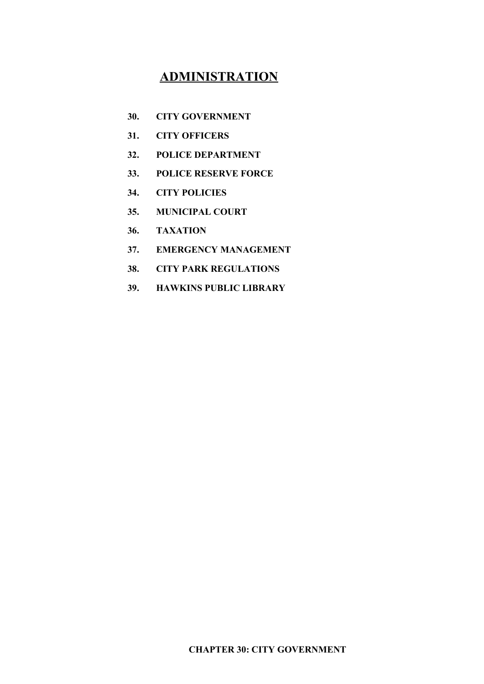### **ADMINISTRATION**

- **30. CITY GOVERNMENT**
- **31. CITY OFFICERS**
- **32. POLICE DEPARTMENT**
- **33. POLICE RESERVE FORCE**
- **34. CITY POLICIES**
- **35. MUNICIPAL COURT**
- **36. TAXATION**
- **37. EMERGENCY MANAGEMENT**
- **38. CITY PARK REGULATIONS**
- **39. HAWKINS PUBLIC LIBRARY**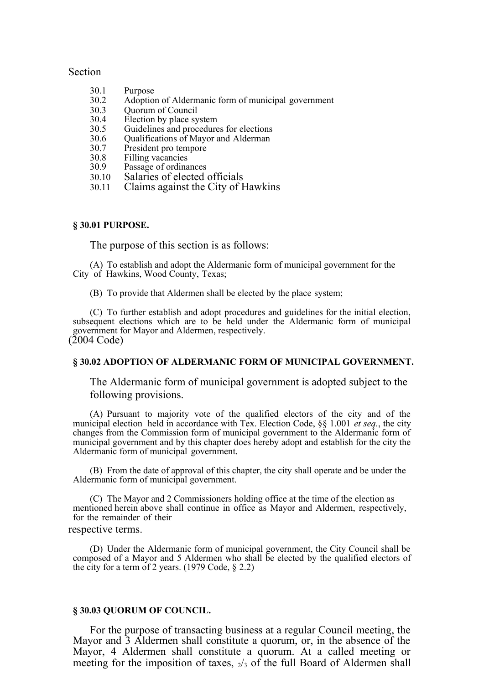#### Section

- 30.1 Purpose
- 30.2 Adoption of Aldermanic form of municipal government<br>30.3 Ouorum of Council
- 30.3 Quorum of Council<br>30.4 Election by place sy
- 30.4 Election by place system<br>30.5 Guidelines and procedure
- 30.5 Guidelines and procedures for elections<br>30.6 Oualifications of Mayor and Alderman
- Oualifications of Mayor and Alderman
- 30.7 President pro tempore<br>30.8 Filling vacancies
- 30.8 Filling vacancies<br>30.9 Passage of ordina
- Passage of ordinances
- 30.10 Salaries of elected officials
- 30.11 Claims against the City of Hawkins

#### **§ 30.01 PURPOSE.**

The purpose of this section is as follows:

(A) To establish and adopt the Aldermanic form of municipal government for the City of Hawkins, Wood County, Texas;

(B) To provide that Aldermen shall be elected by the place system;

(C) To further establish and adopt procedures and guidelines for the initial election, subsequent elections which are to be held under the Aldermanic form of municipal government for Mayor and Aldermen, respectively. (2004 Code)

#### **§ 30.02 ADOPTION OF ALDERMANIC FORM OF MUNICIPAL GOVERNMENT.**

The Aldermanic form of municipal government is adopted subject to the following provisions.

(A) Pursuant to majority vote of the qualified electors of the city and of the municipal election held in accordance with Tex. Election Code, §§ 1.001 *et seq.*, the city changes from the Commission form of municipal government to the Aldermanic form of municipal government and by this chapter does hereby adopt and establish for the city the Aldermanic form of municipal government.

(B) From the date of approval of this chapter, the city shall operate and be under the Aldermanic form of municipal government.

(C) The Mayor and 2 Commissioners holding office at the time of the election as mentioned herein above shall continue in office as Mayor and Aldermen, respectively, for the remainder of their

respective terms.

(D) Under the Aldermanic form of municipal government, the City Council shall be composed of a Mayor and 5 Aldermen who shall be elected by the qualified electors of the city for a term of 2 years. (1979 Code, § 2.2)

#### **§ 30.03 QUORUM OF COUNCIL.**

For the purpose of transacting business at a regular Council meeting, the Mayor and 3 Aldermen shall constitute a quorum, or, in the absence of the Mayor, 4 Aldermen shall constitute a quorum. At a called meeting or meeting for the imposition of taxes,  $\sqrt{3}$  of the full Board of Aldermen shall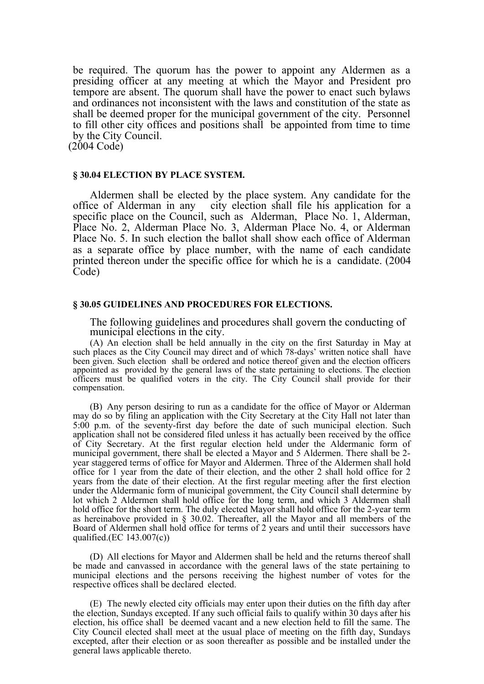be required. The quorum has the power to appoint any Aldermen as a presiding officer at any meeting at which the Mayor and President pro tempore are absent. The quorum shall have the power to enact such bylaws and ordinances not inconsistent with the laws and constitution of the state as shall be deemed proper for the municipal government of the city. Personnel to fill other city offices and positions shall be appointed from time to time by the City Council.

 $(2004 \text{ Code})$ 

#### **§ 30.04 ELECTION BY PLACE SYSTEM.**

Aldermen shall be elected by the place system. Any candidate for the office of Alderman in any city election shall file his application for a specific place on the Council, such as Alderman, Place No. 1, Alderman, Place No. 2, Alderman Place No. 3, Alderman Place No. 4, or Alderman Place No. 5. In such election the ballot shall show each office of Alderman as a separate office by place number, with the name of each candidate printed thereon under the specific office for which he is a candidate. (2004 Code)

#### **§ 30.05 GUIDELINES AND PROCEDURES FOR ELECTIONS.**

The following guidelines and procedures shall govern the conducting of municipal elections in the city.

(A) An election shall be held annually in the city on the first Saturday in May at such places as the City Council may direct and of which 78-days' written notice shall have been given. Such election shall be ordered and notice thereof given and the election officers appointed as provided by the general laws of the state pertaining to elections. The election officers must be qualified voters in the city. The City Council shall provide for their compensation.

(B) Any person desiring to run as a candidate for the office of Mayor or Alderman may do so by filing an application with the City Secretary at the City Hall not later than 5:00 p.m. of the seventy-first day before the date of such municipal election. Such application shall not be considered filed unless it has actually been received by the office of City Secretary. At the first regular election held under the Aldermanic form of municipal government, there shall be elected a Mayor and 5 Aldermen. There shall be 2 year staggered terms of office for Mayor and Aldermen. Three of the Aldermen shall hold office for 1 year from the date of their election, and the other 2 shall hold office for 2 years from the date of their election. At the first regular meeting after the first election under the Aldermanic form of municipal government, the City Council shall determine by lot which 2 Aldermen shall hold office for the long term, and which 3 Aldermen shall hold office for the short term. The duly elected Mayor shall hold office for the 2-year term as hereinabove provided in § 30.02. Thereafter, all the Mayor and all members of the Board of Aldermen shall hold office for terms of 2 years and until their successors have qualified.(EC 143.007(c))

(D) All elections for Mayor and Aldermen shall be held and the returns thereof shall be made and canvassed in accordance with the general laws of the state pertaining to municipal elections and the persons receiving the highest number of votes for the respective offices shall be declared elected.

(E) The newly elected city officials may enter upon their duties on the fifth day after the election, Sundays excepted. If any such official fails to qualify within 30 days after his election, his office shall be deemed vacant and a new election held to fill the same. The City Council elected shall meet at the usual place of meeting on the fifth day, Sundays excepted, after their election or as soon thereafter as possible and be installed under the general laws applicable thereto.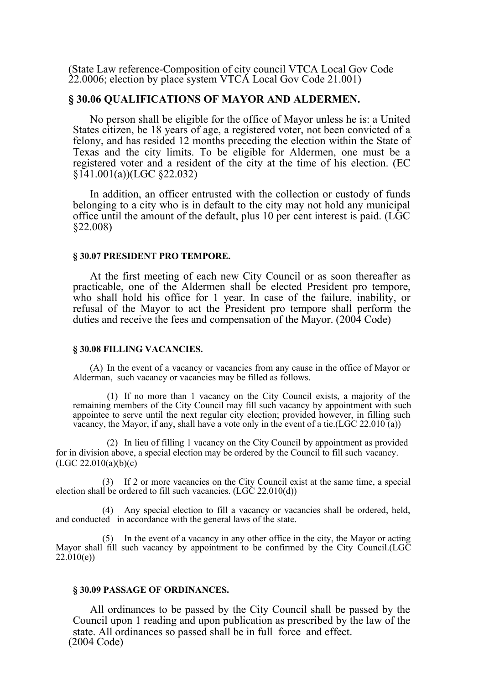(State Law reference-Composition of city council VTCA Local Gov Code 22.0006; election by place system VTCA Local Gov Code 21.001)

#### **§ 30.06 QUALIFICATIONS OF MAYOR AND ALDERMEN.**

No person shall be eligible for the office of Mayor unless he is: a United States citizen, be 18 years of age, a registered voter, not been convicted of a felony, and has resided 12 months preceding the election within the State of Texas and the city limits. To be eligible for Aldermen, one must be a registered voter and a resident of the city at the time of his election. (EC §141.001(a))(LGC §22.032)

In addition, an officer entrusted with the collection or custody of funds belonging to a city who is in default to the city may not hold any municipal office until the amount of the default, plus 10 per cent interest is paid. (LGC §22.008)

#### **§ 30.07 PRESIDENT PRO TEMPORE.**

At the first meeting of each new City Council or as soon thereafter as practicable, one of the Aldermen shall be elected President pro tempore, who shall hold his office for 1 year. In case of the failure, inability, or refusal of the Mayor to act the President pro tempore shall perform the duties and receive the fees and compensation of the Mayor. (2004 Code)

#### **§ 30.08 FILLING VACANCIES.**

(A) In the event of a vacancy or vacancies from any cause in the office of Mayor or Alderman, such vacancy or vacancies may be filled as follows.

(1) If no more than 1 vacancy on the City Council exists, a majority of the remaining members of the City Council may fill such vacancy by appointment with such appointee to serve until the next regular city election; provided however, in filling such vacancy, the Mayor, if any, shall have a vote only in the event of a tie.(LGC 22.010 $\bar{a}$ ))

 (2) In lieu of filling 1 vacancy on the City Council by appointment as provided for in division above, a special election may be ordered by the Council to fill such vacancy.  $(LGC 22.010(a)(b)(c))$ 

 (3) If 2 or more vacancies on the City Council exist at the same time, a special election shall be ordered to fill such vacancies.  $(LG\dot{C} 22.010(d))$ 

 (4) Any special election to fill a vacancy or vacancies shall be ordered, held, and conducted in accordance with the general laws of the state.

 (5) In the event of a vacancy in any other office in the city, the Mayor or acting Mayor shall fill such vacancy by appointment to be confirmed by the City Council.(LGC  $22.010(e)$ 

#### **§ 30.09 PASSAGE OF ORDINANCES.**

All ordinances to be passed by the City Council shall be passed by the Council upon 1 reading and upon publication as prescribed by the law of the state. All ordinances so passed shall be in full force and effect. (2004 Code)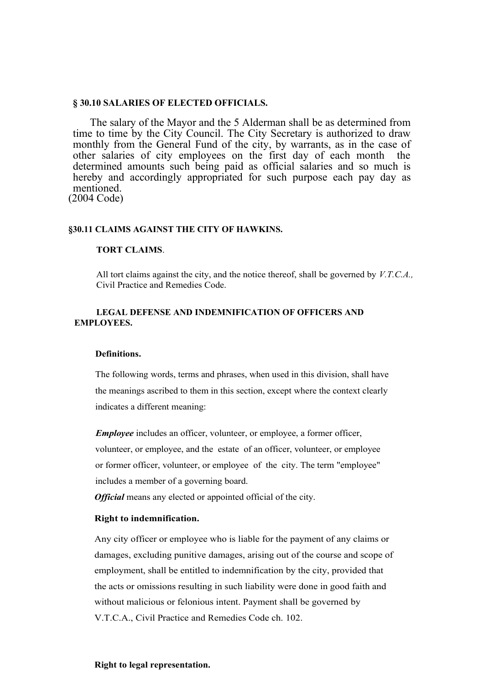#### **§ 30.10 SALARIES OF ELECTED OFFICIALS.**

The salary of the Mayor and the 5 Alderman shall be as determined from time to time by the City Council. The City Secretary is authorized to draw monthly from the General Fund of the city, by warrants, as in the case of other salaries of city employees on the first day of each month the determined amounts such being paid as official salaries and so much is hereby and accordingly appropriated for such purpose each pay day as mentioned.

(2004 Code)

#### **§30.11 CLAIMS AGAINST THE CITY OF HAWKINS.**

#### **TORT CLAIMS**.

All tort claims against the city, and the notice thereof, shall be governed by *V.T.C.A.,* Civil Practice and Remedies Code.

#### **LEGAL DEFENSE AND INDEMNIFICATION OF OFFICERS AND EMPLOYEES.**

#### **Definitions.**

The following words, terms and phrases, when used in this division, shall have the meanings ascribed to them in this section, except where the context clearly indicates a different meaning:

*Employee* includes an officer, volunteer, or employee, a former officer, volunteer, or employee, and the estate of an officer, volunteer, or employee or former officer, volunteer, or employee of the city. The term "employee" includes a member of a governing board.

*Official* means any elected or appointed official of the city.

#### **Right to indemnification.**

Any city officer or employee who is liable for the payment of any claims or damages, excluding punitive damages, arising out of the course and scope of employment, shall be entitled to indemnification by the city, provided that the acts or omissions resulting in such liability were done in good faith and without malicious or felonious intent. Payment shall be governed by V.T.C.A., Civil Practice and Remedies Code ch. 102.

#### **Right to legal representation.**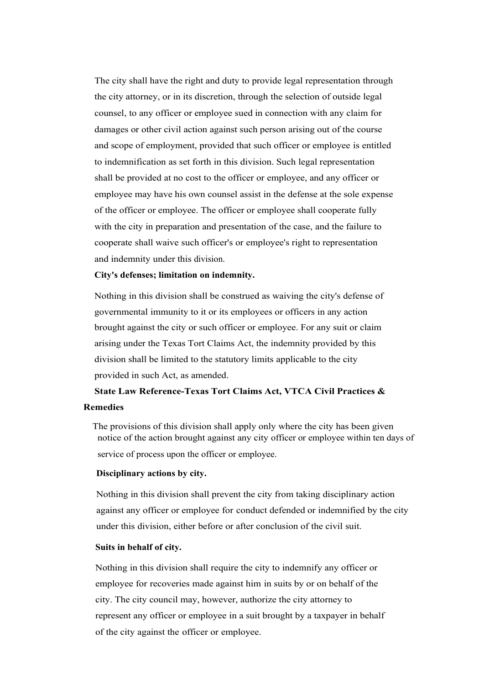The city shall have the right and duty to provide legal representation through the city attorney, or in its discretion, through the selection of outside legal counsel, to any officer or employee sued in connection with any claim for damages or other civil action against such person arising out of the course and scope of employment, provided that such officer or employee is entitled to indemnification as set forth in this division. Such legal representation shall be provided at no cost to the officer or employee, and any officer or employee may have his own counsel assist in the defense at the sole expense of the officer or employee. The officer or employee shall cooperate fully with the city in preparation and presentation of the case, and the failure to cooperate shall waive such officer's or employee's right to representation and indemnity under this division.

#### **City's defenses; limitation on indemnity.**

Nothing in this division shall be construed as waiving the city's defense of governmental immunity to it or its employees or officers in any action brought against the city or such officer or employee. For any suit or claim arising under the Texas Tort Claims Act, the indemnity provided by this division shall be limited to the statutory limits applicable to the city provided in such Act, as amended.

#### **State Law Reference-Texas Tort Claims Act, VTCA Civil Practices & Remedies**

 The provisions of this division shall apply only where the city has been given notice of the action brought against any city officer or employee within ten days of service of process upon the officer or employee.

#### **Disciplinary actions by city.**

Nothing in this division shall prevent the city from taking disciplinary action against any officer or employee for conduct defended or indemnified by the city under this division, either before or after conclusion of the civil suit.

#### **Suits in behalf of city.**

Nothing in this division shall require the city to indemnify any officer or employee for recoveries made against him in suits by or on behalf of the city. The city council may, however, authorize the city attorney to represent any officer or employee in a suit brought by a taxpayer in behalf of the city against the officer or employee.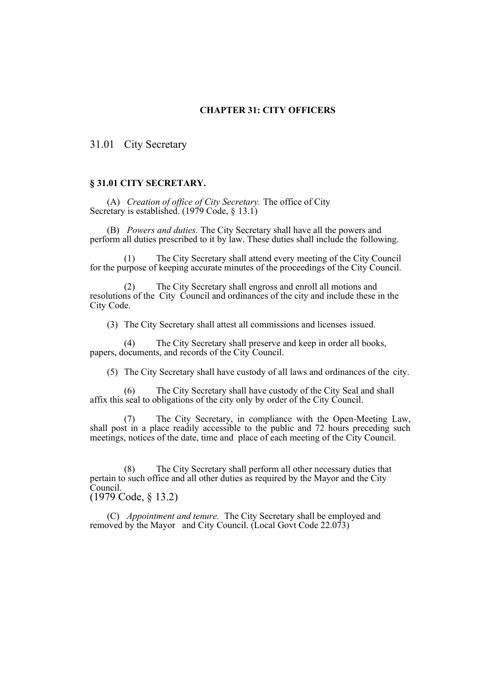#### **CHAPTER 31: CITY OFFICERS**

#### 31.01 City Secretary

#### **§ 31.01 CITY SECRETARY.**

(A) *Creation of office of City Secretary.* The office of City Secretary is established. (1979 Code, § 13.1)

(B) *Powers and duties.* The City Secretary shall have all the powers and perform all duties prescribed to it by law. These duties shall include the following.

(1) The City Secretary shall attend every meeting of the City Council for the purpose of keeping accurate minutes of the proceedings of the City Council.

(2) The City Secretary shall engross and enroll all motions and resolutions of the City Council and ordinances of the city and include these in the City Code.

(3) The City Secretary shall attest all commissions and licenses issued.

(4) The City Secretary shall preserve and keep in order all books, papers, documents, and records of the City Council.

(5) The City Secretary shall have custody of all laws and ordinances of the city.

(6) The City Secretary shall have custody of the City Seal and shall affix this seal to obligations of the city only by order of the City Council.

(7) The City Secretary, in compliance with the Open-Meeting Law, shall post in a place readily accessible to the public and 72 hours preceding such meetings, notices of the date, time and place of each meeting of the City Council.

(8) The City Secretary shall perform all other necessary duties that pertain to such office and all other duties as required by the Mayor and the City Council. (1979 Code, § 13.2)

(C) *Appointment and tenure.* The City Secretary shall be employed and removed by the Mayor and City Council. (Local Govt Code 22.073)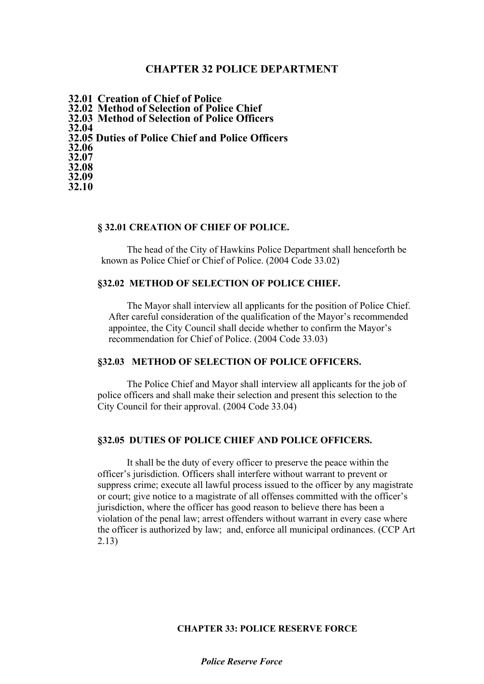#### **CHAPTER 32 POLICE DEPARTMENT**

**32.01 Creation of Chief of Police 32.02 Method of Selection of Police Chief 32.03 Method of Selection of Police Officers 32.04 32.05 Duties of Police Chief and Police Officers 32.06 32.07 32.08 32.09 32.10**

#### **§ 32.01 CREATION OF CHIEF OF POLICE.**

The head of the City of Hawkins Police Department shall henceforth be known as Police Chief or Chief of Police. (2004 Code 33.02)

#### **§32.02 METHOD OF SELECTION OF POLICE CHIEF.**

 The Mayor shall interview all applicants for the position of Police Chief. After careful consideration of the qualification of the Mayor's recommended appointee, the City Council shall decide whether to confirm the Mayor's recommendation for Chief of Police. (2004 Code 33.03)

#### **§32.03 METHOD OF SELECTION OF POLICE OFFICERS.**

The Police Chief and Mayor shall interview all applicants for the job of police officers and shall make their selection and present this selection to the City Council for their approval. (2004 Code 33.04)

#### **§32.05 DUTIES OF POLICE CHIEF AND POLICE OFFICERS.**

It shall be the duty of every officer to preserve the peace within the officer's jurisdiction. Officers shall interfere without warrant to prevent or suppress crime; execute all lawful process issued to the officer by any magistrate or court; give notice to a magistrate of all offenses committed with the officer's jurisdiction, where the officer has good reason to believe there has been a violation of the penal law; arrest offenders without warrant in every case where the officer is authorized by law; and, enforce all municipal ordinances. (CCP Art 2.13)

**CHAPTER 33: POLICE RESERVE FORCE**

*Police Reserve Force*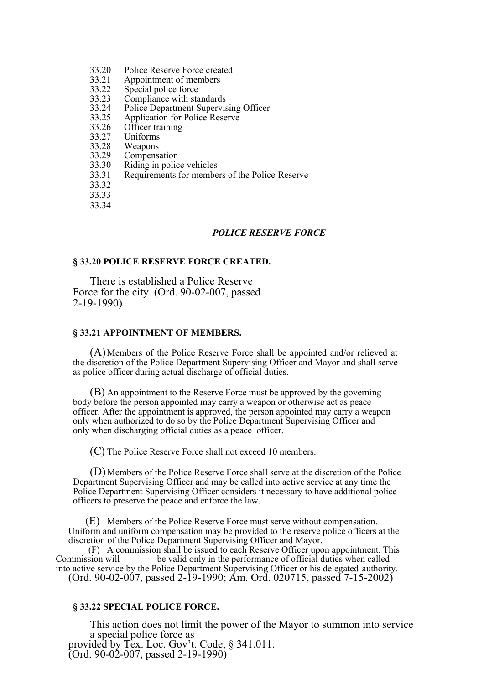- 33.20 Police Reserve Force created<br>33.21 Appointment of members
- Appointment of members
- 33.22 Special police force
- 33.23 Compliance with standards<br>33.24 Police Department Supervis
- Police Department Supervising Officer
- 33.25 Application for Police Reserve
- 33.26 Officer training
- 33.27 Uniforms<br>33.28 Weapons
- 33.28 Weapons<br>33.29 Compens
- 33.29 Compensation<br>33.30 Riding in polic
- 33.30 Riding in police vehicles<br>33.31 Requirements for membe
- Requirements for members of the Police Reserve
- 33.32
- 33.33
- 33.34

#### *POLICE RESERVE FORCE*

#### **§ 33.20 POLICE RESERVE FORCE CREATED.**

There is established a Police Reserve Force for the city. (Ord. 90-02-007, passed 2-19-1990)

#### **§ 33.21 APPOINTMENT OF MEMBERS.**

(A)Members of the Police Reserve Force shall be appointed and/or relieved at the discretion of the Police Department Supervising Officer and Mayor and shall serve as police officer during actual discharge of official duties.

(B) An appointment to the Reserve Force must be approved by the governing body before the person appointed may carry a weapon or otherwise act as peace officer. After the appointment is approved, the person appointed may carry a weapon only when authorized to do so by the Police Department Supervising Officer and only when discharging official duties as a peace officer.

(C) The Police Reserve Force shall not exceed 10 members.

(D)Members of the Police Reserve Force shall serve at the discretion of the Police Department Supervising Officer and may be called into active service at any time the Police Department Supervising Officer considers it necessary to have additional police officers to preserve the peace and enforce the law.

(E) Members of the Police Reserve Force must serve without compensation. Uniform and uniform compensation may be provided to the reserve police officers at the discretion of the Police Department Supervising Officer and Mayor.

(F) A commission shall be issued to each Reserve Officer upon appointment. This Commission will be valid only in the performance of official duties when called be valid only in the performance of official duties when called into active service by the Police Department Supervising Officer or his delegated authority. (Ord. 90-02-007, passed 2-19-1990; Am. Ord. 020715, passed 7-15-2002)

#### **§ 33.22 SPECIAL POLICE FORCE.**

This action does not limit the power of the Mayor to summon into service a special police force as provided by Tex. Loc. Gov't. Code, § 341.011. (Ord. 90-02-007, passed 2-19-1990)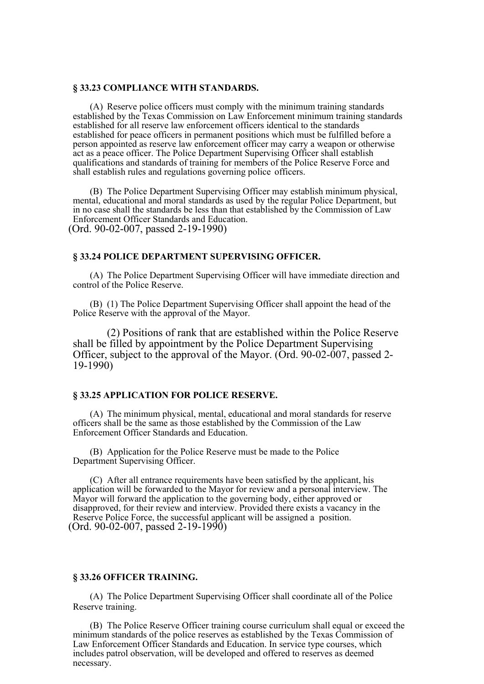#### **§ 33.23 COMPLIANCE WITH STANDARDS.**

(A) Reserve police officers must comply with the minimum training standards established by the Texas Commission on Law Enforcement minimum training standards established for all reserve law enforcement officers identical to the standards established for peace officers in permanent positions which must be fulfilled before a person appointed as reserve law enforcement officer may carry a weapon or otherwise act as a peace officer. The Police Department Supervising Officer shall establish qualifications and standards of training for members of the Police Reserve Force and shall establish rules and regulations governing police officers.

(B) The Police Department Supervising Officer may establish minimum physical, mental, educational and moral standards as used by the regular Police Department, but in no case shall the standards be less than that established by the Commission of Law Enforcement Officer Standards and Education. (Ord. 90-02-007, passed 2-19-1990)

#### **§ 33.24 POLICE DEPARTMENT SUPERVISING OFFICER.**

(A) The Police Department Supervising Officer will have immediate direction and control of the Police Reserve.

(B) (1) The Police Department Supervising Officer shall appoint the head of the Police Reserve with the approval of the Mayor.

(2) Positions of rank that are established within the Police Reserve shall be filled by appointment by the Police Department Supervising Officer, subject to the approval of the Mayor. (Ord. 90-02-007, passed 2- 19-1990)

#### **§ 33.25 APPLICATION FOR POLICE RESERVE.**

(A) The minimum physical, mental, educational and moral standards for reserve officers shall be the same as those established by the Commission of the Law Enforcement Officer Standards and Education.

(B) Application for the Police Reserve must be made to the Police Department Supervising Officer.

(C) After all entrance requirements have been satisfied by the applicant, his application will be forwarded to the Mayor for review and a personal interview. The Mayor will forward the application to the governing body, either approved or disapproved, for their review and interview. Provided there exists a vacancy in the Reserve Police Force, the successful applicant will be assigned a position. (Ord. 90-02-007, passed 2-19-1990)

#### **§ 33.26 OFFICER TRAINING.**

(A) The Police Department Supervising Officer shall coordinate all of the Police Reserve training.

(B) The Police Reserve Officer training course curriculum shall equal or exceed the minimum standards of the police reserves as established by the Texas Commission of Law Enforcement Officer Standards and Education. In service type courses, which includes patrol observation, will be developed and offered to reserves as deemed necessary.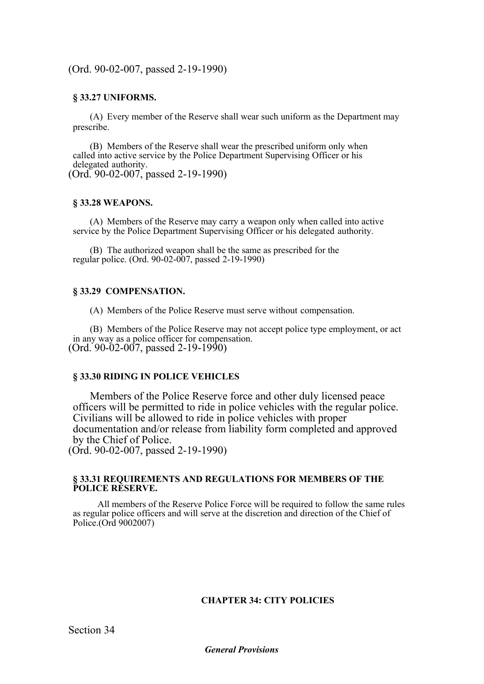#### (Ord. 90-02-007, passed 2-19-1990)

#### **§ 33.27 UNIFORMS.**

(A) Every member of the Reserve shall wear such uniform as the Department may prescribe.

(B) Members of the Reserve shall wear the prescribed uniform only when called into active service by the Police Department Supervising Officer or his delegated authority. (Ord. 90-02-007, passed 2-19-1990)

#### **§ 33.28 WEAPONS.**

(A) Members of the Reserve may carry a weapon only when called into active service by the Police Department Supervising Officer or his delegated authority.

(B) The authorized weapon shall be the same as prescribed for the regular police. (Ord. 90-02-007, passed 2-19-1990)

#### **§ 33.29 COMPENSATION.**

(A) Members of the Police Reserve must serve without compensation.

(B) Members of the Police Reserve may not accept police type employment, or act in any way as a police officer for compensation. (Ord. 90-02-007, passed 2-19-1990)

#### **§ 33.30 RIDING IN POLICE VEHICLES**

Members of the Police Reserve force and other duly licensed peace officers will be permitted to ride in police vehicles with the regular police. Civilians will be allowed to ride in police vehicles with proper documentation and/or release from liability form completed and approved by the Chief of Police. (Ord. 90-02-007, passed 2-19-1990)

#### **§ 33.31 REQUIREMENTS AND REGULATIONS FOR MEMBERS OF THE POLICE RESERVE.**

All members of the Reserve Police Force will be required to follow the same rules as regular police officers and will serve at the discretion and direction of the Chief of Police.(Ord 9002007)

#### **CHAPTER 34: CITY POLICIES**

*General Provisions*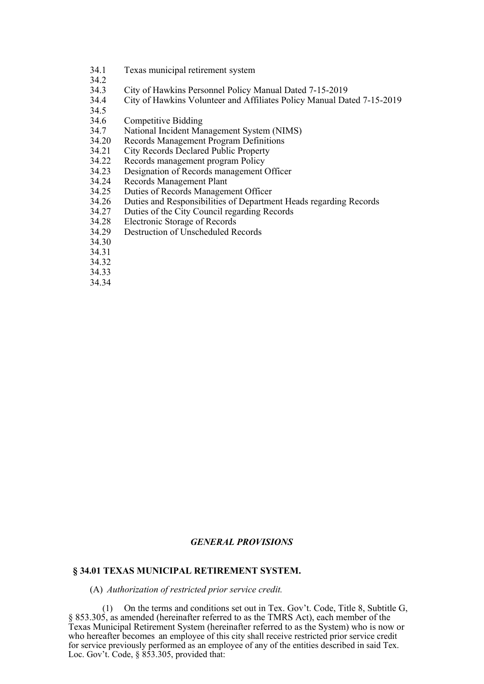- 34.1 Texas municipal retirement system
- 34.2
- 34.3 City of Hawkins Personnel Policy Manual Dated 7-15-2019
- 34.4 City of Hawkins Volunteer and Affiliates Policy Manual Dated 7-15-2019
- 34.5
- 34.6 Competitive Bidding<br>34.7 National Incident Ma
- 34.7 National Incident Management System (NIMS)<br>34.20 Records Management Program Definitions
- Records Management Program Definitions
- 34.21 City Records Declared Public Property<br>34.22 Records management program Policy
- Records management program Policy
- 34.23 Designation of Records management Officer
- 34.24 Records Management Plant
- 34.25 Duties of Records Management Officer
- 34.26 Duties and Responsibilities of Department Heads regarding Records
- 34.27 Duties of the City Council regarding Records
- 34.28 Electronic Storage of Records<br>34.29 Destruction of Unscheduled R
- Destruction of Unscheduled Records
- 34.30
- 34.31
- 34.32
- 34.33
- 34.34

#### *GENERAL PROVISIONS*

#### **§ 34.01 TEXAS MUNICIPAL RETIREMENT SYSTEM.**

(A) *Authorization of restricted prior service credit.*

(1) On the terms and conditions set out in Tex. Gov't. Code, Title 8, Subtitle G, § 853.305, as amended (hereinafter referred to as the TMRS Act), each member of the Texas Municipal Retirement System (hereinafter referred to as the System) who is now or who hereafter becomes an employee of this city shall receive restricted prior service credit for service previously performed as an employee of any of the entities described in said Tex. Loc. Gov't. Code,  $\frac{1}{2}$  853.305, provided that: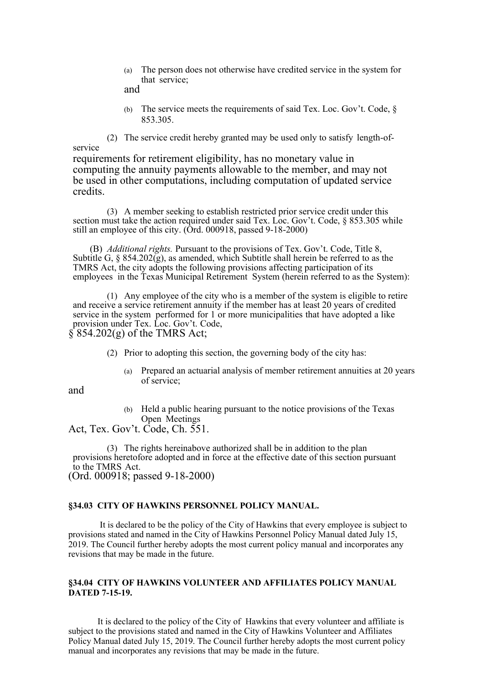- (a) The person does not otherwise have credited service in the system for that service; and
- (b) The service meets the requirements of said Tex. Loc. Gov't. Code,  $\S$ 853.305.

(2) The service credit hereby granted may be used only to satisfy length-ofservice

requirements for retirement eligibility, has no monetary value in computing the annuity payments allowable to the member, and may not be used in other computations, including computation of updated service credits.

(3) A member seeking to establish restricted prior service credit under this section must take the action required under said Tex. Loc. Gov't. Code, § 853.305 while still an employee of this city.  $(Ord. 000918, passed 9-18-2000)$ 

(B) *Additional rights.* Pursuant to the provisions of Tex. Gov't. Code, Title 8, Subtitle G,  $\S$  854.202(g), as amended, which Subtitle shall herein be referred to as the TMRS Act, the city adopts the following provisions affecting participation of its employees in the Texas Municipal Retirement System (herein referred to as the System):

(1) Any employee of the city who is a member of the system is eligible to retire and receive a service retirement annuity if the member has at least 20 years of credited service in the system performed for 1 or more municipalities that have adopted a like provision under Tex. Loc. Gov't. Code,  $\hat{\S}$  854.202(g) of the TMRS Act;

- (2) Prior to adopting this section, the governing body of the city has:
	- (a) Prepared an actuarial analysis of member retirement annuities at 20 years of service;

and

(b) Held a public hearing pursuant to the notice provisions of the Texas Open Meetings

Act, Tex. Gov't. Code, Ch. 551.

(3) The rights hereinabove authorized shall be in addition to the plan provisions heretofore adopted and in force at the effective date of this section pursuant to the TMRS Act. (Ord. 000918; passed 9-18-2000)

#### **§34.03 CITY OF HAWKINS PERSONNEL POLICY MANUAL.**

It is declared to be the policy of the City of Hawkins that every employee is subject to provisions stated and named in the City of Hawkins Personnel Policy Manual dated July 15, 2019. The Council further hereby adopts the most current policy manual and incorporates any revisions that may be made in the future.

#### **§34.04 CITY OF HAWKINS VOLUNTEER AND AFFILIATES POLICY MANUAL DATED 7-15-19.**

It is declared to the policy of the City of Hawkins that every volunteer and affiliate is subject to the provisions stated and named in the City of Hawkins Volunteer and Affiliates Policy Manual dated July 15, 2019. The Council further hereby adopts the most current policy manual and incorporates any revisions that may be made in the future.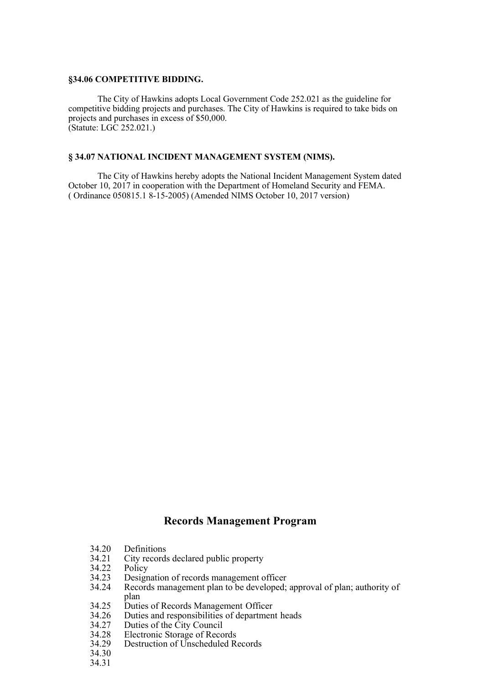#### **§34.06 COMPETITIVE BIDDING.**

The City of Hawkins adopts Local Government Code 252.021 as the guideline for competitive bidding projects and purchases. The City of Hawkins is required to take bids on projects and purchases in excess of \$50,000. (Statute: LGC 252.021.)

#### **§ 34.07 NATIONAL INCIDENT MANAGEMENT SYSTEM (NIMS).**

The City of Hawkins hereby adopts the National Incident Management System dated October 10, 2017 in cooperation with the Department of Homeland Security and FEMA. ( Ordinance 050815.1 8-15-2005) (Amended NIMS October 10, 2017 version)

#### **Records Management Program**

- 34.20 Definitions<br>34.21 City records
- 34.21 City records declared public property<br>34.22 Policy
- 34.22 Policy<br>34.23 Design
- 34.23 Designation of records management officer<br>34.24 Records management plan to be developed;
- Records management plan to be developed; approval of plan; authority of plan
- 34.25 Duties of Records Management Officer
- 34.26 Duties and responsibilities of department heads
- 34.27 Duties of the City Council<br>34.28 Electronic Storage of Reco
- 34.28 Electronic Storage of Records<br>34.29 Destruction of Unscheduled R
- Destruction of Unscheduled Records
- 34.30
- 34.31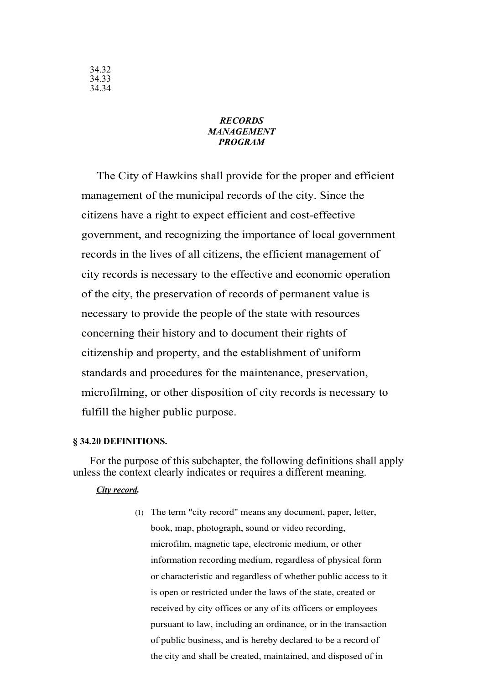34.32 34.33 34.34

#### *RECORDS MANAGEMENT PROGRAM*

The City of Hawkins shall provide for the proper and efficient management of the municipal records of the city. Since the citizens have a right to expect efficient and cost-effective government, and recognizing the importance of local government records in the lives of all citizens, the efficient management of city records is necessary to the effective and economic operation of the city, the preservation of records of permanent value is necessary to provide the people of the state with resources concerning their history and to document their rights of citizenship and property, and the establishment of uniform standards and procedures for the maintenance, preservation, microfilming, or other disposition of city records is necessary to fulfill the higher public purpose.

#### **§ 34.20 DEFINITIONS.**

For the purpose of this subchapter, the following definitions shall apply unless the context clearly indicates or requires a different meaning.

#### *City record.*

(1) The term "city record" means any document, paper, letter, book, map, photograph, sound or video recording, microfilm, magnetic tape, electronic medium, or other information recording medium, regardless of physical form or characteristic and regardless of whether public access to it is open or restricted under the laws of the state, created or received by city offices or any of its officers or employees pursuant to law, including an ordinance, or in the transaction of public business, and is hereby declared to be a record of the city and shall be created, maintained, and disposed of in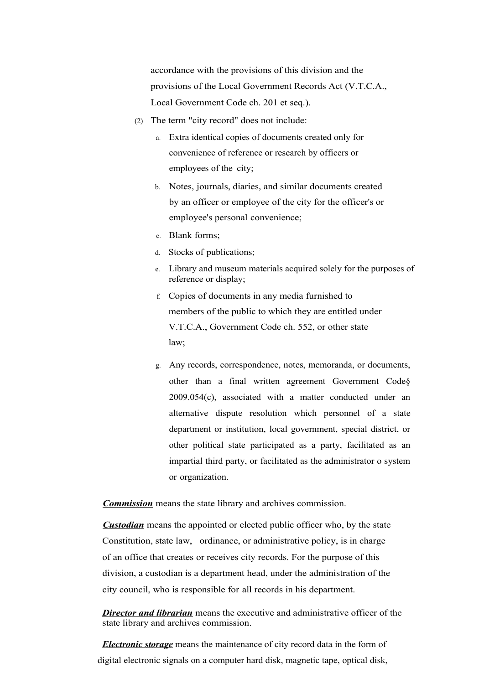accordance with the provisions of this division and the provisions of the Local Government Records Act (V.T.C.A., Local Government Code ch. 201 et seq.).

- (2) The term "city record" does not include:
	- a. Extra identical copies of documents created only for convenience of reference or research by officers or employees of the city;
	- b. Notes, journals, diaries, and similar documents created by an officer or employee of the city for the officer's or employee's personal convenience;
	- c. Blank forms;
	- d. Stocks of publications;
	- e. Library and museum materials acquired solely for the purposes of reference or display;
	- f. Copies of documents in any media furnished to members of the public to which they are entitled under V.T.C.A., Government Code ch. 552, or other state law;
	- g. Any records, correspondence, notes, memoranda, or documents, other than a final written agreement Government Code§ 2009.054(c), associated with a matter conducted under an alternative dispute resolution which personnel of a state department or institution, local government, special district, or other political state participated as a party, facilitated as an impartial third party, or facilitated as the administrator o system or organization.

*Commission* means the state library and archives commission.

*Custodian* means the appointed or elected public officer who, by the state Constitution, state law, ordinance, or administrative policy, is in charge of an office that creates or receives city records. For the purpose of this division, a custodian is a department head, under the administration of the city council, who is responsible for all records in his department.

*Director and librarian* means the executive and administrative officer of the state library and archives commission.

*Electronic storage* means the maintenance of city record data in the form of digital electronic signals on a computer hard disk, magnetic tape, optical disk,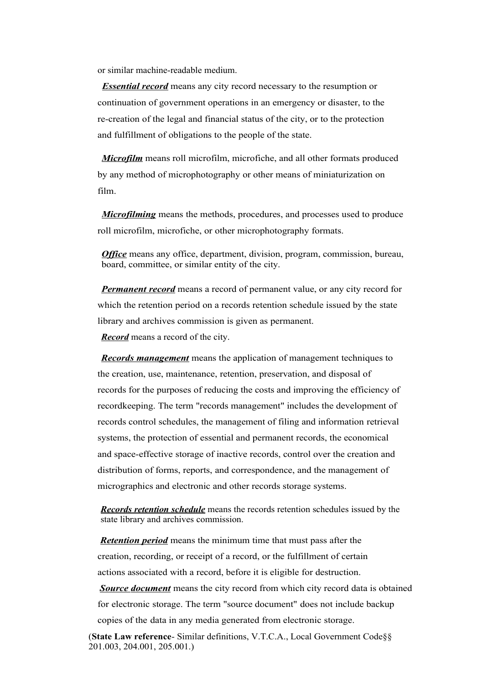or similar machine-readable medium.

*Essential record* means any city record necessary to the resumption or continuation of government operations in an emergency or disaster, to the re-creation of the legal and financial status of the city, or to the protection and fulfillment of obligations to the people of the state.

*Microfilm* means roll microfilm, microfiche, and all other formats produced by any method of microphotography or other means of miniaturization on film.

*Microfilming* means the methods, procedures, and processes used to produce roll microfilm, microfiche, or other microphotography formats.

*Office* means any office, department, division, program, commission, bureau, board, committee, or similar entity of the city.

 *Permanent record* means a record of permanent value, or any city record for which the retention period on a records retention schedule issued by the state library and archives commission is given as permanent.

*Record* means a record of the city.

*Records management* means the application of management techniques to the creation, use, maintenance, retention, preservation, and disposal of records for the purposes of reducing the costs and improving the efficiency of recordkeeping. The term "records management" includes the development of records control schedules, the management of filing and information retrieval systems, the protection of essential and permanent records, the economical and space-effective storage of inactive records, control over the creation and distribution of forms, reports, and correspondence, and the management of micrographics and electronic and other records storage systems.

*Records retention schedule* means the records retention schedules issued by the state library and archives commission.

*Retention period* means the minimum time that must pass after the creation, recording, or receipt of a record, or the fulfillment of certain actions associated with a record, before it is eligible for destruction.

 *Source document* means the city record from which city record data is obtained for electronic storage. The term "source document" does not include backup copies of the data in any media generated from electronic storage.

(**State Law reference**- Similar definitions, V.T.C.A., Local Government Code§§ 201.003, 204.001, 205.001.)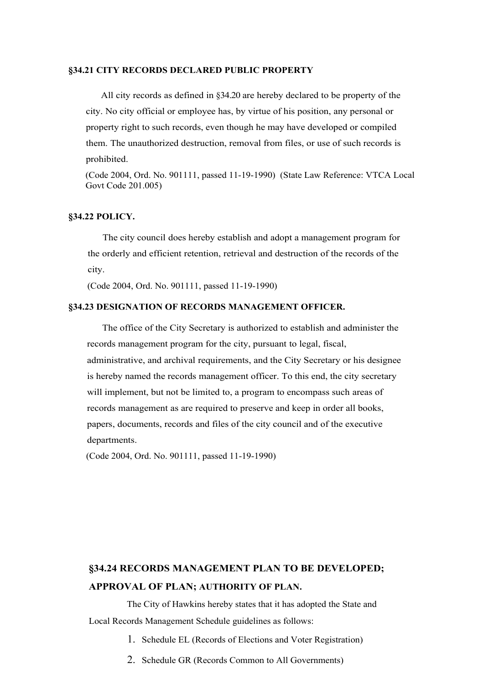#### **§34.21 CITY RECORDS DECLARED PUBLIC PROPERTY**

All city records as defined in §34.20 are hereby declared to be property of the city. No city official or employee has, by virtue of his position, any personal or property right to such records, even though he may have developed or compiled them. The unauthorized destruction, removal from files, or use of such records is prohibited.

(Code 2004, Ord. No. 901111, passed 11-19-1990) (State Law Reference: VTCA Local Govt Code 201.005)

#### **§34.22 POLICY.**

The city council does hereby establish and adopt a management program for the orderly and efficient retention, retrieval and destruction of the records of the city.

(Code 2004, Ord. No. 901111, passed 11-19-1990)

#### **§34.23 DESIGNATION OF RECORDS MANAGEMENT OFFICER.**

The office of the City Secretary is authorized to establish and administer the records management program for the city, pursuant to legal, fiscal, administrative, and archival requirements, and the City Secretary or his designee is hereby named the records management officer. To this end, the city secretary will implement, but not be limited to, a program to encompass such areas of records management as are required to preserve and keep in order all books, papers, documents, records and files of the city council and of the executive departments.

(Code 2004, Ord. No. 901111, passed 11-19-1990)

### **§34.24 RECORDS MANAGEMENT PLAN TO BE DEVELOPED; APPROVAL OF PLAN; AUTHORITY OF PLAN.**

The City of Hawkins hereby states that it has adopted the State and Local Records Management Schedule guidelines as follows:

- 1. Schedule EL (Records of Elections and Voter Registration)
- 2. Schedule GR (Records Common to All Governments)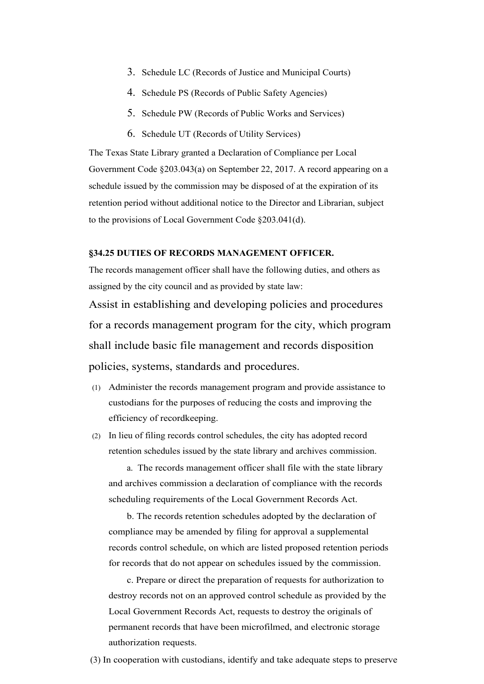- 3. Schedule LC (Records of Justice and Municipal Courts)
- 4. Schedule PS (Records of Public Safety Agencies)
- 5. Schedule PW (Records of Public Works and Services)
- 6. Schedule UT (Records of Utility Services)

The Texas State Library granted a Declaration of Compliance per Local Government Code §203.043(a) on September 22, 2017. A record appearing on a schedule issued by the commission may be disposed of at the expiration of its retention period without additional notice to the Director and Librarian, subject to the provisions of Local Government Code §203.041(d).

#### **§34.25 DUTIES OF RECORDS MANAGEMENT OFFICER.**

The records management officer shall have the following duties, and others as assigned by the city council and as provided by state law:

Assist in establishing and developing policies and procedures for a records management program for the city, which program shall include basic file management and records disposition policies, systems, standards and procedures.

- (1) Administer the records management program and provide assistance to custodians for the purposes of reducing the costs and improving the efficiency of recordkeeping.
- (2) In lieu of filing records control schedules, the city has adopted record retention schedules issued by the state library and archives commission.

a. The records management officer shall file with the state library and archives commission a declaration of compliance with the records scheduling requirements of the Local Government Records Act.

b. The records retention schedules adopted by the declaration of compliance may be amended by filing for approval a supplemental records control schedule, on which are listed proposed retention periods for records that do not appear on schedules issued by the commission.

c. Prepare or direct the preparation of requests for authorization to destroy records not on an approved control schedule as provided by the Local Government Records Act, requests to destroy the originals of permanent records that have been microfilmed, and electronic storage authorization requests.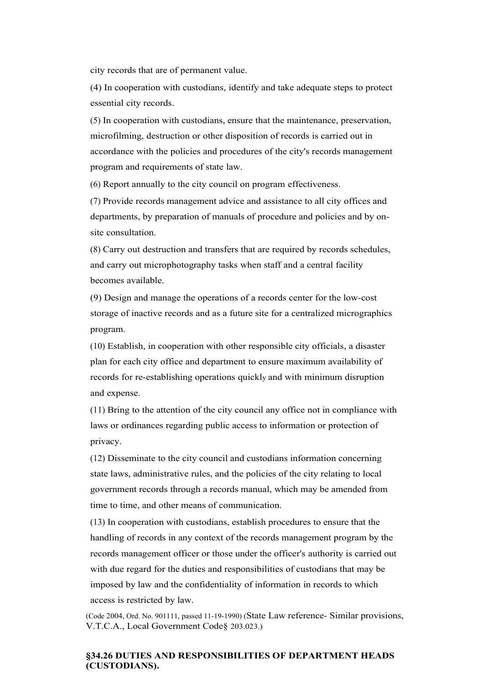city records that are of permanent value.

(4) In cooperation with custodians, identify and take adequate steps to protect essential city records.

(5) In cooperation with custodians, ensure that the maintenance, preservation, microfilming, destruction or other disposition of records is carried out in accordance with the policies and procedures of the city's records management program and requirements of state law.

(6) Report annually to the city council on program effectiveness.

(7) Provide records management advice and assistance to all city offices and departments, by preparation of manuals of procedure and policies and by onsite consultation.

(8) Carry out destruction and transfers that are required by records schedules, and carry out microphotography tasks when staff and a central facility becomes available.

(9) Design and manage the operations of a records center for the low-cost storage of inactive records and as a future site for a centralized micrographics program.

(10) Establish, in cooperation with other responsible city officials, a disaster plan for each city office and department to ensure maximum availability of records for re-establishing operations quickly and with minimum disruption and expense.

(11) Bring to the attention of the city council any office not in compliance with laws or ordinances regarding public access to information or protection of privacy.

(12) Disseminate to the city council and custodians information concerning state laws, administrative rules, and the policies of the city relating to local government records through a records manual, which may be amended from time to time, and other means of communication.

(13) In cooperation with custodians, establish procedures to ensure that the handling of records in any context of the records management program by the records management officer or those under the officer's authority is carried out with due regard for the duties and responsibilities of custodians that may be imposed by law and the confidentiality of information in records to which access is restricted by law.

(Code 2004, Ord. No. 901111, passed 11-19-1990) (State Law reference- Similar provisions, V.T.C.A., Local Government Code§ 203.023.)

#### **§34.26 DUTIES AND RESPONSIBILITIES OF DEPARTMENT HEADS (CUSTODIANS).**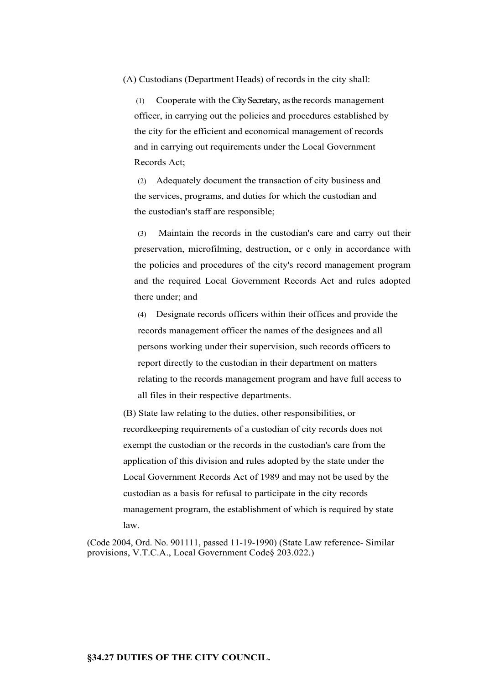(A) Custodians (Department Heads) of records in the city shall:

(1) Cooperate with the City Secretary, as the records management officer, in carrying out the policies and procedures established by the city for the efficient and economical management of records and in carrying out requirements under the Local Government Records Act;

(2) Adequately document the transaction of city business and the services, programs, and duties for which the custodian and the custodian's staff are responsible;

(3) Maintain the records in the custodian's care and carry out their preservation, microfilming, destruction, or c only in accordance with the policies and procedures of the city's record management program and the required Local Government Records Act and rules adopted there under; and

(4) Designate records officers within their offices and provide the records management officer the names of the designees and all persons working under their supervision, such records officers to report directly to the custodian in their department on matters relating to the records management program and have full access to all files in their respective departments.

(B) State law relating to the duties, other responsibilities, or recordkeeping requirements of a custodian of city records does not exempt the custodian or the records in the custodian's care from the application of this division and rules adopted by the state under the Local Government Records Act of 1989 and may not be used by the custodian as a basis for refusal to participate in the city records management program, the establishment of which is required by state law.

(Code 2004, Ord. No. 901111, passed 11-19-1990) (State Law reference- Similar provisions, V.T.C.A., Local Government Code§ 203.022.)

#### **§34.27 DUTIES OF THE CITY COUNCIL.**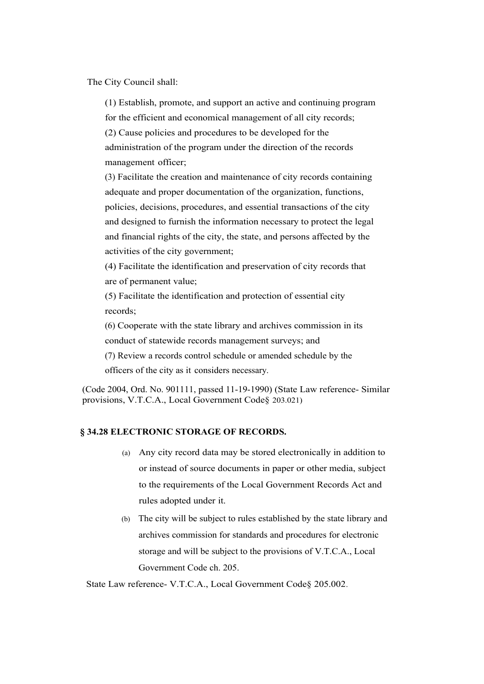The City Council shall:

(1) Establish, promote, and support an active and continuing program for the efficient and economical management of all city records; (2) Cause policies and procedures to be developed for the administration of the program under the direction of the records management officer;

(3) Facilitate the creation and maintenance of city records containing adequate and proper documentation of the organization, functions, policies, decisions, procedures, and essential transactions of the city and designed to furnish the information necessary to protect the legal and financial rights of the city, the state, and persons affected by the activities of the city government;

(4) Facilitate the identification and preservation of city records that are of permanent value;

(5) Facilitate the identification and protection of essential city records;

(6) Cooperate with the state library and archives commission in its

conduct of statewide records management surveys; and

(7) Review a records control schedule or amended schedule by the officers of the city as it considers necessary.

(Code 2004, Ord. No. 901111, passed 11-19-1990) (State Law reference- Similar provisions, V.T.C.A., Local Government Code§ 203.021)

#### **§ 34.28 ELECTRONIC STORAGE OF RECORDS.**

- (a) Any city record data may be stored electronically in addition to or instead of source documents in paper or other media, subject to the requirements of the Local Government Records Act and rules adopted under it.
- (b) The city will be subject to rules established by the state library and archives commission for standards and procedures for electronic storage and will be subject to the provisions of V.T.C.A., Local Government Code ch. 205.

State Law reference- V.T.C.A., Local Government Code§ 205.002.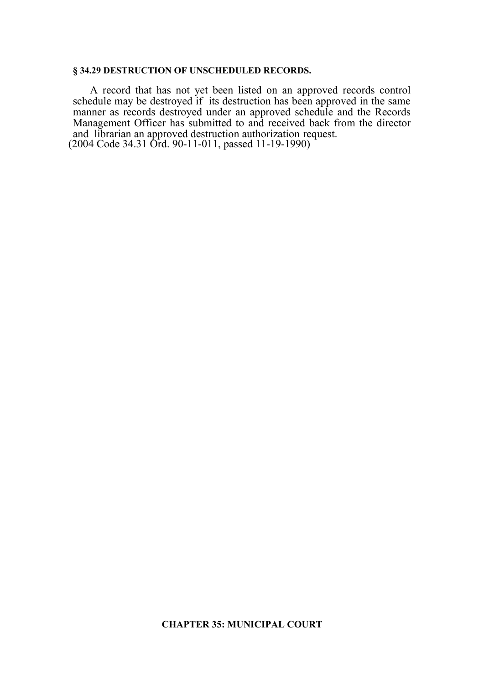### **§ 34.29 DESTRUCTION OF UNSCHEDULED RECORDS.**

A record that has not yet been listed on an approved records control schedule may be destroyed if its destruction has been approved in the same manner as records destroyed under an approved schedule and the Records Management Officer has submitted to and received back from the director and librarian an approved destruction authorization request. (2004 Code 34.31 Ord. 90-11-011, passed 11-19-1990)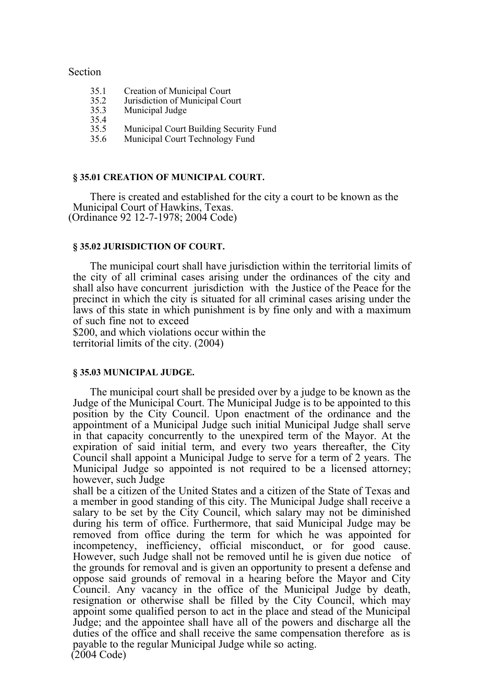# Section

- 35.1 Creation of Municipal Court
- 35.2 Jurisdiction of Municipal Court
- 35.3 Municipal Judge
- 35.4<br>35.5 Municipal Court Building Security Fund
- 35.6 Municipal Court Technology Fund

### **§ 35.01 CREATION OF MUNICIPAL COURT.**

There is created and established for the city a court to be known as the Municipal Court of Hawkins, Texas. (Ordinance 92 12-7-1978; 2004 Code)

### **§ 35.02 JURISDICTION OF COURT.**

The municipal court shall have jurisdiction within the territorial limits of the city of all criminal cases arising under the ordinances of the city and shall also have concurrent jurisdiction with the Justice of the Peace for the precinct in which the city is situated for all criminal cases arising under the laws of this state in which punishment is by fine only and with a maximum of such fine not to exceed

\$200, and which violations occur within the territorial limits of the city. (2004)

#### **§ 35.03 MUNICIPAL JUDGE.**

The municipal court shall be presided over by a judge to be known as the Judge of the Municipal Court. The Municipal Judge is to be appointed to this position by the City Council. Upon enactment of the ordinance and the appointment of a Municipal Judge such initial Municipal Judge shall serve in that capacity concurrently to the unexpired term of the Mayor. At the expiration of said initial term, and every two years thereafter, the City Council shall appoint a Municipal Judge to serve for a term of 2 years. The Municipal Judge so appointed is not required to be a licensed attorney; however, such Judge

shall be a citizen of the United States and a citizen of the State of Texas and a member in good standing of this city. The Municipal Judge shall receive a salary to be set by the City Council, which salary may not be diminished during his term of office. Furthermore, that said Municipal Judge may be removed from office during the term for which he was appointed for incompetency, inefficiency, official misconduct, or for good cause. However, such Judge shall not be removed until he is given due notice of the grounds for removal and is given an opportunity to present a defense and oppose said grounds of removal in a hearing before the Mayor and City Council. Any vacancy in the office of the Municipal Judge by death, resignation or otherwise shall be filled by the City Council, which may appoint some qualified person to act in the place and stead of the Municipal Judge; and the appointee shall have all of the powers and discharge all the duties of the office and shall receive the same compensation therefore as is payable to the regular Municipal Judge while so acting.  $(2004 \text{ Code})$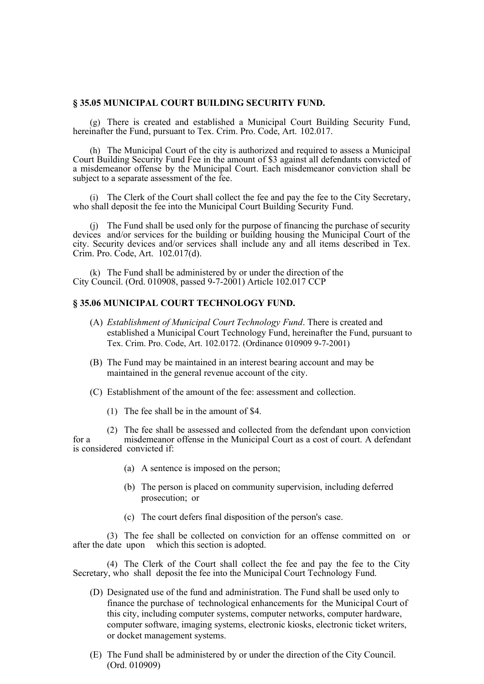#### **§ 35.05 MUNICIPAL COURT BUILDING SECURITY FUND.**

(g) There is created and established a Municipal Court Building Security Fund, hereinafter the Fund, pursuant to Tex. Crim. Pro. Code, Art. 102.017.

(h) The Municipal Court of the city is authorized and required to assess a Municipal Court Building Security Fund Fee in the amount of \$3 against all defendants convicted of a misdemeanor offense by the Municipal Court. Each misdemeanor conviction shall be subject to a separate assessment of the fee.

(i) The Clerk of the Court shall collect the fee and pay the fee to the City Secretary, who shall deposit the fee into the Municipal Court Building Security Fund.

(j) The Fund shall be used only for the purpose of financing the purchase of security devices and/or services for the building or building housing the Municipal Court of the city. Security devices and/or services shall include any and all items described in Tex. Crim. Pro. Code, Art. 102.017(d).

(k) The Fund shall be administered by or under the direction of the City Council. (Ord. 010908, passed 9-7-2001) Article 102.017 CCP

#### **§ 35.06 MUNICIPAL COURT TECHNOLOGY FUND.**

- (A) *Establishment of Municipal Court Technology Fund*. There is created and established a Municipal Court Technology Fund, hereinafter the Fund, pursuant to Tex. Crim. Pro. Code, Art. 102.0172. (Ordinance 010909 9-7-2001)
- (B) The Fund may be maintained in an interest bearing account and may be maintained in the general revenue account of the city.
- (C) Establishment of the amount of the fee: assessment and collection.
	- (1) The fee shall be in the amount of \$4.

(2) The fee shall be assessed and collected from the defendant upon conviction for a misdemeanor offense in the Municipal Court as a cost of court. A defendant is considered convicted if:

- (a) A sentence is imposed on the person;
- (b) The person is placed on community supervision, including deferred prosecution; or
- (c) The court defers final disposition of the person's case.

(3) The fee shall be collected on conviction for an offense committed on or after the date upon which this section is adopted.

(4) The Clerk of the Court shall collect the fee and pay the fee to the City Secretary, who shall deposit the fee into the Municipal Court Technology Fund.

- (D) Designated use of the fund and administration. The Fund shall be used only to finance the purchase of technological enhancements for the Municipal Court of this city, including computer systems, computer networks, computer hardware, computer software, imaging systems, electronic kiosks, electronic ticket writers, or docket management systems.
- (E) The Fund shall be administered by or under the direction of the City Council. (Ord. 010909)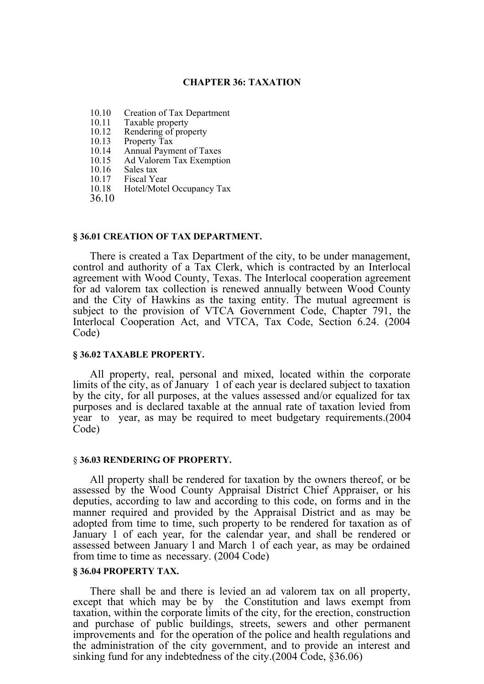#### **CHAPTER 36: TAXATION**

- 10.10 Creation of Tax Department<br>10.11 Taxable property
- 10.11 Taxable property<br>10.12 Rendering of pro
- Rendering of property
- 10.13 Property Tax
- 10.14 Annual Payment of Taxes
- 10.15 Ad Valorem Tax Exemption
- 10.16 Sales tax
- 10.17 Fiscal Year
- 10.18 Hotel/Motel Occupancy Tax
- 36.10

#### **§ 36.01 CREATION OF TAX DEPARTMENT.**

There is created a Tax Department of the city, to be under management, control and authority of a Tax Clerk, which is contracted by an Interlocal agreement with Wood County, Texas. The Interlocal cooperation agreement for ad valorem tax collection is renewed annually between Wood County and the City of Hawkins as the taxing entity. The mutual agreement is subject to the provision of VTCA Government Code, Chapter 791, the Interlocal Cooperation Act, and VTCA, Tax Code, Section 6.24. (2004 Code)

#### **§ 36.02 TAXABLE PROPERTY.**

All property, real, personal and mixed, located within the corporate limits of the city, as of January 1 of each year is declared subject to taxation by the city, for all purposes, at the values assessed and/or equalized for tax purposes and is declared taxable at the annual rate of taxation levied from year to year, as may be required to meet budgetary requirements.(2004 Code)

#### § **36.03 RENDERING OF PROPERTY.**

All property shall be rendered for taxation by the owners thereof, or be assessed by the Wood County Appraisal District Chief Appraiser, or his deputies, according to law and according to this code, on forms and in the manner required and provided by the Appraisal District and as may be adopted from time to time, such property to be rendered for taxation as of January 1 of each year, for the calendar year, and shall be rendered or assessed between January l and March 1 of each year, as may be ordained from time to time as necessary. (2004 Code)

#### **§ 36.04 PROPERTY TAX.**

There shall be and there is levied an ad valorem tax on all property, except that which may be by the Constitution and laws exempt from taxation, within the corporate limits of the city, for the erection, construction and purchase of public buildings, streets, sewers and other permanent improvements and for the operation of the police and health regulations and the administration of the city government, and to provide an interest and sinking fund for any indebtedness of the city.(2004 Code, §36.06)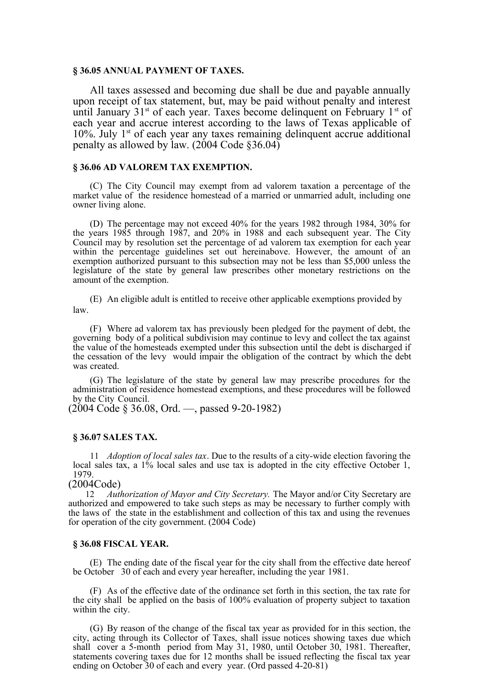#### **§ 36.05 ANNUAL PAYMENT OF TAXES.**

All taxes assessed and becoming due shall be due and payable annually upon receipt of tax statement, but, may be paid without penalty and interest until January  $31<sup>st</sup>$  of each year. Taxes become delinquent on February  $1<sup>st</sup>$  of each year and accrue interest according to the laws of Texas applicable of  $10\%$ . July 1<sup>st</sup> of each year any taxes remaining delinquent accrue additional penalty as allowed by law. (2004 Code §36.04)

#### **§ 36.06 AD VALOREM TAX EXEMPTION.**

(C) The City Council may exempt from ad valorem taxation a percentage of the market value of the residence homestead of a married or unmarried adult, including one owner living alone.

(D) The percentage may not exceed 40% for the years 1982 through 1984, 30% for the years 1985 through 1987, and 20% in 1988 and each subsequent year. The City Council may by resolution set the percentage of ad valorem tax exemption for each year within the percentage guidelines set out hereinabove. However, the amount of an exemption authorized pursuant to this subsection may not be less than \$5,000 unless the legislature of the state by general law prescribes other monetary restrictions on the amount of the exemption.

(E) An eligible adult is entitled to receive other applicable exemptions provided by law.

(F) Where ad valorem tax has previously been pledged for the payment of debt, the governing body of a political subdivision may continue to levy and collect the tax against the value of the homesteads exempted under this subsection until the debt is discharged if the cessation of the levy would impair the obligation of the contract by which the debt was created.

(G) The legislature of the state by general law may prescribe procedures for the administration of residence homestead exemptions, and these procedures will be followed by the City Council.

(2004 Code § 36.08, Ord. —, passed 9-20-1982)

#### **§ 36.07 SALES TAX.**

11 *Adoption of local sales tax*. Due to the results of a city-wide election favoring the local sales tax, a  $1\%$  local sales and use tax is adopted in the city effective October 1, 1979.

(2004Code)

12 *Authorization of Mayor and City Secretary.* The Mayor and/or City Secretary are authorized and empowered to take such steps as may be necessary to further comply with the laws of the state in the establishment and collection of this tax and using the revenues for operation of the city government. (2004 Code)

#### **§ 36.08 FISCAL YEAR.**

(E) The ending date of the fiscal year for the city shall from the effective date hereof be October 30 of each and every year hereafter, including the year 1981.

(F) As of the effective date of the ordinance set forth in this section, the tax rate for the city shall be applied on the basis of 100% evaluation of property subject to taxation within the city.

(G) By reason of the change of the fiscal tax year as provided for in this section, the city, acting through its Collector of Taxes, shall issue notices showing taxes due which shall cover a 5-month period from May 31, 1980, until October 30, 1981. Thereafter, statements covering taxes due for 12 months shall be issued reflecting the fiscal tax year ending on October 30 of each and every year. (Ord passed 4-20-81)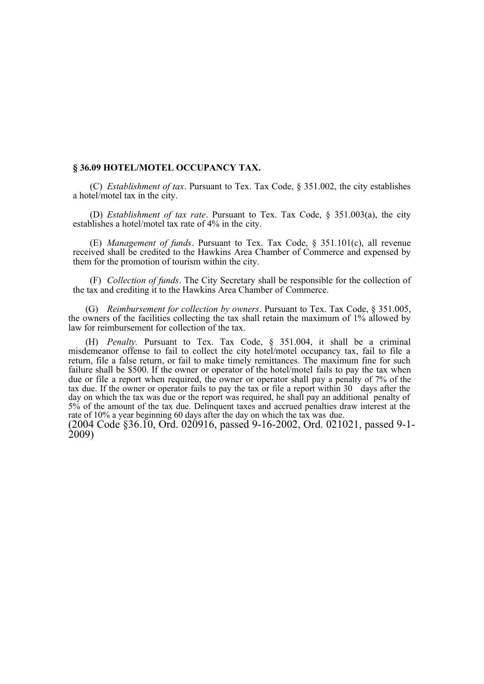#### **§ 36.09 HOTEL/MOTEL OCCUPANCY TAX.**

(C) *Establishment of tax*. Pursuant to Tex. Tax Code, § 351.002, the city establishes a hotel/motel tax in the city.

(D) *Establishment of tax rate*. Pursuant to Tex. Tax Code, § 351.003(a), the city establishes a hotel/motel tax rate of 4% in the city.

(E) *Management of funds*. Pursuant to Tex. Tax Code, § 351.101(c), all revenue received shall be credited to the Hawkins Area Chamber of Commerce and expensed by them for the promotion of tourism within the city.

(F) *Collection of funds*. The City Secretary shall be responsible for the collection of the tax and crediting it to the Hawkins Area Chamber of Commerce.

(G) *Reimbursement for collection by owners*. Pursuant to Tex. Tax Code, § 351.005, the owners of the facilities collecting the tax shall retain the maximum of 1% allowed by law for reimbursement for collection of the tax.

(H) *Penalty.* Pursuant to Tex. Tax Code, § 351.004, it shall be a criminal misdemeanor offense to fail to collect the city hotel/motel occupancy tax, fail to file a return, file a false return, or fail to make timely remittances. The maximum fine for such failure shall be \$500. If the owner or operator of the hotel/motel fails to pay the tax when due or file a report when required, the owner or operator shall pay a penalty of 7% of the tax due. If the owner or operator fails to pay the tax or file a report within 30 days after the day on which the tax was due or the report was required, he shall pay an additional penalty of 5% of the amount of the tax due. Delinquent taxes and accrued penalties draw interest at the rate of 10% a year beginning 60 days after the day on which the tax was due. (2004 Code §36.10, Ord. 020916, passed 9-16-2002, Ord. 021021, passed 9-1- 2009)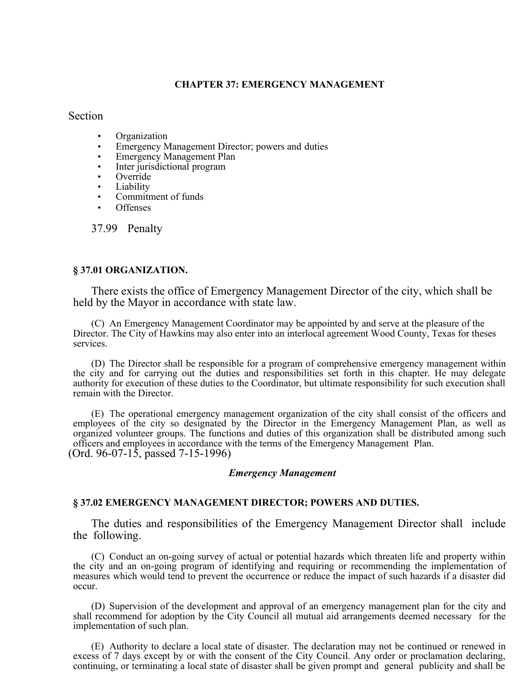#### **CHAPTER 37: EMERGENCY MANAGEMENT**

#### Section

- Organization
- Emergency Management Director; powers and duties
- Emergency Management Plan
- Inter jurisdictional program
- **Override**
- **Liability**
- Commitment of funds
- Offenses

37.99 Penalty

#### **§ 37.01 ORGANIZATION.**

There exists the office of Emergency Management Director of the city, which shall be held by the Mayor in accordance with state law.

(C) An Emergency Management Coordinator may be appointed by and serve at the pleasure of the Director. The City of Hawkins may also enter into an interlocal agreement Wood County, Texas for theses services.

(D) The Director shall be responsible for a program of comprehensive emergency management within the city and for carrying out the duties and responsibilities set forth in this chapter. He may delegate authority for execution of these duties to the Coordinator, but ultimate responsibility for such execution shall remain with the Director.

(E) The operational emergency management organization of the city shall consist of the officers and employees of the city so designated by the Director in the Emergency Management Plan, as well as organized volunteer groups. The functions and duties of this organization shall be distributed among such officers and employees in accordance with the terms of the Emergency Management Plan. (Ord. 96-07-15, passed 7-15-1996)

#### *Emergency Management*

#### **§ 37.02 EMERGENCY MANAGEMENT DIRECTOR; POWERS AND DUTIES.**

The duties and responsibilities of the Emergency Management Director shall include the following.

(C) Conduct an on-going survey of actual or potential hazards which threaten life and property within the city and an on-going program of identifying and requiring or recommending the implementation of measures which would tend to prevent the occurrence or reduce the impact of such hazards if a disaster did occur.

(D) Supervision of the development and approval of an emergency management plan for the city and shall recommend for adoption by the City Council all mutual aid arrangements deemed necessary for the implementation of such plan.

(E) Authority to declare a local state of disaster. The declaration may not be continued or renewed in excess of 7 days except by or with the consent of the City Council. Any order or proclamation declaring, continuing, or terminating a local state of disaster shall be given prompt and general publicity and shall be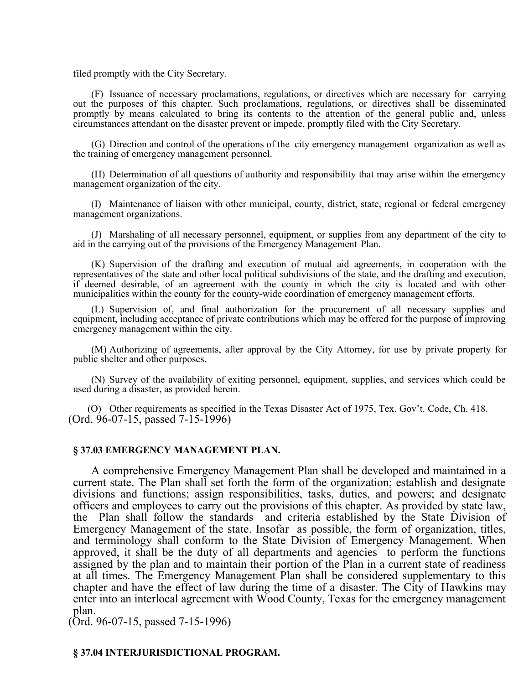filed promptly with the City Secretary.

(F) Issuance of necessary proclamations, regulations, or directives which are necessary for carrying out the purposes of this chapter. Such proclamations, regulations, or directives shall be disseminated promptly by means calculated to bring its contents to the attention of the general public and, unless circumstances attendant on the disaster prevent or impede, promptly filed with the City Secretary.

(G) Direction and control of the operations of the city emergency management organization as well as the training of emergency management personnel.

(H) Determination of all questions of authority and responsibility that may arise within the emergency management organization of the city.

(I) Maintenance of liaison with other municipal, county, district, state, regional or federal emergency management organizations.

(J) Marshaling of all necessary personnel, equipment, or supplies from any department of the city to aid in the carrying out of the provisions of the Emergency Management Plan.

(K) Supervision of the drafting and execution of mutual aid agreements, in cooperation with the representatives of the state and other local political subdivisions of the state, and the drafting and execution, if deemed desirable, of an agreement with the county in which the city is located and with other municipalities within the county for the county-wide coordination of emergency management efforts.

(L) Supervision of, and final authorization for the procurement of all necessary supplies and equipment, including acceptance of private contributions which may be offered for the purpose of improving emergency management within the city.

(M) Authorizing of agreements, after approval by the City Attorney, for use by private property for public shelter and other purposes.

(N) Survey of the availability of exiting personnel, equipment, supplies, and services which could be used during a disaster, as provided herein.

(O) Other requirements as specified in the Texas Disaster Act of 1975, Tex. Gov't. Code, Ch. 418. (Ord. 96-07-15, passed 7-15-1996)

#### **§ 37.03 EMERGENCY MANAGEMENT PLAN.**

A comprehensive Emergency Management Plan shall be developed and maintained in a current state. The Plan shall set forth the form of the organization; establish and designate divisions and functions; assign responsibilities, tasks, duties, and powers; and designate officers and employees to carry out the provisions of this chapter. As provided by state law, the Plan shall follow the standards and criteria established by the State Division of Emergency Management of the state. Insofar as possible, the form of organization, titles, and terminology shall conform to the State Division of Emergency Management. When approved, it shall be the duty of all departments and agencies to perform the functions assigned by the plan and to maintain their portion of the Plan in a current state of readiness at all times. The Emergency Management Plan shall be considered supplementary to this chapter and have the effect of law during the time of a disaster. The City of Hawkins may enter into an interlocal agreement with Wood County, Texas for the emergency management plan.

(Ord. 96-07-15, passed 7-15-1996)

#### **§ 37.04 INTERJURISDICTIONAL PROGRAM.**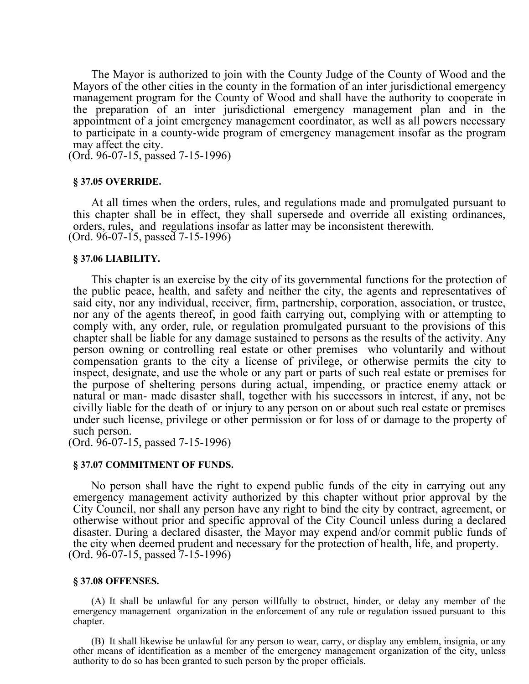The Mayor is authorized to join with the County Judge of the County of Wood and the Mayors of the other cities in the county in the formation of an inter jurisdictional emergency management program for the County of Wood and shall have the authority to cooperate in the preparation of an inter jurisdictional emergency management plan and in the appointment of a joint emergency management coordinator, as well as all powers necessary to participate in a county-wide program of emergency management insofar as the program may affect the city.

(Ord. 96-07-15, passed 7-15-1996)

#### **§ 37.05 OVERRIDE.**

At all times when the orders, rules, and regulations made and promulgated pursuant to this chapter shall be in effect, they shall supersede and override all existing ordinances, orders, rules, and regulations insofar as latter may be inconsistent therewith. (Ord. 96-07-15, passed 7-15-1996)

#### **§ 37.06 LIABILITY.**

This chapter is an exercise by the city of its governmental functions for the protection of the public peace, health, and safety and neither the city, the agents and representatives of said city, nor any individual, receiver, firm, partnership, corporation, association, or trustee, nor any of the agents thereof, in good faith carrying out, complying with or attempting to comply with, any order, rule, or regulation promulgated pursuant to the provisions of this chapter shall be liable for any damage sustained to persons as the results of the activity. Any person owning or controlling real estate or other premises who voluntarily and without compensation grants to the city a license of privilege, or otherwise permits the city to inspect, designate, and use the whole or any part or parts of such real estate or premises for the purpose of sheltering persons during actual, impending, or practice enemy attack or natural or man- made disaster shall, together with his successors in interest, if any, not be civilly liable for the death of or injury to any person on or about such real estate or premises under such license, privilege or other permission or for loss of or damage to the property of such person.

(Ord. 96-07-15, passed 7-15-1996)

#### **§ 37.07 COMMITMENT OF FUNDS.**

No person shall have the right to expend public funds of the city in carrying out any emergency management activity authorized by this chapter without prior approval by the City Council, nor shall any person have any right to bind the city by contract, agreement, or otherwise without prior and specific approval of the City Council unless during a declared disaster. During a declared disaster, the Mayor may expend and/or commit public funds of the city when deemed prudent and necessary for the protection of health, life, and property. (Ord. 96-07-15, passed 7-15-1996)

#### **§ 37.08 OFFENSES.**

(A) It shall be unlawful for any person willfully to obstruct, hinder, or delay any member of the emergency management organization in the enforcement of any rule or regulation issued pursuant to this chapter.

(B) It shall likewise be unlawful for any person to wear, carry, or display any emblem, insignia, or any other means of identification as a member of the emergency management organization of the city, unless authority to do so has been granted to such person by the proper officials.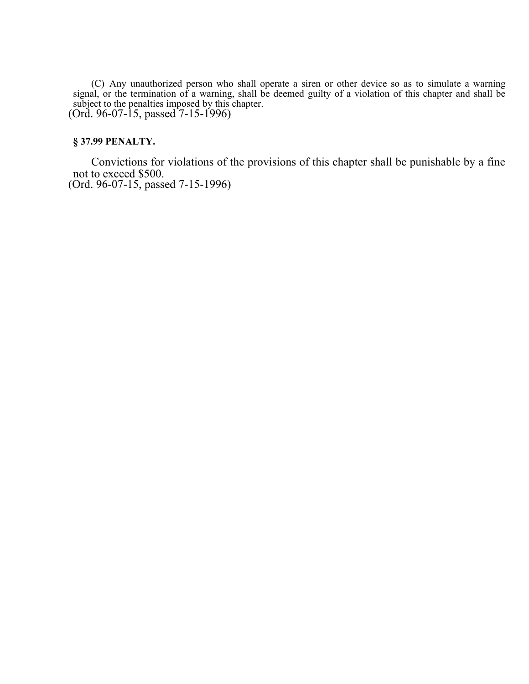(C) Any unauthorized person who shall operate a siren or other device so as to simulate a warning signal, or the termination of a warning, shall be deemed guilty of a violation of this chapter and shall be subject to the penalties imposed by this chapter. (Ord. 96-07-15, passed 7-15-1996)

# **§ 37.99 PENALTY.**

Convictions for violations of the provisions of this chapter shall be punishable by a fine not to exceed \$500. (Ord. 96-07-15, passed 7-15-1996)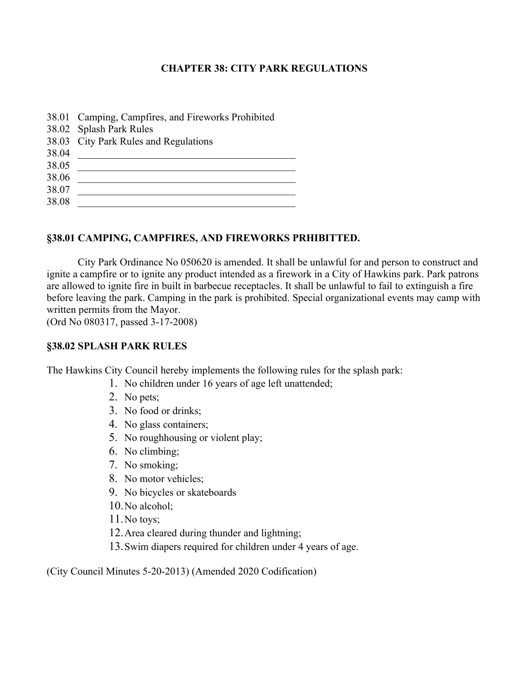# **CHAPTER 38: CITY PARK REGULATIONS**

|       | 38.01 Camping, Campfires, and Fireworks Prohibited<br>38.02 Splash Park Rules |
|-------|-------------------------------------------------------------------------------|
|       | 38.03 City Park Rules and Regulations                                         |
| 38.04 |                                                                               |
| 38.05 |                                                                               |
| 38.06 |                                                                               |
| 38.07 |                                                                               |
| 38.08 |                                                                               |

# **§38.01 CAMPING, CAMPFIRES, AND FIREWORKS PRHIBITTED.**

City Park Ordinance No 050620 is amended. It shall be unlawful for and person to construct and ignite a campfire or to ignite any product intended as a firework in a City of Hawkins park. Park patrons are allowed to ignite fire in built in barbecue receptacles. It shall be unlawful to fail to extinguish a fire before leaving the park. Camping in the park is prohibited. Special organizational events may camp with written permits from the Mayor.

(Ord No 080317, passed 3-17-2008)

## **§38.02 SPLASH PARK RULES**

The Hawkins City Council hereby implements the following rules for the splash park:

- 1. No children under 16 years of age left unattended;
- 2. No pets;
- 3. No food or drinks;
- 4. No glass containers;
- 5. No roughhousing or violent play;
- 6. No climbing;
- 7. No smoking;
- 8. No motor vehicles;
- 9. No bicycles or skateboards
- 10.No alcohol;
- 11.No toys;
- 12.Area cleared during thunder and lightning;
- 13.Swim diapers required for children under 4 years of age.

(City Council Minutes 5-20-2013) (Amended 2020 Codification)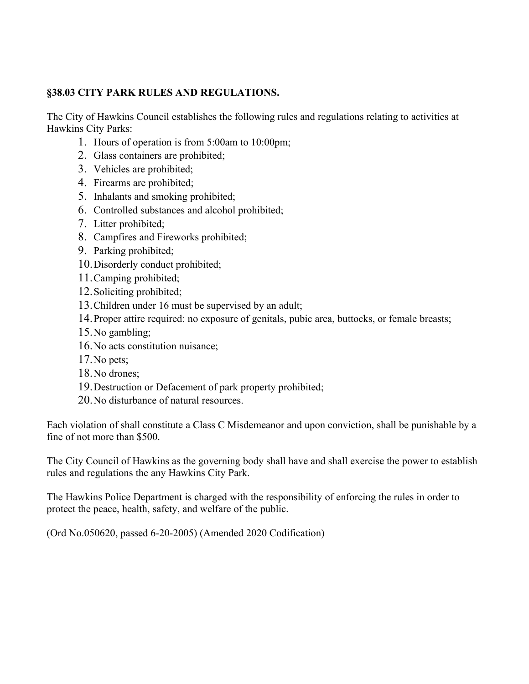# **§38.03 CITY PARK RULES AND REGULATIONS.**

The City of Hawkins Council establishes the following rules and regulations relating to activities at Hawkins City Parks:

- 1. Hours of operation is from 5:00am to 10:00pm;
- 2. Glass containers are prohibited;
- 3. Vehicles are prohibited;
- 4. Firearms are prohibited;
- 5. Inhalants and smoking prohibited;
- 6. Controlled substances and alcohol prohibited;
- 7. Litter prohibited;
- 8. Campfires and Fireworks prohibited;
- 9. Parking prohibited;
- 10.Disorderly conduct prohibited;
- 11.Camping prohibited;
- 12.Soliciting prohibited;
- 13.Children under 16 must be supervised by an adult;
- 14.Proper attire required: no exposure of genitals, pubic area, buttocks, or female breasts;
- 15.No gambling;
- 16.No acts constitution nuisance;
- 17.No pets;
- 18.No drones;
- 19.Destruction or Defacement of park property prohibited;
- 20.No disturbance of natural resources.

Each violation of shall constitute a Class C Misdemeanor and upon conviction, shall be punishable by a fine of not more than \$500.

The City Council of Hawkins as the governing body shall have and shall exercise the power to establish rules and regulations the any Hawkins City Park.

The Hawkins Police Department is charged with the responsibility of enforcing the rules in order to protect the peace, health, safety, and welfare of the public.

(Ord No.050620, passed 6-20-2005) (Amended 2020 Codification)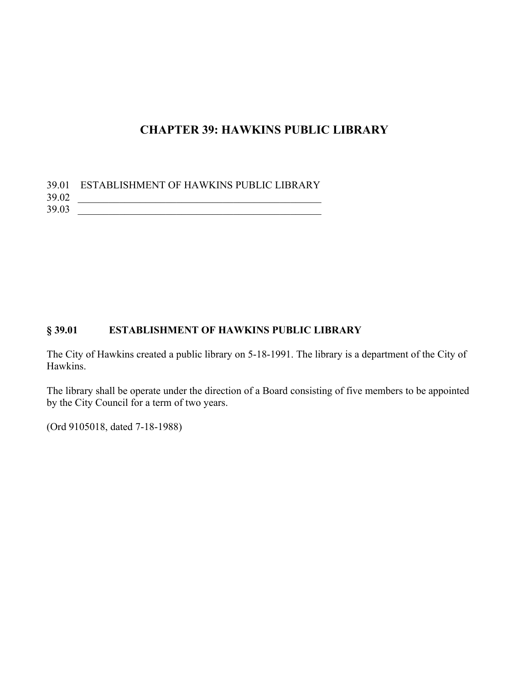# **CHAPTER 39: HAWKINS PUBLIC LIBRARY**

|       | 39.01 ESTABLISHMENT OF HAWKINS PUBLIC LIBRARY |
|-------|-----------------------------------------------|
| 39.02 |                                               |
| 39.03 |                                               |

# **§ 39.01 ESTABLISHMENT OF HAWKINS PUBLIC LIBRARY**

The City of Hawkins created a public library on 5-18-1991. The library is a department of the City of Hawkins.

The library shall be operate under the direction of a Board consisting of five members to be appointed by the City Council for a term of two years.

(Ord 9105018, dated 7-18-1988)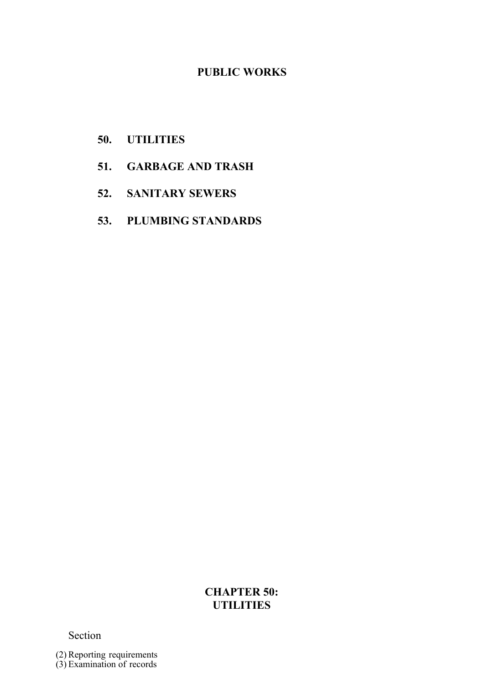# **PUBLIC WORKS**

- **50. UTILITIES**
- **51. GARBAGE AND TRASH**
- **52. SANITARY SEWERS**
- **53. PLUMBING STANDARDS**

# **CHAPTER 50: UTILITIES**

# Section

(2) Reporting requirements (3) Examination of records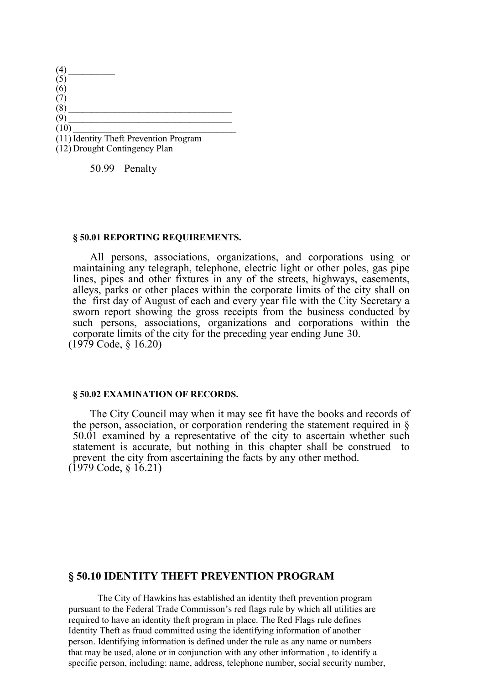| (6)                                    |  |
|----------------------------------------|--|
|                                        |  |
| (8)                                    |  |
| (9)                                    |  |
| (10)                                   |  |
| (11) Identity Theft Prevention Program |  |
| (12) Drought Contingency Plan          |  |

50.99 Penalty

#### **§ 50.01 REPORTING REQUIREMENTS.**

All persons, associations, organizations, and corporations using or maintaining any telegraph, telephone, electric light or other poles, gas pipe lines, pipes and other fixtures in any of the streets, highways, easements, alleys, parks or other places within the corporate limits of the city shall on the first day of August of each and every year file with the City Secretary a sworn report showing the gross receipts from the business conducted by such persons, associations, organizations and corporations within the corporate limits of the city for the preceding year ending June 30. (1979 Code, § 16.20)

#### **§ 50.02 EXAMINATION OF RECORDS.**

The City Council may when it may see fit have the books and records of the person, association, or corporation rendering the statement required in  $\S$ 50.01 examined by a representative of the city to ascertain whether such statement is accurate, but nothing in this chapter shall be construed to prevent the city from ascertaining the facts by any other method. (1979 Code, § 16.21)

#### **§ 50.10 IDENTITY THEFT PREVENTION PROGRAM**

The City of Hawkins has established an identity theft prevention program pursuant to the Federal Trade Commisson's red flags rule by which all utilities are required to have an identity theft program in place. The Red Flags rule defines Identity Theft as fraud committed using the identifying information of another person. Identifying information is defined under the rule as any name or numbers that may be used, alone or in conjunction with any other information , to identify a specific person, including: name, address, telephone number, social security number,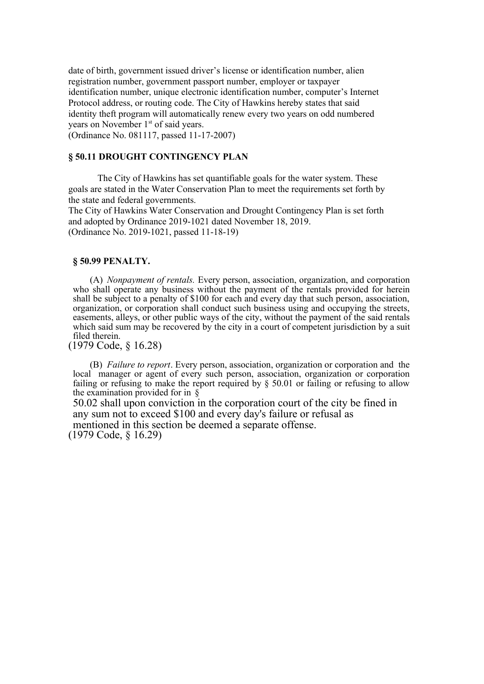date of birth, government issued driver's license or identification number, alien registration number, government passport number, employer or taxpayer identification number, unique electronic identification number, computer's Internet Protocol address, or routing code. The City of Hawkins hereby states that said identity theft program will automatically renew every two years on odd numbered years on November 1<sup>st</sup> of said years.

(Ordinance No. 081117, passed 11-17-2007)

### **§ 50.11 DROUGHT CONTINGENCY PLAN**

The City of Hawkins has set quantifiable goals for the water system. These goals are stated in the Water Conservation Plan to meet the requirements set forth by the state and federal governments.

The City of Hawkins Water Conservation and Drought Contingency Plan is set forth and adopted by Ordinance 2019-1021 dated November 18, 2019. (Ordinance No. 2019-1021, passed 11-18-19)

#### **§ 50.99 PENALTY.**

(A) *Nonpayment of rentals.* Every person, association, organization, and corporation who shall operate any business without the payment of the rentals provided for herein shall be subject to a penalty of \$100 for each and every day that such person, association, organization, or corporation shall conduct such business using and occupying the streets, easements, alleys, or other public ways of the city, without the payment of the said rentals which said sum may be recovered by the city in a court of competent jurisdiction by a suit filed therein.

(1979 Code, § 16.28)

(B) *Failure to report*. Every person, association, organization or corporation and the local manager or agent of every such person, association, organization or corporation failing or refusing to make the report required by  $\S$  50.01 or failing or refusing to allow the examination provided for in §

50.02 shall upon conviction in the corporation court of the city be fined in any sum not to exceed \$100 and every day's failure or refusal as mentioned in this section be deemed a separate offense. (1979 Code, § 16.29)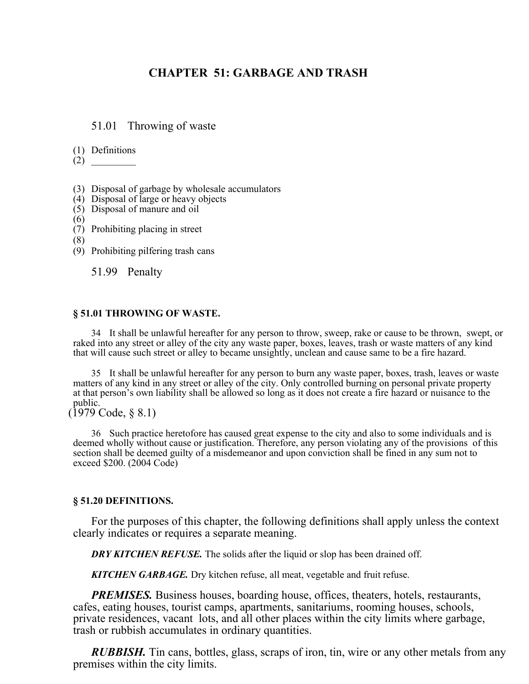# **CHAPTER 51: GARBAGE AND TRASH**

51.01 Throwing of waste

(1) Definitions

 $(2)$ 

(3) Disposal of garbage by wholesale accumulators

- (4) Disposal of large or heavy objects
- (5) Disposal of manure and oil
- (6)

(7) Prohibiting placing in street

- (8)
- (9) Prohibiting pilfering trash cans

51.99 Penalty

### **§ 51.01 THROWING OF WASTE.**

34 It shall be unlawful hereafter for any person to throw, sweep, rake or cause to be thrown, swept, or raked into any street or alley of the city any waste paper, boxes, leaves, trash or waste matters of any kind that will cause such street or alley to became unsightly, unclean and cause same to be a fire hazard.

35 It shall be unlawful hereafter for any person to burn any waste paper, boxes, trash, leaves or waste matters of any kind in any street or alley of the city. Only controlled burning on personal private property at that person's own liability shall be allowed so long as it does not create a fire hazard or nuisance to the public.

(1979 Code, § 8.1)

36 Such practice heretofore has caused great expense to the city and also to some individuals and is deemed wholly without cause or justification. Therefore, any person violating any of the provisions of this section shall be deemed guilty of a misdemeanor and upon conviction shall be fined in any sum not to exceed \$200. (2004 Code)

#### **§ 51.20 DEFINITIONS.**

For the purposes of this chapter, the following definitions shall apply unless the context clearly indicates or requires a separate meaning.

*DRY KITCHEN REFUSE.* The solids after the liquid or slop has been drained off.

*KITCHEN GARBAGE.* Dry kitchen refuse, all meat, vegetable and fruit refuse.

**PREMISES.** Business houses, boarding house, offices, theaters, hotels, restaurants, cafes, eating houses, tourist camps, apartments, sanitariums, rooming houses, schools, private residences, vacant lots, and all other places within the city limits where garbage, trash or rubbish accumulates in ordinary quantities.

*RUBBISH.* Tin cans, bottles, glass, scraps of iron, tin, wire or any other metals from any premises within the city limits.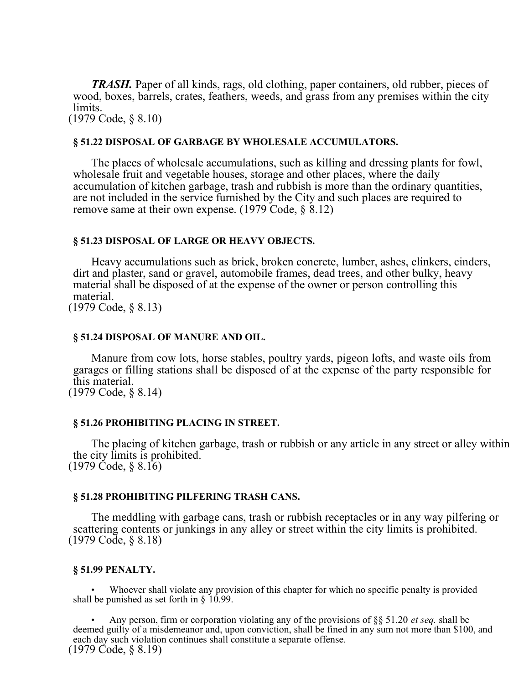*TRASH.* Paper of all kinds, rags, old clothing, paper containers, old rubber, pieces of wood, boxes, barrels, crates, feathers, weeds, and grass from any premises within the city limits.

(1979 Code, § 8.10)

#### **§ 51.22 DISPOSAL OF GARBAGE BY WHOLESALE ACCUMULATORS.**

The places of wholesale accumulations, such as killing and dressing plants for fowl, wholesale fruit and vegetable houses, storage and other places, where the daily accumulation of kitchen garbage, trash and rubbish is more than the ordinary quantities, are not included in the service furnished by the City and such places are required to remove same at their own expense. (1979 Code, § 8.12)

### **§ 51.23 DISPOSAL OF LARGE OR HEAVY OBJECTS.**

Heavy accumulations such as brick, broken concrete, lumber, ashes, clinkers, cinders, dirt and plaster, sand or gravel, automobile frames, dead trees, and other bulky, heavy material shall be disposed of at the expense of the owner or person controlling this material. (1979 Code, § 8.13)

# **§ 51.24 DISPOSAL OF MANURE AND OIL.**

Manure from cow lots, horse stables, poultry yards, pigeon lofts, and waste oils from garages or filling stations shall be disposed of at the expense of the party responsible for this material. (1979 Code, § 8.14)

# **§ 51.26 PROHIBITING PLACING IN STREET.**

The placing of kitchen garbage, trash or rubbish or any article in any street or alley within the city limits is prohibited. (1979 Code, § 8.16)

# **§ 51.28 PROHIBITING PILFERING TRASH CANS.**

The meddling with garbage cans, trash or rubbish receptacles or in any way pilfering or scattering contents or junkings in any alley or street within the city limits is prohibited. (1979 Code, § 8.18)

#### **§ 51.99 PENALTY.**

Whoever shall violate any provision of this chapter for which no specific penalty is provided shall be punished as set forth in § 10.99.

• Any person, firm or corporation violating any of the provisions of §§ 51.20 *et seq.* shall be deemed guilty of a misdemeanor and, upon conviction, shall be fined in any sum not more than \$100, and each day such violation continues shall constitute a separate offense. (1979 Code, § 8.19)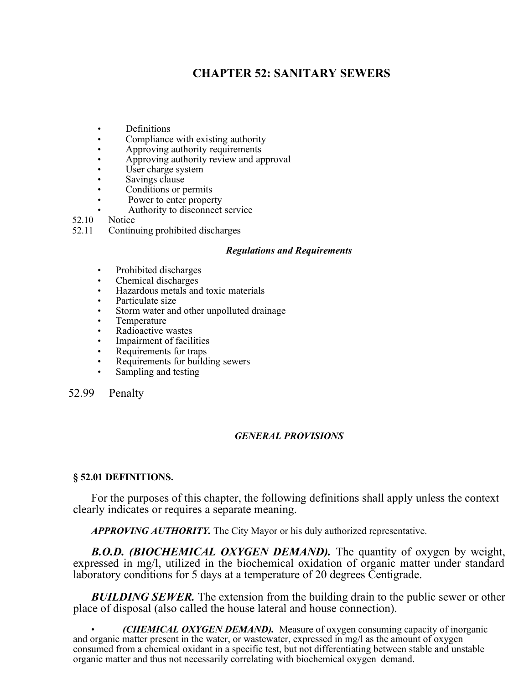# **CHAPTER 52: SANITARY SEWERS**

- Definitions
- Compliance with existing authority
- Approving authority requirements
- Approving authority review and approval
- User charge system
- Savings clause
- Conditions or permits
- Power to enter property
- Authority to disconnect service
- 52.10 Notice
- 52.11 Continuing prohibited discharges

#### *Regulations and Requirements*

- Prohibited discharges
- Chemical discharges
- Hazardous metals and toxic materials
- Particulate size
- Storm water and other unpolluted drainage
- **Temperature**
- Radioactive wastes
- Impairment of facilities
- Requirements for traps
- Requirements for building sewers
- Sampling and testing
- 52.99 Penalty

# *GENERAL PROVISIONS*

# **§ 52.01 DEFINITIONS.**

For the purposes of this chapter, the following definitions shall apply unless the context clearly indicates or requires a separate meaning.

*APPROVING AUTHORITY.* The City Mayor or his duly authorized representative.

*B.O.D. (BIOCHEMICAL OXYGEN DEMAND).* The quantity of oxygen by weight, expressed in mg/l, utilized in the biochemical oxidation of organic matter under standard laboratory conditions for 5 days at a temperature of 20 degrees Centigrade.

*BUILDING SEWER.* The extension from the building drain to the public sewer or other place of disposal (also called the house lateral and house connection).

• *(CHEMICAL OXYGEN DEMAND).* Measure of oxygen consuming capacity of inorganic and organic matter present in the water, or wastewater, expressed in mg/l as the amount of oxygen consumed from a chemical oxidant in a specific test, but not differentiating between stable and unstable organic matter and thus not necessarily correlating with biochemical oxygen demand.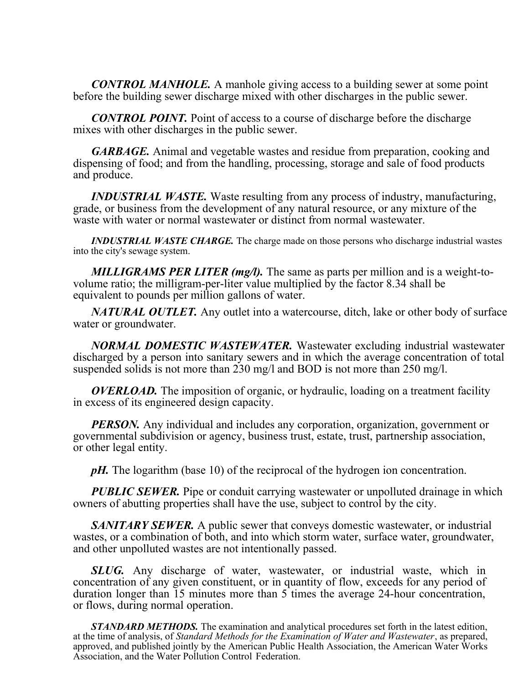*CONTROL MANHOLE.* A manhole giving access to a building sewer at some point before the building sewer discharge mixed with other discharges in the public sewer.

*CONTROL POINT.* Point of access to a course of discharge before the discharge mixes with other discharges in the public sewer.

*GARBAGE.* Animal and vegetable wastes and residue from preparation, cooking and dispensing of food; and from the handling, processing, storage and sale of food products and produce.

*INDUSTRIAL WASTE.* Waste resulting from any process of industry, manufacturing, grade, or business from the development of any natural resource, or any mixture of the waste with water or normal wastewater or distinct from normal wastewater.

*INDUSTRIAL WASTE CHARGE.* The charge made on those persons who discharge industrial wastes into the city's sewage system.

*MILLIGRAMS PER LITER (mg/l).* The same as parts per million and is a weight-tovolume ratio; the milligram-per-liter value multiplied by the factor 8.34 shall be equivalent to pounds per million gallons of water.

*NATURAL OUTLET*. Any outlet into a watercourse, ditch, lake or other body of surface water or groundwater.

*NORMAL DOMESTIC WASTEWATER.* Wastewater excluding industrial wastewater discharged by a person into sanitary sewers and in which the average concentration of total suspended solids is not more than 230 mg/l and BOD is not more than 250 mg/l.

*OVERLOAD.* The imposition of organic, or hydraulic, loading on a treatment facility in excess of its engineered design capacity.

*PERSON*. Any individual and includes any corporation, organization, government or governmental subdivision or agency, business trust, estate, trust, partnership association, or other legal entity.

*pH.* The logarithm (base 10) of the reciprocal of the hydrogen ion concentration.

**PUBLIC SEWER.** Pipe or conduit carrying wastewater or unpolluted drainage in which owners of abutting properties shall have the use, subject to control by the city.

*SANITARY SEWER.* A public sewer that conveys domestic wastewater, or industrial wastes, or a combination of both, and into which storm water, surface water, groundwater, and other unpolluted wastes are not intentionally passed.

*SLUG.* Any discharge of water, wastewater, or industrial waste, which in concentration of any given constituent, or in quantity of flow, exceeds for any period of duration longer than 15 minutes more than 5 times the average 24-hour concentration, or flows, during normal operation.

*STANDARD METHODS.* The examination and analytical procedures set forth in the latest edition, at the time of analysis, of *Standard Methods for the Examination of Water and Wastewater*, as prepared, approved, and published jointly by the American Public Health Association, the American Water Works Association, and the Water Pollution Control Federation.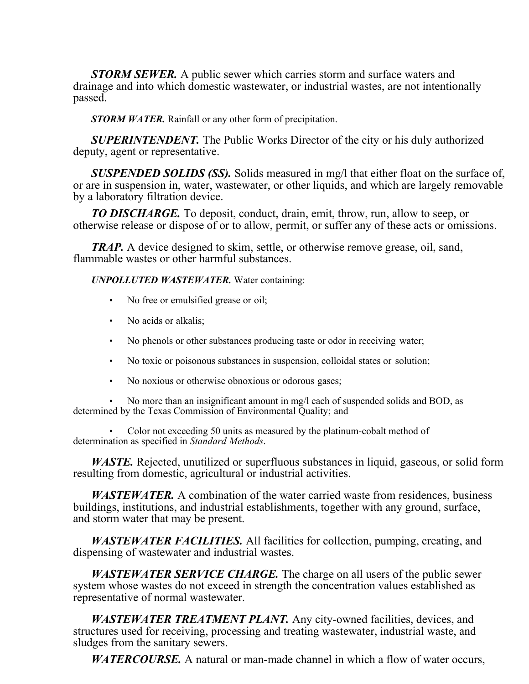*STORM SEWER.* A public sewer which carries storm and surface waters and drainage and into which domestic wastewater, or industrial wastes, are not intentionally passed.

*STORM WATER.* Rainfall or any other form of precipitation.

*SUPERINTENDENT.* The Public Works Director of the city or his duly authorized deputy, agent or representative.

*SUSPENDED SOLIDS (SS).* Solids measured in mg/l that either float on the surface of, or are in suspension in, water, wastewater, or other liquids, and which are largely removable by a laboratory filtration device.

*TO DISCHARGE.* To deposit, conduct, drain, emit, throw, run, allow to seep, or otherwise release or dispose of or to allow, permit, or suffer any of these acts or omissions.

*TRAP.* A device designed to skim, settle, or otherwise remove grease, oil, sand, flammable wastes or other harmful substances.

*UNPOLLUTED WASTEWATER.* Water containing:

- No free or emulsified grease or oil;
- No acids or alkalis:
- No phenols or other substances producing taste or odor in receiving water;
- No toxic or poisonous substances in suspension, colloidal states or solution;
- No noxious or otherwise obnoxious or odorous gases;

• No more than an insignificant amount in mg/l each of suspended solids and BOD, as determined by the Texas Commission of Environmental Quality; and

• Color not exceeding 50 units as measured by the platinum-cobalt method of determination as specified in *Standard Methods*.

*WASTE*. Rejected, unutilized or superfluous substances in liquid, gaseous, or solid form resulting from domestic, agricultural or industrial activities.

*WASTEWATER.* A combination of the water carried waste from residences, business buildings, institutions, and industrial establishments, together with any ground, surface, and storm water that may be present.

*WASTEWATER FACILITIES.* All facilities for collection, pumping, creating, and dispensing of wastewater and industrial wastes.

*WASTEWATER SERVICE CHARGE.* The charge on all users of the public sewer system whose wastes do not exceed in strength the concentration values established as representative of normal wastewater.

*WASTEWATER TREATMENT PLANT.* Any city-owned facilities, devices, and structures used for receiving, processing and treating wastewater, industrial waste, and sludges from the sanitary sewers.

*WATERCOURSE.* A natural or man-made channel in which a flow of water occurs,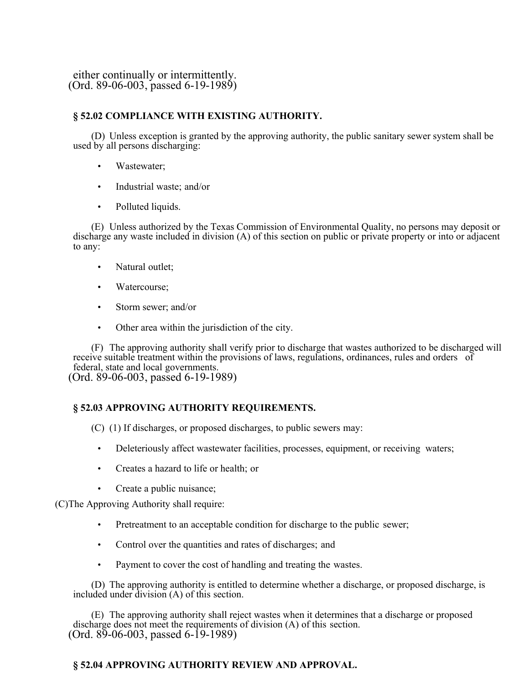# either continually or intermittently. (Ord. 89-06-003, passed 6-19-1989)

# **§ 52.02 COMPLIANCE WITH EXISTING AUTHORITY.**

(D) Unless exception is granted by the approving authority, the public sanitary sewer system shall be used by all persons discharging:

- Wastewater:
- Industrial waste; and/or
- Polluted liquids.

(E) Unless authorized by the Texas Commission of Environmental Quality, no persons may deposit or discharge any waste included in division (A) of this section on public or private property or into or adjacent to any:

- Natural outlet;
- Watercourse:
- Storm sewer; and/or
- Other area within the jurisdiction of the city.

(F) The approving authority shall verify prior to discharge that wastes authorized to be discharged will receive suitable treatment within the provisions of laws, regulations, ordinances, rules and orders of federal, state and local governments. (Ord. 89-06-003, passed 6-19-1989)

# **§ 52.03 APPROVING AUTHORITY REQUIREMENTS.**

(C) (1) If discharges, or proposed discharges, to public sewers may:

- Deleteriously affect wastewater facilities, processes, equipment, or receiving waters;
- Creates a hazard to life or health; or
- Create a public nuisance;

(C)The Approving Authority shall require:

- Pretreatment to an acceptable condition for discharge to the public sewer;
- Control over the quantities and rates of discharges; and
- Payment to cover the cost of handling and treating the wastes.

(D) The approving authority is entitled to determine whether a discharge, or proposed discharge, is included under division (A) of this section.

(E) The approving authority shall reject wastes when it determines that a discharge or proposed discharge does not meet the requirements of division (A) of this section. (Ord. 89-06-003, passed 6-19-1989)

# **§ 52.04 APPROVING AUTHORITY REVIEW AND APPROVAL.**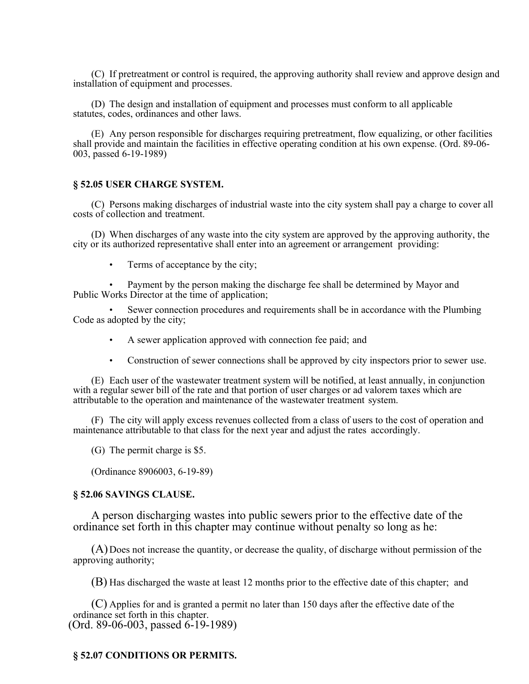(C) If pretreatment or control is required, the approving authority shall review and approve design and installation of equipment and processes.

(D) The design and installation of equipment and processes must conform to all applicable statutes, codes, ordinances and other laws.

(E) Any person responsible for discharges requiring pretreatment, flow equalizing, or other facilities shall provide and maintain the facilities in effective operating condition at his own expense. (Ord. 89-06- 003, passed 6-19-1989)

#### **§ 52.05 USER CHARGE SYSTEM.**

(C) Persons making discharges of industrial waste into the city system shall pay a charge to cover all costs of collection and treatment.

(D) When discharges of any waste into the city system are approved by the approving authority, the city or its authorized representative shall enter into an agreement or arrangement providing:

• Terms of acceptance by the city;

Payment by the person making the discharge fee shall be determined by Mayor and Public Works Director at the time of application;

• Sewer connection procedures and requirements shall be in accordance with the Plumbing Code as adopted by the city;

- A sewer application approved with connection fee paid; and
- Construction of sewer connections shall be approved by city inspectors prior to sewer use.

(E) Each user of the wastewater treatment system will be notified, at least annually, in conjunction with a regular sewer bill of the rate and that portion of user charges or ad valorem taxes which are attributable to the operation and maintenance of the wastewater treatment system.

(F) The city will apply excess revenues collected from a class of users to the cost of operation and maintenance attributable to that class for the next year and adjust the rates accordingly.

(G) The permit charge is \$5.

(Ordinance 8906003, 6-19-89)

#### **§ 52.06 SAVINGS CLAUSE.**

A person discharging wastes into public sewers prior to the effective date of the ordinance set forth in this chapter may continue without penalty so long as he:

(A) Does not increase the quantity, or decrease the quality, of discharge without permission of the approving authority;

(B) Has discharged the waste at least 12 months prior to the effective date of this chapter; and

(C) Applies for and is granted a permit no later than 150 days after the effective date of the ordinance set forth in this chapter. (Ord. 89-06-003, passed 6-19-1989)

# **§ 52.07 CONDITIONS OR PERMITS.**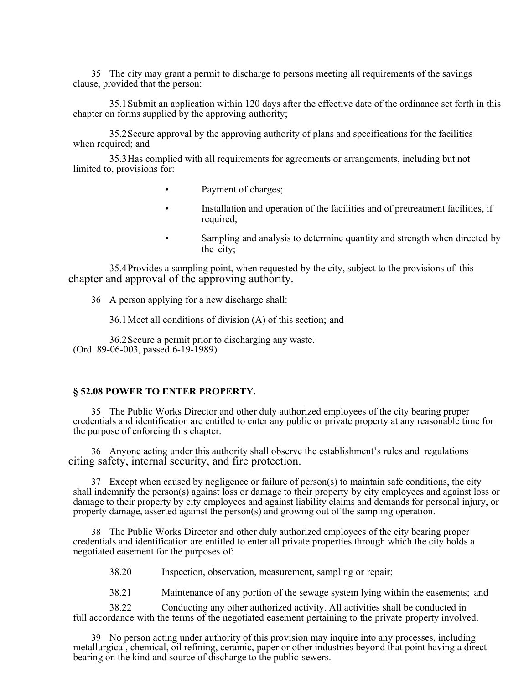35 The city may grant a permit to discharge to persons meeting all requirements of the savings clause, provided that the person:

35.1Submit an application within 120 days after the effective date of the ordinance set forth in this chapter on forms supplied by the approving authority;

35.2Secure approval by the approving authority of plans and specifications for the facilities when required; and

35.3Has complied with all requirements for agreements or arrangements, including but not limited to, provisions for:

- Payment of charges;
- Installation and operation of the facilities and of pretreatment facilities, if required;
- Sampling and analysis to determine quantity and strength when directed by the city;

35.4Provides a sampling point, when requested by the city, subject to the provisions of this chapter and approval of the approving authority.

36 A person applying for a new discharge shall:

36.1Meet all conditions of division (A) of this section; and

36.2Secure a permit prior to discharging any waste. (Ord. 89-06-003, passed 6-19-1989)

#### **§ 52.08 POWER TO ENTER PROPERTY.**

35 The Public Works Director and other duly authorized employees of the city bearing proper credentials and identification are entitled to enter any public or private property at any reasonable time for the purpose of enforcing this chapter.

36 Anyone acting under this authority shall observe the establishment's rules and regulations citing safety, internal security, and fire protection.

37 Except when caused by negligence or failure of person(s) to maintain safe conditions, the city shall indemnify the person(s) against loss or damage to their property by city employees and against loss or damage to their property by city employees and against liability claims and demands for personal injury, or property damage, asserted against the person(s) and growing out of the sampling operation.

38 The Public Works Director and other duly authorized employees of the city bearing proper credentials and identification are entitled to enter all private properties through which the city holds a negotiated easement for the purposes of:

38.20 Inspection, observation, measurement, sampling or repair;

38.21 Maintenance of any portion of the sewage system lying within the easements; and

38.22 Conducting any other authorized activity. All activities shall be conducted in full accordance with the terms of the negotiated easement pertaining to the private property involved.

39 No person acting under authority of this provision may inquire into any processes, including metallurgical, chemical, oil refining, ceramic, paper or other industries beyond that point having a direct bearing on the kind and source of discharge to the public sewers.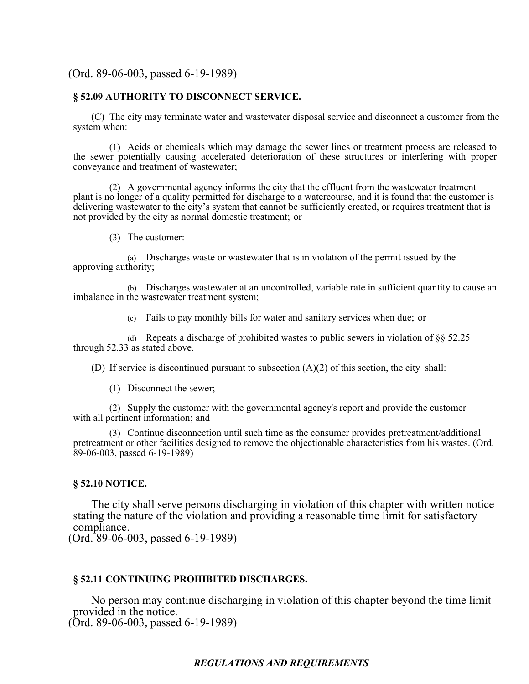# (Ord. 89-06-003, passed 6-19-1989)

#### **§ 52.09 AUTHORITY TO DISCONNECT SERVICE.**

(C) The city may terminate water and wastewater disposal service and disconnect a customer from the system when:

(1) Acids or chemicals which may damage the sewer lines or treatment process are released to the sewer potentially causing accelerated deterioration of these structures or interfering with proper conveyance and treatment of wastewater;

(2) A governmental agency informs the city that the effluent from the wastewater treatment plant is no longer of a quality permitted for discharge to a watercourse, and it is found that the customer is delivering wastewater to the city's system that cannot be sufficiently created, or requires treatment that is not provided by the city as normal domestic treatment; or

(3) The customer:

(a) Discharges waste or wastewater that is in violation of the permit issued by the approving authority;

(b) Discharges wastewater at an uncontrolled, variable rate in sufficient quantity to cause an imbalance in the wastewater treatment system;

(c) Fails to pay monthly bills for water and sanitary services when due; or

(d) Repeats a discharge of prohibited wastes to public sewers in violation of §§ 52.25 through 52.33 as stated above.

(D) If service is discontinued pursuant to subsection  $(A)(2)$  of this section, the city shall:

(1) Disconnect the sewer;

(2) Supply the customer with the governmental agency's report and provide the customer with all pertinent information; and

(3) Continue disconnection until such time as the consumer provides pretreatment/additional pretreatment or other facilities designed to remove the objectionable characteristics from his wastes. (Ord. 89-06-003, passed 6-19-1989)

#### **§ 52.10 NOTICE.**

The city shall serve persons discharging in violation of this chapter with written notice stating the nature of the violation and providing a reasonable time limit for satisfactory compliance.

(Ord. 89-06-003, passed 6-19-1989)

#### **§ 52.11 CONTINUING PROHIBITED DISCHARGES.**

No person may continue discharging in violation of this chapter beyond the time limit provided in the notice. (Ord. 89-06-003, passed 6-19-1989)

#### *REGULATIONS AND REQUIREMENTS*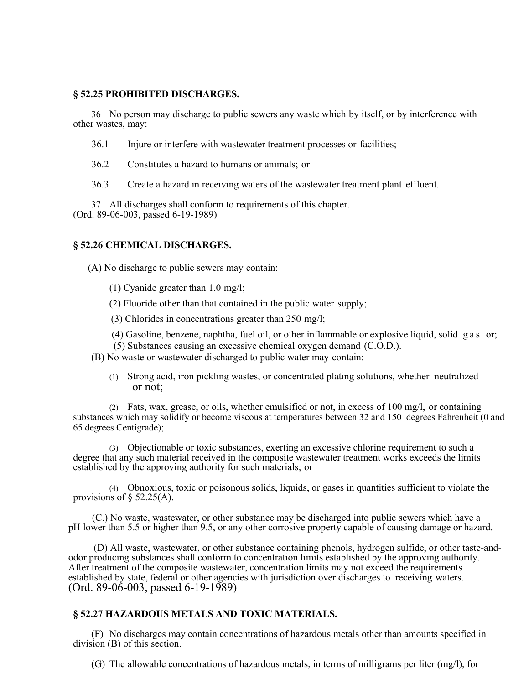#### **§ 52.25 PROHIBITED DISCHARGES.**

36 No person may discharge to public sewers any waste which by itself, or by interference with other wastes, may:

- 36.1 Injure or interfere with wastewater treatment processes or facilities;
- 36.2 Constitutes a hazard to humans or animals; or
- 36.3 Create a hazard in receiving waters of the wastewater treatment plant effluent.

37 All discharges shall conform to requirements of this chapter. (Ord. 89-06-003, passed 6-19-1989)

#### **§ 52.26 CHEMICAL DISCHARGES.**

(A) No discharge to public sewers may contain:

- (1) Cyanide greater than 1.0 mg/l;
- (2) Fluoride other than that contained in the public water supply;
- (3) Chlorides in concentrations greater than 250 mg/l;
- (4) Gasoline, benzene, naphtha, fuel oil, or other inflammable or explosive liquid, solid g a s or;
- (5) Substances causing an excessive chemical oxygen demand (C.O.D.).
- (B) No waste or wastewater discharged to public water may contain:
	- (1) Strong acid, iron pickling wastes, or concentrated plating solutions, whether neutralized or not;

(2) Fats, wax, grease, or oils, whether emulsified or not, in excess of 100 mg/l, or containing substances which may solidify or become viscous at temperatures between 32 and 150 degrees Fahrenheit (0 and 65 degrees Centigrade);

(3) Objectionable or toxic substances, exerting an excessive chlorine requirement to such a degree that any such material received in the composite wastewater treatment works exceeds the limits established by the approving authority for such materials; or

(4) Obnoxious, toxic or poisonous solids, liquids, or gases in quantities sufficient to violate the provisions of  $\S$  52.25(A).

 (C.) No waste, wastewater, or other substance may be discharged into public sewers which have a pH lower than 5.5 or higher than 9.5, or any other corrosive property capable of causing damage or hazard.

 (D) All waste, wastewater, or other substance containing phenols, hydrogen sulfide, or other taste-andodor producing substances shall conform to concentration limits established by the approving authority. After treatment of the composite wastewater, concentration limits may not exceed the requirements established by state, federal or other agencies with jurisdiction over discharges to receiving waters. (Ord. 89-06-003, passed 6-19-1989)

#### **§ 52.27 HAZARDOUS METALS AND TOXIC MATERIALS.**

(F) No discharges may contain concentrations of hazardous metals other than amounts specified in division (B) of this section.

(G) The allowable concentrations of hazardous metals, in terms of milligrams per liter (mg/l), for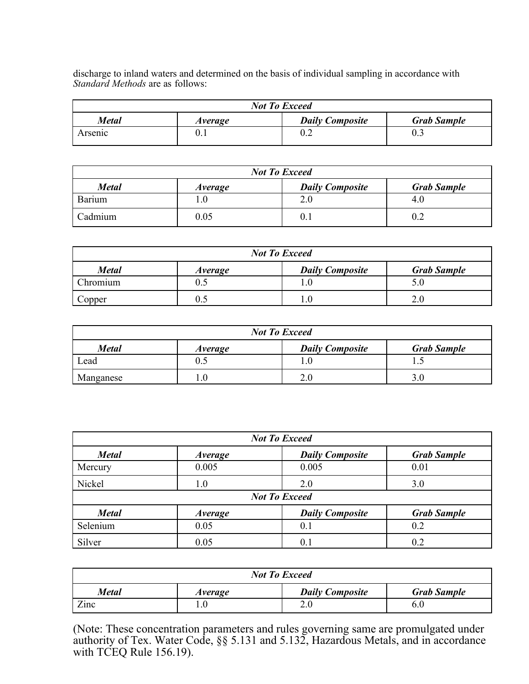discharge to inland waters and determined on the basis of individual sampling in accordance with *Standard Methods* are as follows:

| <b>Not To Exceed</b> |                |                        |                    |
|----------------------|----------------|------------------------|--------------------|
| <b>Metal</b>         | <i>Average</i> | <b>Daily Composite</b> | <b>Grab Sample</b> |
| Arsenic              | v. ı           | ∪.∠                    | U.S                |

| <b>Not To Exceed</b> |                |                        |                    |
|----------------------|----------------|------------------------|--------------------|
| <b>Metal</b>         | <i>Average</i> | <b>Daily Composite</b> | <b>Grab Sample</b> |
| Barium               | 1.0            |                        | 4.0                |
| Cadmium              | 0.05           | U.I                    | 0.2                |

| <b>Not To Exceed</b> |                |                        |                    |
|----------------------|----------------|------------------------|--------------------|
| <b>Metal</b>         | <i>Average</i> | <b>Daily Composite</b> | <b>Grab Sample</b> |
| Chromium             | 0.5            | .0                     | 5.0                |
| Copper               | U.J            | .0                     | 2.0                |

| <b>Not To Exceed</b>                                                           |     |     |      |  |
|--------------------------------------------------------------------------------|-----|-----|------|--|
| <b>Daily Composite</b><br><b>Metal</b><br><b>Grab Sample</b><br><i>Average</i> |     |     |      |  |
| Lead                                                                           | 0.5 | ι.υ | ر. . |  |
| Manganese                                                                      |     |     | 3.0  |  |

| <b>Not To Exceed</b> |                |                        |                    |  |
|----------------------|----------------|------------------------|--------------------|--|
| <b>Metal</b>         | <i>Average</i> | <b>Daily Composite</b> | <b>Grab Sample</b> |  |
| Mercury              | 0.005          | 0.005                  | 0.01               |  |
| Nickel               | 1.0            | 2.0                    | 3.0                |  |
| <b>Not To Exceed</b> |                |                        |                    |  |
| <b>Metal</b>         | <i>Average</i> | <b>Daily Composite</b> | <b>Grab Sample</b> |  |
| Selenium             | 0.05           | 0.1                    | 0.2                |  |
| Silver               | 0.05           | 0.1                    | 0.2                |  |

| <b>Not To Exceed</b>                                                           |         |     |     |  |  |
|--------------------------------------------------------------------------------|---------|-----|-----|--|--|
| <b>Daily Composite</b><br><b>Grab Sample</b><br><b>Metal</b><br><i>Average</i> |         |     |     |  |  |
| Zinc                                                                           | $1.0\,$ | 2.0 | 6.0 |  |  |

(Note: These concentration parameters and rules governing same are promulgated under authority of Tex. Water Code, §§ 5.131 and 5.132, Hazardous Metals, and in accordance with TCEQ Rule 156.19).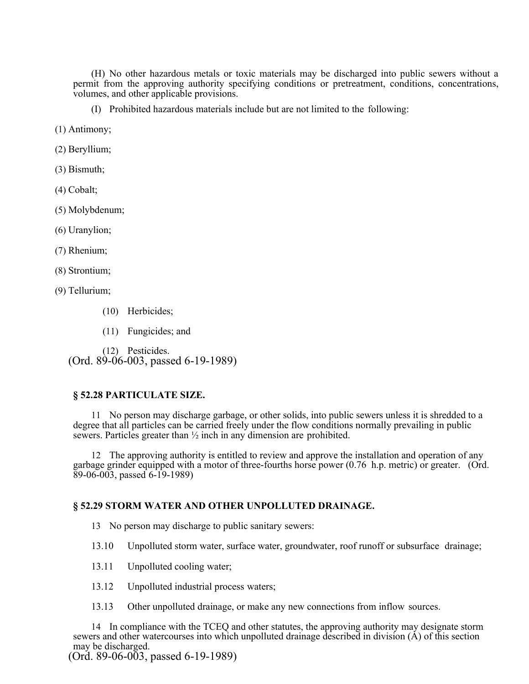(H) No other hazardous metals or toxic materials may be discharged into public sewers without a permit from the approving authority specifying conditions or pretreatment, conditions, concentrations, volumes, and other applicable provisions.

(I) Prohibited hazardous materials include but are not limited to the following:

(1) Antimony;

- (2) Beryllium;
- (3) Bismuth;
- (4) Cobalt;
- (5) Molybdenum;
- (6) Uranylion;
- (7) Rhenium;
- (8) Strontium;
- (9) Tellurium;
	- (10) Herbicides;
	- (11) Fungicides; and

(12) Pesticides.

(Ord. 89-06-003, passed 6-19-1989)

#### **§ 52.28 PARTICULATE SIZE.**

11 No person may discharge garbage, or other solids, into public sewers unless it is shredded to a degree that all particles can be carried freely under the flow conditions normally prevailing in public sewers. Particles greater than ½ inch in any dimension are prohibited.

12 The approving authority is entitled to review and approve the installation and operation of any garbage grinder equipped with a motor of three-fourths horse power (0.76 h.p. metric) or greater. (Ord. 89-06-003, passed 6-19-1989)

#### **§ 52.29 STORM WATER AND OTHER UNPOLLUTED DRAINAGE.**

13 No person may discharge to public sanitary sewers:

- 13.10 Unpolluted storm water, surface water, groundwater, roof runoff or subsurface drainage;
- 13.11 Unpolluted cooling water;
- 13.12 Unpolluted industrial process waters;
- 13.13 Other unpolluted drainage, or make any new connections from inflow sources.

14 In compliance with the TCEQ and other statutes, the approving authority may designate storm sewers and other watercourses into which unpolluted drainage described in division (A) of this section may be discharged.

(Ord. 89-06-003, passed 6-19-1989)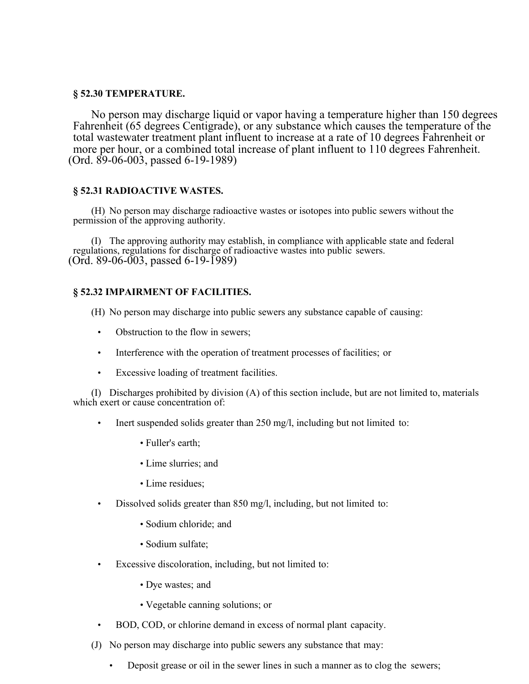#### **§ 52.30 TEMPERATURE.**

No person may discharge liquid or vapor having a temperature higher than 150 degrees Fahrenheit (65 degrees Centigrade), or any substance which causes the temperature of the total wastewater treatment plant influent to increase at a rate of 10 degrees Fahrenheit or more per hour, or a combined total increase of plant influent to 110 degrees Fahrenheit. (Ord. 89-06-003, passed 6-19-1989)

#### **§ 52.31 RADIOACTIVE WASTES.**

(H) No person may discharge radioactive wastes or isotopes into public sewers without the permission of the approving authority.

(I) The approving authority may establish, in compliance with applicable state and federal regulations, regulations for discharge of radioactive wastes into public sewers. (Ord. 89-06-003, passed 6-19-1989)

#### **§ 52.32 IMPAIRMENT OF FACILITIES.**

(H) No person may discharge into public sewers any substance capable of causing:

- Obstruction to the flow in sewers;
- Interference with the operation of treatment processes of facilities; or
- Excessive loading of treatment facilities.

(I) Discharges prohibited by division (A) of this section include, but are not limited to, materials which exert or cause concentration of:

- Inert suspended solids greater than 250 mg/l, including but not limited to:
	- Fuller's earth;
	- Lime slurries; and
	- Lime residues;
- Dissolved solids greater than 850 mg/l, including, but not limited to:
	- Sodium chloride; and
	- Sodium sulfate;
- Excessive discoloration, including, but not limited to:
	- Dye wastes; and
	- Vegetable canning solutions; or
- BOD, COD, or chlorine demand in excess of normal plant capacity.
- (J) No person may discharge into public sewers any substance that may:
	- Deposit grease or oil in the sewer lines in such a manner as to clog the sewers;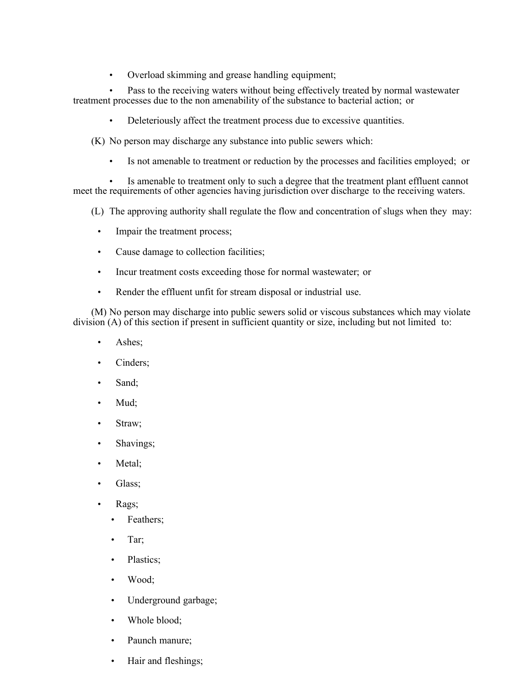• Overload skimming and grease handling equipment;

Pass to the receiving waters without being effectively treated by normal wastewater treatment processes due to the non amenability of the substance to bacterial action; or

• Deleteriously affect the treatment process due to excessive quantities.

(K) No person may discharge any substance into public sewers which:

• Is not amenable to treatment or reduction by the processes and facilities employed; or

• Is amenable to treatment only to such a degree that the treatment plant effluent cannot meet the requirements of other agencies having jurisdiction over discharge to the receiving waters.

- (L) The approving authority shall regulate the flow and concentration of slugs when they may:
	- Impair the treatment process;
	- Cause damage to collection facilities;
	- Incur treatment costs exceeding those for normal wastewater; or
	- Render the effluent unfit for stream disposal or industrial use.

(M) No person may discharge into public sewers solid or viscous substances which may violate division (A) of this section if present in sufficient quantity or size, including but not limited to:

- Ashes;
- Cinders;
- Sand:
- Mud;
- Straw;
- Shavings;
- Metal;
- Glass;
- Rags;
	- Feathers:
	- Tar;
	- Plastics;
	- Wood;
	- Underground garbage;
	- Whole blood;
	- Paunch manure;
	- Hair and fleshings;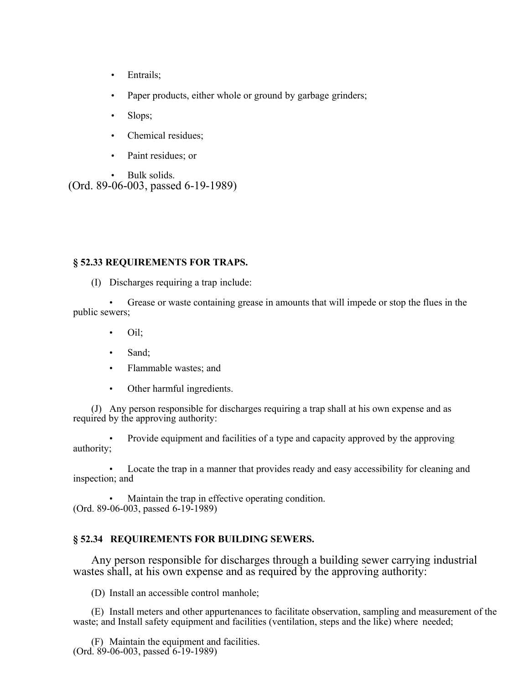- Entrails;
- Paper products, either whole or ground by garbage grinders;
- Slops;
- Chemical residues;
- Paint residues; or
- Bulk solids. (Ord. 89-06-003, passed 6-19-1989)

## **§ 52.33 REQUIREMENTS FOR TRAPS.**

(I) Discharges requiring a trap include:

• Grease or waste containing grease in amounts that will impede or stop the flues in the public sewers;

- Oil;
- Sand;
- Flammable wastes; and
- Other harmful ingredients.

(J) Any person responsible for discharges requiring a trap shall at his own expense and as required by the approving authority:

• Provide equipment and facilities of a type and capacity approved by the approving authority;

• Locate the trap in a manner that provides ready and easy accessibility for cleaning and inspection; and

Maintain the trap in effective operating condition. (Ord. 89-06-003, passed 6-19-1989)

#### **§ 52.34 REQUIREMENTS FOR BUILDING SEWERS.**

Any person responsible for discharges through a building sewer carrying industrial wastes shall, at his own expense and as required by the approving authority:

(D) Install an accessible control manhole;

(E) Install meters and other appurtenances to facilitate observation, sampling and measurement of the waste; and Install safety equipment and facilities (ventilation, steps and the like) where needed;

(F) Maintain the equipment and facilities. (Ord. 89-06-003, passed 6-19-1989)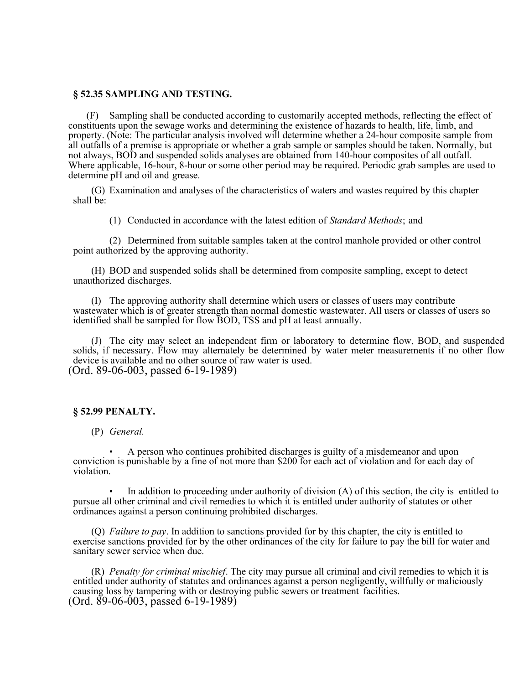#### **§ 52.35 SAMPLING AND TESTING.**

(F) Sampling shall be conducted according to customarily accepted methods, reflecting the effect of constituents upon the sewage works and determining the existence of hazards to health, life, limb, and property. (Note: The particular analysis involved will determine whether a 24-hour composite sample from all outfalls of a premise is appropriate or whether a grab sample or samples should be taken. Normally, but not always, BOD and suspended solids analyses are obtained from 140-hour composites of all outfall. Where applicable, 16-hour, 8-hour or some other period may be required. Periodic grab samples are used to determine pH and oil and grease.

(G) Examination and analyses of the characteristics of waters and wastes required by this chapter shall be:

(1) Conducted in accordance with the latest edition of *Standard Methods*; and

(2) Determined from suitable samples taken at the control manhole provided or other control point authorized by the approving authority.

(H) BOD and suspended solids shall be determined from composite sampling, except to detect unauthorized discharges.

(I) The approving authority shall determine which users or classes of users may contribute wastewater which is of greater strength than normal domestic wastewater. All users or classes of users so identified shall be sampled for flow BOD, TSS and pH at least annually.

(J) The city may select an independent firm or laboratory to determine flow, BOD, and suspended solids, if necessary. Flow may alternately be determined by water meter measurements if no other flow device is available and no other source of raw water is used. (Ord. 89-06-003, passed 6-19-1989)

#### **§ 52.99 PENALTY.**

(P) *General.*

• A person who continues prohibited discharges is guilty of a misdemeanor and upon conviction is punishable by a fine of not more than \$200 for each act of violation and for each day of violation.

In addition to proceeding under authority of division  $(A)$  of this section, the city is entitled to pursue all other criminal and civil remedies to which it is entitled under authority of statutes or other ordinances against a person continuing prohibited discharges.

(Q) *Failure to pay*. In addition to sanctions provided for by this chapter, the city is entitled to exercise sanctions provided for by the other ordinances of the city for failure to pay the bill for water and sanitary sewer service when due.

(R) *Penalty for criminal mischief*. The city may pursue all criminal and civil remedies to which it is entitled under authority of statutes and ordinances against a person negligently, willfully or maliciously causing loss by tampering with or destroying public sewers or treatment facilities. (Ord. 89-06-003, passed 6-19-1989)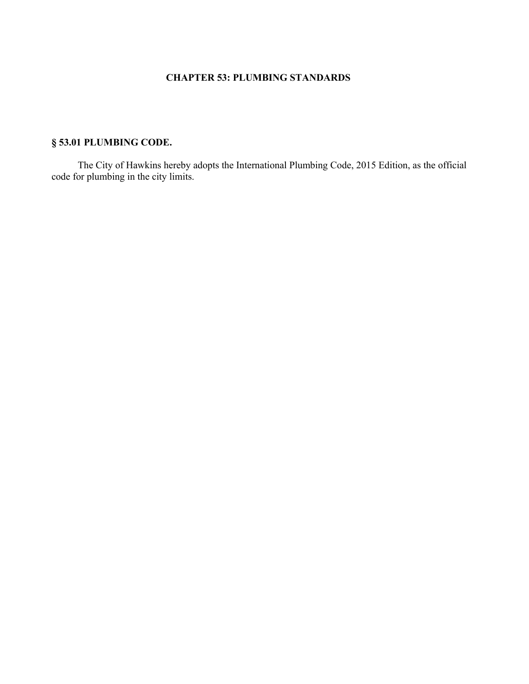# **CHAPTER 53: PLUMBING STANDARDS**

# **§ 53.01 PLUMBING CODE.**

The City of Hawkins hereby adopts the International Plumbing Code, 2015 Edition, as the official code for plumbing in the city limits.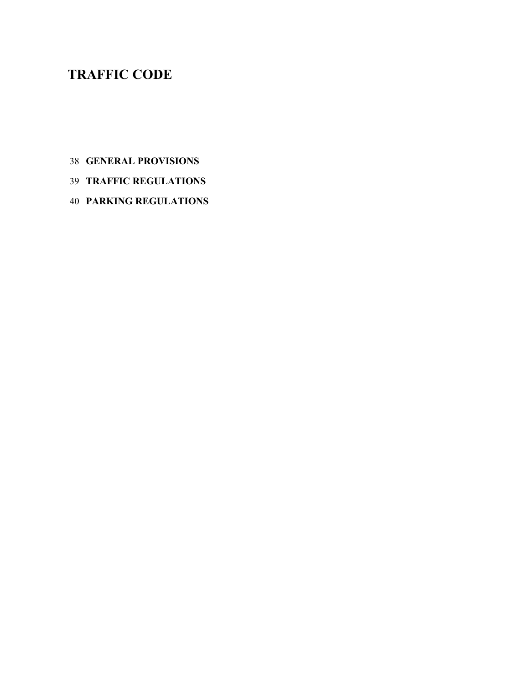# **TRAFFIC CODE**

- **GENERAL PROVISIONS**
- **TRAFFIC REGULATIONS**
- **PARKING REGULATIONS**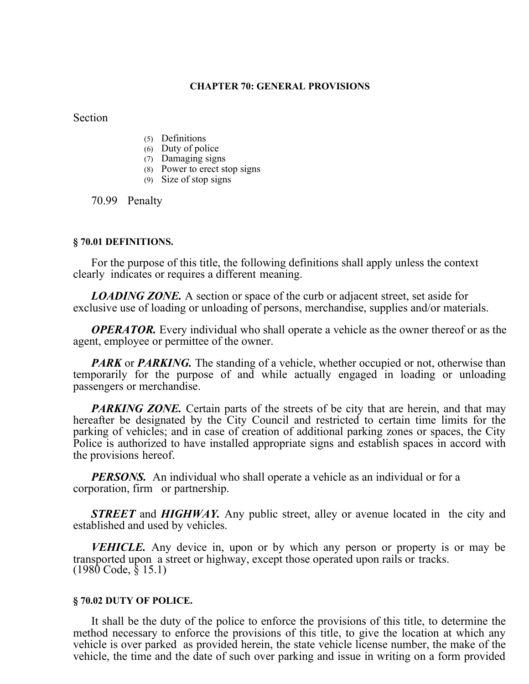#### **CHAPTER 70: GENERAL PROVISIONS**

Section

- (5) Definitions
- (6) Duty of police
- (7) Damaging signs
- (8) Power to erect stop signs
- (9) Size of stop signs

70.99 Penalty

#### **§ 70.01 DEFINITIONS.**

For the purpose of this title, the following definitions shall apply unless the context clearly indicates or requires a different meaning.

*LOADING ZONE.* A section or space of the curb or adjacent street, set aside for exclusive use of loading or unloading of persons, merchandise, supplies and/or materials.

*OPERATOR.* Every individual who shall operate a vehicle as the owner thereof or as the agent, employee or permittee of the owner.

*PARK* or *PARKING*. The standing of a vehicle, whether occupied or not, otherwise than temporarily for the purpose of and while actually engaged in loading or unloading passengers or merchandise.

*PARKING ZONE.* Certain parts of the streets of be city that are herein, and that may hereafter be designated by the City Council and restricted to certain time limits for the parking of vehicles; and in case of creation of additional parking zones or spaces, the City Police is authorized to have installed appropriate signs and establish spaces in accord with the provisions hereof.

*PERSONS.* An individual who shall operate a vehicle as an individual or for a corporation, firm or partnership.

*STREET* and *HIGHWAY.* Any public street, alley or avenue located in the city and established and used by vehicles.

*VEHICLE.* Any device in, upon or by which any person or property is or may be transported upon a street or highway, except those operated upon rails or tracks. (1980 Code, § 15.1)

### **§ 70.02 DUTY OF POLICE.**

It shall be the duty of the police to enforce the provisions of this title, to determine the method necessary to enforce the provisions of this title, to give the location at which any vehicle is over parked as provided herein, the state vehicle license number, the make of the vehicle, the time and the date of such over parking and issue in writing on a form provided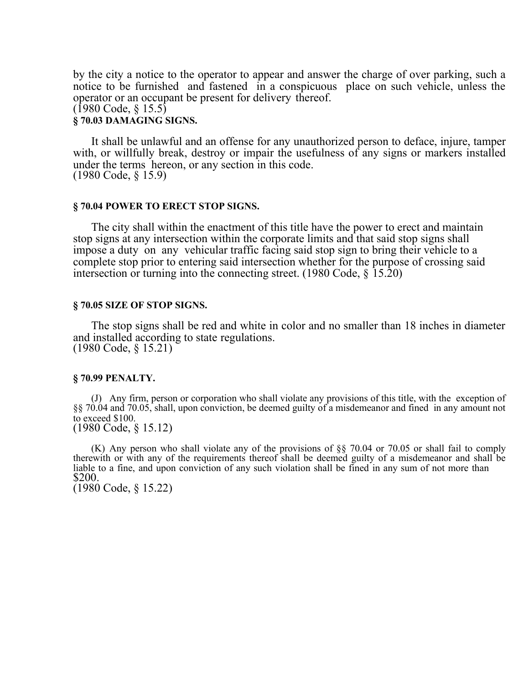by the city a notice to the operator to appear and answer the charge of over parking, such a notice to be furnished and fastened in a conspicuous place on such vehicle, unless the operator or an occupant be present for delivery thereof.

#### (1980 Code, § 15.5)

#### **§ 70.03 DAMAGING SIGNS.**

It shall be unlawful and an offense for any unauthorized person to deface, injure, tamper with, or willfully break, destroy or impair the usefulness of any signs or markers installed under the terms hereon, or any section in this code. (1980 Code, § 15.9)

#### **§ 70.04 POWER TO ERECT STOP SIGNS.**

The city shall within the enactment of this title have the power to erect and maintain stop signs at any intersection within the corporate limits and that said stop signs shall impose a duty on any vehicular traffic facing said stop sign to bring their vehicle to a complete stop prior to entering said intersection whether for the purpose of crossing said intersection or turning into the connecting street. (1980 Code, § 15.20)

#### **§ 70.05 SIZE OF STOP SIGNS.**

The stop signs shall be red and white in color and no smaller than 18 inches in diameter and installed according to state regulations. (1980 Code, § 15.21)

#### **§ 70.99 PENALTY.**

(J) Any firm, person or corporation who shall violate any provisions of this title, with the exception of §§ 70.04 and 70.05, shall, upon conviction, be deemed guilty of a misdemeanor and fined in any amount not to exceed \$100. (1980 Code, § 15.12)

(K) Any person who shall violate any of the provisions of §§ 70.04 or 70.05 or shall fail to comply therewith or with any of the requirements thereof shall be deemed guilty of a misdemeanor and shall be liable to a fine, and upon conviction of any such violation shall be fined in any sum of not more than \$200.

(1980 Code, § 15.22)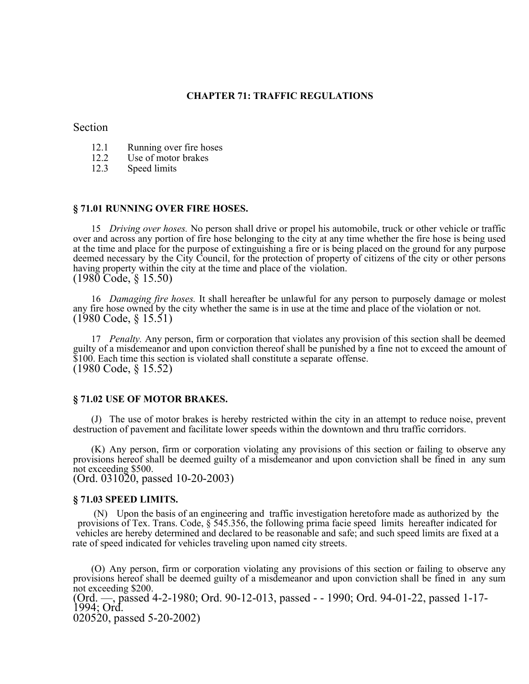# **CHAPTER 71: TRAFFIC REGULATIONS**

### Section

- 12.1 Running over fire hoses
- 12.2 Use of motor brakes
- 12.3 Speed limits

# **§ 71.01 RUNNING OVER FIRE HOSES.**

15 *Driving over hoses.* No person shall drive or propel his automobile, truck or other vehicle or traffic over and across any portion of fire hose belonging to the city at any time whether the fire hose is being used at the time and place for the purpose of extinguishing a fire or is being placed on the ground for any purpose deemed necessary by the City Council, for the protection of property of citizens of the city or other persons having property within the city at the time and place of the violation. (1980 Code, § 15.50)

16 *Damaging fire hoses.* It shall hereafter be unlawful for any person to purposely damage or molest any fire hose owned by the city whether the same is in use at the time and place of the violation or not. (1980 Code, § 15.51)

17 *Penalty.* Any person, firm or corporation that violates any provision of this section shall be deemed guilty of a misdemeanor and upon conviction thereof shall be punished by a fine not to exceed the amount of \$100. Each time this section is violated shall constitute a separate offense. (1980 Code, § 15.52)

# **§ 71.02 USE OF MOTOR BRAKES.**

(J) The use of motor brakes is hereby restricted within the city in an attempt to reduce noise, prevent destruction of pavement and facilitate lower speeds within the downtown and thru traffic corridors.

(K) Any person, firm or corporation violating any provisions of this section or failing to observe any provisions hereof shall be deemed guilty of a misdemeanor and upon conviction shall be fined in any sum not exceeding \$500.

(Ord. 031020, passed 10-20-2003)

#### **§ 71.03 SPEED LIMITS.**

(N) Upon the basis of an engineering and traffic investigation heretofore made as authorized by the provisions of Tex. Trans. Code, § 545.356, the following prima facie speed limits hereafter indicated for vehicles are hereby determined and declared to be reasonable and safe; and such speed limits are fixed at a rate of speed indicated for vehicles traveling upon named city streets.

(O) Any person, firm or corporation violating any provisions of this section or failing to observe any provisions hereof shall be deemed guilty of a misdemeanor and upon conviction shall be fined in any sum not exceeding \$200.

(Ord. —, passed 4-2-1980; Ord. 90-12-013, passed - - 1990; Ord. 94-01-22, passed 1-17- 1994; Ord.

020520, passed 5-20-2002)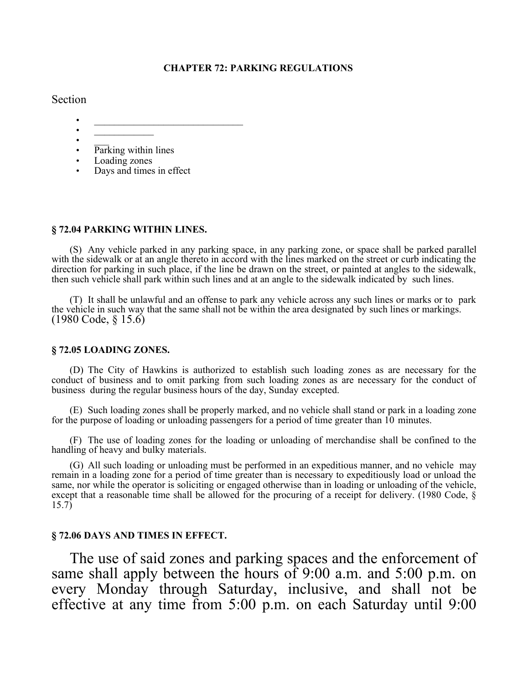# **CHAPTER 72: PARKING REGULATIONS**

Section

- \_\_\_\_\_\_\_\_\_\_\_\_\_\_\_\_\_\_\_\_\_\_\_\_\_\_\_\_\_\_
- $\blacksquare$  $\bullet$   $\qquad \qquad$
- Parking within lines
- Loading zones
- Days and times in effect

### **§ 72.04 PARKING WITHIN LINES.**

(S) Any vehicle parked in any parking space, in any parking zone, or space shall be parked parallel with the sidewalk or at an angle thereto in accord with the lines marked on the street or curb indicating the direction for parking in such place, if the line be drawn on the street, or painted at angles to the sidewalk, then such vehicle shall park within such lines and at an angle to the sidewalk indicated by such lines.

(T) It shall be unlawful and an offense to park any vehicle across any such lines or marks or to park the vehicle in such way that the same shall not be within the area designated by such lines or markings. (1980 Code, § 15.6)

### **§ 72.05 LOADING ZONES.**

(D) The City of Hawkins is authorized to establish such loading zones as are necessary for the conduct of business and to omit parking from such loading zones as are necessary for the conduct of business during the regular business hours of the day, Sunday excepted.

(E) Such loading zones shall be properly marked, and no vehicle shall stand or park in a loading zone for the purpose of loading or unloading passengers for a period of time greater than 10 minutes.

(F) The use of loading zones for the loading or unloading of merchandise shall be confined to the handling of heavy and bulky materials.

(G) All such loading or unloading must be performed in an expeditious manner, and no vehicle may remain in a loading zone for a period of time greater than is necessary to expeditiously load or unload the same, nor while the operator is soliciting or engaged otherwise than in loading or unloading of the vehicle, except that a reasonable time shall be allowed for the procuring of a receipt for delivery. (1980 Code, §  $15.7\bar{)}$ 

### **§ 72.06 DAYS AND TIMES IN EFFECT.**

The use of said zones and parking spaces and the enforcement of same shall apply between the hours of 9:00 a.m. and 5:00 p.m. on every Monday through Saturday, inclusive, and shall not be effective at any time from 5:00 p.m. on each Saturday until 9:00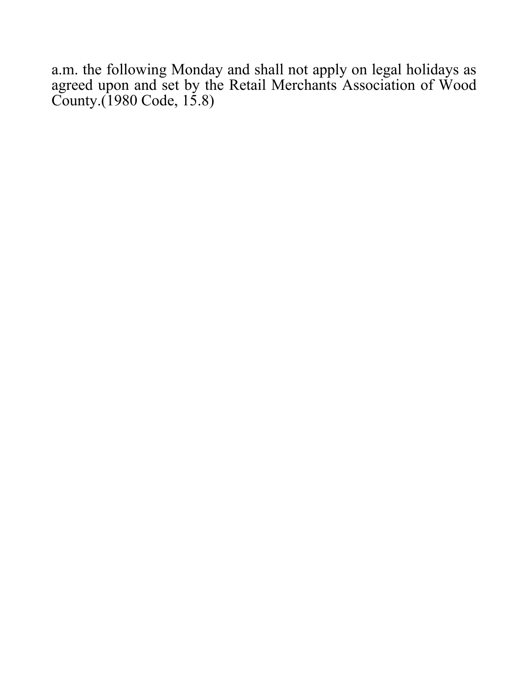a.m. the following Monday and shall not apply on legal holidays as agreed upon and set by the Retail Merchants Association of Wood County.(1980 Code, 15.8)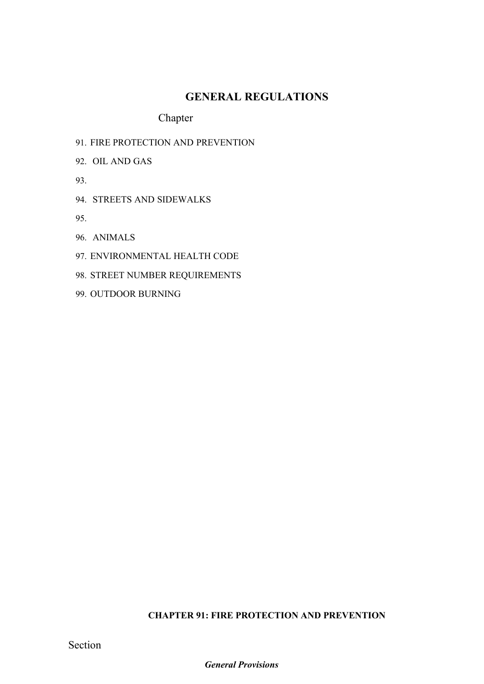# **GENERAL REGULATIONS**

Chapter

- 91. FIRE PROTECTION AND PREVENTION
- 92. OIL AND GAS
- 93.
- 94. STREETS AND SIDEWALKS

95.

- 96. ANIMALS
- 97. ENVIRONMENTAL HEALTH CODE
- 98. STREET NUMBER REQUIREMENTS
- 99. OUTDOOR BURNING

# **CHAPTER 91: FIRE PROTECTION AND PREVENTION**

*General Provisions*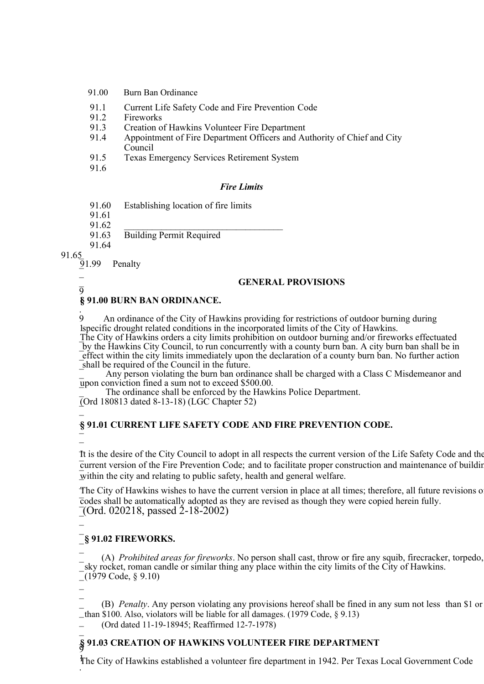| 91.00 | Burn Ban Ordinance |
|-------|--------------------|
|-------|--------------------|

- 91.1 Current Life Safety Code and Fire Prevention Code
- 91.2 Fireworks<br>91.3 Creation of
- Creation of Hawkins Volunteer Fire Department
- 91.4 Appointment of Fire Department Officers and Authority of Chief and City Council
- 91.5 Texas Emergency Services Retirement System
- 91.6

# *Fire Limits*

- 91.60 Establishing location of fire limits
- 91.61
- 91.62 \_\_\_\_\_\_\_\_\_\_\_\_\_\_\_\_\_\_\_\_\_\_\_\_\_\_\_\_\_\_\_\_\_\_
- 91.63 Building Permit Required

91.64 91.65\_

 $\overline{9}1.99$ Penalty

 $^ ^-$ 

# **GENERAL PROVISIONS**

#### $\overline{9}$ 1 **§ 91.00 BURN BAN ORDINANCE.**

.  $\overline{Q}$ 1 specific drought related conditions in the incorporated limits of the City of Hawkins. An ordinance of the City of Hawkins providing for restrictions of outdoor burning during

\_ The City of Hawkins orders a city limits prohibition on outdoor burning and/or fireworks effectuated \_ by the Hawkins City Council, to run concurrently with a county burn ban. A city burn ban shall be in effect within the city limits immediately upon the declaration of a county burn ban. No further action shall be required of the Council in the future.

 $\overline{a}$ \_ upon conviction fined a sum not to exceed \$500.00. Any person violating the burn ban ordinance shall be charged with a Class C Misdemeanor and

 $^-$ The ordinance shall be enforced by the Hawkins Police Department.

\_ (Ord 180813 dated 8-13-18) (LGC Chapter 52)  $\overline{\phantom{a}}$ 

#### $\overline{\phantom{a}}\phantom{a}$ \_ **§ 91.01 CURRENT LIFE SAFETY CODE AND FIRE PREVENTION CODE.**

 $\overline{a}$ 

 $\overline{a}$ \_ It is the desire of the City Council to adopt in all respects the current version of the Life Safety Code and the eurrent version of the Fire Prevention Code; and to facilitate proper construction and maintenance of buildir \_ within the city and relating to public safety, health and general welfare.

\_<br>--The City of Hawkins wishes to have the current version in place at all times; therefore, all future revisions of \_ codes shall be automatically adopted as they are revised as though they were copied herein fully. \_ (Ord. 020218, passed 2-18-2002)

#### $^ ^-$

# \_ **§ 91.02 FIREWORKS.**

 $\overline{a}$  $\overline{a}$ \_ sky rocket, roman candle or similar thing any place within the city limits of the City of Hawkins.  $(1979 \text{ Code}, \S 9.10)$  $^-$ (A) *Prohibited areas for fireworks*. No person shall cast, throw or fire any squib, firecracker, torpedo,

 $^ \overline{a}$  $\overline{a}$  $\overline{a}$ (B) *Penalty*. Any person violating any provisions hereof shall be fined in any sum not less than \$1 or than \$100. Also, violators will be liable for all damages. (1979 Code, § 9.13) (Ord dated 11-19-18945; Reaffirmed 12-7-1978)

#### $\overline{a}$  $\bar{s}$ g **§ 91.03 CREATION OF HAWKINS VOLUNTEER FIRE DEPARTMENT**

 $\frac{1}{4}$ . The City of Hawkins established a volunteer fire department in 1942. Per Texas Local Government Code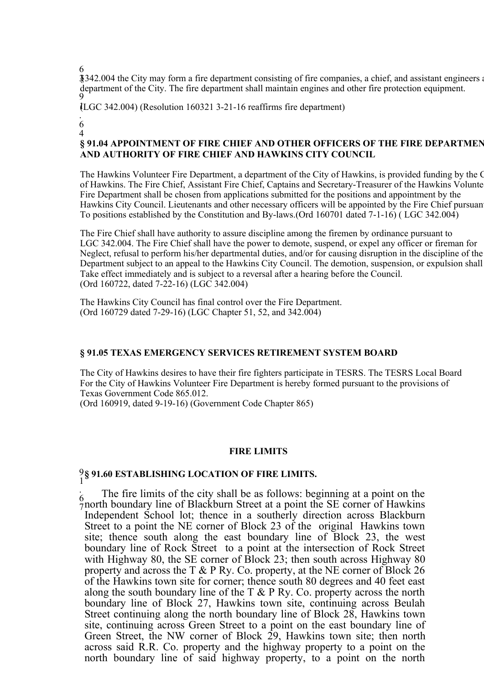6

§342.004 the City may form a fire department consisting of fire companies, a chief, and assistant engineers a department of the City. The fire department shall maintain engines and other fire protection equipment. 9

1 (LGC 342.004) (Resolution 160321 3-21-16 reaffirms fire department)

# . 6

# 4

.

# **§ 91.04 APPOINTMENT OF FIRE CHIEF AND OTHER OFFICERS OF THE FIRE DEPARTMENT AND AUTHORITY OF FIRE CHIEF AND HAWKINS CITY COUNCIL**

The Hawkins Volunteer Fire Department, a department of the City of Hawkins, is provided funding by the City of Hawkins. The Fire Chief, Assistant Fire Chief, Captains and Secretary-Treasurer of the Hawkins Volunte Fire Department shall be chosen from applications submitted for the positions and appointment by the Hawkins City Council. Lieutenants and other necessary officers will be appointed by the Fire Chief pursuant To positions established by the Constitution and By-laws.(Ord 160701 dated 7-1-16) ( LGC 342.004)

The Fire Chief shall have authority to assure discipline among the firemen by ordinance pursuant to LGC 342.004. The Fire Chief shall have the power to demote, suspend, or expel any officer or fireman for Neglect, refusal to perform his/her departmental duties, and/or for causing disruption in the discipline of the Department subject to an appeal to the Hawkins City Council. The demotion, suspension, or expulsion shall Take effect immediately and is subject to a reversal after a hearing before the Council. (Ord 160722, dated 7-22-16) (LGC 342.004)

The Hawkins City Council has final control over the Fire Department. (Ord 160729 dated 7-29-16) (LGC Chapter 51, 52, and 342.004)

# **§ 91.05 TEXAS EMERGENCY SERVICES RETIREMENT SYSTEM BOARD**

The City of Hawkins desires to have their fire fighters participate in TESRS. The TESRS Local Board For the City of Hawkins Volunteer Fire Department is hereby formed pursuant to the provisions of Texas Government Code 865.012.

(Ord 160919, dated 9-19-16) (Government Code Chapter 865)

# **FIRE LIMITS**

#### 9 1 **§ 91.60 ESTABLISHING LOCATION OF FIRE LIMITS.**

6 7 north boundary line of Blackburn Street at a point the SE corner of Hawkins The fire limits of the city shall be as follows: beginning at a point on the Independent School lot; thence in a southerly direction across Blackburn Street to a point the NE corner of Block 23 of the original Hawkins town site; thence south along the east boundary line of Block 23, the west boundary line of Rock Street to a point at the intersection of Rock Street with Highway 80, the SE corner of Block 23; then south across Highway 80 property and across the T & P Ry. Co. property, at the NE corner of Block 26 of the Hawkins town site for corner; thence south 80 degrees and 40 feet east along the south boundary line of the  $T \& P R y$ . Co. property across the north boundary line of Block 27, Hawkins town site, continuing across Beulah Street continuing along the north boundary line of Block 28, Hawkins town site, continuing across Green Street to a point on the east boundary line of Green Street, the NW corner of Block 29, Hawkins town site; then north across said R.R. Co. property and the highway property to a point on the north boundary line of said highway property, to a point on the north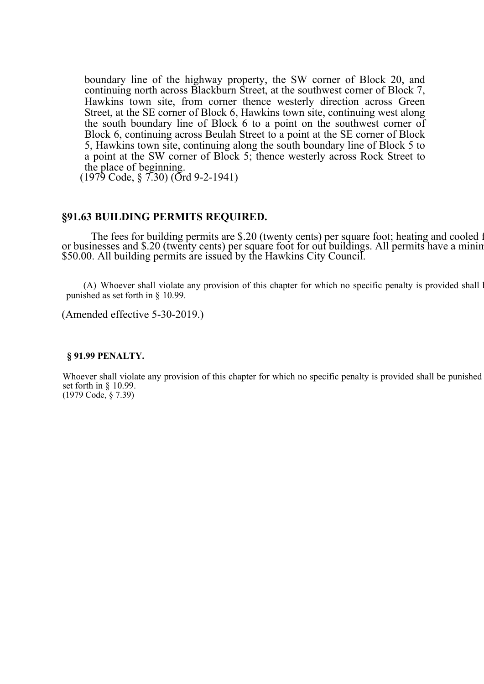boundary line of the highway property, the SW corner of Block 20, and continuing north across Blackburn Street, at the southwest corner of Block 7, Hawkins town site, from corner thence westerly direction across Green Street, at the SE corner of Block 6, Hawkins town site, continuing west along the south boundary line of Block 6 to a point on the southwest corner of Block 6, continuing across Beulah Street to a point at the SE corner of Block 5, Hawkins town site, continuing along the south boundary line of Block 5 to a point at the SW corner of Block 5; thence westerly across Rock Street to the place of beginning.

 $(1979 \text{ Code}, \frac{8}{3}, 7.30)$  (Ord 9-2-1941)

# **§91.63 BUILDING PERMITS REQUIRED.**

The fees for building permits are \$.20 (twenty cents) per square foot; heating and cooled for or businesses and \$.20 (twenty cents) per square foot for out buildings. All permits have a minin \$50.00. All building permits are issued by the Hawkins City Council.

(A) Whoever shall violate any provision of this chapter for which no specific penalty is provided shall punished as set forth in § 10.99.

(Amended effective 5-30-2019.)

# **§ 91.99 PENALTY.**

Whoever shall violate any provision of this chapter for which no specific penalty is provided shall be punished set forth in § 10.99. (1979 Code, § 7.39)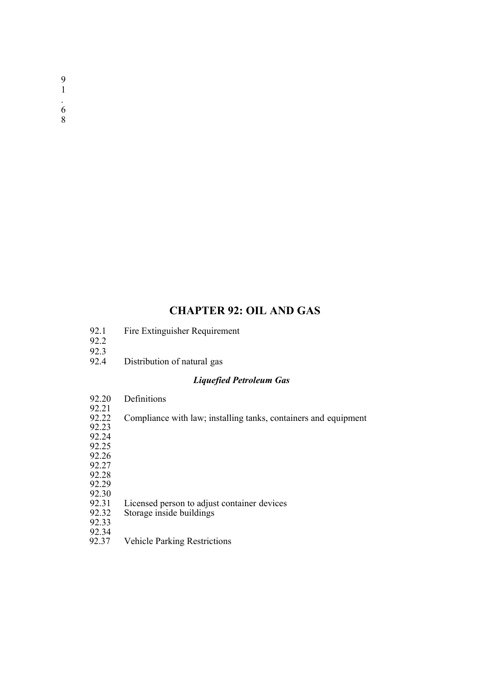# **CHAPTER 92: OIL AND GAS**

| 92.1 | Fire Extinguisher Requirement |  |
|------|-------------------------------|--|
|------|-------------------------------|--|

92.2

 $92.3$ <br> $92.4$ Distribution of natural gas

# *Liquefied Petroleum Gas*

| 92.20 | Definitions                                                     |
|-------|-----------------------------------------------------------------|
|       |                                                                 |
| 92.21 |                                                                 |
| 92.22 | Compliance with law; installing tanks, containers and equipment |
| 92.23 |                                                                 |
| 92.24 |                                                                 |
| 92.25 |                                                                 |
| 92.26 |                                                                 |
| 92.27 |                                                                 |
| 92.28 |                                                                 |
| 92.29 |                                                                 |
| 92.30 |                                                                 |
| 92.31 | Licensed person to adjust container devices                     |
| 92.32 | Storage inside buildings                                        |
| 92.33 |                                                                 |
| 92.34 |                                                                 |
| 92.37 | <b>Vehicle Parking Restrictions</b>                             |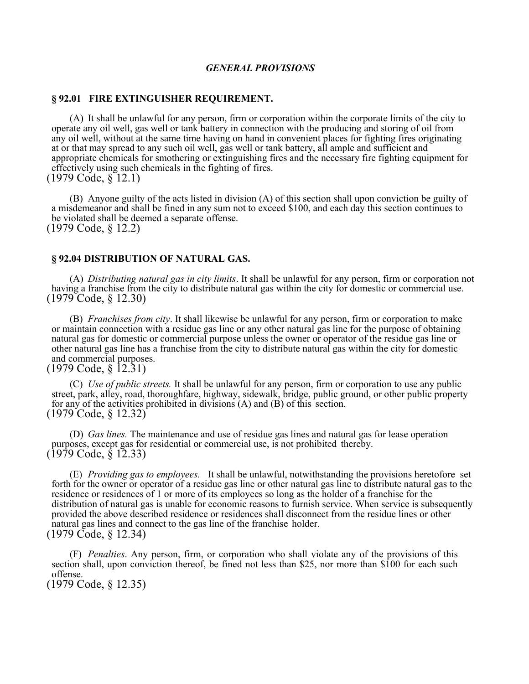#### *GENERAL PROVISIONS*

#### **§ 92.01 FIRE EXTINGUISHER REQUIREMENT.**

(A) It shall be unlawful for any person, firm or corporation within the corporate limits of the city to operate any oil well, gas well or tank battery in connection with the producing and storing of oil from any oil well, without at the same time having on hand in convenient places for fighting fires originating at or that may spread to any such oil well, gas well or tank battery, all ample and sufficient and appropriate chemicals for smothering or extinguishing fires and the necessary fire fighting equipment for effectively using such chemicals in the fighting of fires. (1979 Code, § 12.1)

(B) Anyone guilty of the acts listed in division (A) of this section shall upon conviction be guilty of a misdemeanor and shall be fined in any sum not to exceed \$100, and each day this section continues to be violated shall be deemed a separate offense. (1979 Code, § 12.2)

#### **§ 92.04 DISTRIBUTION OF NATURAL GAS.**

(A) *Distributing natural gas in city limits*. It shall be unlawful for any person, firm or corporation not having a franchise from the city to distribute natural gas within the city for domestic or commercial use. (1979 Code, § 12.30)

(B) *Franchises from city*. It shall likewise be unlawful for any person, firm or corporation to make or maintain connection with a residue gas line or any other natural gas line for the purpose of obtaining natural gas for domestic or commercial purpose unless the owner or operator of the residue gas line or other natural gas line has a franchise from the city to distribute natural gas within the city for domestic and commercial purposes.

# (1979 Code, § 12.31)

(C) *Use of public streets.* It shall be unlawful for any person, firm or corporation to use any public street, park, alley, road, thoroughfare, highway, sidewalk, bridge, public ground, or other public property for any of the activities prohibited in divisions (A) and (B) of this section. (1979 Code, § 12.32)

(D) *Gas lines.* The maintenance and use of residue gas lines and natural gas for lease operation purposes, except gas for residential or commercial use, is not prohibited thereby. (1979 Code, § 12.33)

(E) *Providing gas to employees.* It shall be unlawful, notwithstanding the provisions heretofore set forth for the owner or operator of a residue gas line or other natural gas line to distribute natural gas to the residence or residences of 1 or more of its employees so long as the holder of a franchise for the distribution of natural gas is unable for economic reasons to furnish service. When service is subsequently provided the above described residence or residences shall disconnect from the residue lines or other natural gas lines and connect to the gas line of the franchise holder. (1979 Code, § 12.34)

(F) *Penalties*. Any person, firm, or corporation who shall violate any of the provisions of this section shall, upon conviction thereof, be fined not less than \$25, nor more than \$100 for each such offense.

(1979 Code, § 12.35)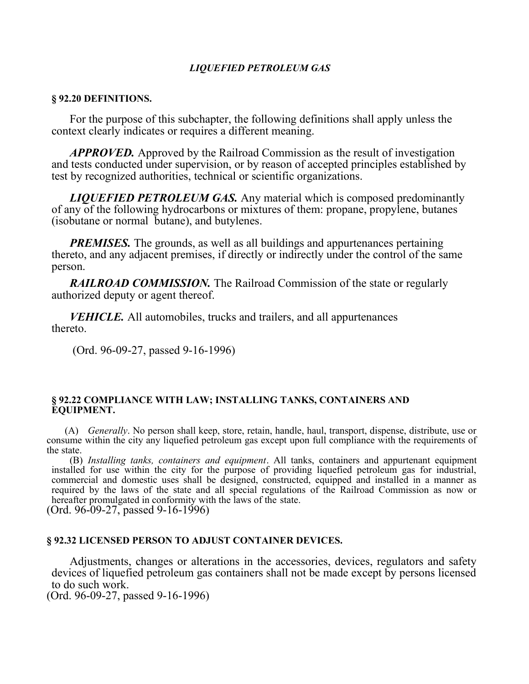# *LIQUEFIED PETROLEUM GAS*

# **§ 92.20 DEFINITIONS.**

For the purpose of this subchapter, the following definitions shall apply unless the context clearly indicates or requires a different meaning.

*APPROVED.* Approved by the Railroad Commission as the result of investigation and tests conducted under supervision, or by reason of accepted principles established by test by recognized authorities, technical or scientific organizations.

*LIQUEFIED PETROLEUM GAS.* Any material which is composed predominantly of any of the following hydrocarbons or mixtures of them: propane, propylene, butanes (isobutane or normal butane), and butylenes.

*PREMISES.* The grounds, as well as all buildings and appurtenances pertaining thereto, and any adjacent premises, if directly or indirectly under the control of the same person.

*RAILROAD COMMISSION*. The Railroad Commission of the state or regularly authorized deputy or agent thereof.

*VEHICLE*. All automobiles, trucks and trailers, and all appurtenances thereto.

(Ord. 96-09-27, passed 9-16-1996)

# **§ 92.22 COMPLIANCE WITH LAW; INSTALLING TANKS, CONTAINERS AND EQUIPMENT.**

(A) *Generally*. No person shall keep, store, retain, handle, haul, transport, dispense, distribute, use or consume within the city any liquefied petroleum gas except upon full compliance with the requirements of the state.

(B) *Installing tanks, containers and equipment*. All tanks, containers and appurtenant equipment installed for use within the city for the purpose of providing liquefied petroleum gas for industrial, commercial and domestic uses shall be designed, constructed, equipped and installed in a manner as required by the laws of the state and all special regulations of the Railroad Commission as now or hereafter promulgated in conformity with the laws of the state. (Ord. 96-09-27, passed 9-16-1996)

# **§ 92.32 LICENSED PERSON TO ADJUST CONTAINER DEVICES.**

Adjustments, changes or alterations in the accessories, devices, regulators and safety devices of liquefied petroleum gas containers shall not be made except by persons licensed to do such work.

(Ord. 96-09-27, passed 9-16-1996)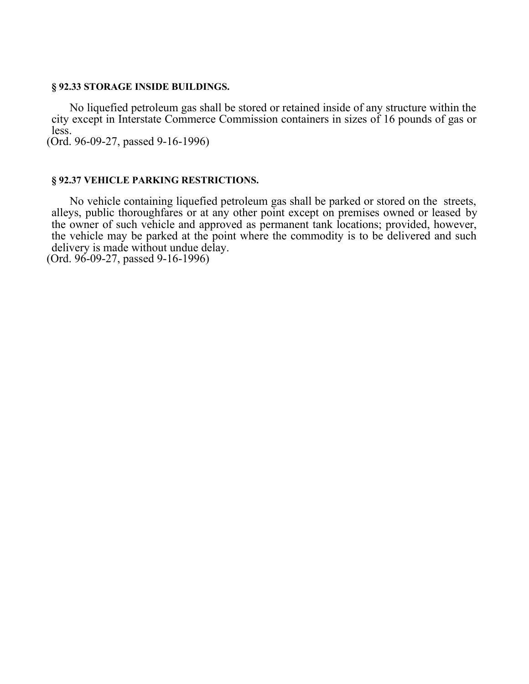# **§ 92.33 STORAGE INSIDE BUILDINGS.**

No liquefied petroleum gas shall be stored or retained inside of any structure within the city except in Interstate Commerce Commission containers in sizes of 16 pounds of gas or less.

(Ord. 96-09-27, passed 9-16-1996)

# **§ 92.37 VEHICLE PARKING RESTRICTIONS.**

No vehicle containing liquefied petroleum gas shall be parked or stored on the streets, alleys, public thoroughfares or at any other point except on premises owned or leased by the owner of such vehicle and approved as permanent tank locations; provided, however, the vehicle may be parked at the point where the commodity is to be delivered and such delivery is made without undue delay.

(Ord. 96-09-27, passed 9-16-1996)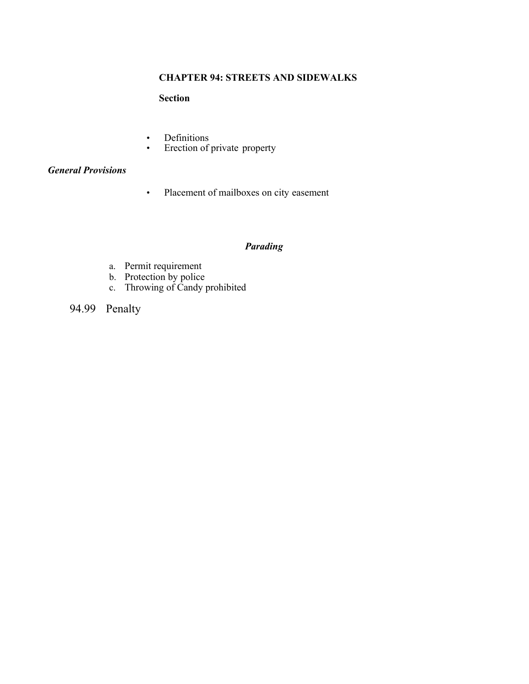# **CHAPTER 94: STREETS AND SIDEWALKS**

# **Section**

- Definitions<br>• Erection of
- Erection of private property

# *General Provisions*

• Placement of mailboxes on city easement

# *Parading*

- a. Permit requirement
- b. Protection by police
- c. Throwing of Candy prohibited
- 94.99 Penalty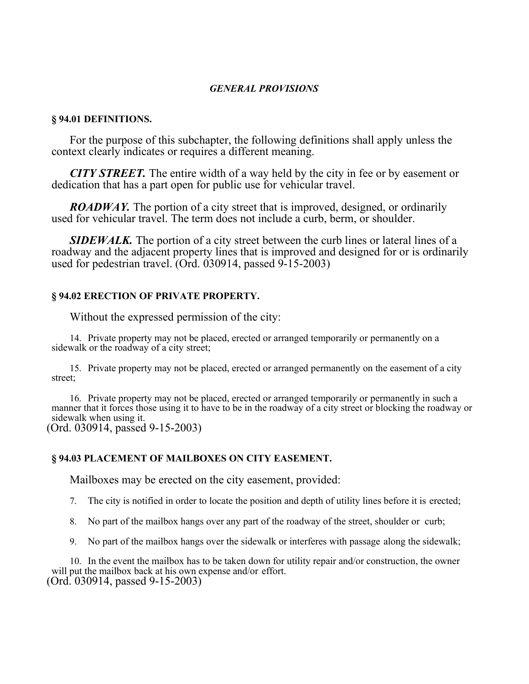# *GENERAL PROVISIONS*

# **§ 94.01 DEFINITIONS.**

For the purpose of this subchapter, the following definitions shall apply unless the context clearly indicates or requires a different meaning.

*CITY STREET.* The entire width of a way held by the city in fee or by easement or dedication that has a part open for public use for vehicular travel.

*ROADWAY.* The portion of a city street that is improved, designed, or ordinarily used for vehicular travel. The term does not include a curb, berm, or shoulder.

*SIDEWALK.* The portion of a city street between the curb lines or lateral lines of a roadway and the adjacent property lines that is improved and designed for or is ordinarily used for pedestrian travel. (Ord. 030914, passed 9-15-2003)

# **§ 94.02 ERECTION OF PRIVATE PROPERTY.**

Without the expressed permission of the city:

14. Private property may not be placed, erected or arranged temporarily or permanently on a sidewalk or the roadway of a city street;

15. Private property may not be placed, erected or arranged permanently on the easement of a city street;

16. Private property may not be placed, erected or arranged temporarily or permanently in such a manner that it forces those using it to have to be in the roadway of a city street or blocking the roadway or sidewalk when using it. (Ord. 030914, passed 9-15-2003)

# **§ 94.03 PLACEMENT OF MAILBOXES ON CITY EASEMENT.**

Mailboxes may be erected on the city easement, provided:

7. The city is notified in order to locate the position and depth of utility lines before it is erected;

8. No part of the mailbox hangs over any part of the roadway of the street, shoulder or curb;

9. No part of the mailbox hangs over the sidewalk or interferes with passage along the sidewalk;

10. In the event the mailbox has to be taken down for utility repair and/or construction, the owner will put the mailbox back at his own expense and/or effort. (Ord. 030914, passed 9-15-2003)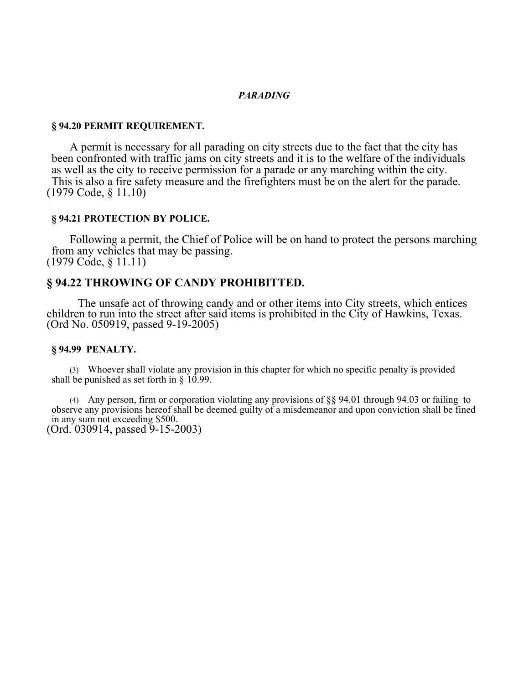# *PARADING*

# **§ 94.20 PERMIT REQUIREMENT.**

A permit is necessary for all parading on city streets due to the fact that the city has been confronted with traffic jams on city streets and it is to the welfare of the individuals as well as the city to receive permission for a parade or any marching within the city. This is also a fire safety measure and the firefighters must be on the alert for the parade. (1979 Code, § 11.10)

# **§ 94.21 PROTECTION BY POLICE.**

Following a permit, the Chief of Police will be on hand to protect the persons marching from any vehicles that may be passing. (1979 Code, § 11.11)

# **§ 94.22 THROWING OF CANDY PROHIBITTED.**

The unsafe act of throwing candy and or other items into City streets, which entices children to run into the street after said items is prohibited in the City of Hawkins, Texas. (Ord No. 050919, passed 9-19-2005)

# **§ 94.99 PENALTY.**

(3) Whoever shall violate any provision in this chapter for which no specific penalty is provided shall be punished as set forth in  $\S$  10.99.

(4) Any person, firm or corporation violating any provisions of §§ 94.01 through 94.03 or failing to observe any provisions hereof shall be deemed guilty of a misdemeanor and upon conviction shall be fined in any sum not exceeding \$500. (Ord. 030914, passed 9-15-2003)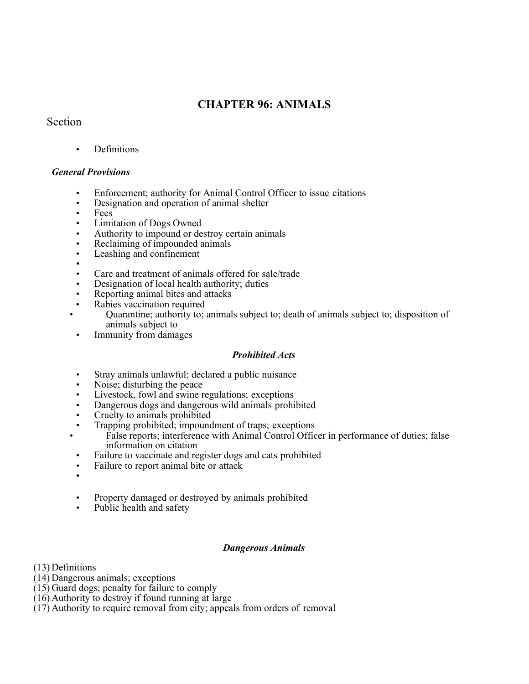# **CHAPTER 96: ANIMALS**

# Section

**Definitions** 

# *General Provisions*

- Enforcement; authority for Animal Control Officer to issue citations
- Designation and operation of animal shelter
- Fees<sup></sup>
- Limitation of Dogs Owned
- Authority to impound or destroy certain animals
- Reclaiming of impounded animals
- Leashing and confinement
- •
- Care and treatment of animals offered for sale/trade
- Designation of local health authority; duties
- Reporting animal bites and attacks
- Rabies vaccination required
- Quarantine; authority to; animals subject to; death of animals subject to; disposition of animals subject to
- Immunity from damages

# *Prohibited Acts*

- Stray animals unlawful; declared a public nuisance
- Noise; disturbing the peace
- Livestock, fowl and swine regulations; exceptions
- Dangerous dogs and dangerous wild animals prohibited
- Cruelty to animals prohibited
- Trapping prohibited; impoundment of traps; exceptions
- False reports; interference with Animal Control Officer in performance of duties; false information on citation
- Failure to vaccinate and register dogs and cats prohibited
- Failure to report animal bite or attack
- •
- Property damaged or destroyed by animals prohibited
- Public health and safety

# *Dangerous Animals*

(13) Definitions

- (14) Dangerous animals; exceptions
- (15) Guard dogs; penalty for failure to comply
- (16) Authority to destroy if found running at large
- $(17)$  Authority to require removal from city; appeals from orders of removal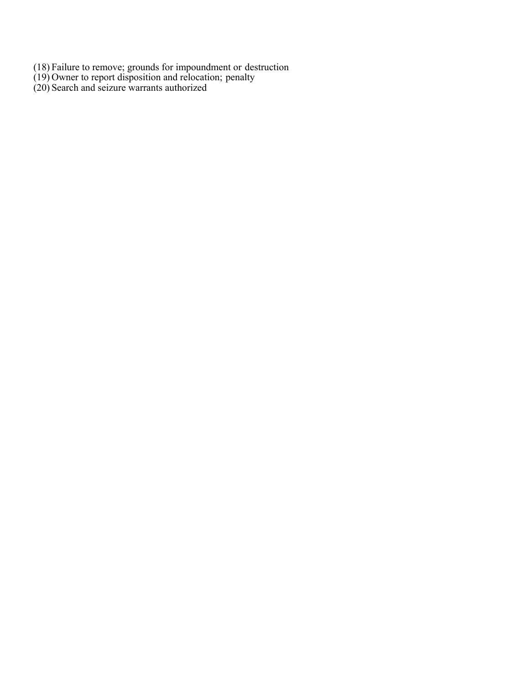- (18) Failure to remove; grounds for impoundment or destruction
- (19) Owner to report disposition and relocation; penalty
- (20) Search and seizure warrants authorized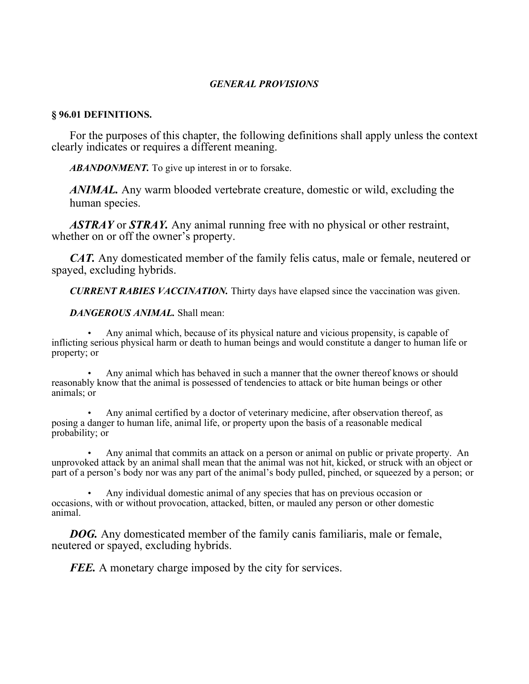# *GENERAL PROVISIONS*

# **§ 96.01 DEFINITIONS.**

For the purposes of this chapter, the following definitions shall apply unless the context clearly indicates or requires a different meaning.

ABANDONMENT. To give up interest in or to forsake.

*ANIMAL.* Any warm blooded vertebrate creature, domestic or wild, excluding the human species.

*ASTRAY* or *STRAY.* Any animal running free with no physical or other restraint, whether on or off the owner's property.

*CAT.* Any domesticated member of the family felis catus, male or female, neutered or spayed, excluding hybrids.

*CURRENT RABIES VACCINATION.* Thirty days have elapsed since the vaccination was given.

# *DANGEROUS ANIMAL.* Shall mean:

• Any animal which, because of its physical nature and vicious propensity, is capable of inflicting serious physical harm or death to human beings and would constitute a danger to human life or property; or

• Any animal which has behaved in such a manner that the owner thereof knows or should reasonably know that the animal is possessed of tendencies to attack or bite human beings or other animals; or

Any animal certified by a doctor of veterinary medicine, after observation thereof, as posing a danger to human life, animal life, or property upon the basis of a reasonable medical probability; or

• Any animal that commits an attack on a person or animal on public or private property. An unprovoked attack by an animal shall mean that the animal was not hit, kicked, or struck with an object or part of a person's body nor was any part of the animal's body pulled, pinched, or squeezed by a person; or

• Any individual domestic animal of any species that has on previous occasion or occasions, with or without provocation, attacked, bitten, or mauled any person or other domestic animal.

*DOG.* Any domesticated member of the family canis familiaris, male or female, neutered or spayed, excluding hybrids.

*FEE.* A monetary charge imposed by the city for services.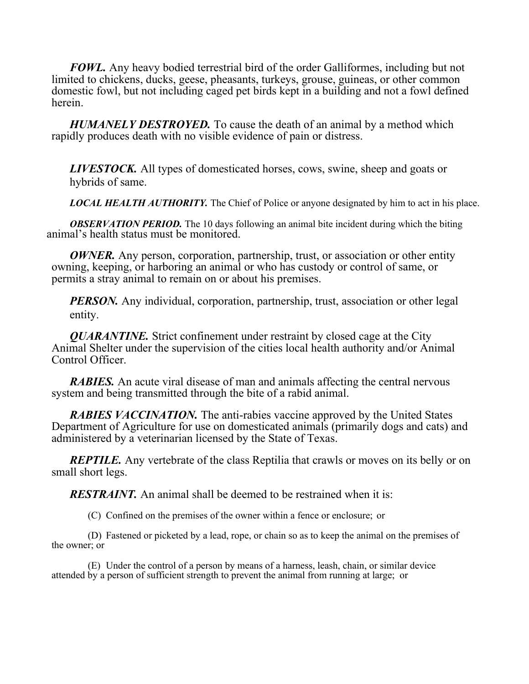*FOWL.* Any heavy bodied terrestrial bird of the order Galliformes, including but not limited to chickens, ducks, geese, pheasants, turkeys, grouse, guineas, or other common domestic fowl, but not including caged pet birds kept in a building and not a fowl defined herein.

*HUMANELY DESTROYED.* To cause the death of an animal by a method which rapidly produces death with no visible evidence of pain or distress.

*LIVESTOCK.* All types of domesticated horses, cows, swine, sheep and goats or hybrids of same.

*LOCAL HEALTH AUTHORITY.* The Chief of Police or anyone designated by him to act in his place.

*OBSERVATION PERIOD.* The 10 days following an animal bite incident during which the biting animal's health status must be monitored.

*OWNER.* Any person, corporation, partnership, trust, or association or other entity owning, keeping, or harboring an animal or who has custody or control of same, or permits a stray animal to remain on or about his premises.

*PERSON*. Any individual, corporation, partnership, trust, association or other legal entity.

*QUARANTINE.* Strict confinement under restraint by closed cage at the City Animal Shelter under the supervision of the cities local health authority and/or Animal Control Officer.

*RABIES.* An acute viral disease of man and animals affecting the central nervous system and being transmitted through the bite of a rabid animal.

*RABIES VACCINATION*. The anti-rabies vaccine approved by the United States Department of Agriculture for use on domesticated animals (primarily dogs and cats) and administered by a veterinarian licensed by the State of Texas.

**REPTILE.** Any vertebrate of the class Reptilia that crawls or moves on its belly or on small short legs.

*RESTRAINT.* An animal shall be deemed to be restrained when it is:

(C) Confined on the premises of the owner within a fence or enclosure; or

(D) Fastened or picketed by a lead, rope, or chain so as to keep the animal on the premises of the owner; or

(E) Under the control of a person by means of a harness, leash, chain, or similar device attended by a person of sufficient strength to prevent the animal from running at large; or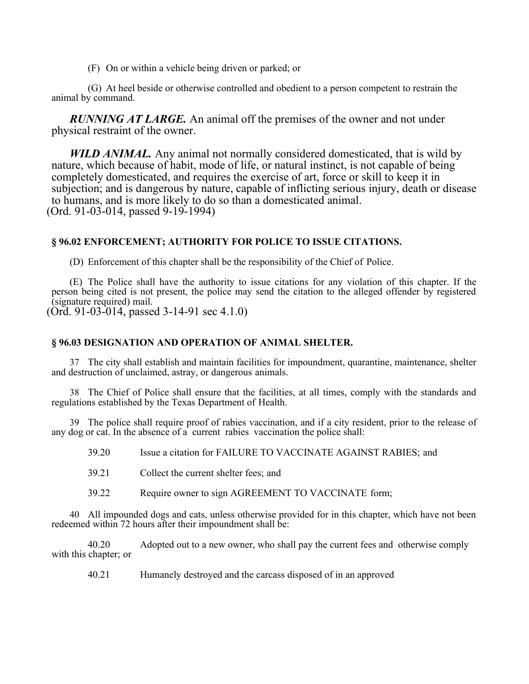(F) On or within a vehicle being driven or parked; or

(G) At heel beside or otherwise controlled and obedient to a person competent to restrain the animal by command.

*RUNNING AT LARGE.* An animal off the premises of the owner and not under physical restraint of the owner.

*WILD ANIMAL.* Any animal not normally considered domesticated, that is wild by nature, which because of habit, mode of life, or natural instinct, is not capable of being completely domesticated, and requires the exercise of art, force or skill to keep it in subjection; and is dangerous by nature, capable of inflicting serious injury, death or disease to humans, and is more likely to do so than a domesticated animal. (Ord. 91-03-014, passed 9-19-1994)

# **§ 96.02 ENFORCEMENT; AUTHORITY FOR POLICE TO ISSUE CITATIONS.**

(D) Enforcement of this chapter shall be the responsibility of the Chief of Police.

(E) The Police shall have the authority to issue citations for any violation of this chapter. If the person being cited is not present, the police may send the citation to the alleged offender by registered (signature required) mail.

(Ord. 91-03-014, passed 3-14-91 sec 4.1.0)

# **§ 96.03 DESIGNATION AND OPERATION OF ANIMAL SHELTER.**

37 The city shall establish and maintain facilities for impoundment, quarantine, maintenance, shelter and destruction of unclaimed, astray, or dangerous animals.

38 The Chief of Police shall ensure that the facilities, at all times, comply with the standards and regulations established by the Texas Department of Health.

39 The police shall require proof of rabies vaccination, and if a city resident, prior to the release of any dog or cat. In the absence of a current rabies vaccination the police shall:

39.20 Issue a citation for FAILURE TO VACCINATE AGAINST RABIES; and

39.21 Collect the current shelter fees; and

39.22 Require owner to sign AGREEMENT TO VACCINATE form;

40 All impounded dogs and cats, unless otherwise provided for in this chapter, which have not been redeemed within 72 hours after their impoundment shall be:

40.20 Adopted out to a new owner, who shall pay the current fees and otherwise comply with this chapter; or

40.21 Humanely destroyed and the carcass disposed of in an approved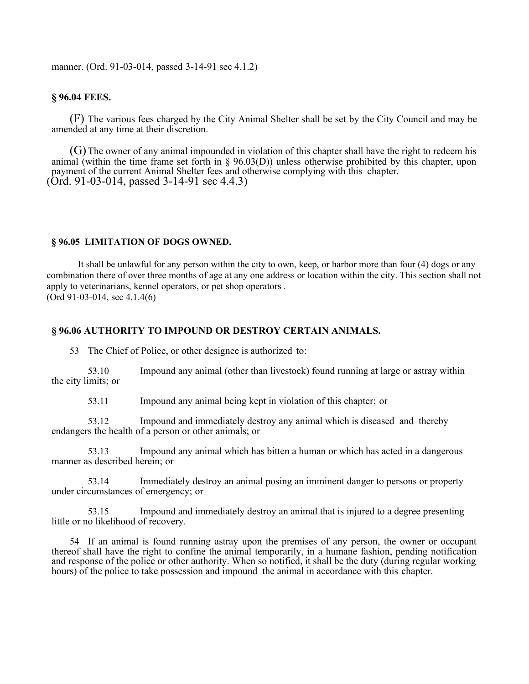manner. (Ord. 91-03-014, passed 3-14-91 sec 4.1.2)

# **§ 96.04 FEES.**

(F) The various fees charged by the City Animal Shelter shall be set by the City Council and may be amended at any time at their discretion.

(G)The owner of any animal impounded in violation of this chapter shall have the right to redeem his animal (within the time frame set forth in § 96.03(D)) unless otherwise prohibited by this chapter, upon payment of the current Animal Shelter fees and otherwise complying with this chapter. (Ord. 91-03-014, passed 3-14-91 sec 4.4.3)

### **§ 96.05 LIMITATION OF DOGS OWNED.**

It shall be unlawful for any person within the city to own, keep, or harbor more than four (4) dogs or any combination there of over three months of age at any one address or location within the city. This section shall not apply to veterinarians, kennel operators, or pet shop operators . (Ord 91-03-014, sec 4.1.4(6)

#### **§ 96.06 AUTHORITY TO IMPOUND OR DESTROY CERTAIN ANIMALS.**

53 The Chief of Police, or other designee is authorized to:

53.10 Impound any animal (other than livestock) found running at large or astray within the city limits; or

53.11 Impound any animal being kept in violation of this chapter; or

53.12 Impound and immediately destroy any animal which is diseased and thereby endangers the health of a person or other animals; or

53.13 Impound any animal which has bitten a human or which has acted in a dangerous manner as described herein; or

53.14 Immediately destroy an animal posing an imminent danger to persons or property under circumstances of emergency; or

53.15 Impound and immediately destroy an animal that is injured to a degree presenting little or no likelihood of recovery.

54 If an animal is found running astray upon the premises of any person, the owner or occupant thereof shall have the right to confine the animal temporarily, in a humane fashion, pending notification and response of the police or other authority. When so notified, it shall be the duty (during regular working hours) of the police to take possession and impound the animal in accordance with this chapter.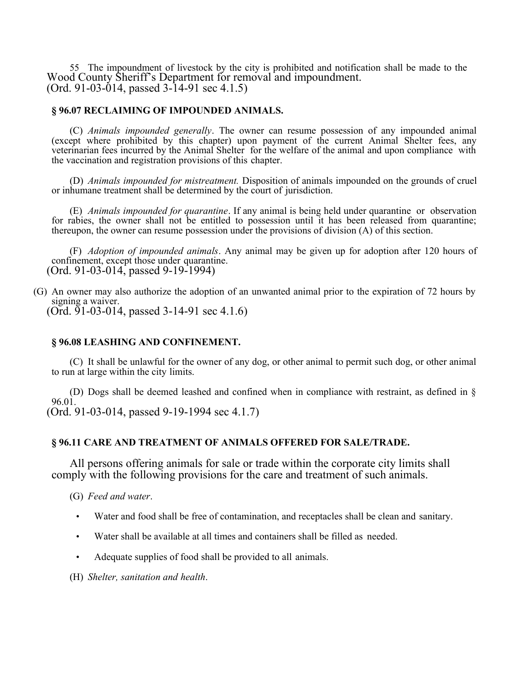55 The impoundment of livestock by the city is prohibited and notification shall be made to the Wood County Sheriff's Department for removal and impoundment. (Ord. 91-03-014, passed 3-14-91 sec 4.1.5)

# **§ 96.07 RECLAIMING OF IMPOUNDED ANIMALS.**

(C) *Animals impounded generally*. The owner can resume possession of any impounded animal (except where prohibited by this chapter) upon payment of the current Animal Shelter fees, any veterinarian fees incurred by the Animal Shelter for the welfare of the animal and upon compliance with the vaccination and registration provisions of this chapter.

(D) *Animals impounded for mistreatment.* Disposition of animals impounded on the grounds of cruel or inhumane treatment shall be determined by the court of jurisdiction.

(E) *Animals impounded for quarantine*. If any animal is being held under quarantine or observation for rabies, the owner shall not be entitled to possession until it has been released from quarantine; thereupon, the owner can resume possession under the provisions of division (A) of this section.

(F) *Adoption of impounded animals*. Any animal may be given up for adoption after 120 hours of confinement, except those under quarantine. (Ord. 91-03-014, passed 9-19-1994)

(G) An owner may also authorize the adoption of an unwanted animal prior to the expiration of 72 hours by signing a waiver. (Ord.  $91-03-014$ , passed 3-14-91 sec 4.1.6)

# **§ 96.08 LEASHING AND CONFINEMENT.**

(C) It shall be unlawful for the owner of any dog, or other animal to permit such dog, or other animal to run at large within the city limits.

(D) Dogs shall be deemed leashed and confined when in compliance with restraint, as defined in § 96.01. (Ord. 91-03-014, passed 9-19-1994 sec 4.1.7)

### **§ 96.11 CARE AND TREATMENT OF ANIMALS OFFERED FOR SALE/TRADE.**

All persons offering animals for sale or trade within the corporate city limits shall comply with the following provisions for the care and treatment of such animals.

(G) *Feed and water*.

- Water and food shall be free of contamination, and receptacles shall be clean and sanitary.
- Water shall be available at all times and containers shall be filled as needed.
- Adequate supplies of food shall be provided to all animals.
- (H) *Shelter, sanitation and health*.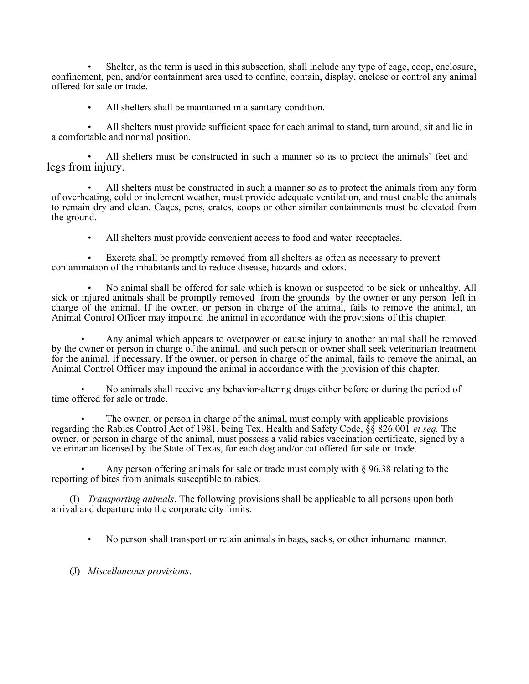Shelter, as the term is used in this subsection, shall include any type of cage, coop, enclosure, confinement, pen, and/or containment area used to confine, contain, display, enclose or control any animal offered for sale or trade.

All shelters shall be maintained in a sanitary condition.

• All shelters must provide sufficient space for each animal to stand, turn around, sit and lie in a comfortable and normal position.

• All shelters must be constructed in such a manner so as to protect the animals' feet and legs from injury.

• All shelters must be constructed in such a manner so as to protect the animals from any form of overheating, cold or inclement weather, must provide adequate ventilation, and must enable the animals to remain dry and clean. Cages, pens, crates, coops or other similar containments must be elevated from the ground.

• All shelters must provide convenient access to food and water receptacles.

• Excreta shall be promptly removed from all shelters as often as necessary to prevent contamination of the inhabitants and to reduce disease, hazards and odors.

• No animal shall be offered for sale which is known or suspected to be sick or unhealthy. All sick or injured animals shall be promptly removed from the grounds by the owner or any person left in charge of the animal. If the owner, or person in charge of the animal, fails to remove the animal, an Animal Control Officer may impound the animal in accordance with the provisions of this chapter.

• Any animal which appears to overpower or cause injury to another animal shall be removed by the owner or person in charge of the animal, and such person or owner shall seek veterinarian treatment for the animal, if necessary. If the owner, or person in charge of the animal, fails to remove the animal, an Animal Control Officer may impound the animal in accordance with the provision of this chapter.

• No animals shall receive any behavior-altering drugs either before or during the period of time offered for sale or trade.

The owner, or person in charge of the animal, must comply with applicable provisions regarding the Rabies Control Act of 1981, being Tex. Health and Safety Code, §§ 826.001 *et seq.* The owner, or person in charge of the animal, must possess a valid rabies vaccination certificate, signed by a veterinarian licensed by the State of Texas, for each dog and/or cat offered for sale or trade.

Any person offering animals for sale or trade must comply with  $\S 96.38$  relating to the reporting of bites from animals susceptible to rabies.

(I) *Transporting animals*. The following provisions shall be applicable to all persons upon both arrival and departure into the corporate city limits.

• No person shall transport or retain animals in bags, sacks, or other inhumane manner.

(J) *Miscellaneous provisions*.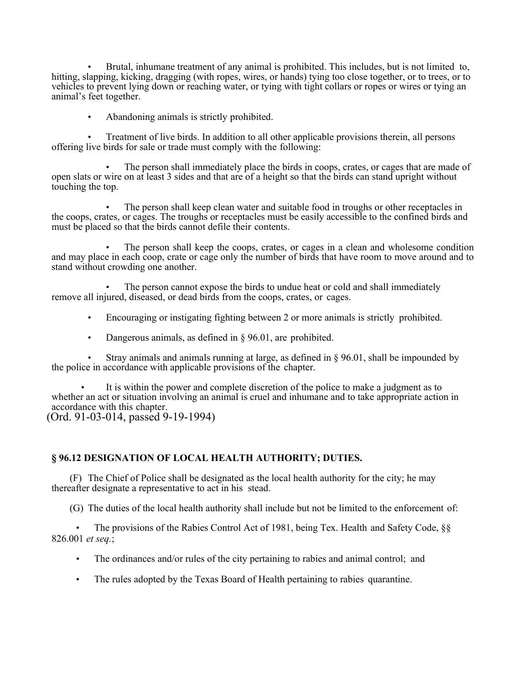• Brutal, inhumane treatment of any animal is prohibited. This includes, but is not limited to, hitting, slapping, kicking, dragging (with ropes, wires, or hands) tying too close together, or to trees, or to vehicles to prevent lying down or reaching water, or tying with tight collars or ropes or wires or tying an animal's feet together.

• Abandoning animals is strictly prohibited.

• Treatment of live birds. In addition to all other applicable provisions therein, all persons offering live birds for sale or trade must comply with the following:

The person shall immediately place the birds in coops, crates, or cages that are made of open slats or wire on at least 3 sides and that are of a height so that the birds can stand upright without touching the top.

• The person shall keep clean water and suitable food in troughs or other receptacles in the coops, crates, or cages. The troughs or receptacles must be easily accessible to the confined birds and must be placed so that the birds cannot defile their contents.

The person shall keep the coops, crates, or cages in a clean and wholesome condition and may place in each coop, crate or cage only the number of birds that have room to move around and to stand without crowding one another.

• The person cannot expose the birds to undue heat or cold and shall immediately remove all injured, diseased, or dead birds from the coops, crates, or cages.

• Encouraging or instigating fighting between 2 or more animals is strictly prohibited.

• Dangerous animals, as defined in § 96.01, are prohibited.

Stray animals and animals running at large, as defined in  $\S$  96.01, shall be impounded by the police in accordance with applicable provisions of the chapter.

It is within the power and complete discretion of the police to make a judgment as to whether an act or situation involving an animal is cruel and inhumane and to take appropriate action in accordance with this chapter. (Ord. 91-03-014, passed 9-19-1994)

# **§ 96.12 DESIGNATION OF LOCAL HEALTH AUTHORITY; DUTIES.**

(F) The Chief of Police shall be designated as the local health authority for the city; he may thereafter designate a representative to act in his stead.

(G) The duties of the local health authority shall include but not be limited to the enforcement of:

• The provisions of the Rabies Control Act of 1981, being Tex. Health and Safety Code, §§ 826.001 *et seq.*;

- The ordinances and/or rules of the city pertaining to rabies and animal control; and
- The rules adopted by the Texas Board of Health pertaining to rabies quarantine.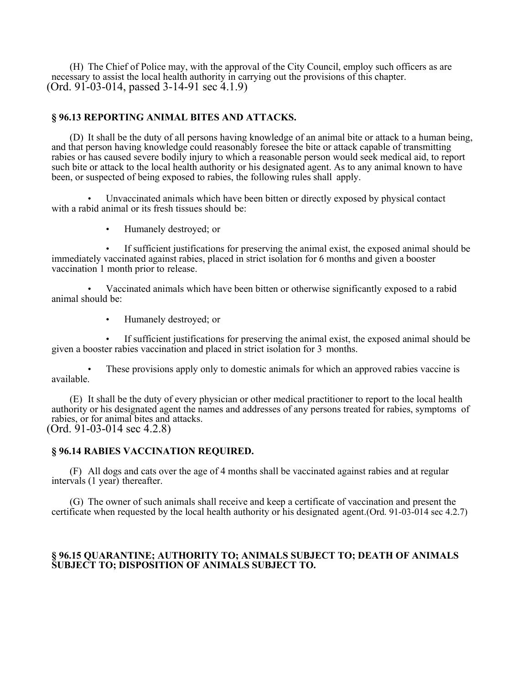(H) The Chief of Police may, with the approval of the City Council, employ such officers as are necessary to assist the local health authority in carrying out the provisions of this chapter.  $(Ord. 91-03-014, passed 3-14-91 sec 4.1.9)$ 

# **§ 96.13 REPORTING ANIMAL BITES AND ATTACKS.**

(D) It shall be the duty of all persons having knowledge of an animal bite or attack to a human being, and that person having knowledge could reasonably foresee the bite or attack capable of transmitting rabies or has caused severe bodily injury to which a reasonable person would seek medical aid, to report such bite or attack to the local health authority or his designated agent. As to any animal known to have been, or suspected of being exposed to rabies, the following rules shall apply.

• Unvaccinated animals which have been bitten or directly exposed by physical contact with a rabid animal or its fresh tissues should be:

• Humanely destroyed; or

• If sufficient justifications for preserving the animal exist, the exposed animal should be immediately vaccinated against rabies, placed in strict isolation for 6 months and given a booster vaccination 1 month prior to release.

• Vaccinated animals which have been bitten or otherwise significantly exposed to a rabid animal should be:

• Humanely destroyed; or

• If sufficient justifications for preserving the animal exist, the exposed animal should be given a booster rabies vaccination and placed in strict isolation for 3 months.

These provisions apply only to domestic animals for which an approved rabies vaccine is available.

(E) It shall be the duty of every physician or other medical practitioner to report to the local health authority or his designated agent the names and addresses of any persons treated for rabies, symptoms of rabies, or for animal bites and attacks. (Ord. 91-03-014 sec 4.2.8)

# **§ 96.14 RABIES VACCINATION REQUIRED.**

(F) All dogs and cats over the age of 4 months shall be vaccinated against rabies and at regular intervals (1 year) thereafter.

(G) The owner of such animals shall receive and keep a certificate of vaccination and present the certificate when requested by the local health authority or his designated agent.(Ord. 91-03-014 sec 4.2.7)

# **§ 96.15 QUARANTINE; AUTHORITY TO; ANIMALS SUBJECT TO; DEATH OF ANIMALS SUBJECT TO; DISPOSITION OF ANIMALS SUBJECT TO.**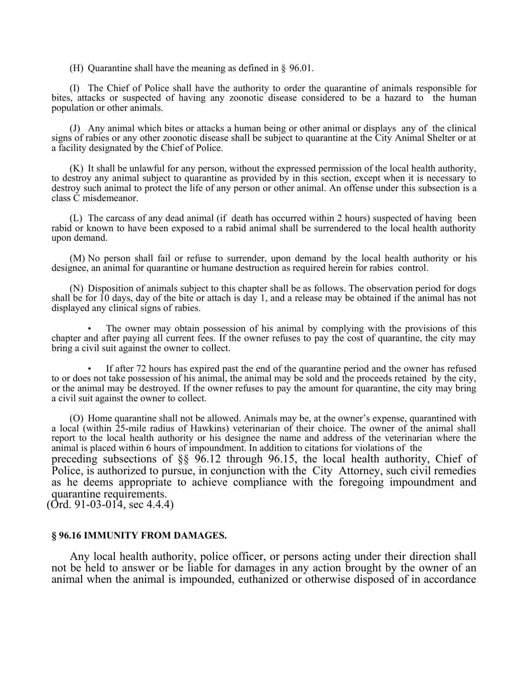(H) Quarantine shall have the meaning as defined in § 96.01.

(I) The Chief of Police shall have the authority to order the quarantine of animals responsible for bites, attacks or suspected of having any zoonotic disease considered to be a hazard to the human population or other animals.

(J) Any animal which bites or attacks a human being or other animal or displays any of the clinical signs of rabies or any other zoonotic disease shall be subject to quarantine at the City Animal Shelter or at a facility designated by the Chief of Police.

(K) It shall be unlawful for any person, without the expressed permission of the local health authority, to destroy any animal subject to quarantine as provided by in this section, except when it is necessary to destroy such animal to protect the life of any person or other animal. An offense under this subsection is a class C misdemeanor.

(L) The carcass of any dead animal (if death has occurred within 2 hours) suspected of having been rabid or known to have been exposed to a rabid animal shall be surrendered to the local health authority upon demand.

(M) No person shall fail or refuse to surrender, upon demand by the local health authority or his designee, an animal for quarantine or humane destruction as required herein for rabies control.

(N) Disposition of animals subject to this chapter shall be as follows. The observation period for dogs shall be for 10 days, day of the bite or attach is day 1, and a release may be obtained if the animal has not displayed any clinical signs of rabies.

The owner may obtain possession of his animal by complying with the provisions of this chapter and after paying all current fees. If the owner refuses to pay the cost of quarantine, the city may bring a civil suit against the owner to collect.

If after 72 hours has expired past the end of the quarantine period and the owner has refused to or does not take possession of his animal, the animal may be sold and the proceeds retained by the city, or the animal may be destroyed. If the owner refuses to pay the amount for quarantine, the city may bring a civil suit against the owner to collect.

(O) Home quarantine shall not be allowed. Animals may be, at the owner's expense, quarantined with a local (within 25-mile radius of Hawkins) veterinarian of their choice. The owner of the animal shall report to the local health authority or his designee the name and address of the veterinarian where the animal is placed within 6 hours of impoundment. In addition to citations for violations of the preceding subsections of §§ 96.12 through 96.15, the local health authority, Chief of Police, is authorized to pursue, in conjunction with the City Attorney, such civil remedies as he deems appropriate to achieve compliance with the foregoing impoundment and quarantine requirements. (Ord. 91-03-014, sec 4.4.4)

**§ 96.16 IMMUNITY FROM DAMAGES.**

Any local health authority, police officer, or persons acting under their direction shall not be held to answer or be liable for damages in any action brought by the owner of an animal when the animal is impounded, euthanized or otherwise disposed of in accordance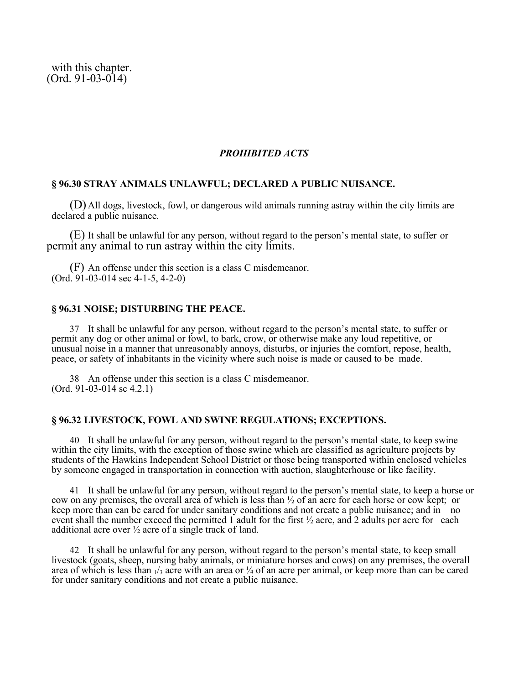with this chapter.  $(Ord. 91-03-014)$ 

### *PROHIBITED ACTS*

### **§ 96.30 STRAY ANIMALS UNLAWFUL; DECLARED A PUBLIC NUISANCE.**

(D) All dogs, livestock, fowl, or dangerous wild animals running astray within the city limits are declared a public nuisance.

(E) It shall be unlawful for any person, without regard to the person's mental state, to suffer or permit any animal to run astray within the city limits.

(F) An offense under this section is a class C misdemeanor. (Ord. 91-03-014 sec 4-1-5, 4-2-0)

# **§ 96.31 NOISE; DISTURBING THE PEACE.**

37 It shall be unlawful for any person, without regard to the person's mental state, to suffer or permit any dog or other animal or fowl, to bark, crow, or otherwise make any loud repetitive, or unusual noise in a manner that unreasonably annoys, disturbs, or injuries the comfort, repose, health, peace, or safety of inhabitants in the vicinity where such noise is made or caused to be made.

38 An offense under this section is a class C misdemeanor. (Ord. 91-03-014 sc 4.2.1)

# **§ 96.32 LIVESTOCK, FOWL AND SWINE REGULATIONS; EXCEPTIONS.**

40 It shall be unlawful for any person, without regard to the person's mental state, to keep swine within the city limits, with the exception of those swine which are classified as agriculture projects by students of the Hawkins Independent School District or those being transported within enclosed vehicles by someone engaged in transportation in connection with auction, slaughterhouse or like facility.

41 It shall be unlawful for any person, without regard to the person's mental state, to keep a horse or cow on any premises, the overall area of which is less than  $\frac{1}{2}$  of an acre for each horse or cow kept; or keep more than can be cared for under sanitary conditions and not create a public nuisance; and in no event shall the number exceed the permitted 1 adult for the first  $\frac{1}{2}$  acre, and 2 adults per acre for each additional acre over  $\frac{1}{2}$  acre of a single track of land.

42 It shall be unlawful for any person, without regard to the person's mental state, to keep small livestock (goats, sheep, nursing baby animals, or miniature horses and cows) on any premises, the overall area of which is less than  $\frac{1}{3}$  acre with an area or  $\frac{1}{4}$  of an acre per animal, or keep more than can be cared for under sanitary conditions and not create a public nuisance.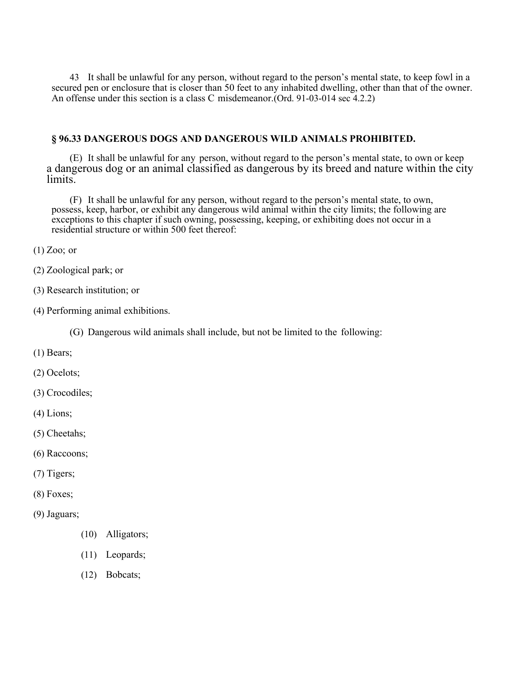43 It shall be unlawful for any person, without regard to the person's mental state, to keep fowl in a secured pen or enclosure that is closer than 50 feet to any inhabited dwelling, other than that of the owner. An offense under this section is a class C misdemeanor.(Ord. 91-03-014 sec 4.2.2)

# **§ 96.33 DANGEROUS DOGS AND DANGEROUS WILD ANIMALS PROHIBITED.**

(E) It shall be unlawful for any person, without regard to the person's mental state, to own or keep a dangerous dog or an animal classified as dangerous by its breed and nature within the city limits.

(F) It shall be unlawful for any person, without regard to the person's mental state, to own, possess, keep, harbor, or exhibit any dangerous wild animal within the city limits; the following are exceptions to this chapter if such owning, possessing, keeping, or exhibiting does not occur in a residential structure or within 500 feet thereof:

- (1) Zoo; or
- (2) Zoological park; or
- (3) Research institution; or
- (4) Performing animal exhibitions.

(G) Dangerous wild animals shall include, but not be limited to the following:

- (1) Bears;
- (2) Ocelots;
- (3) Crocodiles;
- (4) Lions;
- (5) Cheetahs;
- (6) Raccoons;
- (7) Tigers;
- (8) Foxes;
- (9) Jaguars;
	- (10) Alligators;
	- (11) Leopards;
	- (12) Bobcats;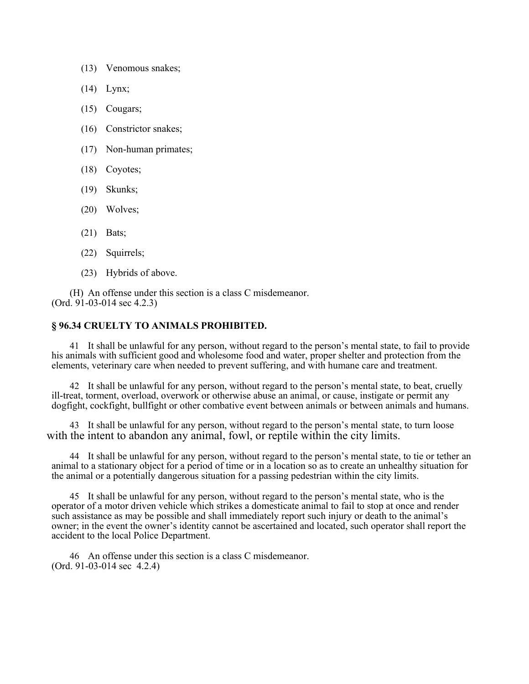- (13) Venomous snakes;
- (14) Lynx;
- (15) Cougars;
- (16) Constrictor snakes;
- (17) Non-human primates;
- (18) Coyotes;
- (19) Skunks;
- (20) Wolves;
- (21) Bats;
- (22) Squirrels;
- (23) Hybrids of above.

(H) An offense under this section is a class C misdemeanor. (Ord. 91-03-014 sec 4.2.3)

# **§ 96.34 CRUELTY TO ANIMALS PROHIBITED.**

41 It shall be unlawful for any person, without regard to the person's mental state, to fail to provide his animals with sufficient good and wholesome food and water, proper shelter and protection from the elements, veterinary care when needed to prevent suffering, and with humane care and treatment.

42 It shall be unlawful for any person, without regard to the person's mental state, to beat, cruelly ill-treat, torment, overload, overwork or otherwise abuse an animal, or cause, instigate or permit any dogfight, cockfight, bullfight or other combative event between animals or between animals and humans.

43 It shall be unlawful for any person, without regard to the person's mental state, to turn loose with the intent to abandon any animal, fowl, or reptile within the city limits.

44 It shall be unlawful for any person, without regard to the person's mental state, to tie or tether an animal to a stationary object for a period of time or in a location so as to create an unhealthy situation for the animal or a potentially dangerous situation for a passing pedestrian within the city limits.

45 It shall be unlawful for any person, without regard to the person's mental state, who is the operator of a motor driven vehicle which strikes a domesticate animal to fail to stop at once and render such assistance as may be possible and shall immediately report such injury or death to the animal's owner; in the event the owner's identity cannot be ascertained and located, such operator shall report the accident to the local Police Department.

46 An offense under this section is a class C misdemeanor. (Ord. 91-03-014 sec 4.2.4)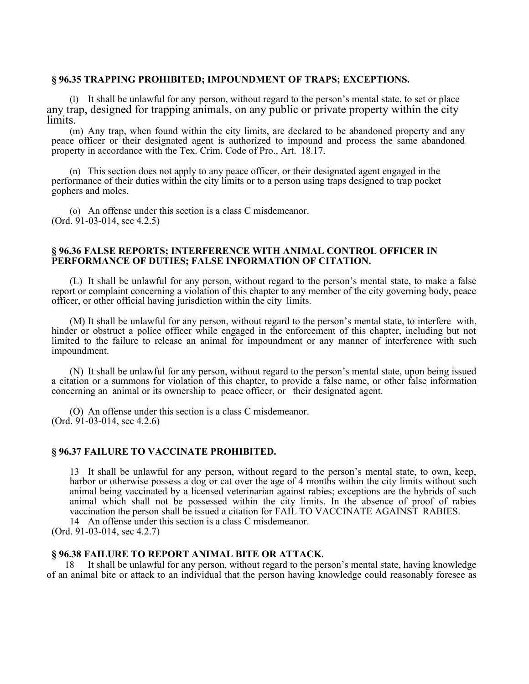#### **§ 96.35 TRAPPING PROHIBITED; IMPOUNDMENT OF TRAPS; EXCEPTIONS.**

(l) It shall be unlawful for any person, without regard to the person's mental state, to set or place any trap, designed for trapping animals, on any public or private property within the city limits.

(m) Any trap, when found within the city limits, are declared to be abandoned property and any peace officer or their designated agent is authorized to impound and process the same abandoned property in accordance with the Tex. Crim. Code of Pro., Art. 18.17.

(n) This section does not apply to any peace officer, or their designated agent engaged in the performance of their duties within the city limits or to a person using traps designed to trap pocket gophers and moles.

(o) An offense under this section is a class C misdemeanor. (Ord. 91-03-014, sec 4.2.5)

### **§ 96.36 FALSE REPORTS; INTERFERENCE WITH ANIMAL CONTROL OFFICER IN PERFORMANCE OF DUTIES; FALSE INFORMATION OF CITATION.**

(L) It shall be unlawful for any person, without regard to the person's mental state, to make a false report or complaint concerning a violation of this chapter to any member of the city governing body, peace officer, or other official having jurisdiction within the city limits.

(M) It shall be unlawful for any person, without regard to the person's mental state, to interfere with, hinder or obstruct a police officer while engaged in the enforcement of this chapter, including but not limited to the failure to release an animal for impoundment or any manner of interference with such impoundment.

(N) It shall be unlawful for any person, without regard to the person's mental state, upon being issued a citation or a summons for violation of this chapter, to provide a false name, or other false information concerning an animal or its ownership to peace officer, or their designated agent.

(O) An offense under this section is a class C misdemeanor. (Ord. 91-03-014, sec 4.2.6)

# **§ 96.37 FAILURE TO VACCINATE PROHIBITED.**

13 It shall be unlawful for any person, without regard to the person's mental state, to own, keep, harbor or otherwise possess a dog or cat over the age of 4 months within the city limits without such animal being vaccinated by a licensed veterinarian against rabies; exceptions are the hybrids of such animal which shall not be possessed within the city limits. In the absence of proof of rabies vaccination the person shall be issued a citation for FAIL TO VACCINATE AGAINST RABIES.

14 An offense under this section is a class C misdemeanor. (Ord. 91-03-014, sec 4.2.7)

#### **§ 96.38 FAILURE TO REPORT ANIMAL BITE OR ATTACK.**

18 It shall be unlawful for any person, without regard to the person's mental state, having knowledge of an animal bite or attack to an individual that the person having knowledge could reasonably foresee as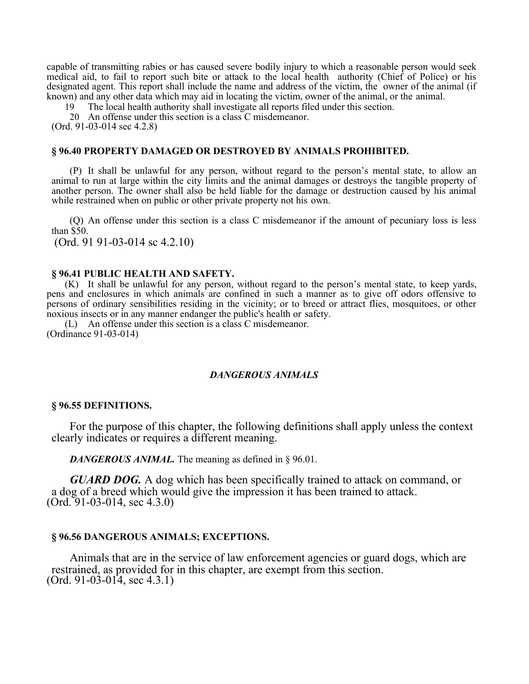capable of transmitting rabies or has caused severe bodily injury to which a reasonable person would seek medical aid, to fail to report such bite or attack to the local health authority (Chief of Police) or his designated agent. This report shall include the name and address of the victim, the owner of the animal (if known) and any other data which may aid in locating the victim, owner of the animal, or the animal.

19 The local health authority shall investigate all reports filed under this section.

20 An offense under this section is a class C misdemeanor.

(Ord. 91-03-014 sec 4.2.8)

#### **§ 96.40 PROPERTY DAMAGED OR DESTROYED BY ANIMALS PROHIBITED.**

(P) It shall be unlawful for any person, without regard to the person's mental state, to allow an animal to run at large within the city limits and the animal damages or destroys the tangible property of another person. The owner shall also be held liable for the damage or destruction caused by his animal while restrained when on public or other private property not his own.

(Q) An offense under this section is a class C misdemeanor if the amount of pecuniary loss is less than \$50.

(Ord. 91 91-03-014 sc 4.2.10)

#### **§ 96.41 PUBLIC HEALTH AND SAFETY.**

(K) It shall be unlawful for any person, without regard to the person's mental state, to keep yards, pens and enclosures in which animals are confined in such a manner as to give off odors offensive to persons of ordinary sensibilities residing in the vicinity; or to breed or attract flies, mosquitoes, or other noxious insects or in any manner endanger the public's health or safety.

(L) An offense under this section is a class C misdemeanor. (Ordinance 91-03-014)

# *DANGEROUS ANIMALS*

#### **§ 96.55 DEFINITIONS.**

For the purpose of this chapter, the following definitions shall apply unless the context clearly indicates or requires a different meaning.

*DANGEROUS ANIMAL*. The meaning as defined in § 96.01.

*GUARD DOG.* A dog which has been specifically trained to attack on command, or a dog of a breed which would give the impression it has been trained to attack. (Ord. 91-03-014, sec 4.3.0)

# **§ 96.56 DANGEROUS ANIMALS; EXCEPTIONS.**

Animals that are in the service of law enforcement agencies or guard dogs, which are restrained, as provided for in this chapter, are exempt from this section. (Ord. 91-03-014, sec 4.3.1)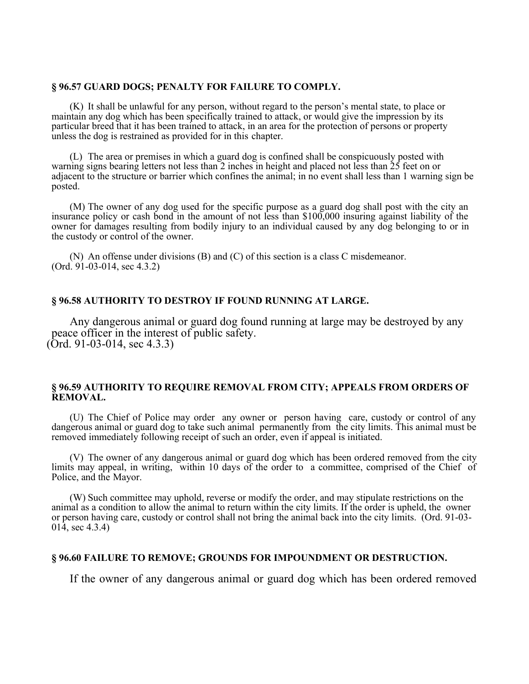#### **§ 96.57 GUARD DOGS; PENALTY FOR FAILURE TO COMPLY.**

(K) It shall be unlawful for any person, without regard to the person's mental state, to place or maintain any dog which has been specifically trained to attack, or would give the impression by its particular breed that it has been trained to attack, in an area for the protection of persons or property unless the dog is restrained as provided for in this chapter.

(L) The area or premises in which a guard dog is confined shall be conspicuously posted with warning signs bearing letters not less than 2 inches in height and placed not less than 25 feet on or adjacent to the structure or barrier which confines the animal; in no event shall less than 1 warning sign be posted.

(M) The owner of any dog used for the specific purpose as a guard dog shall post with the city an insurance policy or cash bond in the amount of not less than \$100,000 insuring against liability of the owner for damages resulting from bodily injury to an individual caused by any dog belonging to or in the custody or control of the owner.

(N) An offense under divisions (B) and (C) of this section is a class C misdemeanor. (Ord. 91-03-014, sec 4.3.2)

# **§ 96.58 AUTHORITY TO DESTROY IF FOUND RUNNING AT LARGE.**

Any dangerous animal or guard dog found running at large may be destroyed by any peace officer in the interest of public safety. (Ord. 91-03-014, sec 4.3.3)

# **§ 96.59 AUTHORITY TO REQUIRE REMOVAL FROM CITY; APPEALS FROM ORDERS OF REMOVAL.**

(U) The Chief of Police may order any owner or person having care, custody or control of any dangerous animal or guard dog to take such animal permanently from the city limits. This animal must be removed immediately following receipt of such an order, even if appeal is initiated.

(V) The owner of any dangerous animal or guard dog which has been ordered removed from the city limits may appeal, in writing, within 10 days of the order to a committee, comprised of the Chief of Police, and the Mayor.

(W) Such committee may uphold, reverse or modify the order, and may stipulate restrictions on the animal as a condition to allow the animal to return within the city limits. If the order is upheld, the owner or person having care, custody or control shall not bring the animal back into the city limits. (Ord. 91-03- 014, sec 4.3.4)

# **§ 96.60 FAILURE TO REMOVE; GROUNDS FOR IMPOUNDMENT OR DESTRUCTION.**

If the owner of any dangerous animal or guard dog which has been ordered removed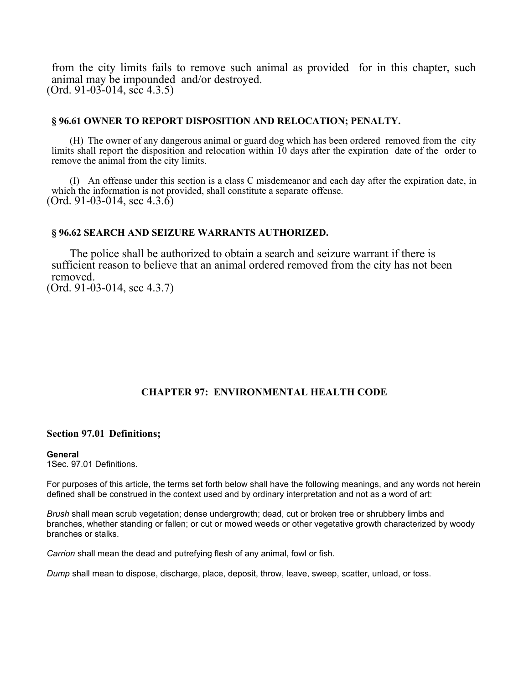from the city limits fails to remove such animal as provided for in this chapter, such animal may be impounded and/or destroyed. (Ord. 91-03-014, sec 4.3.5)

# **§ 96.61 OWNER TO REPORT DISPOSITION AND RELOCATION; PENALTY.**

(H) The owner of any dangerous animal or guard dog which has been ordered removed from the city limits shall report the disposition and relocation within 10 days after the expiration date of the order to remove the animal from the city limits.

(I) An offense under this section is a class C misdemeanor and each day after the expiration date, in which the information is not provided, shall constitute a separate offense. (Ord. 91-03-014, sec 4.3.6)

# **§ 96.62 SEARCH AND SEIZURE WARRANTS AUTHORIZED.**

The police shall be authorized to obtain a search and seizure warrant if there is sufficient reason to believe that an animal ordered removed from the city has not been removed.

(Ord. 91-03-014, sec 4.3.7)

# **CHAPTER 97: ENVIRONMENTAL HEALTH CODE**

### **Section 97.01 Definitions;**

### **General**

1Sec. 97.01 Definitions.

For purposes of this article, the terms set forth below shall have the following meanings, and any words not herein defined shall be construed in the context used and by ordinary interpretation and not as a word of art:

*Brush* shall mean scrub vegetation; dense undergrowth; dead, cut or broken tree or shrubbery limbs and branches, whether standing or fallen; or cut or mowed weeds or other vegetative growth characterized by woody branches or stalks.

*Carrion* shall mean the dead and putrefying flesh of any animal, fowl or fish.

*Dump* shall mean to dispose, discharge, place, deposit, throw, leave, sweep, scatter, unload, or toss.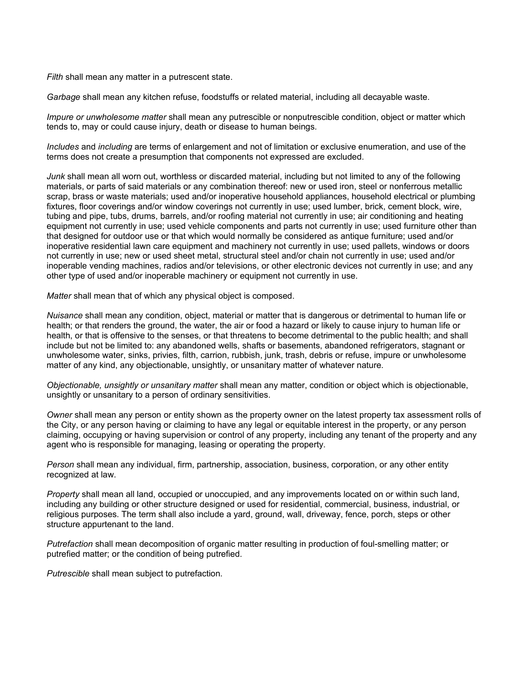*Filth* shall mean any matter in a putrescent state.

*Garbage* shall mean any kitchen refuse, foodstuffs or related material, including all decayable waste.

*Impure or unwholesome matter* shall mean any putrescible or nonputrescible condition, object or matter which tends to, may or could cause injury, death or disease to human beings.

*Includes* and *including* are terms of enlargement and not of limitation or exclusive enumeration, and use of the terms does not create a presumption that components not expressed are excluded.

*Junk* shall mean all worn out, worthless or discarded material, including but not limited to any of the following materials, or parts of said materials or any combination thereof: new or used iron, steel or nonferrous metallic scrap, brass or waste materials; used and/or inoperative household appliances, household electrical or plumbing fixtures, floor coverings and/or window coverings not currently in use; used lumber, brick, cement block, wire, tubing and pipe, tubs, drums, barrels, and/or roofing material not currently in use; air conditioning and heating equipment not currently in use; used vehicle components and parts not currently in use; used furniture other than that designed for outdoor use or that which would normally be considered as antique furniture; used and/or inoperative residential lawn care equipment and machinery not currently in use; used pallets, windows or doors not currently in use; new or used sheet metal, structural steel and/or chain not currently in use; used and/or inoperable vending machines, radios and/or televisions, or other electronic devices not currently in use; and any other type of used and/or inoperable machinery or equipment not currently in use.

*Matter* shall mean that of which any physical object is composed.

*Nuisance* shall mean any condition, object, material or matter that is dangerous or detrimental to human life or health; or that renders the ground, the water, the air or food a hazard or likely to cause injury to human life or health, or that is offensive to the senses, or that threatens to become detrimental to the public health; and shall include but not be limited to: any abandoned wells, shafts or basements, abandoned refrigerators, stagnant or unwholesome water, sinks, privies, filth, carrion, rubbish, junk, trash, debris or refuse, impure or unwholesome matter of any kind, any objectionable, unsightly, or unsanitary matter of whatever nature.

*Objectionable, unsightly or unsanitary matter* shall mean any matter, condition or object which is objectionable, unsightly or unsanitary to a person of ordinary sensitivities.

*Owner* shall mean any person or entity shown as the property owner on the latest property tax assessment rolls of the City, or any person having or claiming to have any legal or equitable interest in the property, or any person claiming, occupying or having supervision or control of any property, including any tenant of the property and any agent who is responsible for managing, leasing or operating the property.

*Person* shall mean any individual, firm, partnership, association, business, corporation, or any other entity recognized at law.

*Property* shall mean all land, occupied or unoccupied, and any improvements located on or within such land, including any building or other structure designed or used for residential, commercial, business, industrial, or religious purposes. The term shall also include a yard, ground, wall, driveway, fence, porch, steps or other structure appurtenant to the land.

*Putrefaction* shall mean decomposition of organic matter resulting in production of foul-smelling matter; or putrefied matter; or the condition of being putrefied.

*Putrescible* shall mean subject to putrefaction.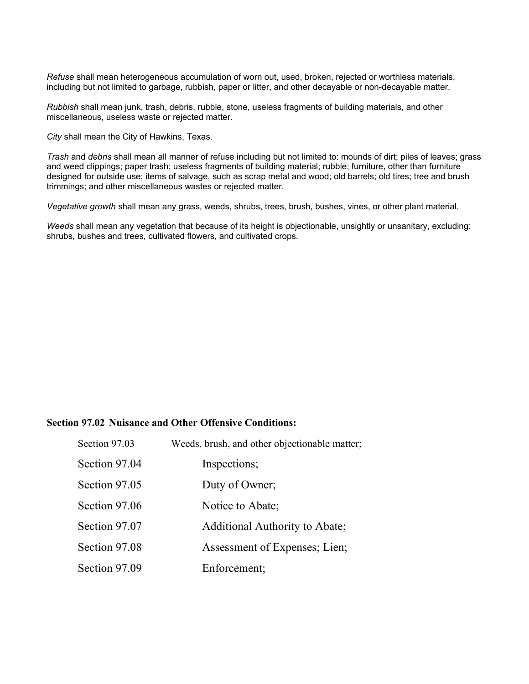*Refuse* shall mean heterogeneous accumulation of worn out, used, broken, rejected or worthless materials, including but not limited to garbage, rubbish, paper or litter, and other decayable or non-decayable matter.

*Rubbish* shall mean junk, trash, debris, rubble, stone, useless fragments of building materials, and other miscellaneous, useless waste or rejected matter.

*City* shall mean the City of Hawkins, Texas.

*Trash* and *debris* shall mean all manner of refuse including but not limited to: mounds of dirt; piles of leaves; grass and weed clippings; paper trash; useless fragments of building material; rubble; furniture, other than furniture designed for outside use; items of salvage, such as scrap metal and wood; old barrels; old tires; tree and brush trimmings; and other miscellaneous wastes or rejected matter.

*Vegetative growth* shall mean any grass, weeds, shrubs, trees, brush, bushes, vines, or other plant material.

*Weeds* shall mean any vegetation that because of its height is objectionable, unsightly or unsanitary, excluding: shrubs, bushes and trees, cultivated flowers, and cultivated crops.

# **Section 97.02 Nuisance and Other Offensive Conditions:**

| Section 97.03 | Weeds, brush, and other objectionable matter; |
|---------------|-----------------------------------------------|
| Section 97.04 | Inspections;                                  |
| Section 97.05 | Duty of Owner;                                |
| Section 97.06 | Notice to Abate;                              |
| Section 97.07 | Additional Authority to Abate;                |
| Section 97.08 | Assessment of Expenses; Lien;                 |
| Section 97.09 | Enforcement;                                  |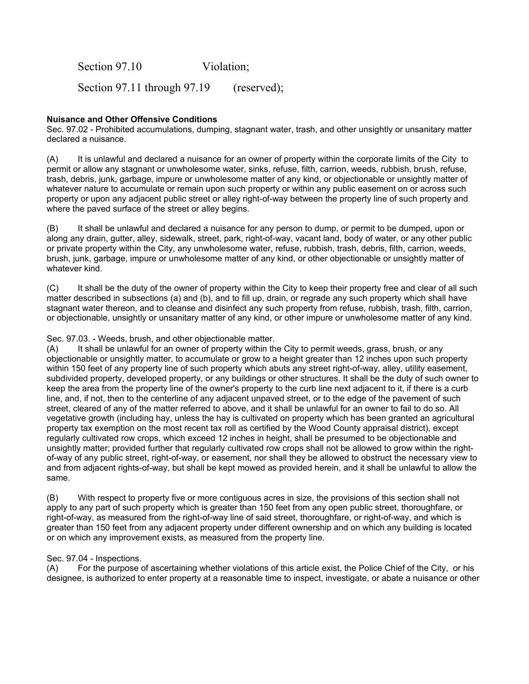Section 97.10 Violation;

Section 97.11 through 97.19 (reserved);

# **Nuisance and Other Offensive Conditions**

Sec. 97.02 - Prohibited accumulations, dumping, stagnant water, trash, and other unsightly or unsanitary matter declared a nuisance.

(A) It is unlawful and declared a nuisance for an owner of property within the corporate limits of the City to permit or allow any stagnant or unwholesome water, sinks, refuse, filth, carrion, weeds, rubbish, brush, refuse, trash, debris, junk, garbage, impure or unwholesome matter of any kind, or objectionable or unsightly matter of whatever nature to accumulate or remain upon such property or within any public easement on or across such property or upon any adjacent public street or alley right-of-way between the property line of such property and where the paved surface of the street or alley begins.

(B) It shall be unlawful and declared a nuisance for any person to dump, or permit to be dumped, upon or along any drain, gutter, alley, sidewalk, street, park, right-of-way, vacant land, body of water, or any other public or private property within the City, any unwholesome water, refuse, rubbish, trash, debris, filth, carrion, weeds, brush, junk, garbage, impure or unwholesome matter of any kind, or other objectionable or unsightly matter of whatever kind.

(C) It shall be the duty of the owner of property within the City to keep their property free and clear of all such matter described in subsections (a) and (b), and to fill up, drain, or regrade any such property which shall have stagnant water thereon, and to cleanse and disinfect any such property from refuse, rubbish, trash, filth, carrion, or objectionable, unsightly or unsanitary matter of any kind, or other impure or unwholesome matter of any kind.

Sec. 97.03. - Weeds, brush, and other objectionable matter.

(A) It shall be unlawful for an owner of property within the City to permit weeds, grass, brush, or any objectionable or unsightly matter, to accumulate or grow to a height greater than 12 inches upon such property within 150 feet of any property line of such property which abuts any street right-of-way, alley, utility easement, subdivided property, developed property, or any buildings or other structures. It shall be the duty of such owner to keep the area from the property line of the owner's property to the curb line next adjacent to it, if there is a curb line, and, if not, then to the centerline of any adjacent unpaved street, or to the edge of the pavement of such street, cleared of any of the matter referred to above, and it shall be unlawful for an owner to fail to do so. All vegetative growth (including hay, unless the hay is cultivated on property which has been granted an agricultural property tax exemption on the most recent tax roll as certified by the Wood County appraisal district), except regularly cultivated row crops, which exceed 12 inches in height, shall be presumed to be objectionable and unsightly matter; provided further that regularly cultivated row crops shall not be allowed to grow within the rightof-way of any public street, right-of-way, or easement, nor shall they be allowed to obstruct the necessary view to and from adjacent rights-of-way, but shall be kept mowed as provided herein, and it shall be unlawful to allow the same.

(B) With respect to property five or more contiguous acres in size, the provisions of this section shall not apply to any part of such property which is greater than 150 feet from any open public street, thoroughfare, or right-of-way, as measured from the right-of-way line of said street, thoroughfare, or right-of-way, and which is greater than 150 feet from any adjacent property under different ownership and on which any building is located or on which any improvement exists, as measured from the property line.

# Sec. 97.04 - Inspections.

(A) For the purpose of ascertaining whether violations of this article exist, the Police Chief of the City, or his designee, is authorized to enter property at a reasonable time to inspect, investigate, or abate a nuisance or other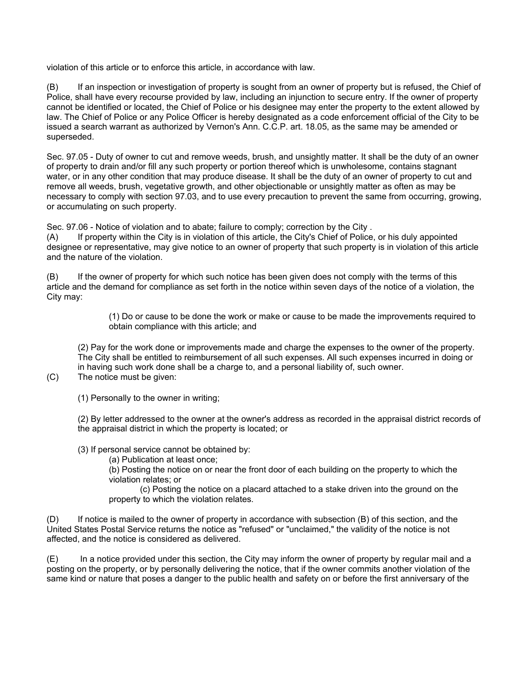violation of this article or to enforce this article, in accordance with law.

(B) If an inspection or investigation of property is sought from an owner of property but is refused, the Chief of Police, shall have every recourse provided by law, including an injunction to secure entry. If the owner of property cannot be identified or located, the Chief of Police or his designee may enter the property to the extent allowed by law. The Chief of Police or any Police Officer is hereby designated as a code enforcement official of the City to be issued a search warrant as authorized by Vernon's Ann. C.C.P. art. 18.05, as the same may be amended or superseded.

Sec. 97.05 - Duty of owner to cut and remove weeds, brush, and unsightly matter. It shall be the duty of an owner of property to drain and/or fill any such property or portion thereof which is unwholesome, contains stagnant water, or in any other condition that may produce disease. It shall be the duty of an owner of property to cut and remove all weeds, brush, vegetative growth, and other objectionable or unsightly matter as often as may be necessary to comply with section 97.03, and to use every precaution to prevent the same from occurring, growing, or accumulating on such property.

Sec. 97.06 - Notice of violation and to abate; failure to comply; correction by the City .

(A) If property within the City is in violation of this article, the City's Chief of Police, or his duly appointed designee or representative, may give notice to an owner of property that such property is in violation of this article and the nature of the violation.

(B) If the owner of property for which such notice has been given does not comply with the terms of this article and the demand for compliance as set forth in the notice within seven days of the notice of a violation, the City may:

> (1) Do or cause to be done the work or make or cause to be made the improvements required to obtain compliance with this article; and

(2) Pay for the work done or improvements made and charge the expenses to the owner of the property. The City shall be entitled to reimbursement of all such expenses. All such expenses incurred in doing or in having such work done shall be a charge to, and a personal liability of, such owner.

# (C) The notice must be given:

(1) Personally to the owner in writing;

(2) By letter addressed to the owner at the owner's address as recorded in the appraisal district records of the appraisal district in which the property is located; or

(3) If personal service cannot be obtained by:

(a) Publication at least once;

(b) Posting the notice on or near the front door of each building on the property to which the violation relates; or

(c) Posting the notice on a placard attached to a stake driven into the ground on the property to which the violation relates.

(D) If notice is mailed to the owner of property in accordance with subsection (B) of this section, and the United States Postal Service returns the notice as "refused" or "unclaimed," the validity of the notice is not affected, and the notice is considered as delivered.

(E) In a notice provided under this section, the City may inform the owner of property by regular mail and a posting on the property, or by personally delivering the notice, that if the owner commits another violation of the same kind or nature that poses a danger to the public health and safety on or before the first anniversary of the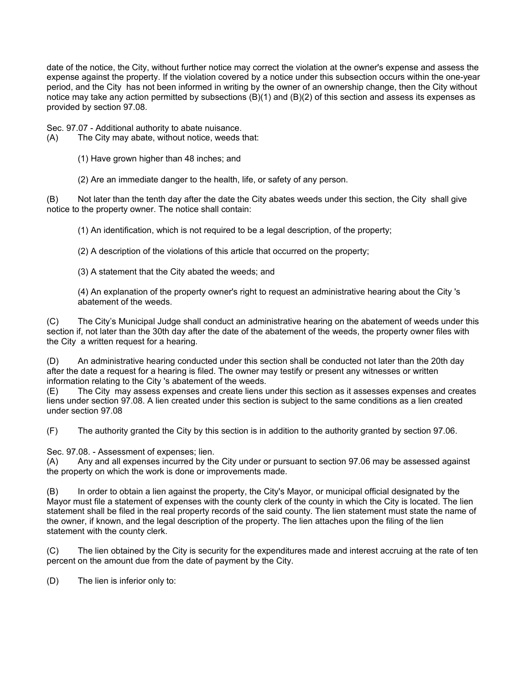date of the notice, the City, without further notice may correct the violation at the owner's expense and assess the expense against the property. If the violation covered by a notice under this subsection occurs within the one-year period, and the City has not been informed in writing by the owner of an ownership change, then the City without notice may take any action permitted by subsections (B)(1) and (B)(2) of this section and assess its expenses as provided by section 97.08.

Sec. 97.07 - Additional authority to abate nuisance.

- (A) The City may abate, without notice, weeds that:
	- (1) Have grown higher than 48 inches; and
	- (2) Are an immediate danger to the health, life, or safety of any person.

(B) Not later than the tenth day after the date the City abates weeds under this section, the City shall give notice to the property owner. The notice shall contain:

(1) An identification, which is not required to be a legal description, of the property;

- (2) A description of the violations of this article that occurred on the property;
- (3) A statement that the City abated the weeds; and

(4) An explanation of the property owner's right to request an administrative hearing about the City 's abatement of the weeds.

(C) The City's Municipal Judge shall conduct an administrative hearing on the abatement of weeds under this section if, not later than the 30th day after the date of the abatement of the weeds, the property owner files with the City a written request for a hearing.

(D) An administrative hearing conducted under this section shall be conducted not later than the 20th day after the date a request for a hearing is filed. The owner may testify or present any witnesses or written information relating to the City 's abatement of the weeds.

(E) The City may assess expenses and create liens under this section as it assesses expenses and creates liens under section 97.08. A lien created under this section is subject to the same conditions as a lien created under section 97.08

(F) The authority granted the City by this section is in addition to the authority granted by section 97.06.

Sec. 97.08. - Assessment of expenses; lien.

(A) Any and all expenses incurred by the City under or pursuant to section 97.06 may be assessed against the property on which the work is done or improvements made.

(B) In order to obtain a lien against the property, the City's Mayor, or municipal official designated by the Mayor must file a statement of expenses with the county clerk of the county in which the City is located. The lien statement shall be filed in the real property records of the said county. The lien statement must state the name of the owner, if known, and the legal description of the property. The lien attaches upon the filing of the lien statement with the county clerk.

(C) The lien obtained by the City is security for the expenditures made and interest accruing at the rate of ten percent on the amount due from the date of payment by the City.

(D) The lien is inferior only to: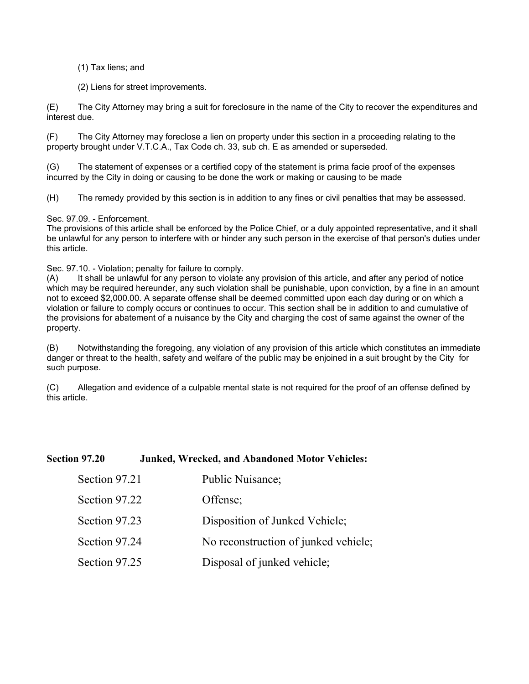- (1) Tax liens; and
- (2) Liens for street improvements.

(E) The City Attorney may bring a suit for foreclosure in the name of the City to recover the expenditures and interest due.

(F) The City Attorney may foreclose a lien on property under this section in a proceeding relating to the property brought under V.T.C.A., Tax Code ch. 33, sub ch. E as amended or superseded.

(G) The statement of expenses or a certified copy of the statement is prima facie proof of the expenses incurred by the City in doing or causing to be done the work or making or causing to be made

(H) The remedy provided by this section is in addition to any fines or civil penalties that may be assessed.

## Sec. 97.09. - Enforcement.

The provisions of this article shall be enforced by the Police Chief, or a duly appointed representative, and it shall be unlawful for any person to interfere with or hinder any such person in the exercise of that person's duties under this article.

Sec. 97.10. - Violation; penalty for failure to comply.

(A) It shall be unlawful for any person to violate any provision of this article, and after any period of notice which may be required hereunder, any such violation shall be punishable, upon conviction, by a fine in an amount not to exceed \$2,000.00. A separate offense shall be deemed committed upon each day during or on which a violation or failure to comply occurs or continues to occur. This section shall be in addition to and cumulative of the provisions for abatement of a nuisance by the City and charging the cost of same against the owner of the property.

(B) Notwithstanding the foregoing, any violation of any provision of this article which constitutes an immediate danger or threat to the health, safety and welfare of the public may be enjoined in a suit brought by the City for such purpose.

(C) Allegation and evidence of a culpable mental state is not required for the proof of an offense defined by this article.

# **Section 97.20 Junked, Wrecked, and Abandoned Motor Vehicles:**

| Section 97.21 | Public Nuisance;                     |
|---------------|--------------------------------------|
| Section 97.22 | Offense;                             |
| Section 97.23 | Disposition of Junked Vehicle;       |
| Section 97.24 | No reconstruction of junked vehicle; |
| Section 97.25 | Disposal of junked vehicle;          |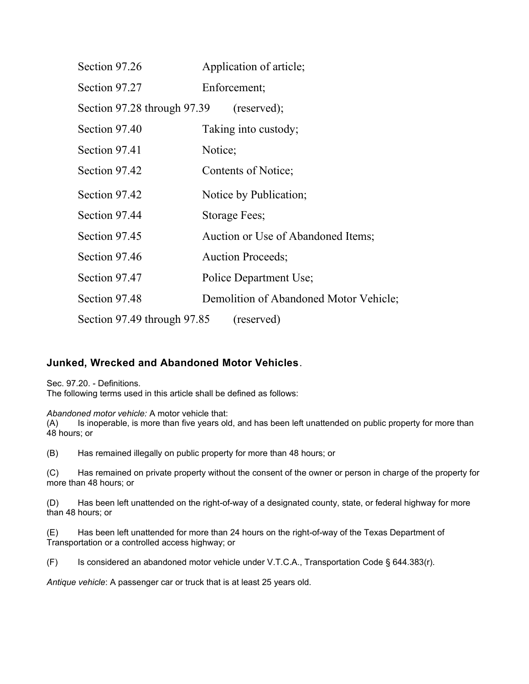| Section 97.26               | Application of article;                |
|-----------------------------|----------------------------------------|
| Section 97.27               | Enforcement;                           |
| Section 97.28 through 97.39 | (reserved);                            |
| Section 97.40               | Taking into custody;                   |
| Section 97.41               | Notice;                                |
| Section 97.42               | Contents of Notice;                    |
| Section 97.42               | Notice by Publication;                 |
| Section 97.44               | Storage Fees;                          |
| Section 97.45               | Auction or Use of Abandoned Items;     |
| Section 97.46               | <b>Auction Proceeds;</b>               |
| Section 97.47               | Police Department Use;                 |
| Section 97.48               | Demolition of Abandoned Motor Vehicle; |
| Section 97.49 through 97.85 | (reserved)                             |

# **Junked, Wrecked and Abandoned Motor Vehicles**.

Sec. 97.20. - Definitions. The following terms used in this article shall be defined as follows:

*Abandoned motor vehicle:* A motor vehicle that:

(A) Is inoperable, is more than five years old, and has been left unattended on public property for more than 48 hours; or

(B) Has remained illegally on public property for more than 48 hours; or

(C) Has remained on private property without the consent of the owner or person in charge of the property for more than 48 hours; or

(D) Has been left unattended on the right-of-way of a designated county, state, or federal highway for more than 48 hours; or

(E) Has been left unattended for more than 24 hours on the right-of-way of the Texas Department of Transportation or a controlled access highway; or

(F) Is considered an abandoned motor vehicle under V.T.C.A., Transportation Code § 644.383(r).

*Antique vehicle*: A passenger car or truck that is at least 25 years old.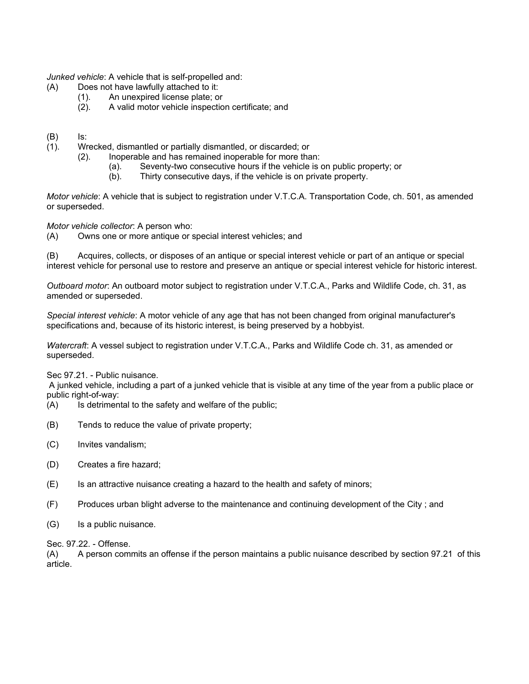*Junked vehicle*: A vehicle that is self-propelled and:

- (A) Does not have lawfully attached to it:
	- (1). An unexpired license plate; or
	- (2). A valid motor vehicle inspection certificate; and
- (B) Is:
- (1). Wrecked, dismantled or partially dismantled, or discarded; or
	- (2). Inoperable and has remained inoperable for more than:
		- (a). Seventy-two consecutive hours if the vehicle is on public property; or
		- (b). Thirty consecutive days, if the vehicle is on private property.

*Motor vehicle*: A vehicle that is subject to registration under V.T.C.A. Transportation Code, ch. 501, as amended or superseded.

*Motor vehicle collector*: A person who:

(A) Owns one or more antique or special interest vehicles; and

(B) Acquires, collects, or disposes of an antique or special interest vehicle or part of an antique or special interest vehicle for personal use to restore and preserve an antique or special interest vehicle for historic interest.

*Outboard motor*: An outboard motor subject to registration under V.T.C.A., Parks and Wildlife Code, ch. 31, as amended or superseded.

*Special interest vehicle*: A motor vehicle of any age that has not been changed from original manufacturer's specifications and, because of its historic interest, is being preserved by a hobbyist.

*Watercraft*: A vessel subject to registration under V.T.C.A., Parks and Wildlife Code ch. 31, as amended or superseded.

#### Sec 97.21. - Public nuisance.

 A junked vehicle, including a part of a junked vehicle that is visible at any time of the year from a public place or public right-of-way:

- (A) Is detrimental to the safety and welfare of the public;
- (B) Tends to reduce the value of private property;
- (C) Invites vandalism;
- (D) Creates a fire hazard;
- (E) Is an attractive nuisance creating a hazard to the health and safety of minors;
- (F) Produces urban blight adverse to the maintenance and continuing development of the City ; and
- (G) Is a public nuisance.

Sec. 97.22. - Offense.

(A) A person commits an offense if the person maintains a public nuisance described by section 97.21 of this article.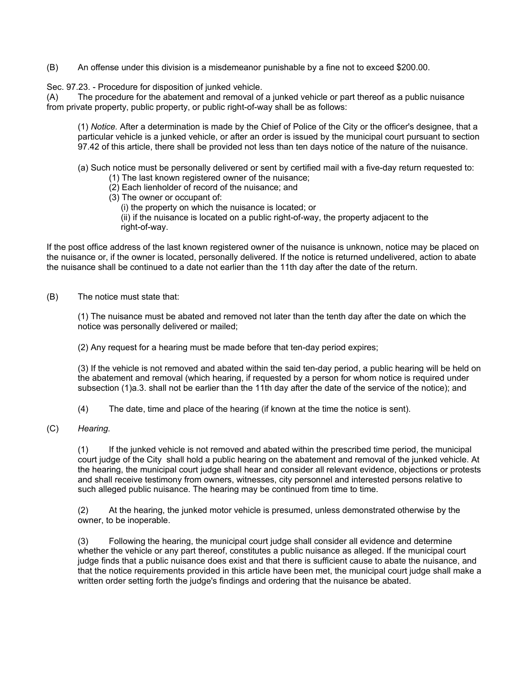(B) An offense under this division is a misdemeanor punishable by a fine not to exceed \$200.00.

Sec. 97.23. - Procedure for disposition of junked vehicle.

(A) The procedure for the abatement and removal of a junked vehicle or part thereof as a public nuisance from private property, public property, or public right-of-way shall be as follows:

(1) *Notice.* After a determination is made by the Chief of Police of the City or the officer's designee, that a particular vehicle is a junked vehicle, or after an order is issued by the municipal court pursuant to section 97.42 of this article, there shall be provided not less than ten days notice of the nature of the nuisance.

- (a) Such notice must be personally delivered or sent by certified mail with a five-day return requested to:
	- (1) The last known registered owner of the nuisance;
	- (2) Each lienholder of record of the nuisance; and
	- (3) The owner or occupant of:
		- (i) the property on which the nuisance is located; or

 (ii) if the nuisance is located on a public right-of-way, the property adjacent to the right-of-way.

If the post office address of the last known registered owner of the nuisance is unknown, notice may be placed on the nuisance or, if the owner is located, personally delivered. If the notice is returned undelivered, action to abate the nuisance shall be continued to a date not earlier than the 11th day after the date of the return.

(B) The notice must state that:

(1) The nuisance must be abated and removed not later than the tenth day after the date on which the notice was personally delivered or mailed;

(2) Any request for a hearing must be made before that ten-day period expires;

(3) If the vehicle is not removed and abated within the said ten-day period, a public hearing will be held on the abatement and removal (which hearing, if requested by a person for whom notice is required under subsection (1)a.3. shall not be earlier than the 11th day after the date of the service of the notice); and

(4) The date, time and place of the hearing (if known at the time the notice is sent).

(C) *Hearing.*

(1) If the junked vehicle is not removed and abated within the prescribed time period, the municipal court judge of the City shall hold a public hearing on the abatement and removal of the junked vehicle. At the hearing, the municipal court judge shall hear and consider all relevant evidence, objections or protests and shall receive testimony from owners, witnesses, city personnel and interested persons relative to such alleged public nuisance. The hearing may be continued from time to time.

(2) At the hearing, the junked motor vehicle is presumed, unless demonstrated otherwise by the owner, to be inoperable.

(3) Following the hearing, the municipal court judge shall consider all evidence and determine whether the vehicle or any part thereof, constitutes a public nuisance as alleged. If the municipal court judge finds that a public nuisance does exist and that there is sufficient cause to abate the nuisance, and that the notice requirements provided in this article have been met, the municipal court judge shall make a written order setting forth the judge's findings and ordering that the nuisance be abated.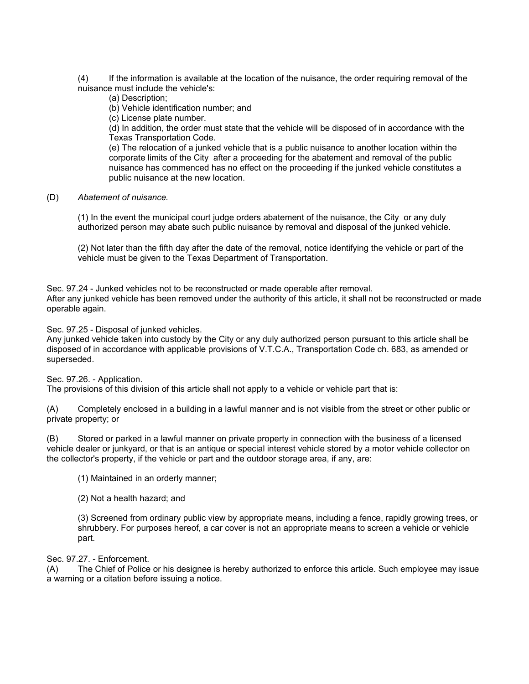(4) If the information is available at the location of the nuisance, the order requiring removal of the nuisance must include the vehicle's:

(a) Description;

(b) Vehicle identification number; and

(c) License plate number.

(d) In addition, the order must state that the vehicle will be disposed of in accordance with the Texas Transportation Code.

(e) The relocation of a junked vehicle that is a public nuisance to another location within the corporate limits of the City after a proceeding for the abatement and removal of the public nuisance has commenced has no effect on the proceeding if the junked vehicle constitutes a public nuisance at the new location.

#### (D) *Abatement of nuisance.*

(1) In the event the municipal court judge orders abatement of the nuisance, the City or any duly authorized person may abate such public nuisance by removal and disposal of the junked vehicle.

(2) Not later than the fifth day after the date of the removal, notice identifying the vehicle or part of the vehicle must be given to the Texas Department of Transportation.

Sec. 97.24 - Junked vehicles not to be reconstructed or made operable after removal. After any junked vehicle has been removed under the authority of this article, it shall not be reconstructed or made operable again.

Sec. 97.25 - Disposal of junked vehicles.

Any junked vehicle taken into custody by the City or any duly authorized person pursuant to this article shall be disposed of in accordance with applicable provisions of V.T.C.A., Transportation Code ch. 683, as amended or superseded.

Sec. 97.26. - Application.

The provisions of this division of this article shall not apply to a vehicle or vehicle part that is:

(A) Completely enclosed in a building in a lawful manner and is not visible from the street or other public or private property; or

(B) Stored or parked in a lawful manner on private property in connection with the business of a licensed vehicle dealer or junkyard, or that is an antique or special interest vehicle stored by a motor vehicle collector on the collector's property, if the vehicle or part and the outdoor storage area, if any, are:

(1) Maintained in an orderly manner;

(2) Not a health hazard; and

(3) Screened from ordinary public view by appropriate means, including a fence, rapidly growing trees, or shrubbery. For purposes hereof, a car cover is not an appropriate means to screen a vehicle or vehicle part.

#### Sec. 97.27. - Enforcement.

(A) The Chief of Police or his designee is hereby authorized to enforce this article. Such employee may issue a warning or a citation before issuing a notice.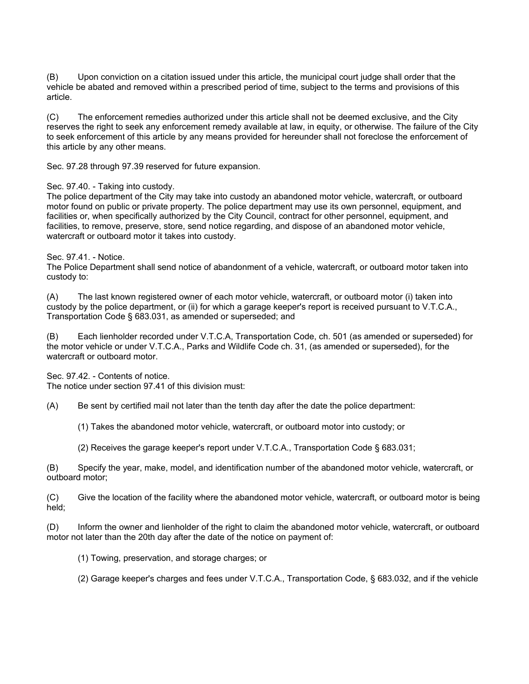(B) Upon conviction on a citation issued under this article, the municipal court judge shall order that the vehicle be abated and removed within a prescribed period of time, subject to the terms and provisions of this article.

(C) The enforcement remedies authorized under this article shall not be deemed exclusive, and the City reserves the right to seek any enforcement remedy available at law, in equity, or otherwise. The failure of the City to seek enforcement of this article by any means provided for hereunder shall not foreclose the enforcement of this article by any other means.

Sec. 97.28 through 97.39 reserved for future expansion.

#### Sec. 97.40. - Taking into custody.

The police department of the City may take into custody an abandoned motor vehicle, watercraft, or outboard motor found on public or private property. The police department may use its own personnel, equipment, and facilities or, when specifically authorized by the City Council, contract for other personnel, equipment, and facilities, to remove, preserve, store, send notice regarding, and dispose of an abandoned motor vehicle, watercraft or outboard motor it takes into custody.

Sec. 97.41. - Notice.

The Police Department shall send notice of abandonment of a vehicle, watercraft, or outboard motor taken into custody to:

(A) The last known registered owner of each motor vehicle, watercraft, or outboard motor (i) taken into custody by the police department, or (ii) for which a garage keeper's report is received pursuant to V.T.C.A., Transportation Code § 683.031, as amended or superseded; and

(B) Each lienholder recorded under V.T.C.A, Transportation Code, ch. 501 (as amended or superseded) for the motor vehicle or under V.T.C.A., Parks and Wildlife Code ch. 31, (as amended or superseded), for the watercraft or outboard motor.

Sec. 97.42. - Contents of notice.

The notice under section 97.41 of this division must:

(A) Be sent by certified mail not later than the tenth day after the date the police department:

(1) Takes the abandoned motor vehicle, watercraft, or outboard motor into custody; or

(2) Receives the garage keeper's report under V.T.C.A., Transportation Code § 683.031;

(B) Specify the year, make, model, and identification number of the abandoned motor vehicle, watercraft, or outboard motor;

(C) Give the location of the facility where the abandoned motor vehicle, watercraft, or outboard motor is being held;

(D) Inform the owner and lienholder of the right to claim the abandoned motor vehicle, watercraft, or outboard motor not later than the 20th day after the date of the notice on payment of:

(1) Towing, preservation, and storage charges; or

(2) Garage keeper's charges and fees under V.T.C.A., Transportation Code, § 683.032, and if the vehicle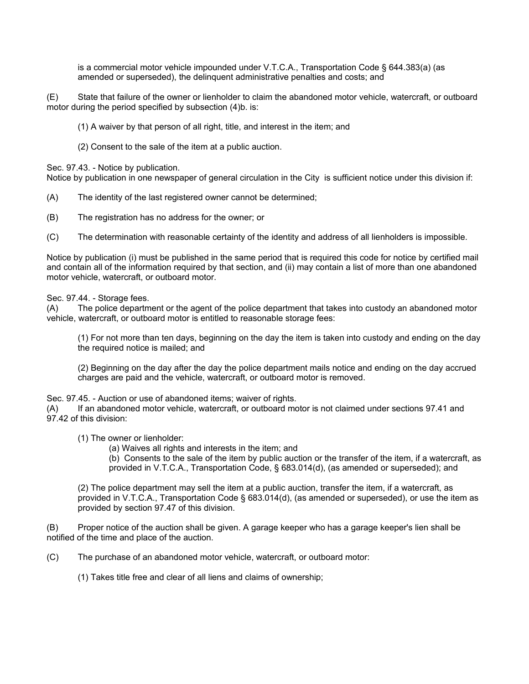is a commercial motor vehicle impounded under V.T.C.A., Transportation Code § 644.383(a) (as amended or superseded), the delinquent administrative penalties and costs; and

(E) State that failure of the owner or lienholder to claim the abandoned motor vehicle, watercraft, or outboard motor during the period specified by subsection (4)b. is:

(1) A waiver by that person of all right, title, and interest in the item; and

(2) Consent to the sale of the item at a public auction.

Sec. 97.43. - Notice by publication.

Notice by publication in one newspaper of general circulation in the City is sufficient notice under this division if:

- (A) The identity of the last registered owner cannot be determined;
- (B) The registration has no address for the owner; or
- (C) The determination with reasonable certainty of the identity and address of all lienholders is impossible.

Notice by publication (i) must be published in the same period that is required this code for notice by certified mail and contain all of the information required by that section, and (ii) may contain a list of more than one abandoned motor vehicle, watercraft, or outboard motor.

Sec. 97.44. - Storage fees.

(A) The police department or the agent of the police department that takes into custody an abandoned motor vehicle, watercraft, or outboard motor is entitled to reasonable storage fees:

(1) For not more than ten days, beginning on the day the item is taken into custody and ending on the day the required notice is mailed; and

(2) Beginning on the day after the day the police department mails notice and ending on the day accrued charges are paid and the vehicle, watercraft, or outboard motor is removed.

Sec. 97.45. - Auction or use of abandoned items; waiver of rights.

(A) If an abandoned motor vehicle, watercraft, or outboard motor is not claimed under sections 97.41 and 97.42 of this division:

(1) The owner or lienholder:

(a) Waives all rights and interests in the item; and

(b) Consents to the sale of the item by public auction or the transfer of the item, if a watercraft, as provided in V.T.C.A., Transportation Code, § 683.014(d), (as amended or superseded); and

(2) The police department may sell the item at a public auction, transfer the item, if a watercraft, as provided in V.T.C.A., Transportation Code § 683.014(d), (as amended or superseded), or use the item as provided by section 97.47 of this division.

(B) Proper notice of the auction shall be given. A garage keeper who has a garage keeper's lien shall be notified of the time and place of the auction.

(C) The purchase of an abandoned motor vehicle, watercraft, or outboard motor:

(1) Takes title free and clear of all liens and claims of ownership;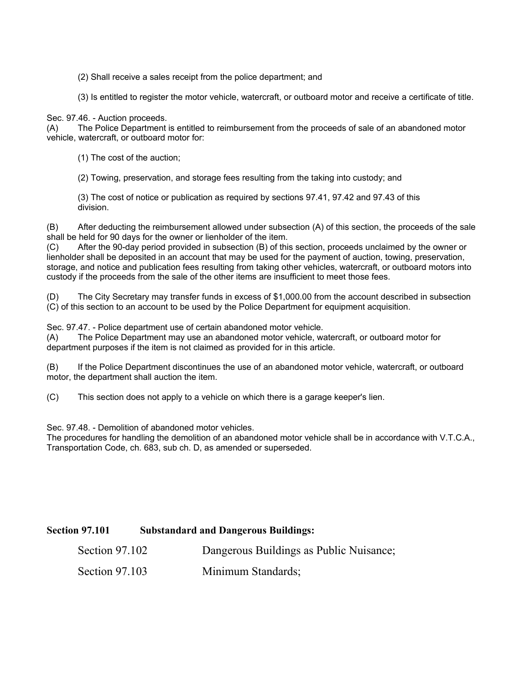- (2) Shall receive a sales receipt from the police department; and
- (3) Is entitled to register the motor vehicle, watercraft, or outboard motor and receive a certificate of title.

Sec. 97.46. - Auction proceeds.

(A) The Police Department is entitled to reimbursement from the proceeds of sale of an abandoned motor vehicle, watercraft, or outboard motor for:

(1) The cost of the auction;

(2) Towing, preservation, and storage fees resulting from the taking into custody; and

(3) The cost of notice or publication as required by sections 97.41, 97.42 and 97.43 of this division.

(B) After deducting the reimbursement allowed under subsection (A) of this section, the proceeds of the sale shall be held for 90 days for the owner or lienholder of the item.

(C) After the 90-day period provided in subsection (B) of this section, proceeds unclaimed by the owner or lienholder shall be deposited in an account that may be used for the payment of auction, towing, preservation, storage, and notice and publication fees resulting from taking other vehicles, watercraft, or outboard motors into custody if the proceeds from the sale of the other items are insufficient to meet those fees.

(D) The City Secretary may transfer funds in excess of \$1,000.00 from the account described in subsection (C) of this section to an account to be used by the Police Department for equipment acquisition.

Sec. 97.47. - Police department use of certain abandoned motor vehicle.

(A) The Police Department may use an abandoned motor vehicle, watercraft, or outboard motor for department purposes if the item is not claimed as provided for in this article.

(B) If the Police Department discontinues the use of an abandoned motor vehicle, watercraft, or outboard motor, the department shall auction the item.

(C) This section does not apply to a vehicle on which there is a garage keeper's lien.

Sec. 97.48. - Demolition of abandoned motor vehicles.

The procedures for handling the demolition of an abandoned motor vehicle shall be in accordance with V.T.C.A., Transportation Code, ch. 683, sub ch. D, as amended or superseded.

#### **Section 97.101 Substandard and Dangerous Buildings:**

Section 97.102 Dangerous Buildings as Public Nuisance; Section 97.103 Minimum Standards;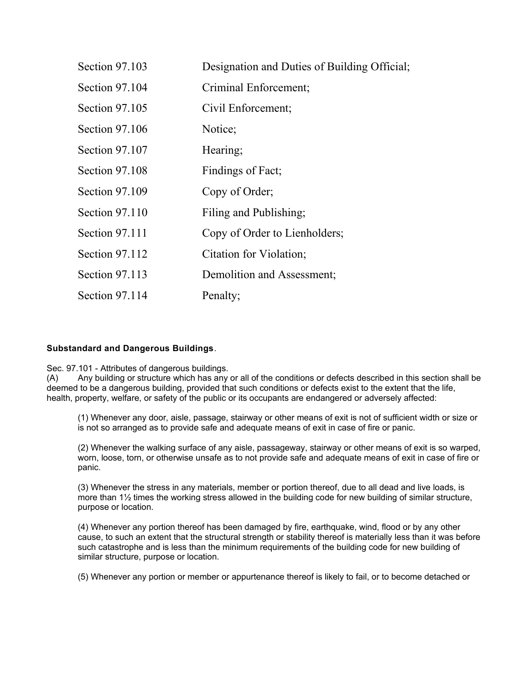| Section 97.103 | Designation and Duties of Building Official; |
|----------------|----------------------------------------------|
| Section 97.104 | Criminal Enforcement;                        |
| Section 97.105 | Civil Enforcement;                           |
| Section 97.106 | Notice;                                      |
| Section 97.107 | Hearing;                                     |
| Section 97.108 | Findings of Fact;                            |
| Section 97.109 | Copy of Order;                               |
| Section 97.110 | Filing and Publishing;                       |
| Section 97.111 | Copy of Order to Lienholders;                |
| Section 97.112 | Citation for Violation;                      |
| Section 97.113 | Demolition and Assessment;                   |
| Section 97.114 | Penalty;                                     |

#### **Substandard and Dangerous Buildings**.

Sec. 97.101 - Attributes of dangerous buildings.

(A) Any building or structure which has any or all of the conditions or defects described in this section shall be deemed to be a dangerous building, provided that such conditions or defects exist to the extent that the life, health, property, welfare, or safety of the public or its occupants are endangered or adversely affected:

(1) Whenever any door, aisle, passage, stairway or other means of exit is not of sufficient width or size or is not so arranged as to provide safe and adequate means of exit in case of fire or panic.

(2) Whenever the walking surface of any aisle, passageway, stairway or other means of exit is so warped, worn, loose, torn, or otherwise unsafe as to not provide safe and adequate means of exit in case of fire or panic.

(3) Whenever the stress in any materials, member or portion thereof, due to all dead and live loads, is more than 1½ times the working stress allowed in the building code for new building of similar structure, purpose or location.

(4) Whenever any portion thereof has been damaged by fire, earthquake, wind, flood or by any other cause, to such an extent that the structural strength or stability thereof is materially less than it was before such catastrophe and is less than the minimum requirements of the building code for new building of similar structure, purpose or location.

(5) Whenever any portion or member or appurtenance thereof is likely to fail, or to become detached or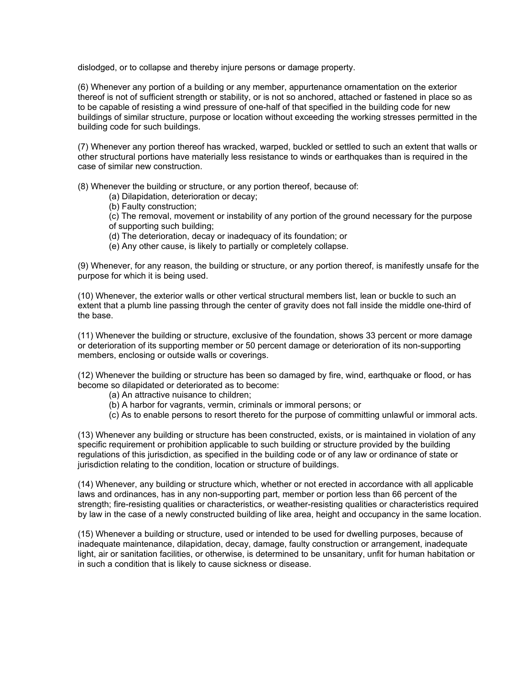dislodged, or to collapse and thereby injure persons or damage property.

(6) Whenever any portion of a building or any member, appurtenance ornamentation on the exterior thereof is not of sufficient strength or stability, or is not so anchored, attached or fastened in place so as to be capable of resisting a wind pressure of one-half of that specified in the building code for new buildings of similar structure, purpose or location without exceeding the working stresses permitted in the building code for such buildings.

(7) Whenever any portion thereof has wracked, warped, buckled or settled to such an extent that walls or other structural portions have materially less resistance to winds or earthquakes than is required in the case of similar new construction.

(8) Whenever the building or structure, or any portion thereof, because of:

- (a) Dilapidation, deterioration or decay;
- (b) Faulty construction;

(c) The removal, movement or instability of any portion of the ground necessary for the purpose

- of supporting such building;
- (d) The deterioration, decay or inadequacy of its foundation; or
- (e) Any other cause, is likely to partially or completely collapse.

(9) Whenever, for any reason, the building or structure, or any portion thereof, is manifestly unsafe for the purpose for which it is being used.

(10) Whenever, the exterior walls or other vertical structural members list, lean or buckle to such an extent that a plumb line passing through the center of gravity does not fall inside the middle one-third of the base.

(11) Whenever the building or structure, exclusive of the foundation, shows 33 percent or more damage or deterioration of its supporting member or 50 percent damage or deterioration of its non-supporting members, enclosing or outside walls or coverings.

(12) Whenever the building or structure has been so damaged by fire, wind, earthquake or flood, or has become so dilapidated or deteriorated as to become:

- (a) An attractive nuisance to children;
- (b) A harbor for vagrants, vermin, criminals or immoral persons; or
- (c) As to enable persons to resort thereto for the purpose of committing unlawful or immoral acts.

(13) Whenever any building or structure has been constructed, exists, or is maintained in violation of any specific requirement or prohibition applicable to such building or structure provided by the building regulations of this jurisdiction, as specified in the building code or of any law or ordinance of state or jurisdiction relating to the condition, location or structure of buildings.

(14) Whenever, any building or structure which, whether or not erected in accordance with all applicable laws and ordinances, has in any non-supporting part, member or portion less than 66 percent of the strength; fire-resisting qualities or characteristics, or weather-resisting qualities or characteristics required by law in the case of a newly constructed building of like area, height and occupancy in the same location.

(15) Whenever a building or structure, used or intended to be used for dwelling purposes, because of inadequate maintenance, dilapidation, decay, damage, faulty construction or arrangement, inadequate light, air or sanitation facilities, or otherwise, is determined to be unsanitary, unfit for human habitation or in such a condition that is likely to cause sickness or disease.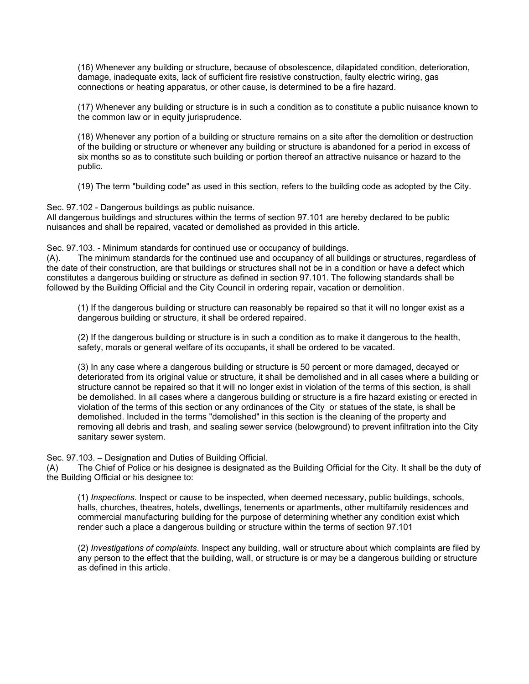(16) Whenever any building or structure, because of obsolescence, dilapidated condition, deterioration, damage, inadequate exits, lack of sufficient fire resistive construction, faulty electric wiring, gas connections or heating apparatus, or other cause, is determined to be a fire hazard.

(17) Whenever any building or structure is in such a condition as to constitute a public nuisance known to the common law or in equity jurisprudence.

(18) Whenever any portion of a building or structure remains on a site after the demolition or destruction of the building or structure or whenever any building or structure is abandoned for a period in excess of six months so as to constitute such building or portion thereof an attractive nuisance or hazard to the public.

(19) The term "building code" as used in this section, refers to the building code as adopted by the City.

Sec. 97.102 - Dangerous buildings as public nuisance.

All dangerous buildings and structures within the terms of section 97.101 are hereby declared to be public nuisances and shall be repaired, vacated or demolished as provided in this article.

Sec. 97.103. - Minimum standards for continued use or occupancy of buildings.

(A). The minimum standards for the continued use and occupancy of all buildings or structures, regardless of the date of their construction, are that buildings or structures shall not be in a condition or have a defect which constitutes a dangerous building or structure as defined in section 97.101. The following standards shall be followed by the Building Official and the City Council in ordering repair, vacation or demolition.

(1) If the dangerous building or structure can reasonably be repaired so that it will no longer exist as a dangerous building or structure, it shall be ordered repaired.

(2) If the dangerous building or structure is in such a condition as to make it dangerous to the health, safety, morals or general welfare of its occupants, it shall be ordered to be vacated.

(3) In any case where a dangerous building or structure is 50 percent or more damaged, decayed or deteriorated from its original value or structure, it shall be demolished and in all cases where a building or structure cannot be repaired so that it will no longer exist in violation of the terms of this section, is shall be demolished. In all cases where a dangerous building or structure is a fire hazard existing or erected in violation of the terms of this section or any ordinances of the City or statues of the state, is shall be demolished. Included in the terms "demolished" in this section is the cleaning of the property and removing all debris and trash, and sealing sewer service (belowground) to prevent infiltration into the City sanitary sewer system.

#### Sec. 97.103. – Designation and Duties of Building Official.

(A) The Chief of Police or his designee is designated as the Building Official for the City. It shall be the duty of the Building Official or his designee to:

(1) *Inspections*. Inspect or cause to be inspected, when deemed necessary, public buildings, schools, halls, churches, theatres, hotels, dwellings, tenements or apartments, other multifamily residences and commercial manufacturing building for the purpose of determining whether any condition exist which render such a place a dangerous building or structure within the terms of section 97.101

(2) *Investigations of complaints*. Inspect any building, wall or structure about which complaints are filed by any person to the effect that the building, wall, or structure is or may be a dangerous building or structure as defined in this article.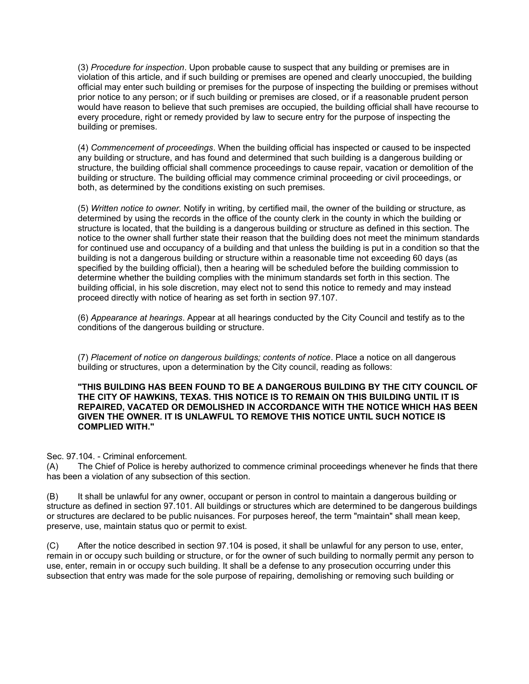(3) *Procedure for inspection*. Upon probable cause to suspect that any building or premises are in violation of this article, and if such building or premises are opened and clearly unoccupied, the building official may enter such building or premises for the purpose of inspecting the building or premises without prior notice to any person; or if such building or premises are closed, or if a reasonable prudent person would have reason to believe that such premises are occupied, the building official shall have recourse to every procedure, right or remedy provided by law to secure entry for the purpose of inspecting the building or premises.

(4) *Commencement of proceedings*. When the building official has inspected or caused to be inspected any building or structure, and has found and determined that such building is a dangerous building or structure, the building official shall commence proceedings to cause repair, vacation or demolition of the building or structure. The building official may commence criminal proceeding or civil proceedings, or both, as determined by the conditions existing on such premises.

(5) *Written notice to owner.* Notify in writing, by certified mail, the owner of the building or structure, as determined by using the records in the office of the county clerk in the county in which the building or structure is located, that the building is a dangerous building or structure as defined in this section. The notice to the owner shall further state their reason that the building does not meet the minimum standards for continued use and occupancy of a building and that unless the building is put in a condition so that the building is not a dangerous building or structure within a reasonable time not exceeding 60 days (as specified by the building official), then a hearing will be scheduled before the building commission to determine whether the building complies with the minimum standards set forth in this section. The building official, in his sole discretion, may elect not to send this notice to remedy and may instead proceed directly with notice of hearing as set forth in section 97.107.

(6) *Appearance at hearings*. Appear at all hearings conducted by the City Council and testify as to the conditions of the dangerous building or structure.

(7) *Placement of notice on dangerous buildings; contents of notice*. Place a notice on all dangerous building or structures, upon a determination by the City council, reading as follows:

**"THIS BUILDING HAS BEEN FOUND TO BE A DANGEROUS BUILDING BY THE CITY COUNCIL OF THE CITY OF HAWKINS, TEXAS. THIS NOTICE IS TO REMAIN ON THIS BUILDING UNTIL IT IS REPAIRED, VACATED OR DEMOLISHED IN ACCORDANCE WITH THE NOTICE WHICH HAS BEEN GIVEN THE OWNER. IT IS UNLAWFUL TO REMOVE THIS NOTICE UNTIL SUCH NOTICE IS COMPLIED WITH."** 

Sec. 97.104. - Criminal enforcement.

(A) The Chief of Police is hereby authorized to commence criminal proceedings whenever he finds that there has been a violation of any subsection of this section.

(B) It shall be unlawful for any owner, occupant or person in control to maintain a dangerous building or structure as defined in section 97.101. All buildings or structures which are determined to be dangerous buildings or structures are declared to be public nuisances. For purposes hereof, the term "maintain" shall mean keep, preserve, use, maintain status quo or permit to exist.

(C) After the notice described in section 97.104 is posed, it shall be unlawful for any person to use, enter, remain in or occupy such building or structure, or for the owner of such building to normally permit any person to use, enter, remain in or occupy such building. It shall be a defense to any prosecution occurring under this subsection that entry was made for the sole purpose of repairing, demolishing or removing such building or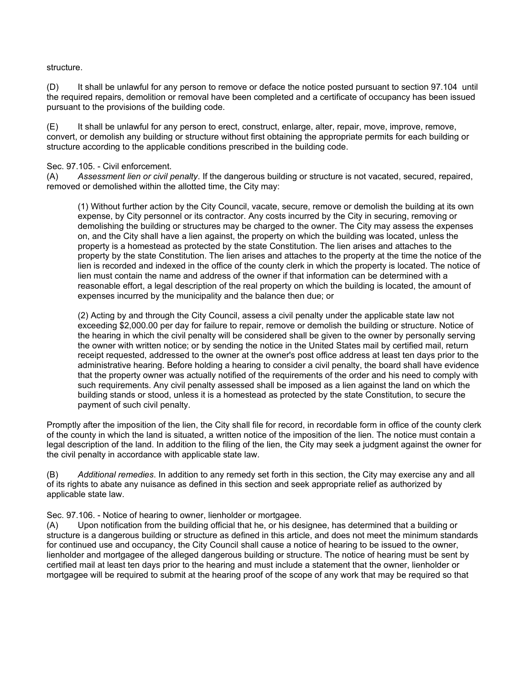#### structure.

(D) It shall be unlawful for any person to remove or deface the notice posted pursuant to section 97.104 until the required repairs, demolition or removal have been completed and a certificate of occupancy has been issued pursuant to the provisions of the building code.

(E) It shall be unlawful for any person to erect, construct, enlarge, alter, repair, move, improve, remove, convert, or demolish any building or structure without first obtaining the appropriate permits for each building or structure according to the applicable conditions prescribed in the building code.

#### Sec. 97.105. - Civil enforcement.

(A) *Assessment lien or civil penalty*. If the dangerous building or structure is not vacated, secured, repaired, removed or demolished within the allotted time, the City may:

(1) Without further action by the City Council, vacate, secure, remove or demolish the building at its own expense, by City personnel or its contractor. Any costs incurred by the City in securing, removing or demolishing the building or structures may be charged to the owner. The City may assess the expenses on, and the City shall have a lien against, the property on which the building was located, unless the property is a homestead as protected by the state Constitution. The lien arises and attaches to the property by the state Constitution. The lien arises and attaches to the property at the time the notice of the lien is recorded and indexed in the office of the county clerk in which the property is located. The notice of lien must contain the name and address of the owner if that information can be determined with a reasonable effort, a legal description of the real property on which the building is located, the amount of expenses incurred by the municipality and the balance then due; or

(2) Acting by and through the City Council, assess a civil penalty under the applicable state law not exceeding \$2,000.00 per day for failure to repair, remove or demolish the building or structure. Notice of the hearing in which the civil penalty will be considered shall be given to the owner by personally serving the owner with written notice; or by sending the notice in the United States mail by certified mail, return receipt requested, addressed to the owner at the owner's post office address at least ten days prior to the administrative hearing. Before holding a hearing to consider a civil penalty, the board shall have evidence that the property owner was actually notified of the requirements of the order and his need to comply with such requirements. Any civil penalty assessed shall be imposed as a lien against the land on which the building stands or stood, unless it is a homestead as protected by the state Constitution, to secure the payment of such civil penalty.

Promptly after the imposition of the lien, the City shall file for record, in recordable form in office of the county clerk of the county in which the land is situated, a written notice of the imposition of the lien. The notice must contain a legal description of the land. In addition to the filing of the lien, the City may seek a judgment against the owner for the civil penalty in accordance with applicable state law.

(B) *Additional remedies*. In addition to any remedy set forth in this section, the City may exercise any and all of its rights to abate any nuisance as defined in this section and seek appropriate relief as authorized by applicable state law.

Sec. 97.106. - Notice of hearing to owner, lienholder or mortgagee.

(A) Upon notification from the building official that he, or his designee, has determined that a building or structure is a dangerous building or structure as defined in this article, and does not meet the minimum standards for continued use and occupancy, the City Council shall cause a notice of hearing to be issued to the owner, lienholder and mortgagee of the alleged dangerous building or structure. The notice of hearing must be sent by certified mail at least ten days prior to the hearing and must include a statement that the owner, lienholder or mortgagee will be required to submit at the hearing proof of the scope of any work that may be required so that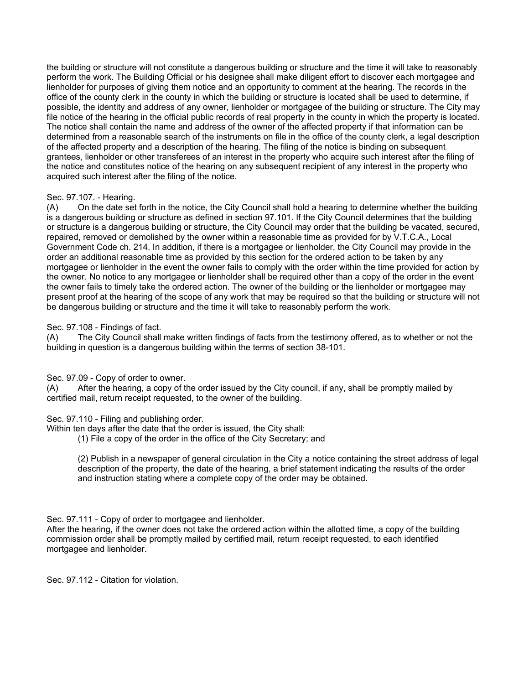the building or structure will not constitute a dangerous building or structure and the time it will take to reasonably perform the work. The Building Official or his designee shall make diligent effort to discover each mortgagee and lienholder for purposes of giving them notice and an opportunity to comment at the hearing. The records in the office of the county clerk in the county in which the building or structure is located shall be used to determine, if possible, the identity and address of any owner, lienholder or mortgagee of the building or structure. The City may file notice of the hearing in the official public records of real property in the county in which the property is located. The notice shall contain the name and address of the owner of the affected property if that information can be determined from a reasonable search of the instruments on file in the office of the county clerk, a legal description of the affected property and a description of the hearing. The filing of the notice is binding on subsequent grantees, lienholder or other transferees of an interest in the property who acquire such interest after the filing of the notice and constitutes notice of the hearing on any subsequent recipient of any interest in the property who acquired such interest after the filing of the notice.

#### Sec. 97.107. - Hearing.

(A) On the date set forth in the notice, the City Council shall hold a hearing to determine whether the building is a dangerous building or structure as defined in section 97.101. If the City Council determines that the building or structure is a dangerous building or structure, the City Council may order that the building be vacated, secured, repaired, removed or demolished by the owner within a reasonable time as provided for by V.T.C.A., Local Government Code ch. 214. In addition, if there is a mortgagee or lienholder, the City Council may provide in the order an additional reasonable time as provided by this section for the ordered action to be taken by any mortgagee or lienholder in the event the owner fails to comply with the order within the time provided for action by the owner. No notice to any mortgagee or lienholder shall be required other than a copy of the order in the event the owner fails to timely take the ordered action. The owner of the building or the lienholder or mortgagee may present proof at the hearing of the scope of any work that may be required so that the building or structure will not be dangerous building or structure and the time it will take to reasonably perform the work.

#### Sec. 97.108 - Findings of fact.

(A) The City Council shall make written findings of facts from the testimony offered, as to whether or not the building in question is a dangerous building within the terms of section 38-101.

#### Sec. 97.09 - Copy of order to owner.

(A) After the hearing, a copy of the order issued by the City council, if any, shall be promptly mailed by certified mail, return receipt requested, to the owner of the building.

Sec. 97.110 - Filing and publishing order.

Within ten days after the date that the order is issued, the City shall:

(1) File a copy of the order in the office of the City Secretary; and

(2) Publish in a newspaper of general circulation in the City a notice containing the street address of legal description of the property, the date of the hearing, a brief statement indicating the results of the order and instruction stating where a complete copy of the order may be obtained.

Sec. 97.111 - Copy of order to mortgagee and lienholder.

After the hearing, if the owner does not take the ordered action within the allotted time, a copy of the building commission order shall be promptly mailed by certified mail, return receipt requested, to each identified mortgagee and lienholder.

Sec. 97.112 - Citation for violation.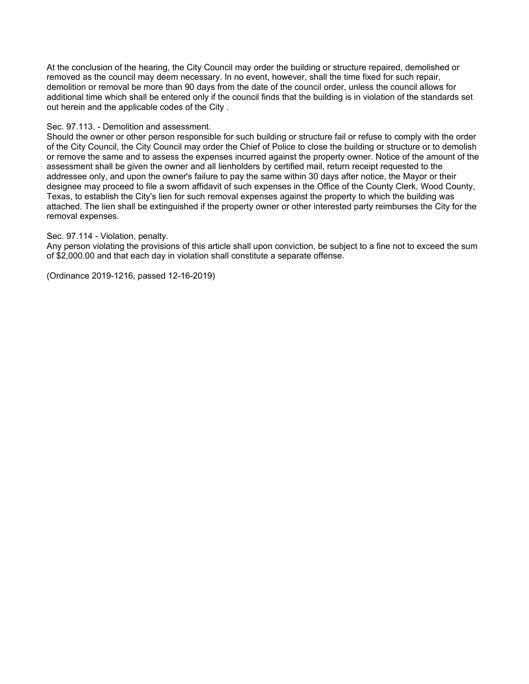At the conclusion of the hearing, the City Council may order the building or structure repaired, demolished or removed as the council may deem necessary. In no event, however, shall the time fixed for such repair, demolition or removal be more than 90 days from the date of the council order, unless the council allows for additional time which shall be entered only if the council finds that the building is in violation of the standards set out herein and the applicable codes of the City .

#### Sec. 97.113. - Demolition and assessment.

Should the owner or other person responsible for such building or structure fail or refuse to comply with the order of the City Council, the City Council may order the Chief of Police to close the building or structure or to demolish or remove the same and to assess the expenses incurred against the property owner. Notice of the amount of the assessment shall be given the owner and all lienholders by certified mail, return receipt requested to the addressee only, and upon the owner's failure to pay the same within 30 days after notice, the Mayor or their designee may proceed to file a sworn affidavit of such expenses in the Office of the County Clerk, Wood County, Texas, to establish the City's lien for such removal expenses against the property to which the building was attached. The lien shall be extinguished if the property owner or other interested party reimburses the City for the removal expenses.

#### Sec. 97.114 - Violation, penalty.

Any person violating the provisions of this article shall upon conviction, be subject to a fine not to exceed the sum of \$2,000.00 and that each day in violation shall constitute a separate offense.

(Ordinance 2019-1216, passed 12-16-2019)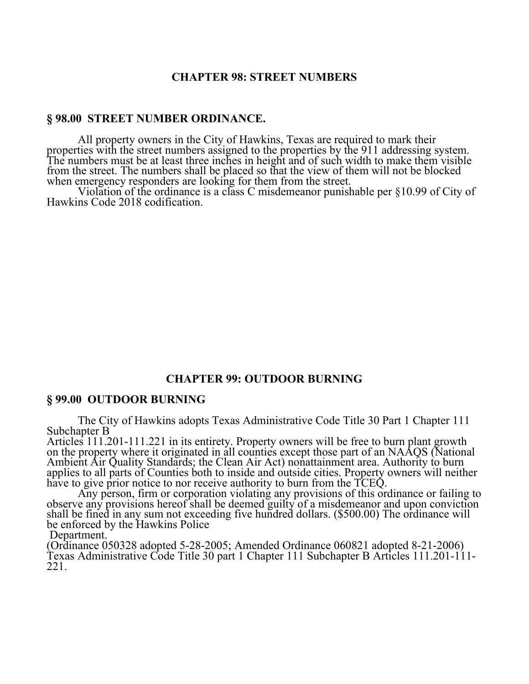# **CHAPTER 98: STREET NUMBERS**

# **§ 98.00 STREET NUMBER ORDINANCE.**

All property owners in the City of Hawkins, Texas are required to mark their properties with the street numbers assigned to the properties by the 911 addressing system. The numbers must be at least three inches in height and of such width to make them visible from the street. The numbers shall be placed so that the view of them will not be blocked when emergency responders are looking for them from the street.

Violation of the ordinance is a class C misdemeanor punishable per §10.99 of City of Hawkins Code 2018 codification.

## **CHAPTER 99: OUTDOOR BURNING**

# **§ 99.00 OUTDOOR BURNING**

The City of Hawkins adopts Texas Administrative Code Title 30 Part 1 Chapter 111 Subchapter B

Articles 111.201-111.221 in its entirety. Property owners will be free to burn plant growth on the property where it originated in all counties except those part of an NAAQS (National Ambient Air Quality Standards; the Clean Air Act) nonattainment area. Authority to burn applies to all parts of Counties both to inside and outside cities. Property owners will neither have to give prior notice to nor receive authority to burn from the TCEQ.

Any person, firm or corporation violating any provisions of this ordinance or failing to observe any provisions hereof shall be deemed guilty of a misdemeanor and upon conviction shall be fined in any sum not exceeding five hundred dollars. (\$500.00) The ordinance will be enforced by the Hawkins Police

Department.

(Ordinance 050328 adopted 5-28-2005; Amended Ordinance 060821 adopted 8-21-2006) Texas Administrative Code Title 30 part 1 Chapter 111 Subchapter B Articles 111.201-111- 221.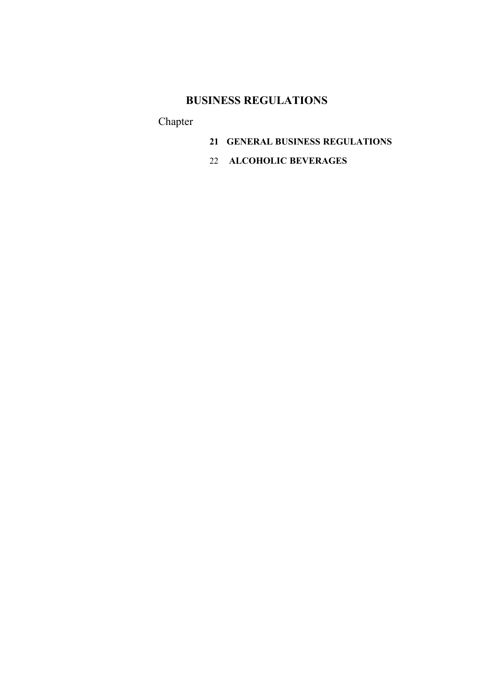# **BUSINESS REGULATIONS**

Chapter

- **21 GENERAL BUSINESS REGULATIONS**
- 22 **ALCOHOLIC BEVERAGES**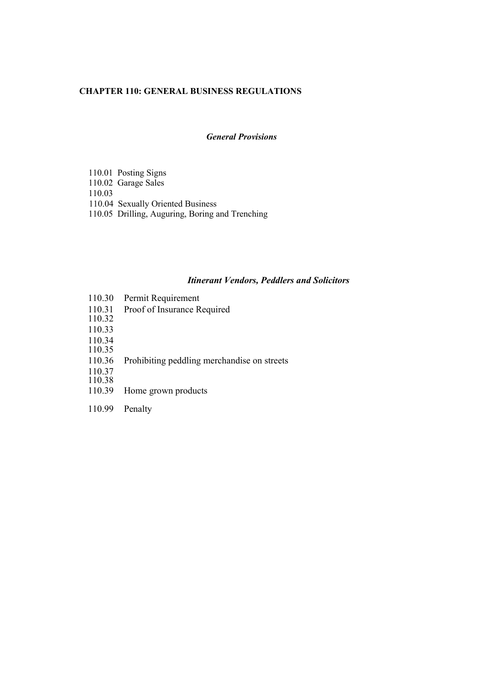# **CHAPTER 110: GENERAL BUSINESS REGULATIONS**

## *General Provisions*

 110.01 Posting Signs 110.02 Garage Sales 110.03 110.04 Sexually Oriented Business 110.05 Drilling, Auguring, Boring and Trenching

# *Itinerant Vendors, Peddlers and Solicitors*

| 110.30 | Permit Requirement                          |
|--------|---------------------------------------------|
| 110.31 | Proof of Insurance Required                 |
| 110.32 |                                             |
| 110.33 |                                             |
| 110.34 |                                             |
| 110.35 |                                             |
| 110.36 | Prohibiting peddling merchandise on streets |
| 110.37 |                                             |
| 110.38 |                                             |
| 110.39 | Home grown products                         |
| 110.99 | Penalty                                     |
|        |                                             |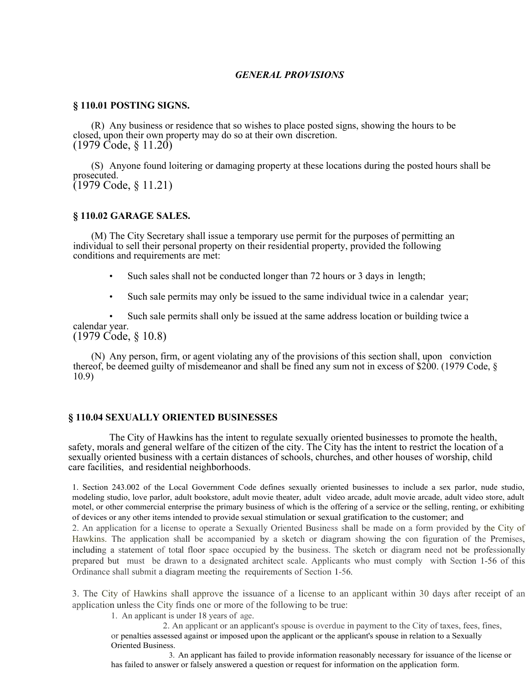#### *GENERAL PROVISIONS*

#### **§ 110.01 POSTING SIGNS.**

(R) Any business or residence that so wishes to place posted signs, showing the hours to be closed, upon their own property may do so at their own discretion. (1979 Code, § 11.20)

(S) Anyone found loitering or damaging property at these locations during the posted hours shall be prosecuted. (1979 Code, § 11.21)

#### **§ 110.02 GARAGE SALES.**

(M) The City Secretary shall issue a temporary use permit for the purposes of permitting an individual to sell their personal property on their residential property, provided the following conditions and requirements are met:

- Such sales shall not be conducted longer than 72 hours or 3 days in length;
- Such sale permits may only be issued to the same individual twice in a calendar year;

• Such sale permits shall only be issued at the same address location or building twice a calendar year. (1979 Code, § 10.8)

(N) Any person, firm, or agent violating any of the provisions of this section shall, upon conviction thereof, be deemed guilty of misdemeanor and shall be fined any sum not in excess of \$200. (1979 Code, § 10.9)

### **§ 110.04 SEXUALLY ORIENTED BUSINESSES**

The City of Hawkins has the intent to regulate sexually oriented businesses to promote the health, safety, morals and general welfare of the citizen of the city. The City has the intent to restrict the location of a sexually oriented business with a certain distances of schools, churches, and other houses of worship, child care facilities, and residential neighborhoods.

1. Section 243.002 of the Local Government Code defines sexually oriented businesses to include a sex parlor, nude studio, modeling studio, love parlor, adult bookstore, adult movie theater, adult video arcade, adult movie arcade, adult video store, adult motel, or other commercial enterprise the primary business of which is the offering of a service or the selling, renting, or exhibiting of devices or any other items intended to provide sexual stimulation or sexual gratification to the customer; and

2. An application for a license to operate a Sexually Oriented Business shall be made on a form provided by the City of Hawkins. The application shall be accompanied by a sketch or diagram showing the con figuration of the Premises, including a statement of total floor space occupied by the business. The sketch or diagram need not be professionally prepared but must be drawn to a designated architect scale. Applicants who must comply with Section 1-56 of this Ordinance shall submit a diagram meeting the requirements of Section 1-56.

3. The City of Hawkins shall approve the issuance of a license to an applicant within 30 days after receipt of an application unless the City finds one or more of the following to be true:

1. An applicant is under 18 years of age.

 2. An applicant or an applicant's spouse is overdue in payment to the City of taxes, fees, fines, or penalties assessed against or imposed upon the applicant or the applicant's spouse in relation to a Sexually Oriented Business.

 3. An applicant has failed to provide information reasonably necessary for issuance of the license or has failed to answer or falsely answered a question or request for information on the application form.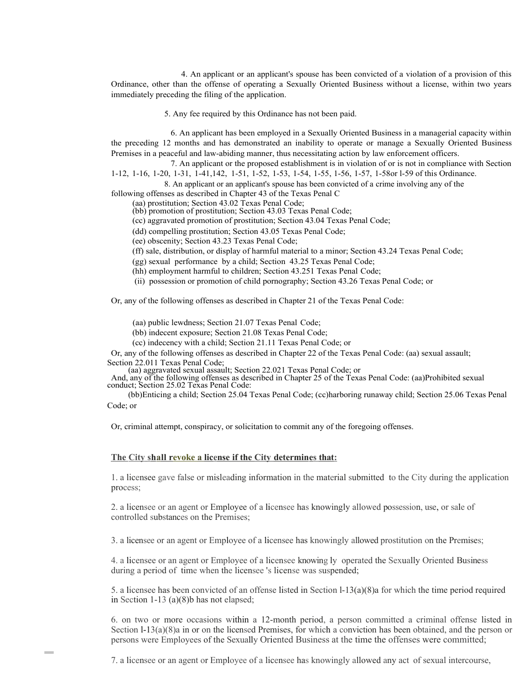4. An applicant or an applicant's spouse has been convicted of a violation of a provision of this Ordinance, other than the offense of operating a Sexually Oriented Business without a license, within two years immediately preceding the filing of the application.

5. Any fee required by this Ordinance has not been paid.

 6. An applicant has been employed in a Sexually Oriented Business in a managerial capacity within the preceding 12 months and has demonstrated an inability to operate or manage a Sexually Oriented Business Premises in a peaceful and law-abiding manner, thus necessitating action by law enforcement officers.

 7. An applicant or the proposed establishment is in violation of or is not in compliance with Section 1-12, 1-16, 1-20, 1-31, 1-41,142, 1-51, 1-52, 1-53, 1-54, 1-55, 1-56, 1-57, 1-58or l-59 of this Ordinance.

8. An applicant or an applicant's spouse has been convicted of a crime involving any of the

following offenses as described in Chapter 43 of the Texas Penal C

(aa) prostitution; Section 43.02 Texas Penal Code;

(bb) promotion of prostitution; Section 43.03 Texas Penal Code;

(cc) aggravated promotion of prostitution; Section 43.04 Texas Penal Code;

(dd) compelling prostitution; Section 43.05 Texas Penal Code;

(ee) obscenity; Section 43.23 Texas Penal Code;

(ff) sale, distribution, or display of harmful material to a minor; Section 43.24 Texas Penal Code;

(gg) sexual performance by a child; Section 43.25 Texas Penal Code;

(hh) employment harmful to children; Section 43.251 Texas Penal Code;

(ii) possession or promotion of child pornography; Section 43.26 Texas Penal Code; or

Or, any of the following offenses as described in Chapter 21 of the Texas Penal Code:

(aa) public lewdness; Section 21.07 Texas Penal Code;

(bb) indecent exposure; Section 21.08 Texas Penal Code;

(cc) indecency with a child; Section 21.11 Texas Penal Code; or

Or, any of the following offenses as described in Chapter 22 of the Texas Penal Code: (aa) sexual assault; Section 22.011 Texas Penal Code;

(aa) aggravated sexual assault; Section 22.021 Texas Penal Code; or

And, any of the following offenses as described in Chapter 25 of the Texas Penal Code: (aa)Prohibited sexual conduct; Section 25.02 Texas Penal Code:

 (bb)Enticing a child; Section 25.04 Texas Penal Code; (cc)harboring runaway child; Section 25.06 Texas Penal Code; or

Or, criminal attempt, conspiracy, or solicitation to commit any of the foregoing offenses.

#### **The City shall revoke a license if the City determines that:**

-

1. a licensee gave false or misleading information in the material submitted to the City during the application process;

2. a licensee or an agent or Employee of a licensee has knowingly allowed possession, use, or sale of controlled substances on the Premises;

3. a licensee or an agent or Employee of a licensee has knowingly allowed prostitution on the Premises;

4. a licensee or an agent or Employee of a licensee knowing ly operated the Sexually Oriented Business during a period of time when the licensee 's license was suspended;

5. a licensee has been convicted of an offense listed in Section l-13(a)(8)a for which the time period required in Section 1-13 (a)(8)b has not elapsed;

6. on two or more occasions within a 12-month period, a person committed a criminal offense listed in Section l-13(a)(8)a in or on the licensed Premises, for which a conviction has been obtained, and the person or persons were Employees of the Sexually Oriented Business at the time the offenses were committed;

7. a licensee or an agent or Employee of a licensee has knowingly allowed any act of sexual intercourse,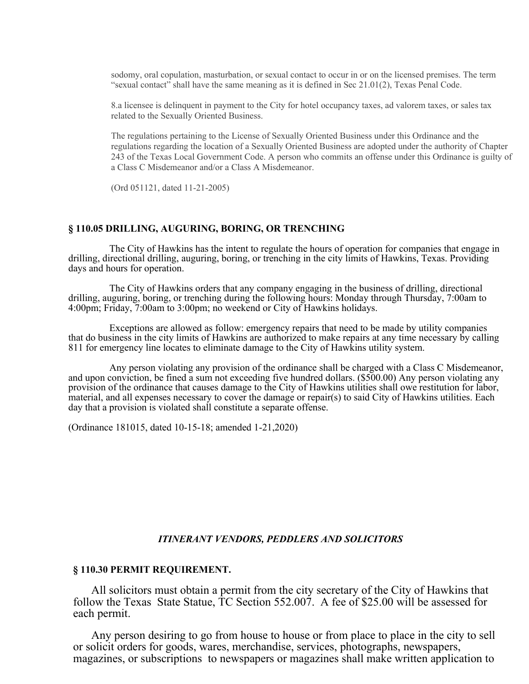sodomy, oral copulation, masturbation, or sexual contact to occur in or on the licensed premises. The term "sexual contact" shall have the same meaning as it is defined in Sec 21.01(2), Texas Penal Code.

8.a licensee is delinquent in payment to the City for hotel occupancy taxes, ad valorem taxes, or sales tax related to the Sexually Oriented Business.

The regulations pertaining to the License of Sexually Oriented Business under this Ordinance and the regulations regarding the location of a Sexually Oriented Business are adopted under the authority of Chapter 243 of the Texas Local Government Code. A person who commits an offense under this Ordinance is guilty of a Class C Misdemeanor and/or a Class A Misdemeanor.

(Ord 051121, dated 11-21-2005)

## **§ 110.05 DRILLING, AUGURING, BORING, OR TRENCHING**

The City of Hawkins has the intent to regulate the hours of operation for companies that engage in drilling, directional drilling, auguring, boring, or trenching in the city limits of Hawkins, Texas. Providing days and hours for operation.

The City of Hawkins orders that any company engaging in the business of drilling, directional drilling, auguring, boring, or trenching during the following hours: Monday through Thursday, 7:00am to 4:00pm; Friday, 7:00am to 3:00pm; no weekend or City of Hawkins holidays.

Exceptions are allowed as follow: emergency repairs that need to be made by utility companies that do business in the city limits of Hawkins are authorized to make repairs at any time necessary by calling 811 for emergency line locates to eliminate damage to the City of Hawkins utility system.

Any person violating any provision of the ordinance shall be charged with a Class C Misdemeanor, and upon conviction, be fined a sum not exceeding five hundred dollars. (\$500.00) Any person violating any provision of the ordinance that causes damage to the City of Hawkins utilities shall owe restitution for labor, material, and all expenses necessary to cover the damage or repair(s) to said City of Hawkins utilities. Each day that a provision is violated shall constitute a separate offense.

(Ordinance 181015, dated 10-15-18; amended 1-21,2020)

## *ITINERANT VENDORS, PEDDLERS AND SOLICITORS*

#### **§ 110.30 PERMIT REQUIREMENT.**

All solicitors must obtain a permit from the city secretary of the City of Hawkins that follow the Texas State Statue, TC Section 552.007. A fee of \$25.00 will be assessed for each permit.

Any person desiring to go from house to house or from place to place in the city to sell or solicit orders for goods, wares, merchandise, services, photographs, newspapers, magazines, or subscriptions to newspapers or magazines shall make written application to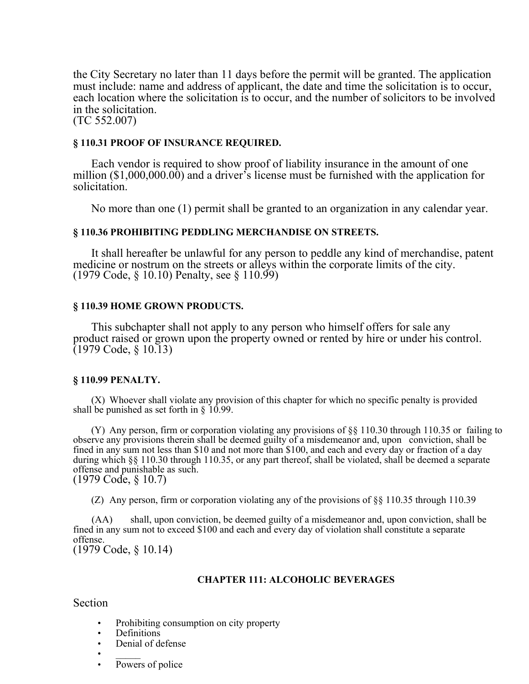the City Secretary no later than 11 days before the permit will be granted. The application must include: name and address of applicant, the date and time the solicitation is to occur, each location where the solicitation is to occur, and the number of solicitors to be involved in the solicitation.

(TC 552.007)

# **§ 110.31 PROOF OF INSURANCE REQUIRED.**

Each vendor is required to show proof of liability insurance in the amount of one million (\$1,000,000.00) and a driver's license must be furnished with the application for solicitation.

No more than one (1) permit shall be granted to an organization in any calendar year.

# **§ 110.36 PROHIBITING PEDDLING MERCHANDISE ON STREETS.**

It shall hereafter be unlawful for any person to peddle any kind of merchandise, patent medicine or nostrum on the streets or alleys within the corporate limits of the city. (1979 Code, § 10.10) Penalty, see § 110.99)

# **§ 110.39 HOME GROWN PRODUCTS.**

This subchapter shall not apply to any person who himself offers for sale any product raised or grown upon the property owned or rented by hire or under his control. (1979 Code, § 10.13)

## **§ 110.99 PENALTY.**

(X) Whoever shall violate any provision of this chapter for which no specific penalty is provided shall be punished as set forth in § 10.99.

(Y) Any person, firm or corporation violating any provisions of §§ 110.30 through 110.35 or failing to observe any provisions therein shall be deemed guilty of a misdemeanor and, upon conviction, shall be fined in any sum not less than \$10 and not more than \$100, and each and every day or fraction of a day during which §§ 110.30 through 110.35, or any part thereof, shall be violated, shall be deemed a separate offense and punishable as such. (1979 Code, § 10.7)

(Z) Any person, firm or corporation violating any of the provisions of  $\S$ § 110.35 through 110.39

(AA) shall, upon conviction, be deemed guilty of a misdemeanor and, upon conviction, shall be fined in any sum not to exceed \$100 and each and every day of violation shall constitute a separate offense. (1979 Code, § 10.14)

# **CHAPTER 111: ALCOHOLIC BEVERAGES**

# Section

- Prohibiting consumption on city property
- Definitions
- Denial of defense
- $\bullet$   $\bullet$   $\bullet$   $\bullet$   $\bullet$ Powers of police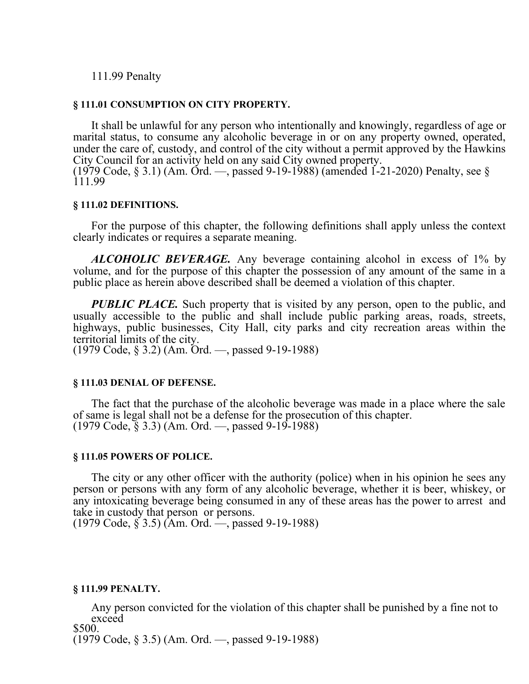# 111.99 Penalty

### **§ 111.01 CONSUMPTION ON CITY PROPERTY.**

It shall be unlawful for any person who intentionally and knowingly, regardless of age or marital status, to consume any alcoholic beverage in or on any property owned, operated, under the care of, custody, and control of the city without a permit approved by the Hawkins City Council for an activity held on any said City owned property. (1979 Code, § 3.1) (Am. Ord. —, passed 9-19-1988) (amended 1-21-2020) Penalty, see § 111.99

## **§ 111.02 DEFINITIONS.**

For the purpose of this chapter, the following definitions shall apply unless the context clearly indicates or requires a separate meaning.

*ALCOHOLIC BEVERAGE.* Any beverage containing alcohol in excess of 1% by volume, and for the purpose of this chapter the possession of any amount of the same in a public place as herein above described shall be deemed a violation of this chapter.

*PUBLIC PLACE.* Such property that is visited by any person, open to the public, and usually accessible to the public and shall include public parking areas, roads, streets, highways, public businesses, City Hall, city parks and city recreation areas within the territorial limits of the city.

(1979 Code, § 3.2) (Am. Ord. —, passed 9-19-1988)

#### **§ 111.03 DENIAL OF DEFENSE.**

The fact that the purchase of the alcoholic beverage was made in a place where the sale of same is legal shall not be a defense for the prosecution of this chapter. (1979 Code, § 3.3) (Am. Ord. —, passed 9-19-1988)

# **§ 111.05 POWERS OF POLICE.**

The city or any other officer with the authority (police) when in his opinion he sees any person or persons with any form of any alcoholic beverage, whether it is beer, whiskey, or any intoxicating beverage being consumed in any of these areas has the power to arrest and take in custody that person or persons.

(1979 Code, § 3.5) (Am. Ord. —, passed 9-19-1988)

# **§ 111.99 PENALTY.**

Any person convicted for the violation of this chapter shall be punished by a fine not to exceed \$500.

(1979 Code, § 3.5) (Am. Ord. —, passed 9-19-1988)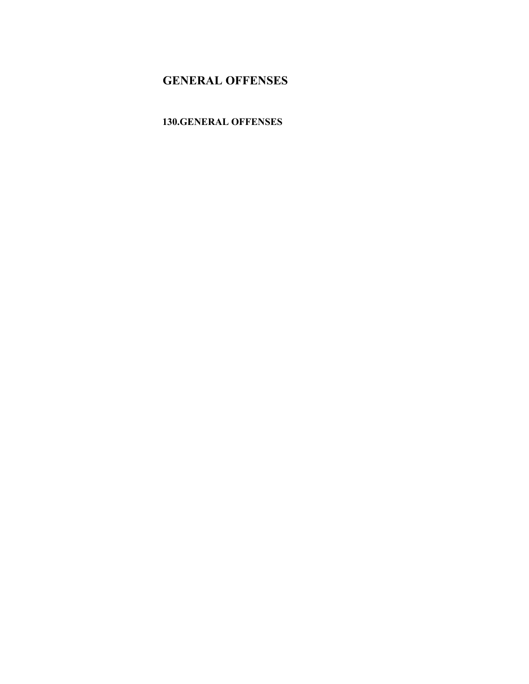# **GENERAL OFFENSES**

# **130.GENERAL OFFENSES**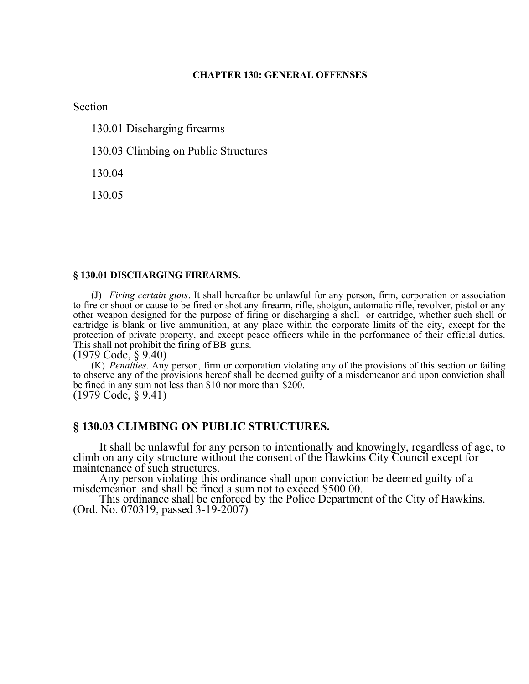#### **CHAPTER 130: GENERAL OFFENSES**

Section

130.01 Discharging firearms

130.03 Climbing on Public Structures

130.04

130.05

# **§ 130.01 DISCHARGING FIREARMS.**

(J) *Firing certain guns*. It shall hereafter be unlawful for any person, firm, corporation or association to fire or shoot or cause to be fired or shot any firearm, rifle, shotgun, automatic rifle, revolver, pistol or any other weapon designed for the purpose of firing or discharging a shell or cartridge, whether such shell or cartridge is blank or live ammunition, at any place within the corporate limits of the city, except for the protection of private property, and except peace officers while in the performance of their official duties. This shall not prohibit the firing of BB guns.

(1979 Code, § 9.40)

(K) *Penalties*. Any person, firm or corporation violating any of the provisions of this section or failing to observe any of the provisions hereof shall be deemed guilty of a misdemeanor and upon conviction shall be fined in any sum not less than \$10 nor more than \$200. (1979 Code, § 9.41)

# **§ 130.03 CLIMBING ON PUBLIC STRUCTURES.**

It shall be unlawful for any person to intentionally and knowingly, regardless of age, to climb on any city structure without the consent of the Hawkins City Council except for maintenance of such structures.

Any person violating this ordinance shall upon conviction be deemed guilty of a misdemeanor and shall be fined a sum not to exceed \$500.00.

This ordinance shall be enforced by the Police Department of the City of Hawkins. (Ord. No. 070319, passed 3-19-2007)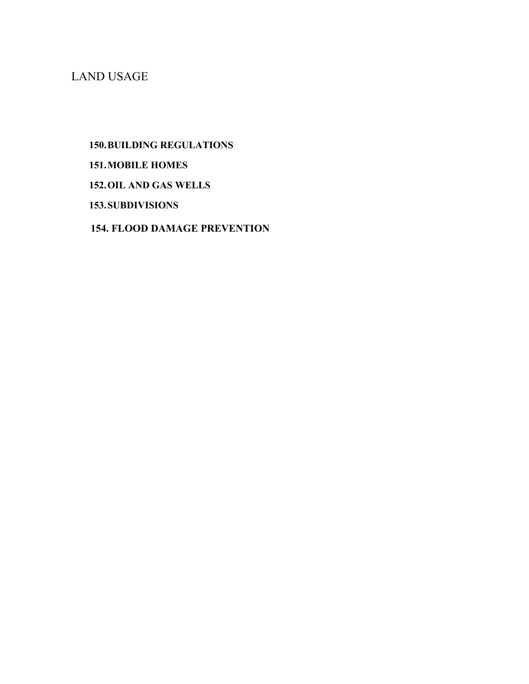LAND USAGE

**150.BUILDING REGULATIONS 151.MOBILE HOMES 152.OIL AND GAS WELLS 153.SUBDIVISIONS 154. FLOOD DAMAGE PREVENTION**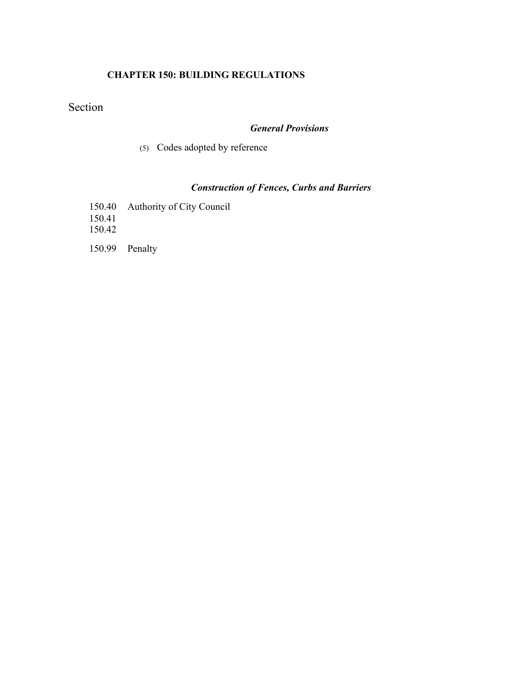# **CHAPTER 150: BUILDING REGULATIONS**

# Section

# *General Provisions*

(5) Codes adopted by reference

# *Construction of Fences, Curbs and Barriers*

- 150.40 Authority of City Council
- 150.41
- 150.42
- 150.99 Penalty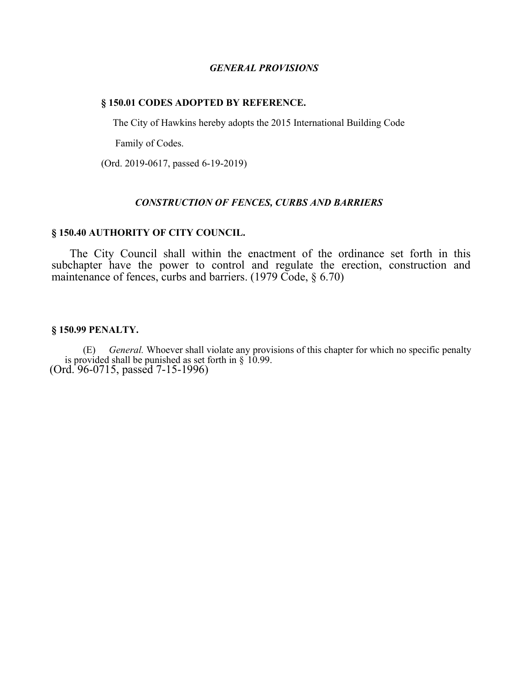# *GENERAL PROVISIONS*

#### **§ 150.01 CODES ADOPTED BY REFERENCE.**

The City of Hawkins hereby adopts the 2015 International Building Code

Family of Codes.

(Ord. 2019-0617, passed 6-19-2019)

### *CONSTRUCTION OF FENCES, CURBS AND BARRIERS*

## **§ 150.40 AUTHORITY OF CITY COUNCIL.**

The City Council shall within the enactment of the ordinance set forth in this subchapter have the power to control and regulate the erection, construction and maintenance of fences, curbs and barriers. (1979 Code, § 6.70)

### **§ 150.99 PENALTY.**

(E) *General.* Whoever shall violate any provisions of this chapter for which no specific penalty is provided shall be punished as set forth in  $\S$  10.99. (Ord. 96-0715, passed 7-15-1996)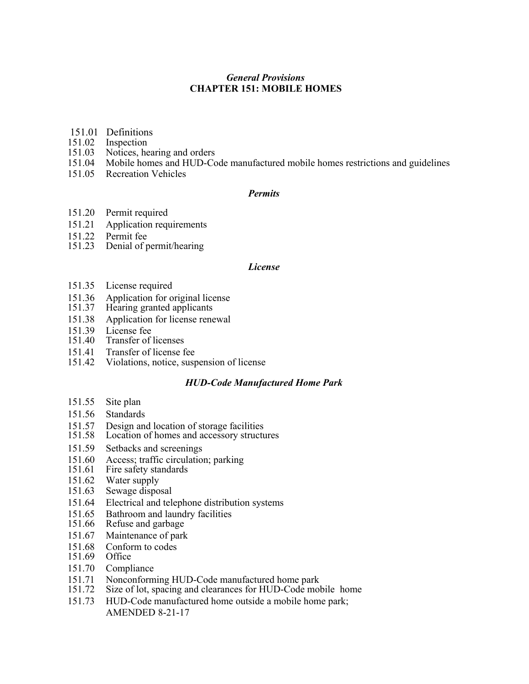# *General Provisions* **CHAPTER 151: MOBILE HOMES**

- 151.01 Definitions<br>151.02 Inspection
- **Inspection**
- 151.03 Notices, hearing and orders
- 151.04 Mobile homes and HUD-Code manufactured mobile homes restrictions and guidelines
- 151.05 Recreation Vehicles

#### *Permits*

- 151.20 Permit required
- 151.21 Application requirements
- 151.22 Permit fee<br>151.23 Denial of p
- Denial of permit/hearing

### *License*

- 151.35 License required
- 151.36 Application for original license
- 151.37 Hearing granted applicants
- 151.38 Application for license renewal
- 151.39 License fee<br>151.40 Transfer of
- Transfer of licenses
- 151.41 Transfer of license fee<br>151.42 Violations, notice, sust
- Violations, notice, suspension of license

#### *HUD-Code Manufactured Home Park*

- 151.55 Site plan
- 151.56 Standards
- 151.57 Design and location of storage facilities
- 151.58 Location of homes and accessory structures
- 151.59 Setbacks and screenings
- 151.60 Access; traffic circulation; parking<br>151.61 Fire safety standards
- Fire safety standards
- 151.62 Water supply
- 151.63 Sewage disposal
- 151.64 Electrical and telephone distribution systems
- 151.65 Bathroom and laundry facilities<br>151.66 Refuse and garbage
- Refuse and garbage
- 151.67 Maintenance of park
- 151.68 Conform to codes<br>151.69 Office
- 151.69
- 151.70 Compliance
- 151.71 Nonconforming HUD-Code manufactured home park<br>151.72 Size of lot, spacing and clearances for HUD-Code mol
- Size of lot, spacing and clearances for HUD-Code mobile home
- 151.73 HUD-Code manufactured home outside a mobile home park; AMENDED 8-21-17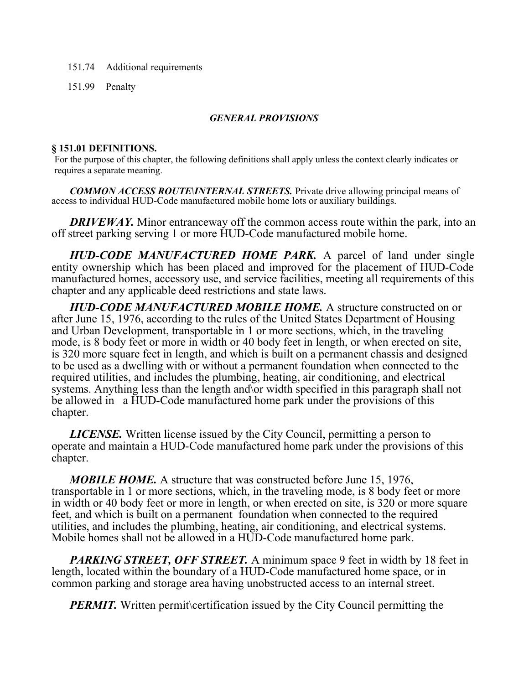- 151.74 Additional requirements
- 151.99 Penalty

# *GENERAL PROVISIONS*

## **§ 151.01 DEFINITIONS.**

For the purpose of this chapter, the following definitions shall apply unless the context clearly indicates or requires a separate meaning.

*COMMON ACCESS ROUTE\INTERNAL STREETS.* Private drive allowing principal means of access to individual HUD-Code manufactured mobile home lots or auxiliary buildings.

**DRIVEWAY.** Minor entranceway off the common access route within the park, into an off street parking serving 1 or more HUD-Code manufactured mobile home.

*HUD-CODE MANUFACTURED HOME PARK.* A parcel of land under single entity ownership which has been placed and improved for the placement of HUD-Code manufactured homes, accessory use, and service facilities, meeting all requirements of this chapter and any applicable deed restrictions and state laws.

*HUD-CODE MANUFACTURED MOBILE HOME.* A structure constructed on or after June 15, 1976, according to the rules of the United States Department of Housing and Urban Development, transportable in 1 or more sections, which, in the traveling mode, is 8 body feet or more in width or 40 body feet in length, or when erected on site, is 320 more square feet in length, and which is built on a permanent chassis and designed to be used as a dwelling with or without a permanent foundation when connected to the required utilities, and includes the plumbing, heating, air conditioning, and electrical systems. Anything less than the length and\or width specified in this paragraph shall not be allowed in a HUD-Code manufactured home park under the provisions of this chapter.

*LICENSE.* Written license issued by the City Council, permitting a person to operate and maintain a HUD-Code manufactured home park under the provisions of this chapter.

*MOBILE HOME.* A structure that was constructed before June 15, 1976, transportable in 1 or more sections, which, in the traveling mode, is 8 body feet or more in width or 40 body feet or more in length, or when erected on site, is 320 or more square feet, and which is built on a permanent foundation when connected to the required utilities, and includes the plumbing, heating, air conditioning, and electrical systems. Mobile homes shall not be allowed in a HUD-Code manufactured home park.

*PARKING STREET, OFF STREET.* A minimum space 9 feet in width by 18 feet in length, located within the boundary of a HUD-Code manufactured home space, or in common parking and storage area having unobstructed access to an internal street.

*PERMIT.* Written permit certification issued by the City Council permitting the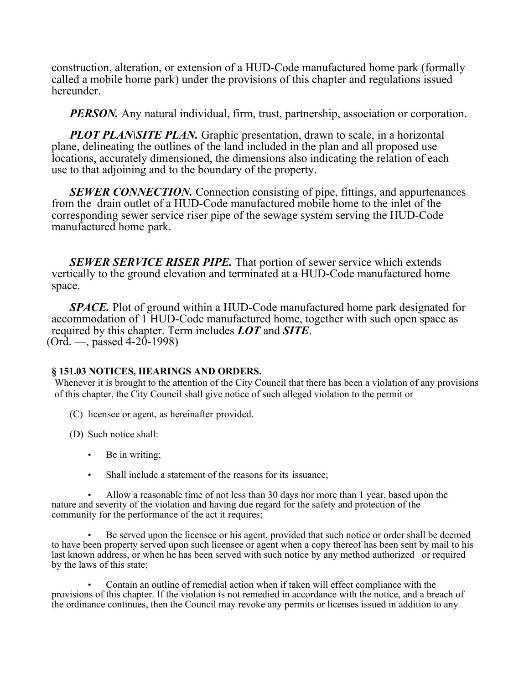construction, alteration, or extension of a HUD-Code manufactured home park (formally called a mobile home park) under the provisions of this chapter and regulations issued hereunder.

*PERSON*. Any natural individual, firm, trust, partnership, association or corporation.

*PLOT PLANSITE PLAN.* Graphic presentation, drawn to scale, in a horizontal plane, delineating the outlines of the land included in the plan and all proposed use locations, accurately dimensioned, the dimensions also indicating the relation of each use to that adjoining and to the boundary of the property.

*SEWER CONNECTION.* Connection consisting of pipe, fittings, and appurtenances from the drain outlet of a HUD-Code manufactured mobile home to the inlet of the corresponding sewer service riser pipe of the sewage system serving the HUD-Code manufactured home park.

*SEWER SERVICE RISER PIPE.* That portion of sewer service which extends vertically to the ground elevation and terminated at a HUD-Code manufactured home space.

*SPACE.* Plot of ground within a HUD-Code manufactured home park designated for accommodation of 1 HUD-Code manufactured home, together with such open space as required by this chapter. Term includes *LOT* and *SITE*. (Ord. —, passed 4-20-1998)

# **§ 151.03 NOTICES, HEARINGS AND ORDERS.**

Whenever it is brought to the attention of the City Council that there has been a violation of any provisions of this chapter, the City Council shall give notice of such alleged violation to the permit or

(C) licensee or agent, as hereinafter provided.

(D) Such notice shall:

- Be in writing;
- Shall include a statement of the reasons for its issuance;

• Allow a reasonable time of not less than 30 days nor more than 1 year, based upon the nature and severity of the violation and having due regard for the safety and protection of the community for the performance of the act it requires;

• Be served upon the licensee or his agent, provided that such notice or order shall be deemed to have been property served upon such licensee or agent when a copy thereof has been sent by mail to his last known address, or when he has been served with such notice by any method authorized or required by the laws of this state;

• Contain an outline of remedial action when if taken will effect compliance with the provisions of this chapter. If the violation is not remedied in accordance with the notice, and a breach of the ordinance continues, then the Council may revoke any permits or licenses issued in addition to any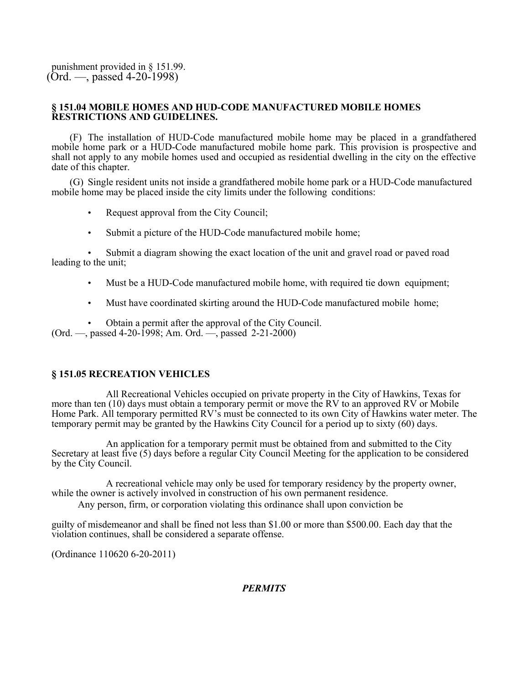punishment provided in § 151.99. (Ord. —, passed 4-20-1998)

## **§ 151.04 MOBILE HOMES AND HUD-CODE MANUFACTURED MOBILE HOMES RESTRICTIONS AND GUIDELINES.**

(F) The installation of HUD-Code manufactured mobile home may be placed in a grandfathered mobile home park or a HUD-Code manufactured mobile home park. This provision is prospective and shall not apply to any mobile homes used and occupied as residential dwelling in the city on the effective date of this chapter.

(G) Single resident units not inside a grandfathered mobile home park or a HUD-Code manufactured mobile home may be placed inside the city limits under the following conditions:

- Request approval from the City Council;
- Submit a picture of the HUD-Code manufactured mobile home;

• Submit a diagram showing the exact location of the unit and gravel road or paved road leading to the unit;

- Must be a HUD-Code manufactured mobile home, with required tie down equipment;
- Must have coordinated skirting around the HUD-Code manufactured mobile home;
- Obtain a permit after the approval of the City Council.

(Ord. —, passed 4-20-1998; Am. Ord. —, passed 2-21-2000)

#### **§ 151.05 RECREATION VEHICLES**

All Recreational Vehicles occupied on private property in the City of Hawkins, Texas for more than ten (10) days must obtain a temporary permit or move the RV to an approved RV or Mobile Home Park. All temporary permitted RV's must be connected to its own City of Hawkins water meter. The temporary permit may be granted by the Hawkins City Council for a period up to sixty (60) days.

An application for a temporary permit must be obtained from and submitted to the City Secretary at least five (5) days before a regular City Council Meeting for the application to be considered by the City Council.

A recreational vehicle may only be used for temporary residency by the property owner, while the owner is actively involved in construction of his own permanent residence.

Any person, firm, or corporation violating this ordinance shall upon conviction be

guilty of misdemeanor and shall be fined not less than \$1.00 or more than \$500.00. Each day that the violation continues, shall be considered a separate offense.

(Ordinance 110620 6-20-2011)

# *PERMITS*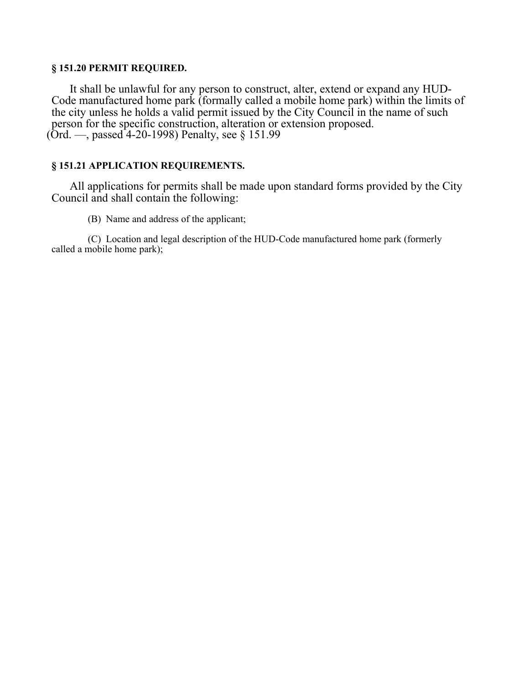# **§ 151.20 PERMIT REQUIRED.**

It shall be unlawful for any person to construct, alter, extend or expand any HUD-Code manufactured home park (formally called a mobile home park) within the limits of the city unless he holds a valid permit issued by the City Council in the name of such person for the specific construction, alteration or extension proposed. (Ord. —, passed 4-20-1998) Penalty, see § 151.99

# **§ 151.21 APPLICATION REQUIREMENTS.**

All applications for permits shall be made upon standard forms provided by the City Council and shall contain the following:

(B) Name and address of the applicant;

(C) Location and legal description of the HUD-Code manufactured home park (formerly called a mobile home park);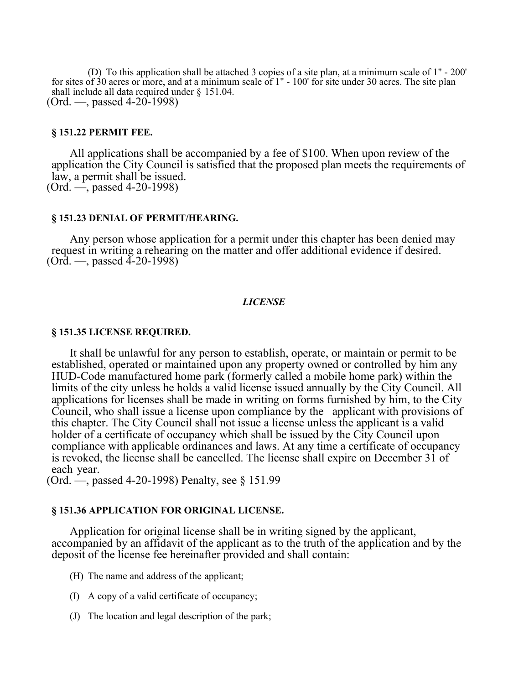(D) To this application shall be attached 3 copies of a site plan, at a minimum scale of 1" - 200' for sites of 30 acres or more, and at a minimum scale of 1" - 100' for site under 30 acres. The site plan shall include all data required under § 151.04. (Ord. —, passed 4-20-1998)

#### **§ 151.22 PERMIT FEE.**

All applications shall be accompanied by a fee of \$100. When upon review of the application the City Council is satisfied that the proposed plan meets the requirements of law, a permit shall be issued. (Ord. —, passed 4-20-1998)

#### **§ 151.23 DENIAL OF PERMIT/HEARING.**

Any person whose application for a permit under this chapter has been denied may request in writing a rehearing on the matter and offer additional evidence if desired.  $(Ord. \_\_p)$  passed 4-20-1998)

#### *LICENSE*

### **§ 151.35 LICENSE REQUIRED.**

It shall be unlawful for any person to establish, operate, or maintain or permit to be established, operated or maintained upon any property owned or controlled by him any HUD-Code manufactured home park (formerly called a mobile home park) within the limits of the city unless he holds a valid license issued annually by the City Council. All applications for licenses shall be made in writing on forms furnished by him, to the City Council, who shall issue a license upon compliance by the applicant with provisions of this chapter. The City Council shall not issue a license unless the applicant is a valid holder of a certificate of occupancy which shall be issued by the City Council upon compliance with applicable ordinances and laws. At any time a certificate of occupancy is revoked, the license shall be cancelled. The license shall expire on December 31 of each year.

(Ord. —, passed 4-20-1998) Penalty, see § 151.99

### **§ 151.36 APPLICATION FOR ORIGINAL LICENSE.**

Application for original license shall be in writing signed by the applicant, accompanied by an affidavit of the applicant as to the truth of the application and by the deposit of the license fee hereinafter provided and shall contain:

- (H) The name and address of the applicant;
- (I) A copy of a valid certificate of occupancy;
- (J) The location and legal description of the park;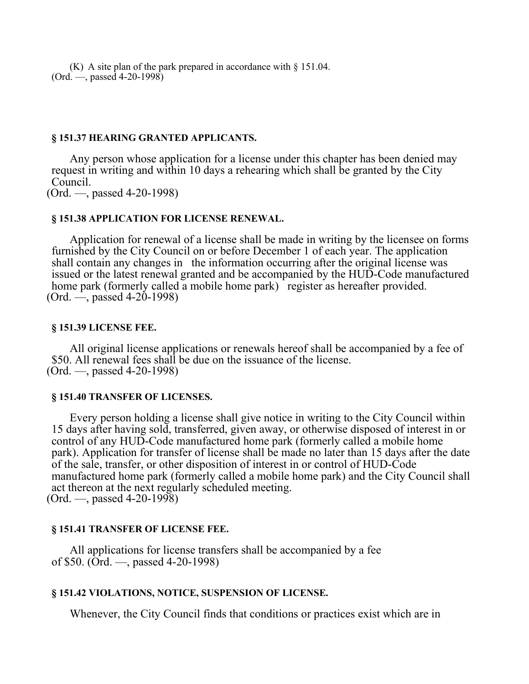(K) A site plan of the park prepared in accordance with § 151.04. (Ord. —, passed 4-20-1998)

# **§ 151.37 HEARING GRANTED APPLICANTS.**

Any person whose application for a license under this chapter has been denied may request in writing and within 10 days a rehearing which shall be granted by the City Council. (Ord. —, passed 4-20-1998)

### **§ 151.38 APPLICATION FOR LICENSE RENEWAL.**

Application for renewal of a license shall be made in writing by the licensee on forms furnished by the City Council on or before December 1 of each year. The application shall contain any changes in the information occurring after the original license was issued or the latest renewal granted and be accompanied by the HUD-Code manufactured home park (formerly called a mobile home park) register as hereafter provided. (Ord. —, passed 4-20-1998)

## **§ 151.39 LICENSE FEE.**

All original license applications or renewals hereof shall be accompanied by a fee of \$50. All renewal fees shall be due on the issuance of the license. (Ord. —, passed 4-20-1998)

## **§ 151.40 TRANSFER OF LICENSES.**

Every person holding a license shall give notice in writing to the City Council within 15 days after having sold, transferred, given away, or otherwise disposed of interest in or control of any HUD-Code manufactured home park (formerly called a mobile home park). Application for transfer of license shall be made no later than 15 days after the date of the sale, transfer, or other disposition of interest in or control of HUD-Code manufactured home park (formerly called a mobile home park) and the City Council shall act thereon at the next regularly scheduled meeting. (Ord. —, passed 4-20-1998)

## **§ 151.41 TRANSFER OF LICENSE FEE.**

All applications for license transfers shall be accompanied by a fee of \$50. (Ord. —, passed 4-20-1998)

## **§ 151.42 VIOLATIONS, NOTICE, SUSPENSION OF LICENSE.**

Whenever, the City Council finds that conditions or practices exist which are in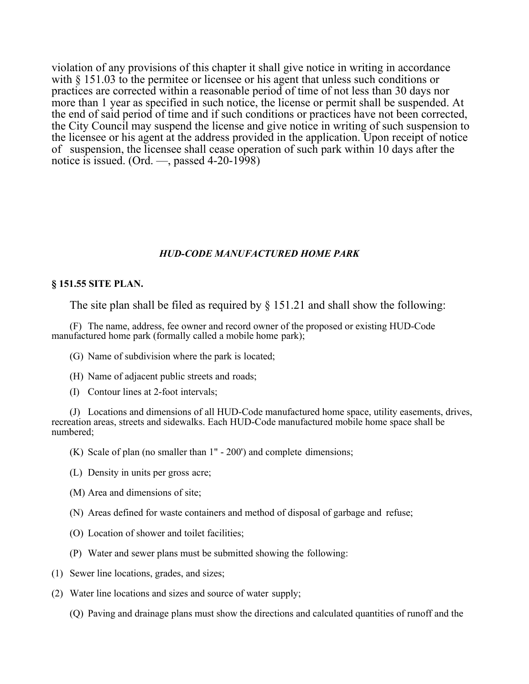violation of any provisions of this chapter it shall give notice in writing in accordance with § 151.03 to the permitee or licensee or his agent that unless such conditions or practices are corrected within a reasonable period of time of not less than 30 days nor more than 1 year as specified in such notice, the license or permit shall be suspended. At the end of said period of time and if such conditions or practices have not been corrected, the City Council may suspend the license and give notice in writing of such suspension to the licensee or his agent at the address provided in the application. Upon receipt of notice of suspension, the licensee shall cease operation of such park within 10 days after the notice is issued. (Ord. —, passed 4-20-1998)

# *HUD-CODE MANUFACTURED HOME PARK*

### **§ 151.55 SITE PLAN.**

The site plan shall be filed as required by  $\S$  151.21 and shall show the following:

(F) The name, address, fee owner and record owner of the proposed or existing HUD-Code manufactured home park (formally called a mobile home park);

- (G) Name of subdivision where the park is located;
- (H) Name of adjacent public streets and roads;
- (I) Contour lines at 2-foot intervals;

(J) Locations and dimensions of all HUD-Code manufactured home space, utility easements, drives, recreation areas, streets and sidewalks. Each HUD-Code manufactured mobile home space shall be numbered;

(K) Scale of plan (no smaller than 1" - 200') and complete dimensions;

- (L) Density in units per gross acre;
- (M) Area and dimensions of site;
- (N) Areas defined for waste containers and method of disposal of garbage and refuse;
- (O) Location of shower and toilet facilities;
- (P) Water and sewer plans must be submitted showing the following:
- (1) Sewer line locations, grades, and sizes;
- (2) Water line locations and sizes and source of water supply;
	- (Q) Paving and drainage plans must show the directions and calculated quantities of runoff and the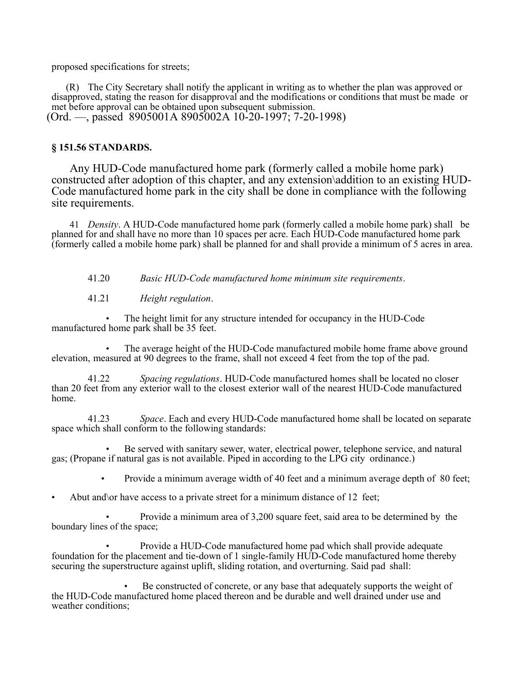proposed specifications for streets;

(R) The City Secretary shall notify the applicant in writing as to whether the plan was approved or disapproved, stating the reason for disapproval and the modifications or conditions that must be made or met before approval can be obtained upon subsequent submission. (Ord. —, passed 8905001A 8905002A 10-20-1997; 7-20-1998)

# **§ 151.56 STANDARDS.**

Any HUD-Code manufactured home park (formerly called a mobile home park) constructed after adoption of this chapter, and any extension\addition to an existing HUD-Code manufactured home park in the city shall be done in compliance with the following site requirements.

41 *Density*. A HUD-Code manufactured home park (formerly called a mobile home park) shall be planned for and shall have no more than 10 spaces per acre. Each HUD-Code manufactured home park (formerly called a mobile home park) shall be planned for and shall provide a minimum of 5 acres in area.

41.20 *Basic HUD-Code manufactured home minimum site requirements*.

41.21 *Height regulation*.

The height limit for any structure intended for occupancy in the HUD-Code manufactured home park shall be 35 feet.

The average height of the HUD-Code manufactured mobile home frame above ground elevation, measured at 90 degrees to the frame, shall not exceed 4 feet from the top of the pad.

41.22 *Spacing regulations*. HUD-Code manufactured homes shall be located no closer than 20 feet from any exterior wall to the closest exterior wall of the nearest HUD-Code manufactured home.

41.23 *Space*. Each and every HUD-Code manufactured home shall be located on separate space which shall conform to the following standards:

• Be served with sanitary sewer, water, electrical power, telephone service, and natural gas; (Propane if natural gas is not available. Piped in according to the LPG city ordinance.)

• Provide a minimum average width of 40 feet and a minimum average depth of 80 feet;

Abut and or have access to a private street for a minimum distance of 12 feet;

• Provide a minimum area of 3,200 square feet, said area to be determined by the boundary lines of the space;

• Provide a HUD-Code manufactured home pad which shall provide adequate foundation for the placement and tie-down of 1 single-family HUD-Code manufactured home thereby securing the superstructure against uplift, sliding rotation, and overturning. Said pad shall:

Be constructed of concrete, or any base that adequately supports the weight of the HUD-Code manufactured home placed thereon and be durable and well drained under use and weather conditions;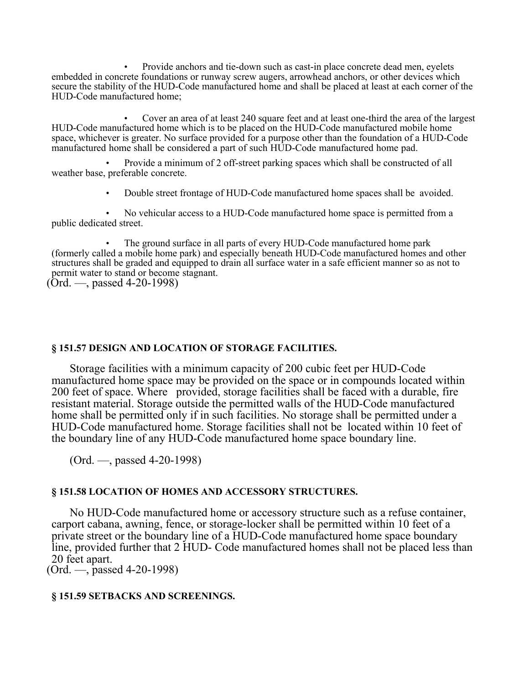• Provide anchors and tie-down such as cast-in place concrete dead men, eyelets embedded in concrete foundations or runway screw augers, arrowhead anchors, or other devices which secure the stability of the HUD-Code manufactured home and shall be placed at least at each corner of the HUD-Code manufactured home;

• Cover an area of at least 240 square feet and at least one-third the area of the largest HUD-Code manufactured home which is to be placed on the HUD-Code manufactured mobile home space, whichever is greater. No surface provided for a purpose other than the foundation of a HUD-Code manufactured home shall be considered a part of such HUD-Code manufactured home pad.

• Provide a minimum of 2 off-street parking spaces which shall be constructed of all weather base, preferable concrete.

• Double street frontage of HUD-Code manufactured home spaces shall be avoided.

• No vehicular access to a HUD-Code manufactured home space is permitted from a public dedicated street.

The ground surface in all parts of every HUD-Code manufactured home park (formerly called a mobile home park) and especially beneath HUD-Code manufactured homes and other structures shall be graded and equipped to drain all surface water in a safe efficient manner so as not to permit water to stand or become stagnant.

(Ord. —, passed 4-20-1998)

## **§ 151.57 DESIGN AND LOCATION OF STORAGE FACILITIES.**

Storage facilities with a minimum capacity of 200 cubic feet per HUD-Code manufactured home space may be provided on the space or in compounds located within 200 feet of space. Where provided, storage facilities shall be faced with a durable, fire resistant material. Storage outside the permitted walls of the HUD-Code manufactured home shall be permitted only if in such facilities. No storage shall be permitted under a HUD-Code manufactured home. Storage facilities shall not be located within 10 feet of the boundary line of any HUD-Code manufactured home space boundary line.

(Ord. —, passed 4-20-1998)

# **§ 151.58 LOCATION OF HOMES AND ACCESSORY STRUCTURES.**

No HUD-Code manufactured home or accessory structure such as a refuse container, carport cabana, awning, fence, or storage-locker shall be permitted within 10 feet of a private street or the boundary line of a HUD-Code manufactured home space boundary line, provided further that 2 HUD- Code manufactured homes shall not be placed less than 20 feet apart.

(Ord. —, passed 4-20-1998)

# **§ 151.59 SETBACKS AND SCREENINGS.**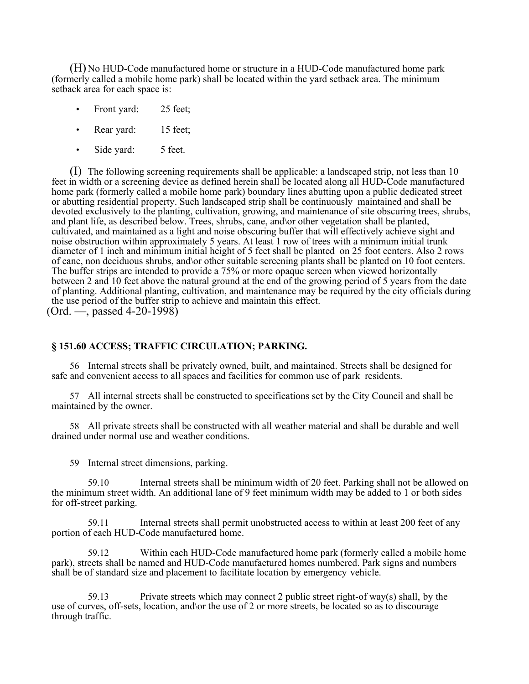(H) No HUD-Code manufactured home or structure in a HUD-Code manufactured home park (formerly called a mobile home park) shall be located within the yard setback area. The minimum setback area for each space is:

- Front yard: 25 feet;
- Rear yard: 15 feet;
- Side yard: 5 feet.

(I) The following screening requirements shall be applicable: a landscaped strip, not less than 10 feet in width or a screening device as defined herein shall be located along all HUD-Code manufactured home park (formerly called a mobile home park) boundary lines abutting upon a public dedicated street or abutting residential property. Such landscaped strip shall be continuously maintained and shall be devoted exclusively to the planting, cultivation, growing, and maintenance of site obscuring trees, shrubs, and plant life, as described below. Trees, shrubs, cane, and\or other vegetation shall be planted, cultivated, and maintained as a light and noise obscuring buffer that will effectively achieve sight and noise obstruction within approximately 5 years. At least 1 row of trees with a minimum initial trunk diameter of 1 inch and minimum initial height of 5 feet shall be planted on 25 foot centers. Also 2 rows of cane, non deciduous shrubs, and\or other suitable screening plants shall be planted on 10 foot centers. The buffer strips are intended to provide a 75% or more opaque screen when viewed horizontally between 2 and 10 feet above the natural ground at the end of the growing period of 5 years from the date of planting. Additional planting, cultivation, and maintenance may be required by the city officials during the use period of the buffer strip to achieve and maintain this effect.

 $(Ord. -)$ , passed 4-20-1998)

#### **§ 151.60 ACCESS; TRAFFIC CIRCULATION; PARKING.**

56 Internal streets shall be privately owned, built, and maintained. Streets shall be designed for safe and convenient access to all spaces and facilities for common use of park residents.

57 All internal streets shall be constructed to specifications set by the City Council and shall be maintained by the owner.

58 All private streets shall be constructed with all weather material and shall be durable and well drained under normal use and weather conditions.

59 Internal street dimensions, parking.

59.10 Internal streets shall be minimum width of 20 feet. Parking shall not be allowed on the minimum street width. An additional lane of 9 feet minimum width may be added to 1 or both sides for off-street parking.

59.11 Internal streets shall permit unobstructed access to within at least 200 feet of any portion of each HUD-Code manufactured home.

59.12 Within each HUD-Code manufactured home park (formerly called a mobile home park), streets shall be named and HUD-Code manufactured homes numbered. Park signs and numbers shall be of standard size and placement to facilitate location by emergency vehicle.

59.13 Private streets which may connect 2 public street right-of way(s) shall, by the use of curves, off-sets, location, and\or the use of 2 or more streets, be located so as to discourage through traffic.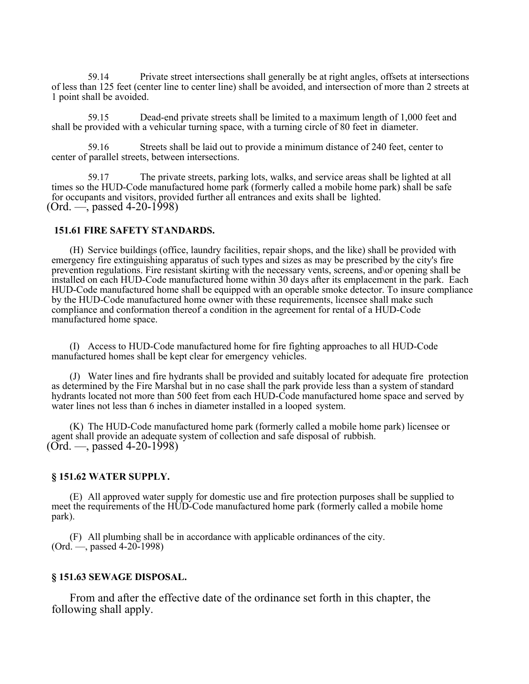59.14 Private street intersections shall generally be at right angles, offsets at intersections of less than 125 feet (center line to center line) shall be avoided, and intersection of more than 2 streets at 1 point shall be avoided.

59.15 Dead-end private streets shall be limited to a maximum length of 1,000 feet and shall be provided with a vehicular turning space, with a turning circle of 80 feet in diameter.

59.16 Streets shall be laid out to provide a minimum distance of 240 feet, center to center of parallel streets, between intersections.

59.17 The private streets, parking lots, walks, and service areas shall be lighted at all times so the HUD-Code manufactured home park (formerly called a mobile home park) shall be safe for occupants and visitors, provided further all entrances and exits shall be lighted.  $(Ord. \longrightarrow)$  passed 4-20-1998)

#### **151.61 FIRE SAFETY STANDARDS.**

(H) Service buildings (office, laundry facilities, repair shops, and the like) shall be provided with emergency fire extinguishing apparatus of such types and sizes as may be prescribed by the city's fire prevention regulations. Fire resistant skirting with the necessary vents, screens, and\or opening shall be installed on each HUD-Code manufactured home within 30 days after its emplacement in the park. Each HUD-Code manufactured home shall be equipped with an operable smoke detector. To insure compliance by the HUD-Code manufactured home owner with these requirements, licensee shall make such compliance and conformation thereof a condition in the agreement for rental of a HUD-Code manufactured home space.

(I) Access to HUD-Code manufactured home for fire fighting approaches to all HUD-Code manufactured homes shall be kept clear for emergency vehicles.

(J) Water lines and fire hydrants shall be provided and suitably located for adequate fire protection as determined by the Fire Marshal but in no case shall the park provide less than a system of standard hydrants located not more than 500 feet from each HUD-Code manufactured home space and served by water lines not less than 6 inches in diameter installed in a looped system.

(K) The HUD-Code manufactured home park (formerly called a mobile home park) licensee or agent shall provide an adequate system of collection and safe disposal of rubbish. (Ord. —, passed 4-20-1998)

#### **§ 151.62 WATER SUPPLY.**

(E) All approved water supply for domestic use and fire protection purposes shall be supplied to meet the requirements of the HUD-Code manufactured home park (formerly called a mobile home park).

(F) All plumbing shall be in accordance with applicable ordinances of the city. (Ord. —, passed 4-20-1998)

#### **§ 151.63 SEWAGE DISPOSAL.**

From and after the effective date of the ordinance set forth in this chapter, the following shall apply.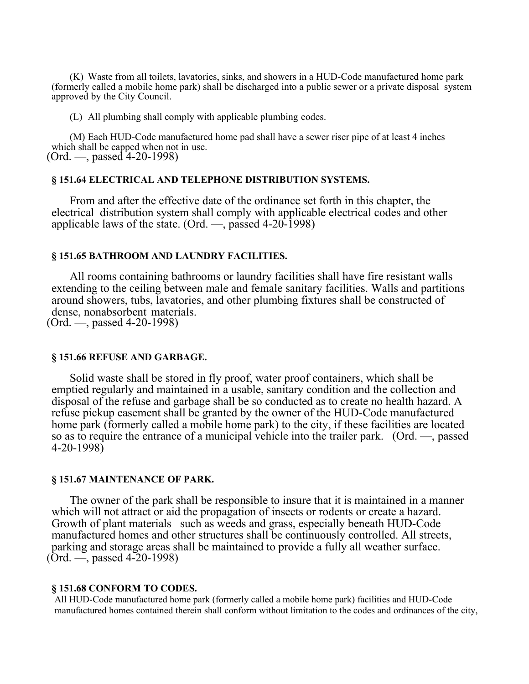(K) Waste from all toilets, lavatories, sinks, and showers in a HUD-Code manufactured home park (formerly called a mobile home park) shall be discharged into a public sewer or a private disposal system approved by the City Council.

(L) All plumbing shall comply with applicable plumbing codes.

(M) Each HUD-Code manufactured home pad shall have a sewer riser pipe of at least 4 inches which shall be capped when not in use. (Ord. —, passed 4-20-1998)

### **§ 151.64 ELECTRICAL AND TELEPHONE DISTRIBUTION SYSTEMS.**

From and after the effective date of the ordinance set forth in this chapter, the electrical distribution system shall comply with applicable electrical codes and other applicable laws of the state. (Ord. —, passed 4-20-1998)

## **§ 151.65 BATHROOM AND LAUNDRY FACILITIES.**

All rooms containing bathrooms or laundry facilities shall have fire resistant walls extending to the ceiling between male and female sanitary facilities. Walls and partitions around showers, tubs, lavatories, and other plumbing fixtures shall be constructed of dense, nonabsorbent materials. (Ord. —, passed 4-20-1998)

### **§ 151.66 REFUSE AND GARBAGE.**

Solid waste shall be stored in fly proof, water proof containers, which shall be emptied regularly and maintained in a usable, sanitary condition and the collection and disposal of the refuse and garbage shall be so conducted as to create no health hazard. A refuse pickup easement shall be granted by the owner of the HUD-Code manufactured home park (formerly called a mobile home park) to the city, if these facilities are located so as to require the entrance of a municipal vehicle into the trailer park. (Ord. —, passed  $4 - 20 - 1998$ 

### **§ 151.67 MAINTENANCE OF PARK.**

The owner of the park shall be responsible to insure that it is maintained in a manner which will not attract or aid the propagation of insects or rodents or create a hazard. Growth of plant materials such as weeds and grass, especially beneath HUD-Code manufactured homes and other structures shall be continuously controlled. All streets, parking and storage areas shall be maintained to provide a fully all weather surface. (Ord. —, passed 4-20-1998)

#### **§ 151.68 CONFORM TO CODES.**

All HUD-Code manufactured home park (formerly called a mobile home park) facilities and HUD-Code manufactured homes contained therein shall conform without limitation to the codes and ordinances of the city,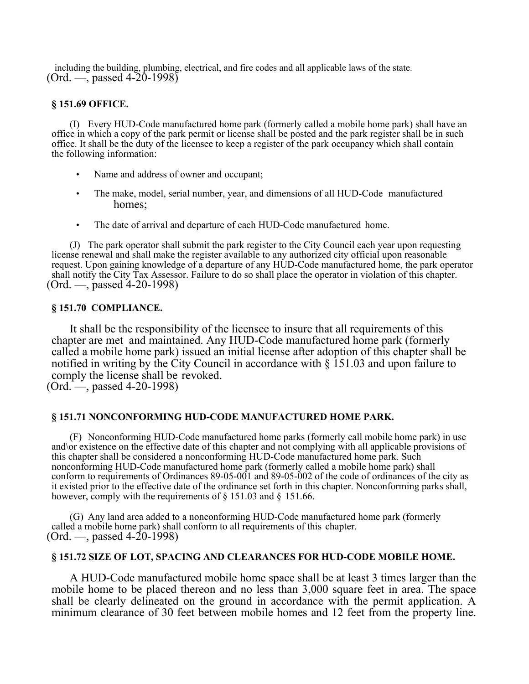including the building, plumbing, electrical, and fire codes and all applicable laws of the state. (Ord. —, passed 4-20-1998)

## **§ 151.69 OFFICE.**

(I) Every HUD-Code manufactured home park (formerly called a mobile home park) shall have an office in which a copy of the park permit or license shall be posted and the park register shall be in such office. It shall be the duty of the licensee to keep a register of the park occupancy which shall contain the following information:

- Name and address of owner and occupant;
- The make, model, serial number, year, and dimensions of all HUD-Code manufactured homes;
- The date of arrival and departure of each HUD-Code manufactured home.

(J) The park operator shall submit the park register to the City Council each year upon requesting license renewal and shall make the register available to any authorized city official upon reasonable request. Upon gaining knowledge of a departure of any HUD-Code manufactured home, the park operator shall notify the City Tax Assessor. Failure to do so shall place the operator in violation of this chapter. (Ord. —, passed 4-20-1998)

# **§ 151.70 COMPLIANCE.**

It shall be the responsibility of the licensee to insure that all requirements of this chapter are met and maintained. Any HUD-Code manufactured home park (formerly called a mobile home park) issued an initial license after adoption of this chapter shall be notified in writing by the City Council in accordance with § 151.03 and upon failure to comply the license shall be revoked. (Ord. —, passed 4-20-1998)

## **§ 151.71 NONCONFORMING HUD-CODE MANUFACTURED HOME PARK.**

(F) Nonconforming HUD-Code manufactured home parks (formerly call mobile home park) in use and\or existence on the effective date of this chapter and not complying with all applicable provisions of this chapter shall be considered a nonconforming HUD-Code manufactured home park. Such nonconforming HUD-Code manufactured home park (formerly called a mobile home park) shall conform to requirements of Ordinances 89-05-001 and 89-05-002 of the code of ordinances of the city as it existed prior to the effective date of the ordinance set forth in this chapter. Nonconforming parks shall, however, comply with the requirements of § 151.03 and § 151.66.

(G) Any land area added to a nonconforming HUD-Code manufactured home park (formerly called a mobile home park) shall conform to all requirements of this chapter. (Ord. —, passed 4-20-1998)

# **§ 151.72 SIZE OF LOT, SPACING AND CLEARANCES FOR HUD-CODE MOBILE HOME.**

A HUD-Code manufactured mobile home space shall be at least 3 times larger than the mobile home to be placed thereon and no less than 3,000 square feet in area. The space shall be clearly delineated on the ground in accordance with the permit application. A minimum clearance of 30 feet between mobile homes and 12 feet from the property line.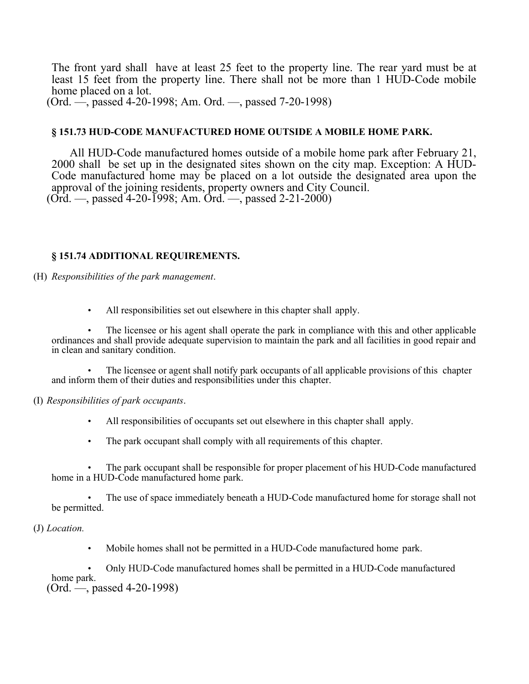The front yard shall have at least 25 feet to the property line. The rear yard must be at least 15 feet from the property line. There shall not be more than 1 HUD-Code mobile home placed on a lot.

(Ord. —, passed 4-20-1998; Am. Ord. —, passed 7-20-1998)

# **§ 151.73 HUD-CODE MANUFACTURED HOME OUTSIDE A MOBILE HOME PARK.**

All HUD-Code manufactured homes outside of a mobile home park after February 21, 2000 shall be set up in the designated sites shown on the city map. Exception: A HUD-Code manufactured home may be placed on a lot outside the designated area upon the approval of the joining residents, property owners and City Council.  $(\text{Ord.} \_\_)$  passed 4-20-1998; Am. Ord.  $\_\_$  passed 2-21-2000)

# **§ 151.74 ADDITIONAL REQUIREMENTS.**

(H) *Responsibilities of the park management*.

• All responsibilities set out elsewhere in this chapter shall apply.

The licensee or his agent shall operate the park in compliance with this and other applicable ordinances and shall provide adequate supervision to maintain the park and all facilities in good repair and in clean and sanitary condition.

The licensee or agent shall notify park occupants of all applicable provisions of this chapter and inform them of their duties and responsibilities under this chapter.

- (I) *Responsibilities of park occupants*.
	- All responsibilities of occupants set out elsewhere in this chapter shall apply.
	- The park occupant shall comply with all requirements of this chapter.

• The park occupant shall be responsible for proper placement of his HUD-Code manufactured home in a HUD-Code manufactured home park.

The use of space immediately beneath a HUD-Code manufactured home for storage shall not be permitted.

(J) *Location.*

• Mobile homes shall not be permitted in a HUD-Code manufactured home park.

• Only HUD-Code manufactured homes shall be permitted in a HUD-Code manufactured

home park.

(Ord. —, passed 4-20-1998)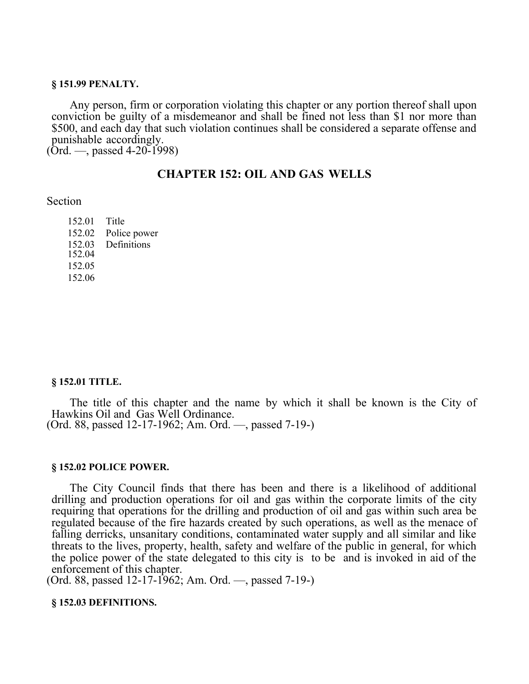#### **§ 151.99 PENALTY.**

Any person, firm or corporation violating this chapter or any portion thereof shall upon conviction be guilty of a misdemeanor and shall be fined not less than \$1 nor more than \$500, and each day that such violation continues shall be considered a separate offense and punishable accordingly. (Ord. —, passed 4-20-1998)

# **CHAPTER 152: OIL AND GAS WELLS**

## Section

152.01 Title 152.02 Police power 152.03 Definitions 152.04 152.05 152.06

## **§ 152.01 TITLE.**

The title of this chapter and the name by which it shall be known is the City of Hawkins Oil and Gas Well Ordinance. (Ord. 88, passed 12-17-1962; Am. Ord. —, passed 7-19-)

### **§ 152.02 POLICE POWER.**

The City Council finds that there has been and there is a likelihood of additional drilling and production operations for oil and gas within the corporate limits of the city requiring that operations for the drilling and production of oil and gas within such area be regulated because of the fire hazards created by such operations, as well as the menace of falling derricks, unsanitary conditions, contaminated water supply and all similar and like threats to the lives, property, health, safety and welfare of the public in general, for which the police power of the state delegated to this city is to be and is invoked in aid of the enforcement of this chapter.

(Ord. 88, passed 12-17-1962; Am. Ord. —, passed 7-19-)

## **§ 152.03 DEFINITIONS.**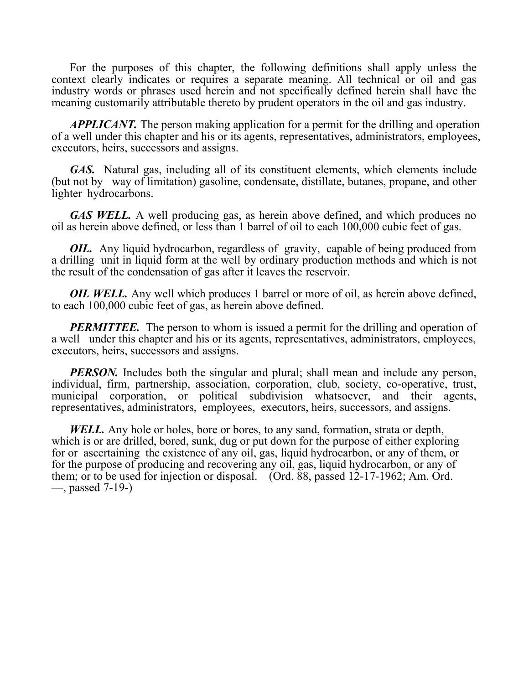For the purposes of this chapter, the following definitions shall apply unless the context clearly indicates or requires a separate meaning. All technical or oil and gas industry words or phrases used herein and not specifically defined herein shall have the meaning customarily attributable thereto by prudent operators in the oil and gas industry.

*APPLICANT*. The person making application for a permit for the drilling and operation of a well under this chapter and his or its agents, representatives, administrators, employees, executors, heirs, successors and assigns.

*GAS.* Natural gas, including all of its constituent elements, which elements include (but not by way of limitation) gasoline, condensate, distillate, butanes, propane, and other lighter hydrocarbons.

*GAS WELL.* A well producing gas, as herein above defined, and which produces no oil as herein above defined, or less than 1 barrel of oil to each 100,000 cubic feet of gas.

*OIL.* Any liquid hydrocarbon, regardless of gravity, capable of being produced from a drilling unit in liquid form at the well by ordinary production methods and which is not the result of the condensation of gas after it leaves the reservoir.

*OIL WELL*. Any well which produces 1 barrel or more of oil, as herein above defined, to each 100,000 cubic feet of gas, as herein above defined.

*PERMITTEE.* The person to whom is issued a permit for the drilling and operation of a well under this chapter and his or its agents, representatives, administrators, employees, executors, heirs, successors and assigns.

*PERSON*. Includes both the singular and plural; shall mean and include any person, individual, firm, partnership, association, corporation, club, society, co-operative, trust, municipal corporation, or political subdivision whatsoever, and their agents, representatives, administrators, employees, executors, heirs, successors, and assigns.

*WELL.* Any hole or holes, bore or bores, to any sand, formation, strata or depth, which is or are drilled, bored, sunk, dug or put down for the purpose of either exploring for or ascertaining the existence of any oil, gas, liquid hydrocarbon, or any of them, or for the purpose of producing and recovering any oil, gas, liquid hydrocarbon, or any of them; or to be used for injection or disposal. (Ord.  $88$ , passed  $12-17-1962$ ; Am. Ord. —, passed 7-19-)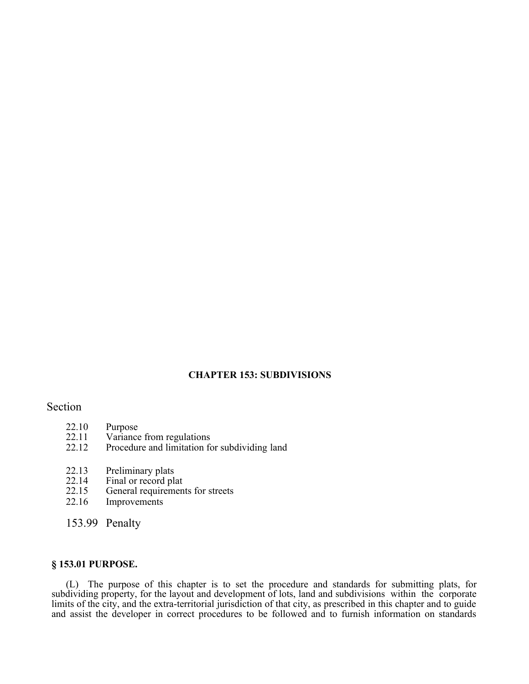## **CHAPTER 153: SUBDIVISIONS**

# Section

- 22.10 Purpose<br>22.11 Variance
- 22.11 Variance from regulations<br>22.12 Procedure and limitation fo
- Procedure and limitation for subdividing land
- 22.13 Preliminary plats<br>22.14 Final or record pla
- 22.14 Final or record plat<br>22.15 General requiremen
- 22.15 General requirements for streets<br>22.16 Improvements
- Improvements
- 153.99 Penalty

## **§ 153.01 PURPOSE.**

(L) The purpose of this chapter is to set the procedure and standards for submitting plats, for subdividing property, for the layout and development of lots, land and subdivisions within the corporate limits of the city, and the extra-territorial jurisdiction of that city, as prescribed in this chapter and to guide and assist the developer in correct procedures to be followed and to furnish information on standards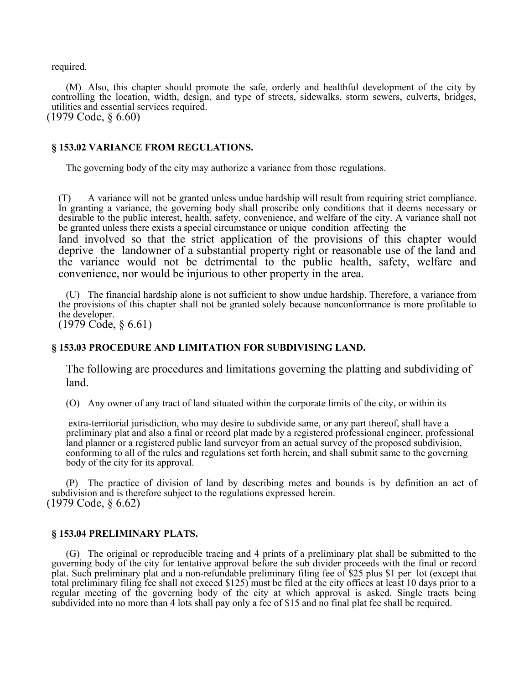required.

(M) Also, this chapter should promote the safe, orderly and healthful development of the city by controlling the location, width, design, and type of streets, sidewalks, storm sewers, culverts, bridges, utilities and essential services required. (1979 Code, § 6.60)

#### **§ 153.02 VARIANCE FROM REGULATIONS.**

The governing body of the city may authorize a variance from those regulations.

(T) A variance will not be granted unless undue hardship will result from requiring strict compliance. In granting a variance, the governing body shall proscribe only conditions that it deems necessary or desirable to the public interest, health, safety, convenience, and welfare of the city. A variance shall not be granted unless there exists a special circumstance or unique condition affecting the

land involved so that the strict application of the provisions of this chapter would deprive the landowner of a substantial property right or reasonable use of the land and the variance would not be detrimental to the public health, safety, welfare and convenience, nor would be injurious to other property in the area.

(U) The financial hardship alone is not sufficient to show undue hardship. Therefore, a variance from the provisions of this chapter shall not be granted solely because nonconformance is more profitable to the developer.

(1979 Code, § 6.61)

#### **§ 153.03 PROCEDURE AND LIMITATION FOR SUBDIVISING LAND.**

The following are procedures and limitations governing the platting and subdividing of land.

(O) Any owner of any tract of land situated within the corporate limits of the city, or within its

 extra-territorial jurisdiction, who may desire to subdivide same, or any part thereof, shall have a preliminary plat and also a final or record plat made by a registered professional engineer, professional land planner or a registered public land surveyor from an actual survey of the proposed subdivision, conforming to all of the rules and regulations set forth herein, and shall submit same to the governing body of the city for its approval.

(P) The practice of division of land by describing metes and bounds is by definition an act of subdivision and is therefore subject to the regulations expressed herein. (1979 Code, § 6.62)

#### **§ 153.04 PRELIMINARY PLATS.**

(G) The original or reproducible tracing and 4 prints of a preliminary plat shall be submitted to the governing body of the city for tentative approval before the sub divider proceeds with the final or record plat. Such preliminary plat and a non-refundable preliminary filing fee of \$25 plus \$1 per lot (except that total preliminary filing fee shall not exceed \$125) must be filed at the city offices at least 10 days prior to a regular meeting of the governing body of the city at which approval is asked. Single tracts being subdivided into no more than 4 lots shall pay only a fee of \$15 and no final plat fee shall be required.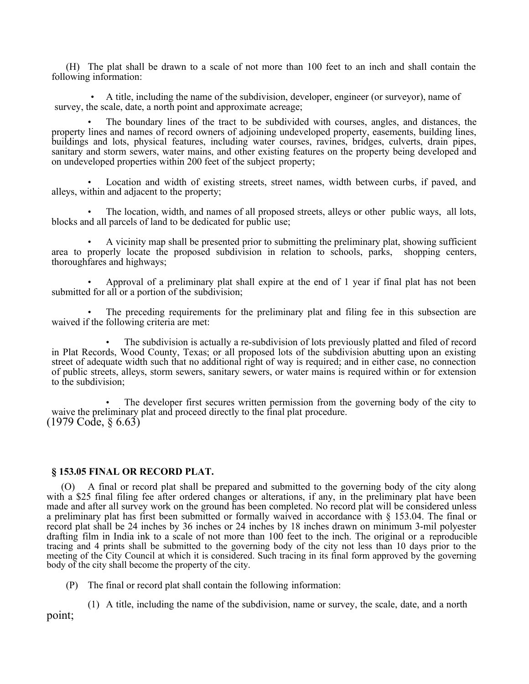(H) The plat shall be drawn to a scale of not more than 100 feet to an inch and shall contain the following information:

• A title, including the name of the subdivision, developer, engineer (or surveyor), name of survey, the scale, date, a north point and approximate acreage;

• The boundary lines of the tract to be subdivided with courses, angles, and distances, the property lines and names of record owners of adjoining undeveloped property, easements, building lines, buildings and lots, physical features, including water courses, ravines, bridges, culverts, drain pipes, sanitary and storm sewers, water mains, and other existing features on the property being developed and on undeveloped properties within 200 feet of the subject property;

Location and width of existing streets, street names, width between curbs, if paved, and alleys, within and adjacent to the property;

• The location, width, and names of all proposed streets, alleys or other public ways, all lots, blocks and all parcels of land to be dedicated for public use;

• A vicinity map shall be presented prior to submitting the preliminary plat, showing sufficient area to properly locate the proposed subdivision in relation to schools, parks, shopping centers, thoroughfares and highways;

• Approval of a preliminary plat shall expire at the end of 1 year if final plat has not been submitted for all or a portion of the subdivision;

The preceding requirements for the preliminary plat and filing fee in this subsection are waived if the following criteria are met:

The subdivision is actually a re-subdivision of lots previously platted and filed of record in Plat Records, Wood County, Texas; or all proposed lots of the subdivision abutting upon an existing street of adequate width such that no additional right of way is required; and in either case, no connection of public streets, alleys, storm sewers, sanitary sewers, or water mains is required within or for extension to the subdivision;

The developer first secures written permission from the governing body of the city to waive the preliminary plat and proceed directly to the final plat procedure. (1979 Code, § 6.63)

### **§ 153.05 FINAL OR RECORD PLAT.**

(O) A final or record plat shall be prepared and submitted to the governing body of the city along with a \$25 final filing fee after ordered changes or alterations, if any, in the preliminary plat have been made and after all survey work on the ground has been completed. No record plat will be considered unless a preliminary plat has first been submitted or formally waived in accordance with § 153.04. The final or record plat shall be 24 inches by 36 inches or 24 inches by 18 inches drawn on minimum 3-mil polyester drafting film in India ink to a scale of not more than 100 feet to the inch. The original or a reproducible tracing and 4 prints shall be submitted to the governing body of the city not less than 10 days prior to the meeting of the City Council at which it is considered. Such tracing in its final form approved by the governing body of the city shall become the property of the city.

(P) The final or record plat shall contain the following information:

(1) A title, including the name of the subdivision, name or survey, the scale, date, and a north point;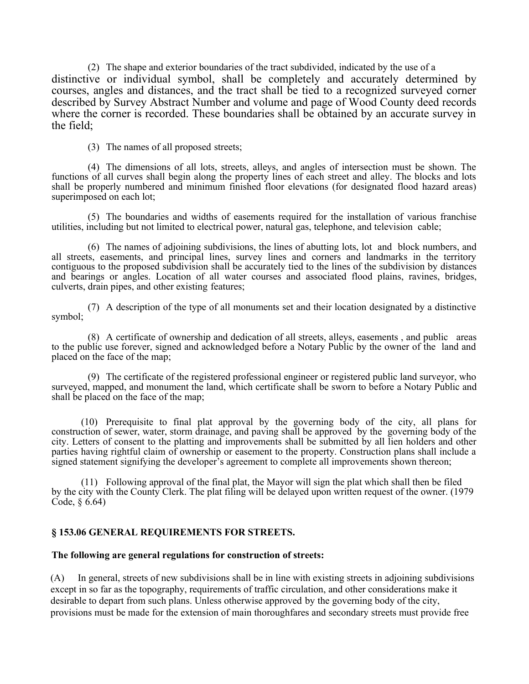(2) The shape and exterior boundaries of the tract subdivided, indicated by the use of a distinctive or individual symbol, shall be completely and accurately determined by courses, angles and distances, and the tract shall be tied to a recognized surveyed corner described by Survey Abstract Number and volume and page of Wood County deed records where the corner is recorded. These boundaries shall be obtained by an accurate survey in the field;

(3) The names of all proposed streets;

(4) The dimensions of all lots, streets, alleys, and angles of intersection must be shown. The functions of all curves shall begin along the property lines of each street and alley. The blocks and lots shall be properly numbered and minimum finished floor elevations (for designated flood hazard areas) superimposed on each lot;

(5) The boundaries and widths of easements required for the installation of various franchise utilities, including but not limited to electrical power, natural gas, telephone, and television cable;

(6) The names of adjoining subdivisions, the lines of abutting lots, lot and block numbers, and all streets, easements, and principal lines, survey lines and corners and landmarks in the territory contiguous to the proposed subdivision shall be accurately tied to the lines of the subdivision by distances and bearings or angles. Location of all water courses and associated flood plains, ravines, bridges, culverts, drain pipes, and other existing features;

(7) A description of the type of all monuments set and their location designated by a distinctive symbol;

(8) A certificate of ownership and dedication of all streets, alleys, easements , and public areas to the public use forever, signed and acknowledged before a Notary Public by the owner of the land and placed on the face of the map;

(9) The certificate of the registered professional engineer or registered public land surveyor, who surveyed, mapped, and monument the land, which certificate shall be sworn to before a Notary Public and shall be placed on the face of the map;

(10) Prerequisite to final plat approval by the governing body of the city, all plans for construction of sewer, water, storm drainage, and paving shall be approved by the governing body of the city. Letters of consent to the platting and improvements shall be submitted by all lien holders and other parties having rightful claim of ownership or easement to the property. Construction plans shall include a signed statement signifying the developer's agreement to complete all improvements shown thereon;

(11) Following approval of the final plat, the Mayor will sign the plat which shall then be filed by the city with the County Clerk. The plat filing will be delayed upon written request of the owner. (1979 Code, § 6.64)

## **§ 153.06 GENERAL REQUIREMENTS FOR STREETS.**

### **The following are general regulations for construction of streets:**

(A) In general, streets of new subdivisions shall be in line with existing streets in adjoining subdivisions except in so far as the topography, requirements of traffic circulation, and other considerations make it desirable to depart from such plans. Unless otherwise approved by the governing body of the city, provisions must be made for the extension of main thoroughfares and secondary streets must provide free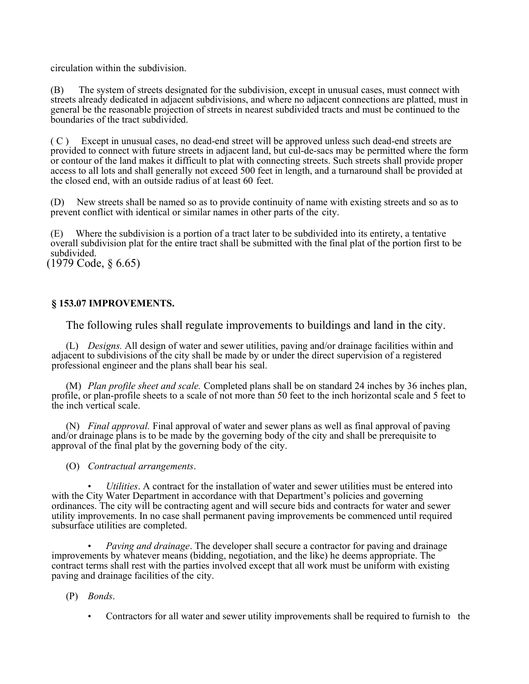circulation within the subdivision.

(B) The system of streets designated for the subdivision, except in unusual cases, must connect with streets already dedicated in adjacent subdivisions, and where no adjacent connections are platted, must in general be the reasonable projection of streets in nearest subdivided tracts and must be continued to the boundaries of the tract subdivided.

( C ) Except in unusual cases, no dead-end street will be approved unless such dead-end streets are provided to connect with future streets in adjacent land, but cul-de-sacs may be permitted where the form or contour of the land makes it difficult to plat with connecting streets. Such streets shall provide proper access to all lots and shall generally not exceed 500 feet in length, and a turnaround shall be provided at the closed end, with an outside radius of at least 60 feet.

(D) New streets shall be named so as to provide continuity of name with existing streets and so as to prevent conflict with identical or similar names in other parts of the city.

(E) Where the subdivision is a portion of a tract later to be subdivided into its entirety, a tentative overall subdivision plat for the entire tract shall be submitted with the final plat of the portion first to be subdivided.

(1979 Code, § 6.65)

# **§ 153.07 IMPROVEMENTS.**

The following rules shall regulate improvements to buildings and land in the city.

(L) *Designs.* All design of water and sewer utilities, paving and/or drainage facilities within and adjacent to subdivisions of the city shall be made by or under the direct supervision of a registered professional engineer and the plans shall bear his seal.

(M) *Plan profile sheet and scale.* Completed plans shall be on standard 24 inches by 36 inches plan, profile, or plan-profile sheets to a scale of not more than 50 feet to the inch horizontal scale and 5 feet to the inch vertical scale.

(N) *Final approval.* Final approval of water and sewer plans as well as final approval of paving and/or drainage plans is to be made by the governing body of the city and shall be prerequisite to approval of the final plat by the governing body of the city.

(O) *Contractual arrangements*.

• *Utilities*. A contract for the installation of water and sewer utilities must be entered into with the City Water Department in accordance with that Department's policies and governing ordinances. The city will be contracting agent and will secure bids and contracts for water and sewer utility improvements. In no case shall permanent paving improvements be commenced until required subsurface utilities are completed.

• *Paving and drainage*. The developer shall secure a contractor for paving and drainage improvements by whatever means (bidding, negotiation, and the like) he deems appropriate. The contract terms shall rest with the parties involved except that all work must be uniform with existing paving and drainage facilities of the city.

- (P) *Bonds*.
	- Contractors for all water and sewer utility improvements shall be required to furnish to the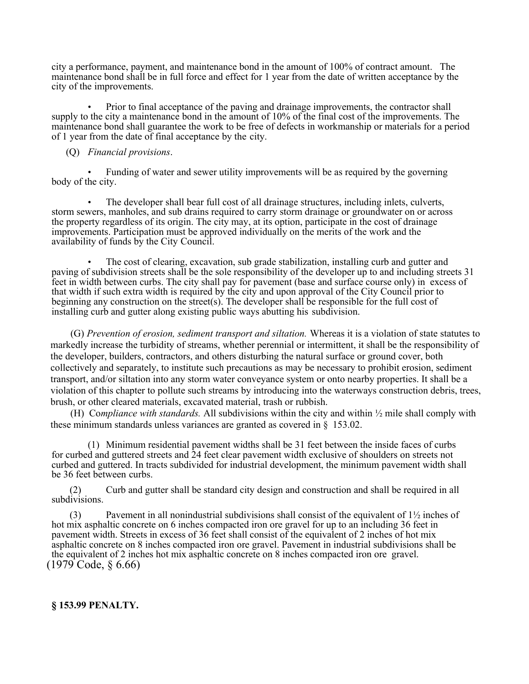city a performance, payment, and maintenance bond in the amount of 100% of contract amount. The maintenance bond shall be in full force and effect for 1 year from the date of written acceptance by the city of the improvements.

• Prior to final acceptance of the paving and drainage improvements, the contractor shall supply to the city a maintenance bond in the amount of 10% of the final cost of the improvements. The maintenance bond shall guarantee the work to be free of defects in workmanship or materials for a period of 1 year from the date of final acceptance by the city.

## (Q) *Financial provisions*.

• Funding of water and sewer utility improvements will be as required by the governing body of the city.

• The developer shall bear full cost of all drainage structures, including inlets, culverts, storm sewers, manholes, and sub drains required to carry storm drainage or groundwater on or across the property regardless of its origin. The city may, at its option, participate in the cost of drainage improvements. Participation must be approved individually on the merits of the work and the availability of funds by the City Council.

• The cost of clearing, excavation, sub grade stabilization, installing curb and gutter and paving of subdivision streets shall be the sole responsibility of the developer up to and including streets 31 feet in width between curbs. The city shall pay for pavement (base and surface course only) in excess of that width if such extra width is required by the city and upon approval of the City Council prior to beginning any construction on the street(s). The developer shall be responsible for the full cost of installing curb and gutter along existing public ways abutting his subdivision.

(G) *Prevention of erosion, sediment transport and siltation.* Whereas it is a violation of state statutes to markedly increase the turbidity of streams, whether perennial or intermittent, it shall be the responsibility of the developer, builders, contractors, and others disturbing the natural surface or ground cover, both collectively and separately, to institute such precautions as may be necessary to prohibit erosion, sediment transport, and/or siltation into any storm water conveyance system or onto nearby properties. It shall be a violation of this chapter to pollute such streams by introducing into the waterways construction debris, trees, brush, or other cleared materials, excavated material, trash or rubbish.

 (H) Co*mpliance with standards.* All subdivisions within the city and within ½ mile shall comply with these minimum standards unless variances are granted as covered in § 153.02.

(1) Minimum residential pavement widths shall be 31 feet between the inside faces of curbs for curbed and guttered streets and 24 feet clear pavement width exclusive of shoulders on streets not curbed and guttered. In tracts subdivided for industrial development, the minimum pavement width shall be 36 feet between curbs.

(2) Curb and gutter shall be standard city design and construction and shall be required in all subdivisions.

(3) Pavement in all nonindustrial subdivisions shall consist of the equivalent of 1½ inches of hot mix asphaltic concrete on 6 inches compacted iron ore gravel for up to an including 36 feet in pavement width. Streets in excess of 36 feet shall consist of the equivalent of 2 inches of hot mix asphaltic concrete on 8 inches compacted iron ore gravel. Pavement in industrial subdivisions shall be the equivalent of 2 inches hot mix asphaltic concrete on 8 inches compacted iron ore gravel. (1979 Code, § 6.66)

# **§ 153.99 PENALTY.**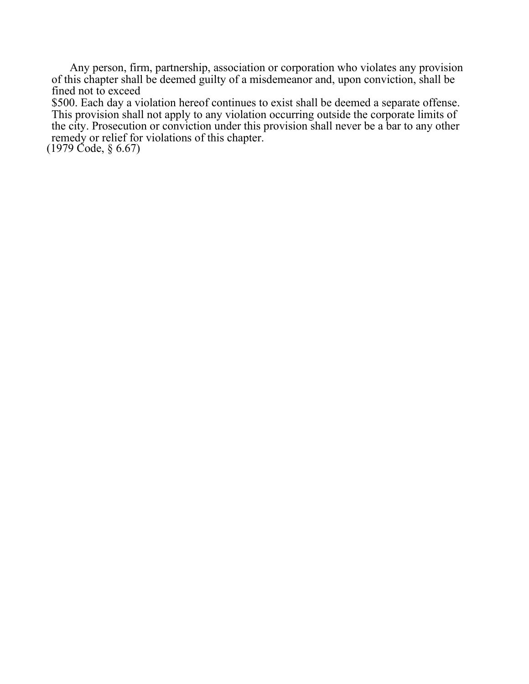Any person, firm, partnership, association or corporation who violates any provision of this chapter shall be deemed guilty of a misdemeanor and, upon conviction, shall be fined not to exceed

\$500. Each day a violation hereof continues to exist shall be deemed a separate offense. This provision shall not apply to any violation occurring outside the corporate limits of the city. Prosecution or conviction under this provision shall never be a bar to any other remedy or relief for violations of this chapter.

(1979 Code, § 6.67)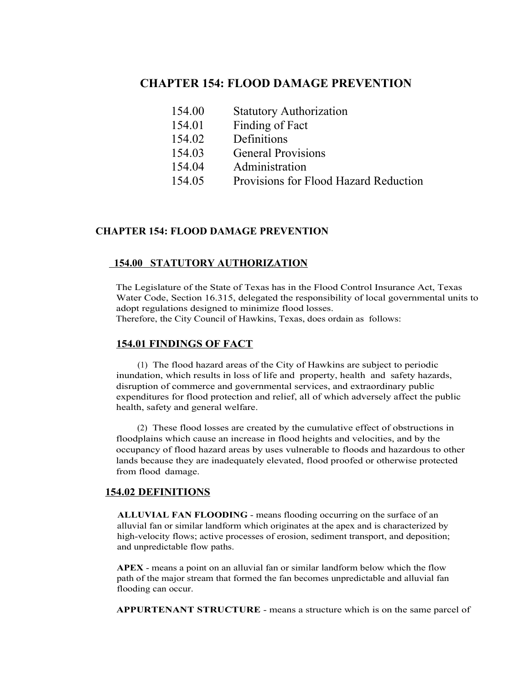# **CHAPTER 154: FLOOD DAMAGE PREVENTION**

- 154.00 Statutory Authorization
- 154.01 Finding of Fact
- 154.02 Definitions
- 154.03 General Provisions
- 154.04 Administration
- 154.05 Provisions for Flood Hazard Reduction

## **CHAPTER 154: FLOOD DAMAGE PREVENTION**

## **154.00 STATUTORY AUTHORIZATION**

The Legislature of the State of Texas has in the Flood Control Insurance Act, Texas Water Code, Section 16.315, delegated the responsibility of local governmental units to adopt regulations designed to minimize flood losses. Therefore, the City Council of Hawkins, Texas, does ordain as follows:

### **154.01 FINDINGS OF FACT**

(1) The flood hazard areas of the City of Hawkins are subject to periodic inundation, which results in loss of life and property, health and safety hazards, disruption of commerce and governmental services, and extraordinary public expenditures for flood protection and relief, all of which adversely affect the public health, safety and general welfare.

(2) These flood losses are created by the cumulative effect of obstructions in floodplains which cause an increase in flood heights and velocities, and by the occupancy of flood hazard areas by uses vulnerable to floods and hazardous to other lands because they are inadequately elevated, flood proofed or otherwise protected from flood damage.

### **154.02 DEFINITIONS**

**ALLUVIAL FAN FLOODING** - means flooding occurring on the surface of an alluvial fan or similar landform which originates at the apex and is characterized by high-velocity flows; active processes of erosion, sediment transport, and deposition; and unpredictable flow paths.

**APEX** - means a point on an alluvial fan or similar landform below which the flow path of the major stream that formed the fan becomes unpredictable and alluvial fan flooding can occur.

**APPURTENANT STRUCTURE** - means a structure which is on the same parcel of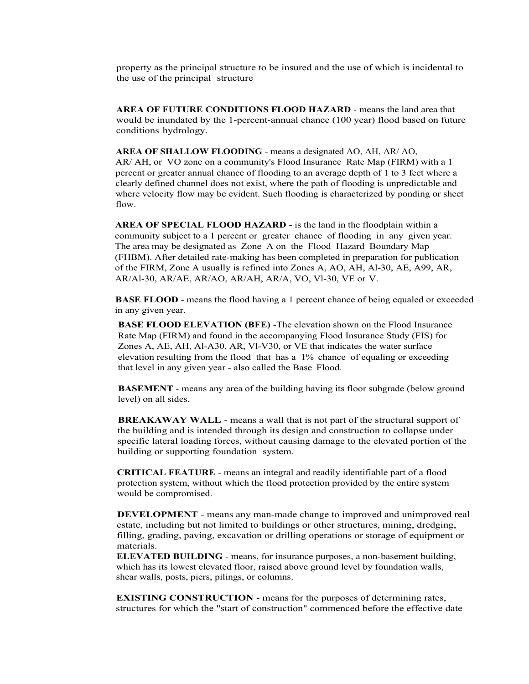property as the principal structure to be insured and the use of which is incidental to the use of the principal structure

**AREA OF FUTURE CONDITIONS FLOOD HAZARD** - means the land area that would be inundated by the 1-percent-annual chance (100 year) flood based on future conditions hydrology.

**AREA OF SHALLOW FLOODING** - means a designated AO, AH, AR/ AO, AR/ AH, or VO zone on a community's Flood Insurance Rate Map (FIRM) with a 1 percent or greater annual chance of flooding to an average depth of 1 to 3 feet where a clearly defined channel does not exist, where the path of flooding is unpredictable and

where velocity flow may be evident. Such flooding is characterized by ponding or sheet flow.

**AREA OF SPECIAL FLOOD HAZARD** - is the land in the floodplain within a community subject to a 1 percent or greater chance of flooding in any given year. The area may be designated as Zone A on the Flood Hazard Boundary Map (FHBM). After detailed rate-making has been completed in preparation for publication of the FIRM, Zone A usually is refined into Zones A, AO, AH, Al-30, AE, A99, AR, AR/Al-30, AR/AE, AR/AO, AR/AH, AR/A, VO, Vl-30, VE or V.

**BASE FLOOD** - means the flood having a 1 percent chance of being equaled or exceeded in any given year.

**BASE FLOOD ELEVATION (BFE)** -The elevation shown on the Flood Insurance Rate Map (FIRM) and found in the accompanying Flood Insurance Study (FIS) for Zones A, AE, AH, Al-A30, AR, Vl-V30, or VE that indicates the water surface elevation resulting from the flood that has a 1% chance of equaling or exceeding that level in any given year - also called the Base Flood.

**BASEMENT** - means any area of the building having its floor subgrade (below ground level) on all sides.

**BREAKAWAY WALL** - means a wall that is not part of the structural support of the building and is intended through its design and construction to collapse under specific lateral loading forces, without causing damage to the elevated portion of the building or supporting foundation system.

**CRITICAL FEATURE** - means an integral and readily identifiable part of a flood protection system, without which the flood protection provided by the entire system would be compromised.

**DEVELOPMENT** - means any man-made change to improved and unimproved real estate, including but not limited to buildings or other structures, mining, dredging, filling, grading, paving, excavation or drilling operations or storage of equipment or materials.

**ELEVATED BUILDING** - means, for insurance purposes, a non-basement building, which has its lowest elevated floor, raised above ground level by foundation walls, shear walls, posts, piers, pilings, or columns.

**EXISTING CONSTRUCTION** - means for the purposes of determining rates, structures for which the "start of construction" commenced before the effective date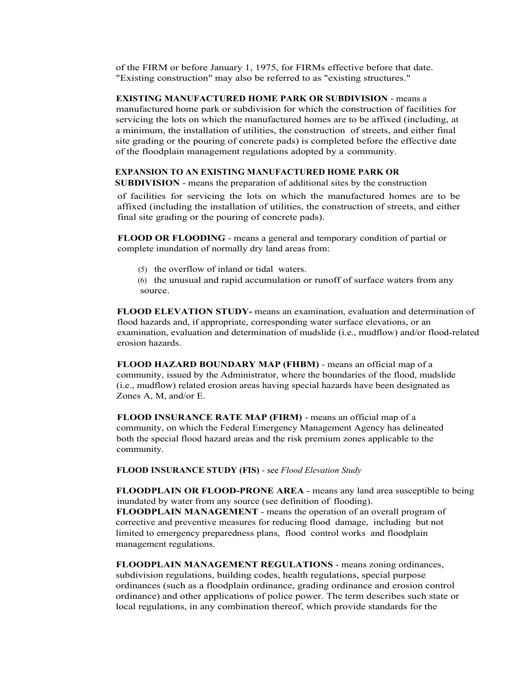of the FIRM or before January 1, 1975, for FIRMs effective before that date. "Existing construction" may also be referred to as "existing structures."

**EXISTING MANUFACTURED HOME PARK OR SUBDIVISION** - means a manufactured home park or subdivision for which the construction of facilities for servicing the lots on which the manufactured homes are to be affixed (including, at a minimum, the installation of utilities, the construction of streets, and either final site grading or the pouring of concrete pads) is completed before the effective date of the floodplain management regulations adopted by a community.

# **EXPANSION TO AN EXISTING MANUFACTURED HOME PARK OR**

**SUBDIVISION** - means the preparation of additional sites by the construction

of facilities for servicing the lots on which the manufactured homes are to be affixed (including the installation of utilities, the construction of streets, and either final site grading or the pouring of concrete pads).

**FLOOD OR FLOODING** - means a general and temporary condition of partial or complete inundation of normally dry land areas from:

- (5) the overflow of inland or tidal waters.
- (6) the unusual and rapid accumulation or runoff of surface waters from any source.

**FLOOD ELEVATION STUDY-** means an examination, evaluation and determination of flood hazards and, if appropriate, corresponding water surface elevations, or an examination, evaluation and determination of mudslide (i.e., mudflow) and/or flood-related erosion hazards.

**FLOOD HAZARD BOUNDARY MAP (FHBM)** - means an official map of a community, issued by the Administrator, where the boundaries of the flood, mudslide (i.e., mudflow) related erosion areas having special hazards have been designated as Zones A, M, and/or E.

**FLOOD INSURANCE RATE MAP (FIRM)** - means an official map of a community, on which the Federal Emergency Management Agency has delineated both the special flood hazard areas and the risk premium zones applicable to the community.

**FLOOD INSURANCE STUDY (FIS)** - see *Flood Elevation Study*

**FLOODPLAIN OR FLOOD-PRONE AREA** - means any land area susceptible to being inundated by water from any source (see definition of flooding).

**FLOODPLAIN MANAGEMENT** - means the operation of an overall program of corrective and preventive measures for reducing flood damage, including but not limited to emergency preparedness plans, flood control works and floodplain management regulations.

**FLOODPLAIN MANAGEMENT REGULATIONS** - means zoning ordinances, subdivision regulations, building codes, health regulations, special purpose ordinances (such as a floodplain ordinance, grading ordinance and erosion control ordinance) and other applications of police power. The term describes such state or local regulations, in any combination thereof, which provide standards for the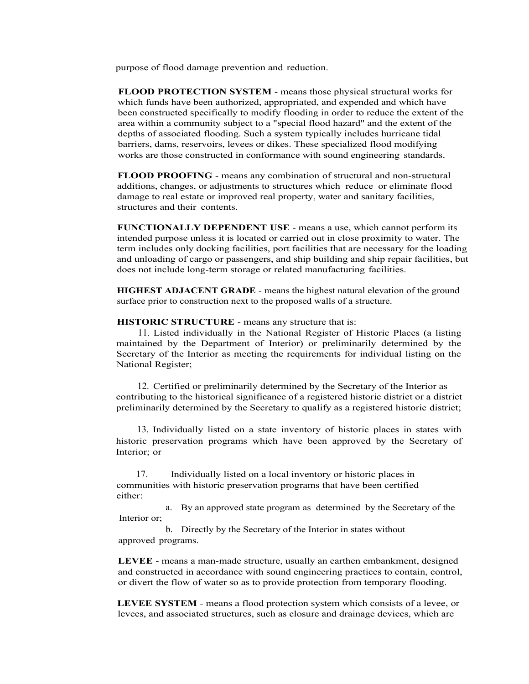purpose of flood damage prevention and reduction.

**FLOOD PROTECTION SYSTEM** - means those physical structural works for which funds have been authorized, appropriated, and expended and which have been constructed specifically to modify flooding in order to reduce the extent of the area within a community subject to a "special flood hazard" and the extent of the depths of associated flooding. Such a system typically includes hurricane tidal barriers, dams, reservoirs, levees or dikes. These specialized flood modifying works are those constructed in conformance with sound engineering standards.

**FLOOD PROOFING** - means any combination of structural and non-structural additions, changes, or adjustments to structures which reduce or eliminate flood damage to real estate or improved real property, water and sanitary facilities, structures and their contents.

**FUNCTIONALLY DEPENDENT USE** - means a use, which cannot perform its intended purpose unless it is located or carried out in close proximity to water. The term includes only docking facilities, port facilities that are necessary for the loading and unloading of cargo or passengers, and ship building and ship repair facilities, but does not include long-term storage or related manufacturing facilities.

**HIGHEST ADJACENT GRADE** - means the highest natural elevation of the ground surface prior to construction next to the proposed walls of a structure.

#### **HISTORIC STRUCTURE** - means any structure that is:

11. Listed individually in the National Register of Historic Places (a listing maintained by the Department of Interior) or preliminarily determined by the Secretary of the Interior as meeting the requirements for individual listing on the National Register;

12. Certified or preliminarily determined by the Secretary of the Interior as contributing to the historical significance of a registered historic district or a district preliminarily determined by the Secretary to qualify as a registered historic district;

13. Individually listed on a state inventory of historic places in states with historic preservation programs which have been approved by the Secretary of Interior; or

17. Individually listed on a local inventory or historic places in communities with historic preservation programs that have been certified either:

a. By an approved state program as determined by the Secretary of the Interior or;

b. Directly by the Secretary of the Interior in states without approved programs.

**LEVEE** - means a man-made structure, usually an earthen embankment, designed and constructed in accordance with sound engineering practices to contain, control, or divert the flow of water so as to provide protection from temporary flooding.

**LEVEE SYSTEM** - means a flood protection system which consists of a levee, or levees, and associated structures, such as closure and drainage devices, which are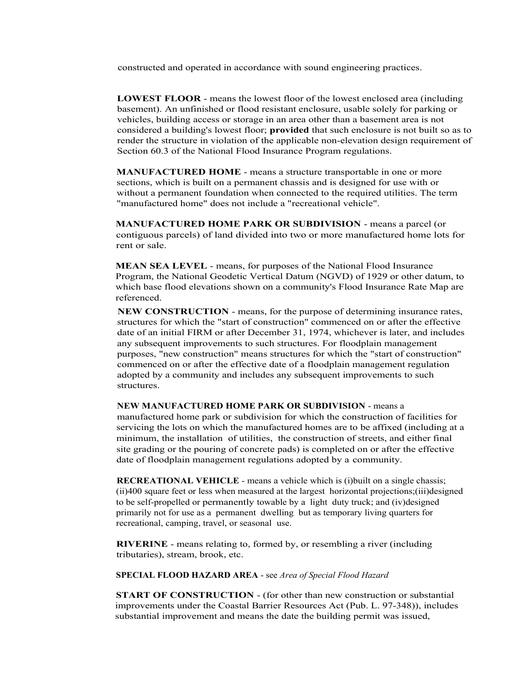constructed and operated in accordance with sound engineering practices.

**LOWEST FLOOR** - means the lowest floor of the lowest enclosed area (including basement). An unfinished or flood resistant enclosure, usable solely for parking or vehicles, building access or storage in an area other than a basement area is not considered a building's lowest floor; **provided** that such enclosure is not built so as to render the structure in violation of the applicable non-elevation design requirement of Section 60.3 of the National Flood Insurance Program regulations.

**MANUFACTURED HOME** - means a structure transportable in one or more sections, which is built on a permanent chassis and is designed for use with or without a permanent foundation when connected to the required utilities. The term "manufactured home" does not include a "recreational vehicle".

**MANUFACTURED HOME PARK OR SUBDIVISION** - means a parcel (or contiguous parcels) of land divided into two or more manufactured home lots for rent or sale.

**MEAN SEA LEVEL** - means, for purposes of the National Flood Insurance Program, the National Geodetic Vertical Datum (NGVD) of 1929 or other datum, to which base flood elevations shown on a community's Flood Insurance Rate Map are referenced.

**NEW CONSTRUCTION** - means, for the purpose of determining insurance rates, structures for which the "start of construction" commenced on or after the effective date of an initial FIRM or after December 31, 1974, whichever is later, and includes any subsequent improvements to such structures. For floodplain management purposes, "new construction" means structures for which the "start of construction" commenced on or after the effective date of a floodplain management regulation adopted by a community and includes any subsequent improvements to such structures.

#### **NEW MANUFACTURED HOME PARK OR SUBDIVISION** - means a

manufactured home park or subdivision for which the construction of facilities for servicing the lots on which the manufactured homes are to be affixed (including at a minimum, the installation of utilities, the construction of streets, and either final site grading or the pouring of concrete pads) is completed on or after the effective date of floodplain management regulations adopted by a community.

**RECREATIONAL VEHICLE** - means a vehicle which is (i)built on a single chassis; (ii)400 square feet or less when measured at the largest horizontal projections;(iii)designed to be self-propelled or permanently towable by a light duty truck; and (iv)designed primarily not for use as a permanent dwelling but as temporary living quarters for recreational, camping, travel, or seasonal use.

**RIVERINE** - means relating to, formed by, or resembling a river (including tributaries), stream, brook, etc.

**SPECIAL FLOOD HAZARD AREA** - see *Area of Special Flood Hazard*

**START OF CONSTRUCTION** - (for other than new construction or substantial improvements under the Coastal Barrier Resources Act (Pub. L. 97-348)), includes substantial improvement and means the date the building permit was issued,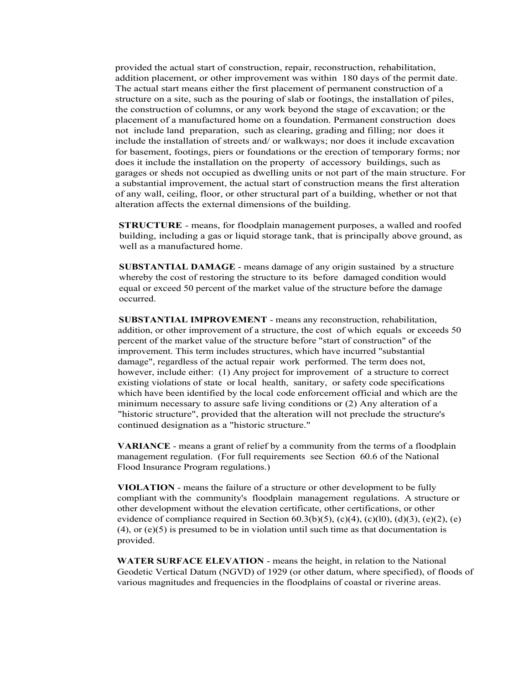provided the actual start of construction, repair, reconstruction, rehabilitation, addition placement, or other improvement was within 180 days of the permit date. The actual start means either the first placement of permanent construction of a structure on a site, such as the pouring of slab or footings, the installation of piles, the construction of columns, or any work beyond the stage of excavation; or the placement of a manufactured home on a foundation. Permanent construction does not include land preparation, such as clearing, grading and filling; nor does it include the installation of streets and/ or walkways; nor does it include excavation for basement, footings, piers or foundations or the erection of temporary forms; nor does it include the installation on the property of accessory buildings, such as garages or sheds not occupied as dwelling units or not part of the main structure. For a substantial improvement, the actual start of construction means the first alteration of any wall, ceiling, floor, or other structural part of a building, whether or not that alteration affects the external dimensions of the building.

**STRUCTURE** - means, for floodplain management purposes, a walled and roofed building, including a gas or liquid storage tank, that is principally above ground, as well as a manufactured home.

**SUBSTANTIAL DAMAGE** - means damage of any origin sustained by a structure whereby the cost of restoring the structure to its before damaged condition would equal or exceed 50 percent of the market value of the structure before the damage occurred.

**SUBSTANTIAL IMPROVEMENT** - means any reconstruction, rehabilitation, addition, or other improvement of a structure, the cost of which equals or exceeds 50 percent of the market value of the structure before "start of construction" of the improvement. This term includes structures, which have incurred "substantial damage", regardless of the actual repair work performed. The term does not, however, include either: (1) Any project for improvement of a structure to correct existing violations of state or local health, sanitary, or safety code specifications which have been identified by the local code enforcement official and which are the minimum necessary to assure safe living conditions or (2) Any alteration of a "historic structure", provided that the alteration will not preclude the structure's continued designation as a "historic structure."

**VARIANCE** - means a grant of relief by a community from the terms of a floodplain management regulation. (For full requirements see Section 60.6 of the National Flood Insurance Program regulations.)

**VIOLATION** - means the failure of a structure or other development to be fully compliant with the community's floodplain management regulations. A structure or other development without the elevation certificate, other certifications, or other evidence of compliance required in Section  $60.3(b)(5)$ ,  $(c)(4)$ ,  $(c)(10)$ ,  $(d)(3)$ ,  $(e)(2)$ ,  $(e)$  $(4)$ , or  $(e)(5)$  is presumed to be in violation until such time as that documentation is provided.

**WATER SURFACE ELEVATION** - means the height, in relation to the National Geodetic Vertical Datum (NGVD) of 1929 (or other datum, where specified), of floods of various magnitudes and frequencies in the floodplains of coastal or riverine areas.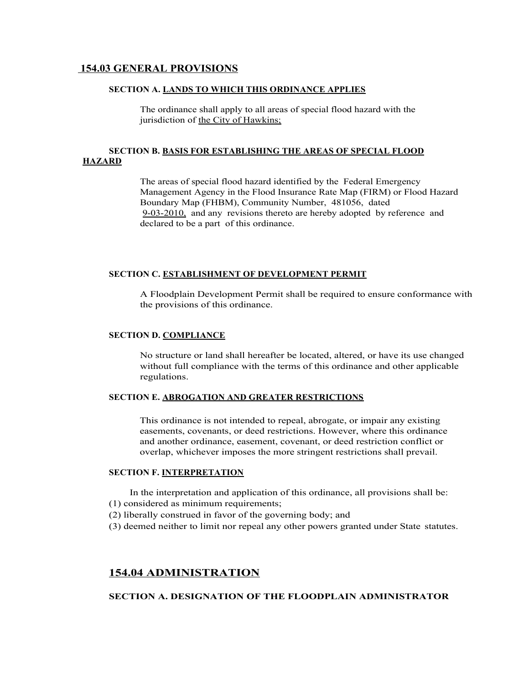### **154.03 GENERAL PROVISIONS**

#### **SECTION A. LANDS TO WHICH THIS ORDINANCE APPLIES**

The ordinance shall apply to all areas of special flood hazard with the jurisdiction of the City of Hawkins;

#### **SECTION B. BASIS FOR ESTABLISHING THE AREAS OF SPECIAL FLOOD HAZARD**

The areas of special flood hazard identified by the Federal Emergency Management Agency in the Flood Insurance Rate Map (FIRM) or Flood Hazard Boundary Map (FHBM), Community Number, 481056, dated 9-03-2010, and any revisions thereto are hereby adopted by reference and declared to be a part of this ordinance.

#### **SECTION C. ESTABLISHMENT OF DEVELOPMENT PERMIT**

A Floodplain Development Permit shall be required to ensure conformance with the provisions of this ordinance.

#### **SECTION D. COMPLIANCE**

No structure or land shall hereafter be located, altered, or have its use changed without full compliance with the terms of this ordinance and other applicable regulations.

#### **SECTION E. ABROGATION AND GREATER RESTRICTIONS**

This ordinance is not intended to repeal, abrogate, or impair any existing easements, covenants, or deed restrictions. However, where this ordinance and another ordinance, easement, covenant, or deed restriction conflict or overlap, whichever imposes the more stringent restrictions shall prevail.

#### **SECTION F. INTERPRETATION**

 In the interpretation and application of this ordinance, all provisions shall be: (1) considered as minimum requirements;

- (2) liberally construed in favor of the governing body; and
- (3) deemed neither to limit nor repeal any other powers granted under State statutes.

## **154.04 ADMINISTRATION**

## **SECTION A. DESIGNATION OF THE FLOODPLAIN ADMINISTRATOR**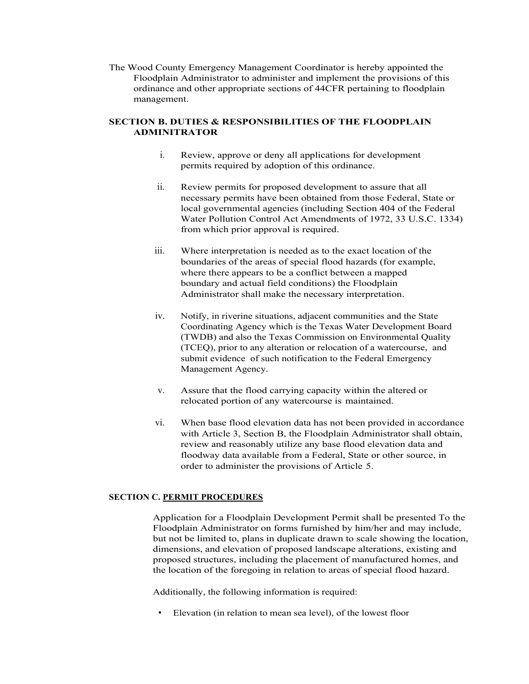The Wood County Emergency Management Coordinator is hereby appointed the Floodplain Administrator to administer and implement the provisions of this ordinance and other appropriate sections of 44CFR pertaining to floodplain management.

### **SECTION B. DUTIES & RESPONSIBILITIES OF THE FLOODPLAIN ADMINITRATOR**

- i. Review, approve or deny all applications for development permits required by adoption of this ordinance.
- ii. Review permits for proposed development to assure that all necessary permits have been obtained from those Federal, State or local governmental agencies (including Section 404 of the Federal Water Pollution Control Act Amendments of 1972, 33 U.S.C. 1334) from which prior approval is required.
- iii. Where interpretation is needed as to the exact location of the boundaries of the areas of special flood hazards (for example, where there appears to be a conflict between a mapped boundary and actual field conditions) the Floodplain Administrator shall make the necessary interpretation.
- iv. Notify, in riverine situations, adjacent communities and the State Coordinating Agency which is the Texas Water Development Board (TWDB) and also the Texas Commission on Environmental Quality (TCEQ), prior to any alteration or relocation of a watercourse, and submit evidence of such notification to the Federal Emergency Management Agency.
- v. Assure that the flood carrying capacity within the altered or relocated portion of any watercourse is maintained.
- vi. When base flood elevation data has not been provided in accordance with Article 3, Section B, the Floodplain Administrator shall obtain, review and reasonably utilize any base flood elevation data and floodway data available from a Federal, State or other source, in order to administer the provisions of Article 5.

#### **SECTION C. PERMIT PROCEDURES**

Application for a Floodplain Development Permit shall be presented To the Floodplain Administrator on forms furnished by him/her and may include, but not be limited to, plans in duplicate drawn to scale showing the location, dimensions, and elevation of proposed landscape alterations, existing and proposed structures, including the placement of manufactured homes, and the location of the foregoing in relation to areas of special flood hazard.

Additionally, the following information is required:

• Elevation (in relation to mean sea level), of the lowest floor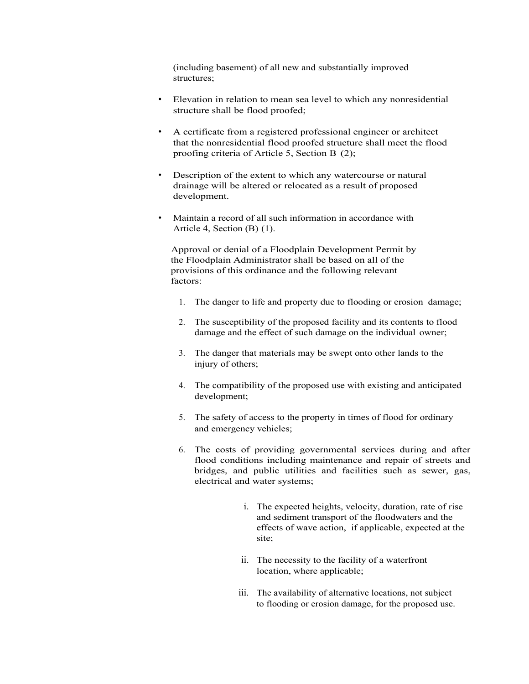(including basement) of all new and substantially improved structures;

- Elevation in relation to mean sea level to which any nonresidential structure shall be flood proofed;
- A certificate from a registered professional engineer or architect that the nonresidential flood proofed structure shall meet the flood proofing criteria of Article 5, Section B (2);
- Description of the extent to which any watercourse or natural drainage will be altered or relocated as a result of proposed development.
- Maintain a record of all such information in accordance with Article 4, Section (B) (1).

Approval or denial of a Floodplain Development Permit by the Floodplain Administrator shall be based on all of the provisions of this ordinance and the following relevant factors:

- 1. The danger to life and property due to flooding or erosion damage;
- 2. The susceptibility of the proposed facility and its contents to flood damage and the effect of such damage on the individual owner;
- 3. The danger that materials may be swept onto other lands to the injury of others;
- 4. The compatibility of the proposed use with existing and anticipated development;
- 5. The safety of access to the property in times of flood for ordinary and emergency vehicles;
- 6. The costs of providing governmental services during and after flood conditions including maintenance and repair of streets and bridges, and public utilities and facilities such as sewer, gas, electrical and water systems;
	- i. The expected heights, velocity, duration, rate of rise and sediment transport of the floodwaters and the effects of wave action, if applicable, expected at the site;
	- ii. The necessity to the facility of a waterfront location, where applicable;
	- iii. The availability of alternative locations, not subject to flooding or erosion damage, for the proposed use.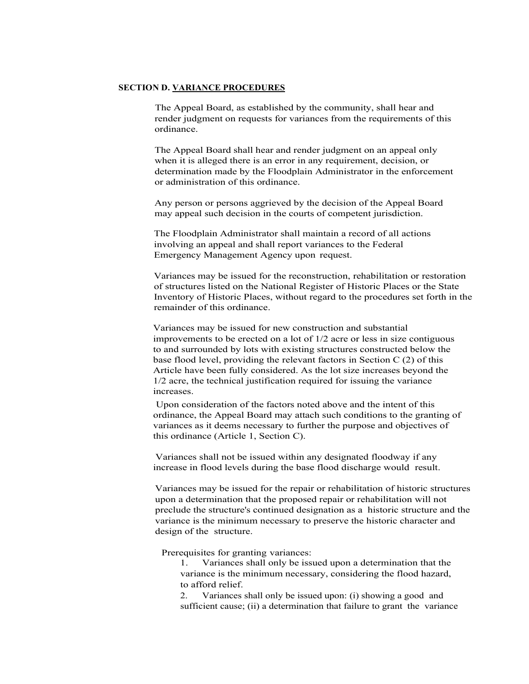#### **SECTION D. VARIANCE PROCEDURES**

The Appeal Board, as established by the community, shall hear and render judgment on requests for variances from the requirements of this ordinance.

The Appeal Board shall hear and render judgment on an appeal only when it is alleged there is an error in any requirement, decision, or determination made by the Floodplain Administrator in the enforcement or administration of this ordinance.

Any person or persons aggrieved by the decision of the Appeal Board may appeal such decision in the courts of competent jurisdiction.

The Floodplain Administrator shall maintain a record of all actions involving an appeal and shall report variances to the Federal Emergency Management Agency upon request.

Variances may be issued for the reconstruction, rehabilitation or restoration of structures listed on the National Register of Historic Places or the State Inventory of Historic Places, without regard to the procedures set forth in the remainder of this ordinance.

Variances may be issued for new construction and substantial improvements to be erected on a lot of 1/2 acre or less in size contiguous to and surrounded by lots with existing structures constructed below the base flood level, providing the relevant factors in Section C (2) of this Article have been fully considered. As the lot size increases beyond the 1/2 acre, the technical justification required for issuing the variance increases.

Upon consideration of the factors noted above and the intent of this ordinance, the Appeal Board may attach such conditions to the granting of variances as it deems necessary to further the purpose and objectives of this ordinance (Article 1, Section C).

Variances shall not be issued within any designated floodway if any increase in flood levels during the base flood discharge would result.

Variances may be issued for the repair or rehabilitation of historic structures upon a determination that the proposed repair or rehabilitation will not preclude the structure's continued designation as a historic structure and the variance is the minimum necessary to preserve the historic character and design of the structure.

Prerequisites for granting variances:

1. Variances shall only be issued upon a determination that the variance is the minimum necessary, considering the flood hazard, to afford relief.

2. Variances shall only be issued upon: (i) showing a good and sufficient cause; (ii) a determination that failure to grant the variance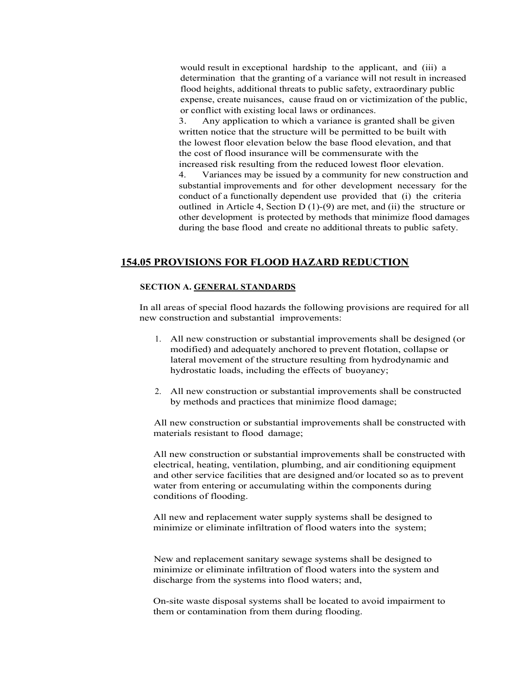would result in exceptional hardship to the applicant, and (iii) a determination that the granting of a variance will not result in increased flood heights, additional threats to public safety, extraordinary public expense, create nuisances, cause fraud on or victimization of the public, or conflict with existing local laws or ordinances.

3. Any application to which a variance is granted shall be given written notice that the structure will be permitted to be built with the lowest floor elevation below the base flood elevation, and that the cost of flood insurance will be commensurate with the increased risk resulting from the reduced lowest floor elevation.

4. Variances may be issued by a community for new construction and substantial improvements and for other development necessary for the conduct of a functionally dependent use provided that (i) the criteria outlined in Article 4, Section D (1)-(9) are met, and (ii) the structure or other development is protected by methods that minimize flood damages during the base flood and create no additional threats to public safety.

### **154.05 PROVISIONS FOR FLOOD HAZARD REDUCTION**

#### **SECTION A. GENERAL STANDARDS**

In all areas of special flood hazards the following provisions are required for all new construction and substantial improvements:

- 1. All new construction or substantial improvements shall be designed (or modified) and adequately anchored to prevent flotation, collapse or lateral movement of the structure resulting from hydrodynamic and hydrostatic loads, including the effects of buoyancy;
- 2. All new construction or substantial improvements shall be constructed by methods and practices that minimize flood damage;

All new construction or substantial improvements shall be constructed with materials resistant to flood damage;

All new construction or substantial improvements shall be constructed with electrical, heating, ventilation, plumbing, and air conditioning equipment and other service facilities that are designed and/or located so as to prevent water from entering or accumulating within the components during conditions of flooding.

All new and replacement water supply systems shall be designed to minimize or eliminate infiltration of flood waters into the system;

New and replacement sanitary sewage systems shall be designed to minimize or eliminate infiltration of flood waters into the system and discharge from the systems into flood waters; and,

On-site waste disposal systems shall be located to avoid impairment to them or contamination from them during flooding.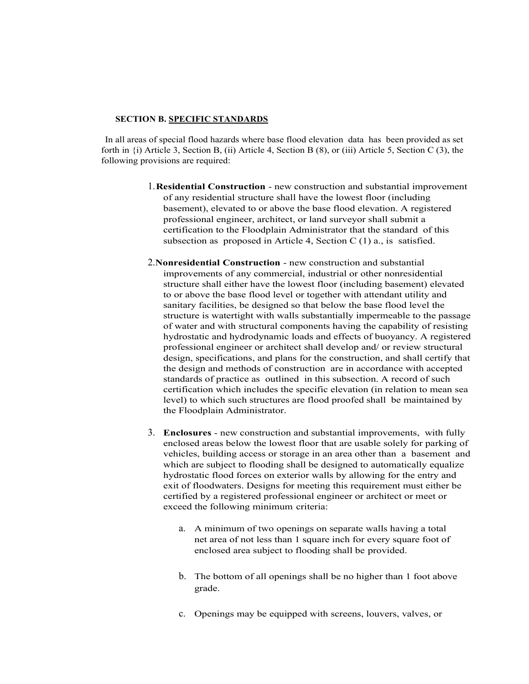#### **SECTION B. SPECIFIC STANDARDS**

In all areas of special flood hazards where base flood elevation data has been provided as set forth in {i) Article 3, Section B, (ii) Article 4, Section B (8), or (iii) Article 5, Section C (3), the following provisions are required:

- 1.**Residential Construction**  new construction and substantial improvement of any residential structure shall have the lowest floor (including basement), elevated to or above the base flood elevation. A registered professional engineer, architect, or land surveyor shall submit a certification to the Floodplain Administrator that the standard of this subsection as proposed in Article 4, Section C (1) a., is satisfied.
- 2.**Nonresidential Construction**  new construction and substantial improvements of any commercial, industrial or other nonresidential structure shall either have the lowest floor (including basement) elevated to or above the base flood level or together with attendant utility and sanitary facilities, be designed so that below the base flood level the structure is watertight with walls substantially impermeable to the passage of water and with structural components having the capability of resisting hydrostatic and hydrodynamic loads and effects of buoyancy. A registered professional engineer or architect shall develop and/ or review structural design, specifications, and plans for the construction, and shall certify that the design and methods of construction are in accordance with accepted standards of practice as outlined in this subsection. A record of such certification which includes the specific elevation (in relation to mean sea level) to which such structures are flood proofed shall be maintained by the Floodplain Administrator.
- 3. **Enclosures**  new construction and substantial improvements, with fully enclosed areas below the lowest floor that are usable solely for parking of vehicles, building access or storage in an area other than a basement and which are subject to flooding shall be designed to automatically equalize hydrostatic flood forces on exterior walls by allowing for the entry and exit of floodwaters. Designs for meeting this requirement must either be certified by a registered professional engineer or architect or meet or exceed the following minimum criteria:
	- a. A minimum of two openings on separate walls having a total net area of not less than 1 square inch for every square foot of enclosed area subject to flooding shall be provided.
	- b. The bottom of all openings shall be no higher than 1 foot above grade.
	- c. Openings may be equipped with screens, louvers, valves, or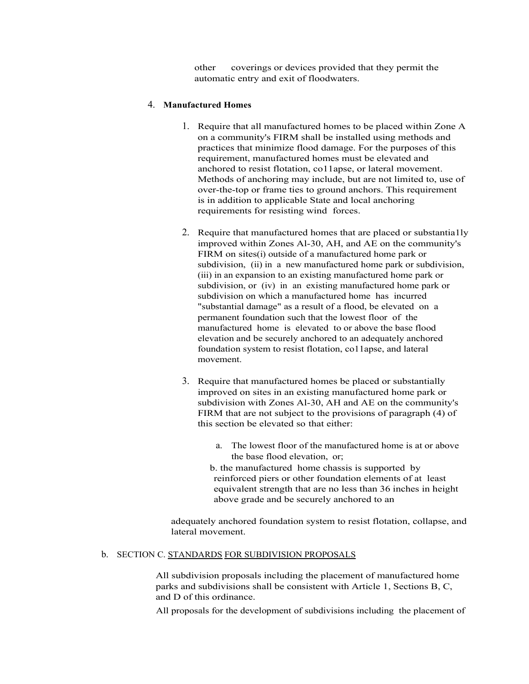other coverings or devices provided that they permit the automatic entry and exit of floodwaters.

#### 4. **Manufactured Homes**

- 1. Require that all manufactured homes to be placed within Zone A on a community's FIRM shall be installed using methods and practices that minimize flood damage. For the purposes of this requirement, manufactured homes must be elevated and anchored to resist flotation, co11apse, or lateral movement. Methods of anchoring may include, but are not limited to, use of over-the-top or frame ties to ground anchors. This requirement is in addition to applicable State and local anchoring requirements for resisting wind forces.
- 2. Require that manufactured homes that are placed or substantia1ly improved within Zones Al-30, AH, and AE on the community's FIRM on sites(i) outside of a manufactured home park or subdivision, (ii) in a new manufactured home park or subdivision, (iii) in an expansion to an existing manufactured home park or subdivision, or (iv) in an existing manufactured home park or subdivision on which a manufactured home has incurred "substantial damage" as a result of a flood, be elevated on a permanent foundation such that the lowest floor of the manufactured home is elevated to or above the base flood elevation and be securely anchored to an adequately anchored foundation system to resist flotation, co11apse, and lateral movement.
- 3. Require that manufactured homes be placed or substantially improved on sites in an existing manufactured home park or subdivision with Zones Al-30, AH and AE on the community's FIRM that are not subject to the provisions of paragraph (4) of this section be elevated so that either:
	- a. The lowest floor of the manufactured home is at or above the base flood elevation, or;
	- b. the manufactured home chassis is supported by reinforced piers or other foundation elements of at least equivalent strength that are no less than 36 inches in height above grade and be securely anchored to an

adequately anchored foundation system to resist flotation, collapse, and lateral movement.

#### b. SECTION C. STANDARDS FOR SUBDIVISION PROPOSALS

All subdivision proposals including the placement of manufactured home parks and subdivisions shall be consistent with Article 1, Sections B, C, and D of this ordinance.

All proposals for the development of subdivisions including the placement of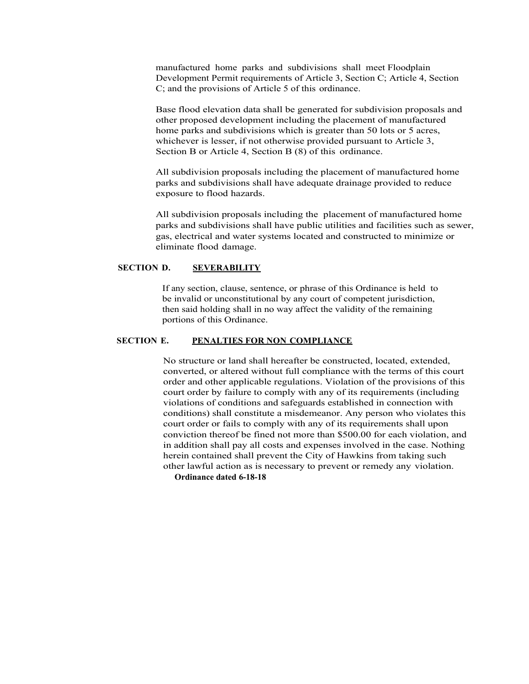manufactured home parks and subdivisions shall meet Floodplain Development Permit requirements of Article 3, Section C; Article 4, Section C; and the provisions of Article 5 of this ordinance.

Base flood elevation data shall be generated for subdivision proposals and other proposed development including the placement of manufactured home parks and subdivisions which is greater than 50 lots or 5 acres, whichever is lesser, if not otherwise provided pursuant to Article 3, Section B or Article 4, Section B (8) of this ordinance.

All subdivision proposals including the placement of manufactured home parks and subdivisions shall have adequate drainage provided to reduce exposure to flood hazards.

All subdivision proposals including the placement of manufactured home parks and subdivisions shall have public utilities and facilities such as sewer, gas, electrical and water systems located and constructed to minimize or eliminate flood damage.

#### **SECTION D. SEVERABILITY**

If any section, clause, sentence, or phrase of this Ordinance is held to be invalid or unconstitutional by any court of competent jurisdiction, then said holding shall in no way affect the validity of the remaining portions of this Ordinance.

#### **SECTION E. PENALTIES FOR NON COMPLIANCE**

No structure or land shall hereafter be constructed, located, extended, converted, or altered without full compliance with the terms of this court order and other applicable regulations. Violation of the provisions of this court order by failure to comply with any of its requirements (including violations of conditions and safeguards established in connection with conditions) shall constitute a misdemeanor. Any person who violates this court order or fails to comply with any of its requirements shall upon conviction thereof be fined not more than \$500.00 for each violation, and in addition shall pay all costs and expenses involved in the case. Nothing herein contained shall prevent the City of Hawkins from taking such other lawful action as is necessary to prevent or remedy any violation.

 **Ordinance dated 6-18-18**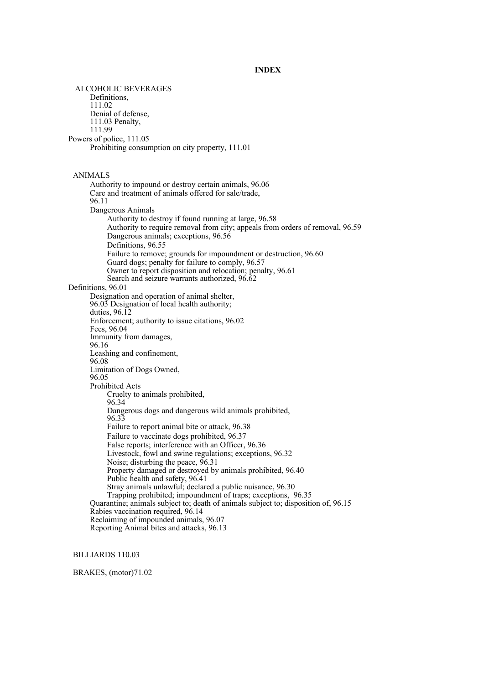#### **INDEX**

 ALCOHOLIC BEVERAGES **Definitions** 111.02 Denial of defense, 111.03 Penalty, 111.99 Powers of police, 111.05 Prohibiting consumption on city property, 111.01 ANIMALS Authority to impound or destroy certain animals, 96.06 Care and treatment of animals offered for sale/trade, 96.11 Dangerous Animals Authority to destroy if found running at large, 96.58 Authority to require removal from city; appeals from orders of removal, 96.59 Dangerous animals; exceptions, 96.56 Definitions, 96.55 Failure to remove; grounds for impoundment or destruction, 96.60 Guard dogs; penalty for failure to comply, 96.57 Owner to report disposition and relocation; penalty, 96.61 Search and seizure warrants authorized, 96.62 Definitions, 96.01 Designation and operation of animal shelter, 96.03 Designation of local health authority; duties, 96.12 Enforcement; authority to issue citations, 96.02 Fees, 96.04 Immunity from damages, 96.16 Leashing and confinement, 96.08 Limitation of Dogs Owned, 96.05 Prohibited Acts Cruelty to animals prohibited, 96.34 Dangerous dogs and dangerous wild animals prohibited, 96.33 Failure to report animal bite or attack, 96.38 Failure to vaccinate dogs prohibited, 96.37 False reports; interference with an Officer, 96.36 Livestock, fowl and swine regulations; exceptions, 96.32 Noise; disturbing the peace, 96.31 Property damaged or destroyed by animals prohibited, 96.40 Public health and safety, 96.41 Stray animals unlawful; declared a public nuisance, 96.30 Trapping prohibited; impoundment of traps; exceptions, 96.35 Quarantine; animals subject to; death of animals subject to; disposition of, 96.15 Rabies vaccination required, 96.14 Reclaiming of impounded animals, 96.07 Reporting Animal bites and attacks, 96.13

BILLIARDS 110.03

BRAKES, (motor)71.02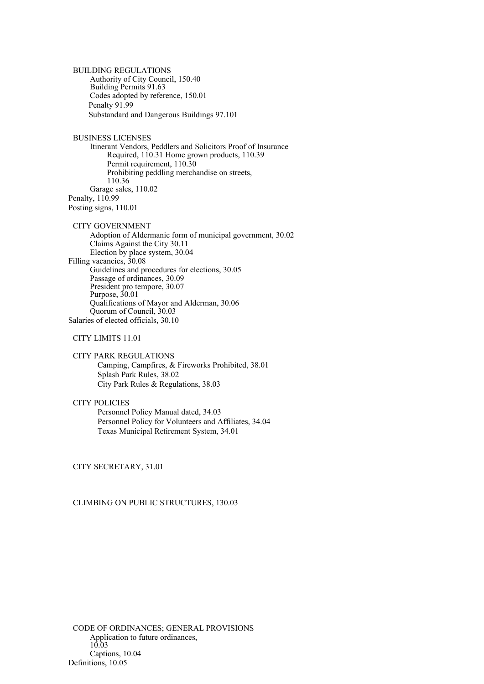BUILDING REGULATIONS Authority of City Council, 150.40 Building Permits 91.63 Codes adopted by reference, 150.01 Penalty 91.99 Substandard and Dangerous Buildings 97.101 BUSINESS LICENSES Itinerant Vendors, Peddlers and Solicitors Proof of Insurance Required, 110.31 Home grown products, 110.39 Permit requirement, 110.30 Prohibiting peddling merchandise on streets, 110.36 Garage sales, 110.02 Penalty, 110.99 Posting signs, 110.01 CITY GOVERNMENT Adoption of Aldermanic form of municipal government, 30.02 Claims Against the City 30.11 Election by place system, 30.04 Filling vacancies, 30.08 Guidelines and procedures for elections, 30.05 Passage of ordinances, 30.09 President pro tempore, 30.07 Purpose, 30.01 Qualifications of Mayor and Alderman, 30.06 Quorum of Council, 30.03 Salaries of elected officials, 30.10 CITY LIMITS 11.01 CITY PARK REGULATIONS

Camping, Campfires, & Fireworks Prohibited, 38.01 Splash Park Rules, 38.02 City Park Rules & Regulations, 38.03

#### CITY POLICIES

Personnel Policy Manual dated, 34.03 Personnel Policy for Volunteers and Affiliates, 34.04 Texas Municipal Retirement System, 34.01

CITY SECRETARY, 31.01

CLIMBING ON PUBLIC STRUCTURES, 130.03

CODE OF ORDINANCES; GENERAL PROVISIONS Application to future ordinances, 10.03 Captions, 10.04 Definitions, 10.05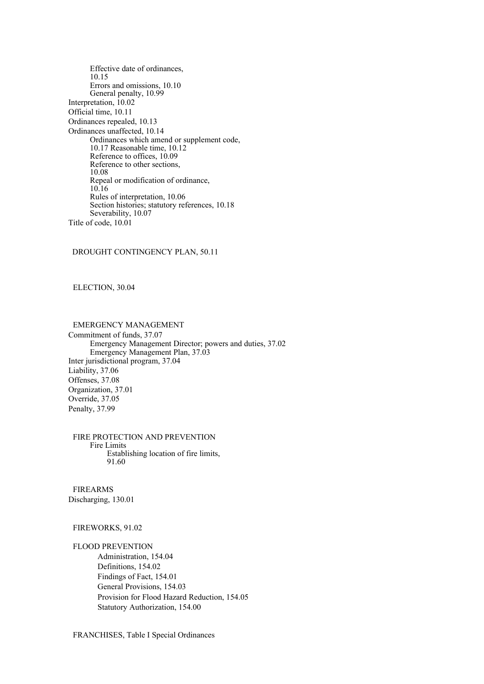Effective date of ordinances, 10.15 Errors and omissions, 10.10 General penalty, 10.99 Interpretation, 10.02 Official time, 10.11 Ordinances repealed, 10.13 Ordinances unaffected, 10.14 Ordinances which amend or supplement code, 10.17 Reasonable time, 10.12 Reference to offices, 10.09 Reference to other sections, 10.08 Repeal or modification of ordinance, 10.16 Rules of interpretation, 10.06 Section histories; statutory references, 10.18 Severability, 10.07 Title of code, 10.01

#### DROUGHT CONTINGENCY PLAN, 50.11

#### ELECTION, 30.04

#### EMERGENCY MANAGEMENT

Commitment of funds, 37.07 Emergency Management Director; powers and duties, 37.02 Emergency Management Plan, 37.03 Inter jurisdictional program, 37.04 Liability, 37.06 Offenses, 37.08 Organization, 37.01 Override, 37.05 Penalty, 37.99

FIRE PROTECTION AND PREVENTION Fire Limits Establishing location of fire limits, 91.60

FIREARMS Discharging, 130.01

#### FIREWORKS, 91.02

# FLOOD PREVENTION

Administration, 154.04 Definitions, 154.02 Findings of Fact, 154.01 General Provisions, 154.03 Provision for Flood Hazard Reduction, 154.05 Statutory Authorization, 154.00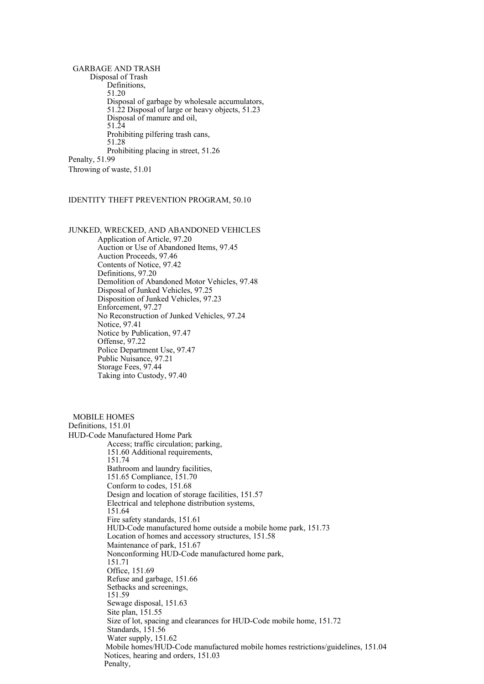GARBAGE AND TRASH Disposal of Trash Definitions, 51.20 Disposal of garbage by wholesale accumulators, 51.22 Disposal of large or heavy objects, 51.23 Disposal of manure and oil, 51.24 Prohibiting pilfering trash cans, 51.28 Prohibiting placing in street, 51.26 Penalty, 51.99 Throwing of waste, 51.01

#### IDENTITY THEFT PREVENTION PROGRAM, 50.10

JUNKED, WRECKED, AND ABANDONED VEHICLES Application of Article, 97.20 Auction or Use of Abandoned Items, 97.45 Auction Proceeds, 97.46 Contents of Notice, 97.42 Definitions, 97.20 Demolition of Abandoned Motor Vehicles, 97.48 Disposal of Junked Vehicles, 97.25 Disposition of Junked Vehicles, 97.23 Enforcement, 97.27 No Reconstruction of Junked Vehicles, 97.24 Notice, 97.41 Notice by Publication, 97.47 Offense, 97.22 Police Department Use, 97.47 Public Nuisance, 97.21 Storage Fees, 97.44 Taking into Custody, 97.40

MOBILE HOMES Definitions, 151.01 HUD-Code Manufactured Home Park Access; traffic circulation; parking, 151.60 Additional requirements, 151.74 Bathroom and laundry facilities, 151.65 Compliance, 151.70 Conform to codes, 151.68 Design and location of storage facilities, 151.57 Electrical and telephone distribution systems, 151.64 Fire safety standards, 151.61 HUD-Code manufactured home outside a mobile home park, 151.73 Location of homes and accessory structures, 151.58 Maintenance of park, 151.67 Nonconforming HUD-Code manufactured home park, 151.71 Office, 151.69 Refuse and garbage, 151.66 Setbacks and screenings, 151.59 Sewage disposal, 151.63 Site plan, 151.55 Size of lot, spacing and clearances for HUD-Code mobile home, 151.72 Standards, 151.56 Water supply, 151.62 Mobile homes/HUD-Code manufactured mobile homes restrictions/guidelines, 151.04 Notices, hearing and orders, 151.03 Penalty,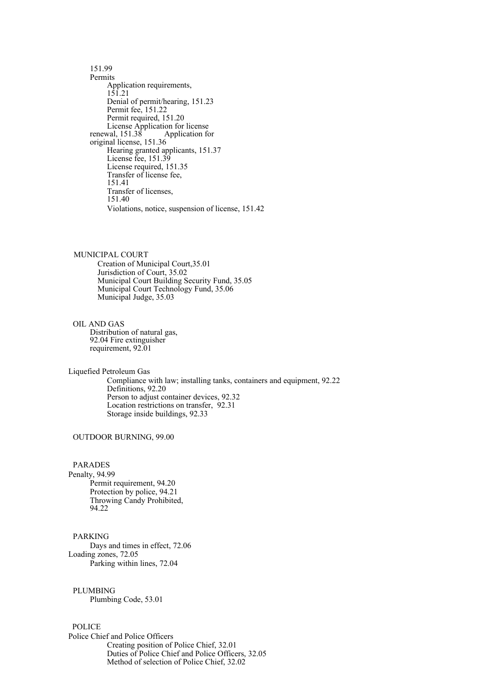151.99 Permits Application requirements, 151.21 Denial of permit/hearing, 151.23 Permit fee, 151.22 Permit required, 151.20 License Application for license renewal, 151.38 Application for original license, 151.36 Hearing granted applicants, 151.37 License fee, 151.39 License required, 151.35 Transfer of license fee, 151.41 Transfer of licenses, 151.40 Violations, notice, suspension of license, 151.42

MUNICIPAL COURT

Creation of Municipal Court,35.01 Jurisdiction of Court, 35.02 Municipal Court Building Security Fund, 35.05 Municipal Court Technology Fund, 35.06 Municipal Judge, 35.03

OIL AND GAS

Distribution of natural gas, 92.04 Fire extinguisher requirement, 92.01

Liquefied Petroleum Gas

Compliance with law; installing tanks, containers and equipment, 92.22 Definitions, 92.20 Person to adjust container devices, 92.32 Location restrictions on transfer, 92.31 Storage inside buildings, 92.33

OUTDOOR BURNING, 99.00

### PARADES

Penalty, 94.99 Permit requirement, 94.20 Protection by police, 94.21 Throwing Candy Prohibited, 94.22

#### PARKING

Days and times in effect, 72.06 Loading zones, 72.05 Parking within lines, 72.04

PLUMBING Plumbing Code, 53.01

### POLICE

Police Chief and Police Officers Creating position of Police Chief, 32.01 Duties of Police Chief and Police Officers, 32.05 Method of selection of Police Chief, 32.02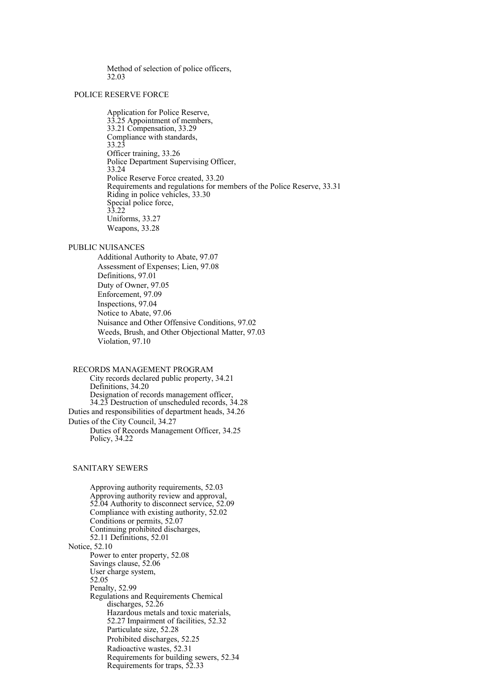Method of selection of police officers, 32.03

# POLICE RESERVE FORCE

Application for Police Reserve, 33.25 Appointment of members, 33.21 Compensation, 33.29 Compliance with standards, 33.23 Officer training, 33.26 Police Department Supervising Officer, 33.24 Police Reserve Force created, 33.20 Requirements and regulations for members of the Police Reserve, 33.31 Riding in police vehicles, 33.30 Special police force, 33.22 Uniforms, 33.27 Weapons, 33.28

### PUBLIC NUISANCES

Additional Authority to Abate, 97.07 Assessment of Expenses; Lien, 97.08 Definitions, 97.01 Duty of Owner, 97.05 Enforcement, 97.09 Inspections, 97.04 Notice to Abate, 97.06 Nuisance and Other Offensive Conditions, 97.02 Weeds, Brush, and Other Objectional Matter, 97.03 Violation, 97.10

RECORDS MANAGEMENT PROGRAM City records declared public property, 34.21 Definitions, 34.20 Designation of records management officer, 34.23 Destruction of unscheduled records, 34.28 Duties and responsibilities of department heads, 34.26 Duties of the City Council, 34.27 Duties of Records Management Officer, 34.25 Policy, 34.22

## SANITARY SEWERS

Approving authority requirements, 52.03 Approving authority review and approval, 52.04 Authority to disconnect service, 52.09 Compliance with existing authority, 52.02 Conditions or permits, 52.07 Continuing prohibited discharges, 52.11 Definitions, 52.01 Notice, 52.10 Power to enter property, 52.08 Savings clause, 52.06 User charge system, 52.05 Penalty, 52.99 Regulations and Requirements Chemical discharges, 52.26 Hazardous metals and toxic materials, 52.27 Impairment of facilities, 52.32 Particulate size, 52.28 Prohibited discharges, 52.25 Radioactive wastes, 52.31 Requirements for building sewers, 52.34 Requirements for traps, 52.33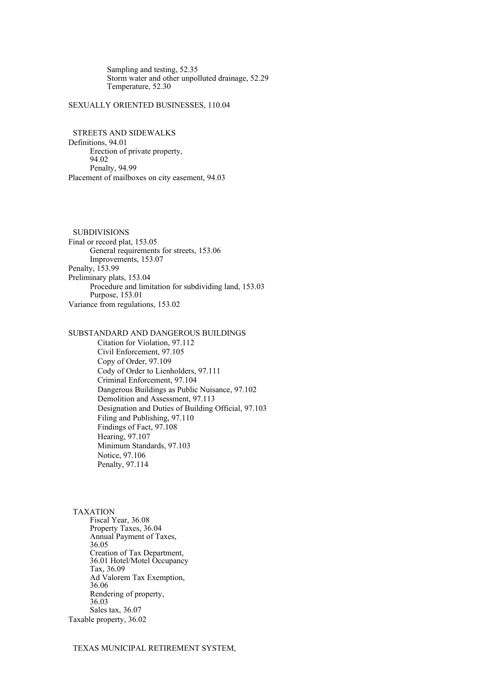Sampling and testing, 52.35 Storm water and other unpolluted drainage, 52.29 Temperature, 52.30

# SEXUALLY ORIENTED BUSINESSES, 110.04

STREETS AND SIDEWALKS Definitions, 94.01 Erection of private property, 94.02 Penalty, 94.99 Placement of mailboxes on city easement, 94.03

SUBDIVISIONS Final or record plat, 153.05 General requirements for streets, 153.06 Improvements, 153.07 Penalty, 153.99 Preliminary plats, 153.04 Procedure and limitation for subdividing land, 153.03 Purpose, 153.01 Variance from regulations, 153.02

## SUBSTANDARD AND DANGEROUS BUILDINGS

Citation for Violation, 97.112 Civil Enforcement, 97.105 Copy of Order, 97.109 Cody of Order to Lienholders, 97.111 Criminal Enforcement, 97.104 Dangerous Buildings as Public Nuisance, 97.102 Demolition and Assessment, 97.113 Designation and Duties of Building Official, 97.103 Filing and Publishing, 97.110 Findings of Fact, 97.108 Hearing, 97.107 Minimum Standards, 97.103 Notice, 97.106 Penalty, 97.114

### TAXATION

Fiscal Year, 36.08 Property Taxes, 36.04 Annual Payment of Taxes, 36.05 Creation of Tax Department, 36.01 Hotel/Motel Occupancy Tax, 36.09 Ad Valorem Tax Exemption, 36.06 Rendering of property, 36.03 Sales tax, 36.07 Taxable property, 36.02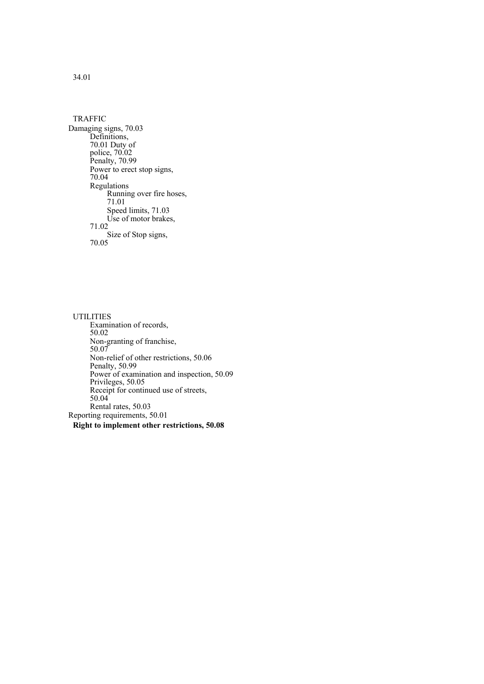TRAFFIC Damaging signs, 70.03 Definitions, 70.01 Duty of police, 70.02 Penalty, 70.99 Power to erect stop signs, 70.04 Regulations Running over fire hoses, 71.01 Speed limits, 71.03 Use of motor brakes, 71.02 Size of Stop signs, 70.05

**UTILITIES** Examination of records, 50.02 Non-granting of franchise, 50.07 Non-relief of other restrictions, 50.06 Penalty, 50.99 Power of examination and inspection, 50.09 Privileges, 50.05 Receipt for continued use of streets, 50.04 Rental rates, 50.03 Reporting requirements, 50.01 **Right to implement other restrictions, 50.08**

34.01